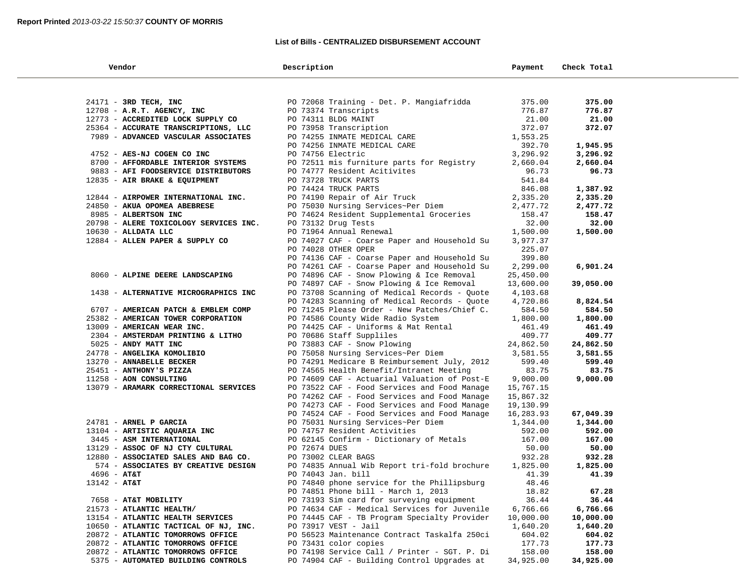## **List of Bills - CENTRALIZED DISBURSEMENT ACCOUNT**

| Vendor                                 | Description                                  | Payment   | Check Total |  |
|----------------------------------------|----------------------------------------------|-----------|-------------|--|
|                                        |                                              |           |             |  |
| 24171 - 3RD TECH, INC                  | PO 72068 Training - Det. P. Mangiafridda     | 375.00    | 375.00      |  |
| 12708 - A.R.T. AGENCY, INC             | PO 73374 Transcripts                         | 776.87    | 776.87      |  |
| 12773 - ACCREDITED LOCK SUPPLY CO      | PO 74311 BLDG MAINT                          | 21.00     | 21.00       |  |
| 25364 - ACCURATE TRANSCRIPTIONS, LLC   | PO 73958 Transcription                       | 372.07    | 372.07      |  |
| 7989 - ADVANCED VASCULAR ASSOCIATES    | PO 74255 INMATE MEDICAL CARE                 | 1,553.25  |             |  |
|                                        | PO 74256 INMATE MEDICAL CARE                 | 392.70    | 1,945.95    |  |
| 4752 - AES-NJ COGEN CO INC             | PO 74756 Electric                            | 3,296.92  | 3,296.92    |  |
| 8700 - AFFORDABLE INTERIOR SYSTEMS     | PO 72511 mis furniture parts for Registry    | 2,660.04  | 2,660.04    |  |
| 9883 - AFI FOODSERVICE DISTRIBUTORS    | PO 74777 Resident Acitivites                 | 96.73     | 96.73       |  |
| 12835 - AIR BRAKE & EQUIPMENT          | PO 73728 TRUCK PARTS                         | 541.84    |             |  |
|                                        | PO 74424 TRUCK PARTS                         | 846.08    | 1,387.92    |  |
| 12844 - AIRPOWER INTERNATIONAL INC.    | PO 74190 Repair of Air Truck                 | 2,335.20  | 2,335.20    |  |
| 24850 - AKUA OPOMEA ABEBRESE           | PO 75030 Nursing Services~Per Diem           | 2,477.72  | 2,477.72    |  |
| 8985 - ALBERTSON INC                   | PO 74624 Resident Supplemental Groceries     | 158.47    | 158.47      |  |
| 20798 - ALERE TOXICOLOGY SERVICES INC. | PO 73132 Drug Tests                          | 32.00     | 32.00       |  |
| $10630$ - ALLDATA LLC                  | PO 71964 Annual Renewal                      | 1,500.00  | 1,500.00    |  |
| 12884 - ALLEN PAPER & SUPPLY CO        | PO 74027 CAF - Coarse Paper and Household Su | 3,977.37  |             |  |
|                                        | PO 74028 OTHER OPER                          | 225.07    |             |  |
|                                        | PO 74136 CAF - Coarse Paper and Household Su | 399.80    |             |  |
|                                        | PO 74261 CAF - Coarse Paper and Household Su | 2,299.00  | 6,901.24    |  |
| 8060 - ALPINE DEERE LANDSCAPING        | PO 74896 CAF - Snow Plowing & Ice Removal    | 25,450.00 |             |  |
|                                        | PO 74897 CAF - Snow Plowing & Ice Removal    | 13,600.00 | 39,050.00   |  |
| 1438 - ALTERNATIVE MICROGRAPHICS INC   | PO 73708 Scanning of Medical Records - Quote | 4,103.68  |             |  |
|                                        | PO 74283 Scanning of Medical Records - Quote | 4,720.86  | 8,824.54    |  |
| 6707 - AMERICAN PATCH & EMBLEM COMP    | PO 71245 Please Order - New Patches/Chief C. | 584.50    | 584.50      |  |
| 25382 - AMERICAN TOWER CORPORATION     | PO 74586 County Wide Radio System            | 1,800.00  | 1,800.00    |  |
| 13009 - AMERICAN WEAR INC.             | PO 74425 CAF - Uniforms & Mat Rental         | 461.49    | 461.49      |  |
| 2304 - AMSTERDAM PRINTING & LITHO      | PO 70686 Staff Suppliles                     | 409.77    | 409.77      |  |
| 5025 - ANDY MATT INC                   | PO 73883 CAF - Snow Plowing                  | 24,862.50 | 24,862.50   |  |
| 24778 - ANGELIKA KOMOLIBIO             | PO 75058 Nursing Services~Per Diem           | 3,581.55  | 3,581.55    |  |
| 13270 - ANNABELLE BECKER               | PO 74291 Medicare B Reimbursement July, 2012 | 599.40    | 599.40      |  |
| 25451 - ANTHONY'S PIZZA                | PO 74565 Health Benefit/Intranet Meeting     | 83.75     | 83.75       |  |
| 11258 - AON CONSULTING                 | PO 74609 CAF - Actuarial Valuation of Post-E | 9,000.00  | 9,000.00    |  |
| 13079 - ARAMARK CORRECTIONAL SERVICES  | PO 73522 CAF - Food Services and Food Manage | 15,767.15 |             |  |
|                                        | PO 74262 CAF - Food Services and Food Manage | 15,867.32 |             |  |
|                                        | PO 74273 CAF - Food Services and Food Manage | 19,130.99 |             |  |
|                                        | PO 74524 CAF - Food Services and Food Manage | 16,283.93 | 67,049.39   |  |
| 24781 - ARNEL P GARCIA                 | PO 75031 Nursing Services~Per Diem           | 1,344.00  | 1,344.00    |  |
| 13104 - ARTISTIC AQUARIA INC           | PO 74757 Resident Activities                 | 592.00    | 592.00      |  |
| 3445 - ASM INTERNATIONAL               | PO 62145 Confirm - Dictionary of Metals      | 167.00    | 167.00      |  |
| 13129 - ASSOC OF NJ CTY CULTURAL       | PO 72674 DUES                                | 50.00     | 50.00       |  |
| 12880 - ASSOCIATED SALES AND BAG CO.   | PO 73002 CLEAR BAGS                          | 932.28    | 932.28      |  |
| 574 - ASSOCIATES BY CREATIVE DESIGN    | PO 74835 Annual Wib Report tri-fold brochure | 1,825.00  | 1,825.00    |  |
| $4696 - AT&T$                          | PO 74043 Jan. bill                           | 41.39     | 41.39       |  |
| $13142 - AT&T$                         | PO 74840 phone service for the Phillipsburg  | 48.46     |             |  |
|                                        | PO 74851 Phone bill - March 1, 2013          | 18.82     | 67.28       |  |
| 7658 - AT&T MOBILITY                   | PO 73193 Sim card for surveying equipment    | 36.44     | 36.44       |  |
| 21573 - ATLANTIC HEALTH/               | PO 74634 CAF - Medical Services for Juvenile | 6,766.66  | 6,766.66    |  |
| 13154 - ATLANTIC HEALTH SERVICES       | PO 74445 CAF - TB Program Specialty Provider | 10,000.00 | 10,000.00   |  |
| 10650 - ATLANTIC TACTICAL OF NJ, INC.  | PO 73917 VEST - Jail                         | 1,640.20  | 1,640.20    |  |
| 20872 - ATLANTIC TOMORROWS OFFICE      | PO 56523 Maintenance Contract Taskalfa 250ci | 604.02    | 604.02      |  |
| 20872 - ATLANTIC TOMORROWS OFFICE      | PO 73431 color copies                        | 177.73    | 177.73      |  |
| 20872 - ATLANTIC TOMORROWS OFFICE      | PO 74198 Service Call / Printer - SGT. P. Di | 158.00    | 158.00      |  |
| 5375 - AUTOMATED BUILDING CONTROLS     | PO 74904 CAF - Building Control Upgrades at  | 34,925.00 | 34,925.00   |  |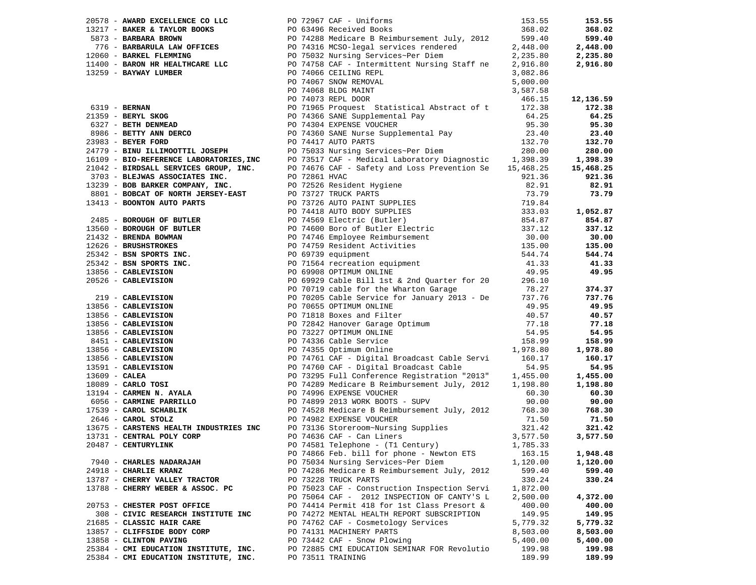|  | 20578 - AWARD EXCELLENCE CO LLC       |  | PO 72967 CAF - Uniforms                                                                                                                                                                                                                | 153.55   | 153.55    |
|--|---------------------------------------|--|----------------------------------------------------------------------------------------------------------------------------------------------------------------------------------------------------------------------------------------|----------|-----------|
|  |                                       |  | 13217 - <b>BAKER &amp; TAYLOR BOOKS</b><br>5873 - <b>BARBARA BROWN</b><br>776 - <b>BARBARULA LAW OFFICES</b><br>12060 - <b>BARBARULA FIEMMING</b><br>2,448.00<br>2,235.80<br>2,235.80                                                  |          | 368.02    |
|  |                                       |  |                                                                                                                                                                                                                                        |          | 599.40    |
|  |                                       |  |                                                                                                                                                                                                                                        |          | 2,448.00  |
|  |                                       |  |                                                                                                                                                                                                                                        |          | 2,235.80  |
|  |                                       |  | 11400 - <b>BARON HR HEALTHCARE LLC</b><br>13259 - <b>BAYWAY LUMBER LLC</b><br>13259 - <b>BAYWAY LUMBER LLC</b><br>13259 - <b>BAYWAY LUMBER DO</b> 74066 CEILING REPL<br>13259 - <b>BAYWAY LUMBER DO</b> 74067 SNOW REMOVAL<br>5.000.00 |          | 2,916.80  |
|  |                                       |  |                                                                                                                                                                                                                                        |          |           |
|  |                                       |  |                                                                                                                                                                                                                                        |          |           |
|  |                                       |  |                                                                                                                                                                                                                                        |          |           |
|  |                                       |  |                                                                                                                                                                                                                                        |          | 12,136.59 |
|  |                                       |  |                                                                                                                                                                                                                                        |          | 172.38    |
|  |                                       |  |                                                                                                                                                                                                                                        |          | 64.25     |
|  |                                       |  |                                                                                                                                                                                                                                        |          | 95.30     |
|  |                                       |  |                                                                                                                                                                                                                                        |          | 23.40     |
|  |                                       |  |                                                                                                                                                                                                                                        |          | 132.70    |
|  |                                       |  |                                                                                                                                                                                                                                        |          | 280.00    |
|  |                                       |  |                                                                                                                                                                                                                                        |          | 1,398.39  |
|  |                                       |  |                                                                                                                                                                                                                                        |          | 15,468.25 |
|  |                                       |  |                                                                                                                                                                                                                                        |          | 921.36    |
|  |                                       |  |                                                                                                                                                                                                                                        |          | 82.91     |
|  |                                       |  |                                                                                                                                                                                                                                        |          | 73.79     |
|  |                                       |  |                                                                                                                                                                                                                                        |          |           |
|  |                                       |  |                                                                                                                                                                                                                                        |          | 1,052.87  |
|  |                                       |  |                                                                                                                                                                                                                                        |          | 854.87    |
|  |                                       |  |                                                                                                                                                                                                                                        |          | 337.12    |
|  |                                       |  |                                                                                                                                                                                                                                        |          | 30.00     |
|  |                                       |  |                                                                                                                                                                                                                                        |          | 135.00    |
|  |                                       |  |                                                                                                                                                                                                                                        |          | 544.74    |
|  |                                       |  |                                                                                                                                                                                                                                        |          | 41.33     |
|  |                                       |  |                                                                                                                                                                                                                                        |          | 49.95     |
|  |                                       |  |                                                                                                                                                                                                                                        |          |           |
|  |                                       |  | 24179 - BINUILLIMOTTIL JOSEPH (1991–1971), 1981–1971 Marring Services-Per Dien (1991–1973), 2012<br>16109 - BINDARISMONTERS, INC 1991–231 Marriag Services (1991–1973), 2012<br>1719 - BINDARISMONTERS (INC. 2012)<br>17209 - BINDARIS |          | 374.37    |
|  |                                       |  |                                                                                                                                                                                                                                        |          | 737.76    |
|  |                                       |  |                                                                                                                                                                                                                                        |          | 49.95     |
|  |                                       |  |                                                                                                                                                                                                                                        |          | 40.57     |
|  |                                       |  |                                                                                                                                                                                                                                        |          | 77.18     |
|  |                                       |  |                                                                                                                                                                                                                                        |          | 54.95     |
|  |                                       |  |                                                                                                                                                                                                                                        |          | 158.99    |
|  |                                       |  |                                                                                                                                                                                                                                        |          | 1,978.80  |
|  |                                       |  |                                                                                                                                                                                                                                        |          | 160.17    |
|  |                                       |  |                                                                                                                                                                                                                                        |          | 54.95     |
|  |                                       |  |                                                                                                                                                                                                                                        |          | 1,455.00  |
|  |                                       |  |                                                                                                                                                                                                                                        |          | 1,198.80  |
|  |                                       |  |                                                                                                                                                                                                                                        |          | 60.30     |
|  |                                       |  |                                                                                                                                                                                                                                        |          | 90.00     |
|  |                                       |  |                                                                                                                                                                                                                                        |          | 768.30    |
|  |                                       |  |                                                                                                                                                                                                                                        |          | 71.50     |
|  |                                       |  | $2646$ - CAROL STOLE<br>13675 - CARSTENS INDUSTRIES INC 1909 73136 Store com-Nursing Supplies<br>19991 - Animal Month Anna De De 19636 Car - Can Liners                                                                                | 321.42   | 321.42    |
|  | 13731 - CENTRAL POLY CORP             |  | PO 74636 CAF - Can Liners                                                                                                                                                                                                              | 3,577.50 | 3,577.50  |
|  | 20487 - CENTURYLINK                   |  | PO 74581 Telephone - (T1 Century) 1,785.33                                                                                                                                                                                             |          |           |
|  |                                       |  | PO 74866 Feb. bill for phone - Newton ETS                                                                                                                                                                                              | 163.15   | 1,948.48  |
|  | 7940 - CHARLES NADARAJAH              |  | PO 75034 Nursing Services~Per Diem                                                                                                                                                                                                     | 1,120.00 | 1,120.00  |
|  | 24918 - CHARLIE KRANZ                 |  | PO 74286 Medicare B Reimbursement July, 2012                                                                                                                                                                                           | 599.40   | 599.40    |
|  | 13787 - CHERRY VALLEY TRACTOR         |  | PO 73228 TRUCK PARTS                                                                                                                                                                                                                   | 330.24   | 330.24    |
|  | 13788 - CHERRY WEBER & ASSOC. PC      |  | PO 75023 CAF - Construction Inspection Servi                                                                                                                                                                                           | 1,872.00 |           |
|  |                                       |  | PO 75064 CAF - 2012 INSPECTION OF CANTY'S L                                                                                                                                                                                            | 2,500.00 | 4,372.00  |
|  | 20753 - CHESTER POST OFFICE           |  | PO 74414 Permit 418 for 1st Class Presort &                                                                                                                                                                                            | 400.00   | 400.00    |
|  | 308 - CIVIC RESEARCH INSTITUTE INC    |  | PO 74272 MENTAL HEALTH REPORT SUBSCRIPTION                                                                                                                                                                                             | 149.95   | 149.95    |
|  | 21685 - CLASSIC HAIR CARE             |  | PO 74762 CAF - Cosmetology Services                                                                                                                                                                                                    | 5,779.32 | 5,779.32  |
|  | 13857 - CLIFFSIDE BODY CORP           |  | PO 74131 MACHINERY PARTS                                                                                                                                                                                                               | 8,503.00 | 8,503.00  |
|  | 13858 - CLINTON PAVING                |  | PO 73442 CAF - Snow Plowing                                                                                                                                                                                                            | 5,400.00 | 5,400.00  |
|  | 25384 - CMI EDUCATION INSTITUTE, INC. |  | PO 72885 CMI EDUCATION SEMINAR FOR Revolutio                                                                                                                                                                                           | 199.98   | 199.98    |
|  | 25384 - CMI EDUCATION INSTITUTE, INC. |  | PO 73511 TRAINING                                                                                                                                                                                                                      | 189.99   | 189.99    |
|  |                                       |  |                                                                                                                                                                                                                                        |          |           |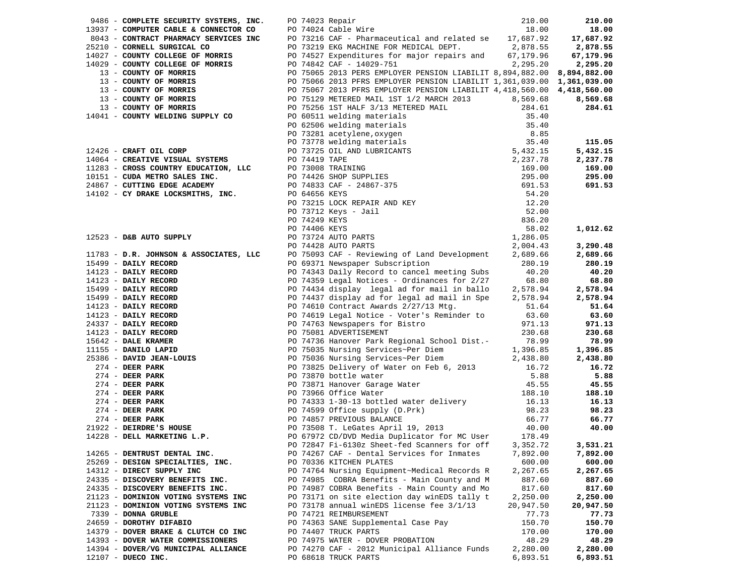|                                                                  | 9486 - COMPLETE SECURITY SYSTEMS, INC. DO 74023 Repair 210.00 210.00 210.00<br>18.00 18.00 18.00 18.00 18.00 18.00 18.00 18.00 18.00 18.00 18.00 18.00 18.00 18.00 18.00 18.00 18.00 18.00 1<br>25210 - CONTRACT PHARMACY SERVICES          |                    |           |
|------------------------------------------------------------------|---------------------------------------------------------------------------------------------------------------------------------------------------------------------------------------------------------------------------------------------|--------------------|-----------|
|                                                                  |                                                                                                                                                                                                                                             |                    |           |
|                                                                  |                                                                                                                                                                                                                                             |                    |           |
|                                                                  |                                                                                                                                                                                                                                             |                    |           |
|                                                                  |                                                                                                                                                                                                                                             |                    |           |
| 14029 - COUNTY COLLEGE OF MORRIS PO 74842 CAF - 14029-751        | 2, 295.20                                                                                                                                                                                                                                   |                    | 2,295.20  |
|                                                                  |                                                                                                                                                                                                                                             |                    |           |
|                                                                  |                                                                                                                                                                                                                                             |                    |           |
|                                                                  |                                                                                                                                                                                                                                             |                    |           |
|                                                                  |                                                                                                                                                                                                                                             |                    |           |
|                                                                  |                                                                                                                                                                                                                                             |                    |           |
|                                                                  |                                                                                                                                                                                                                                             |                    |           |
|                                                                  |                                                                                                                                                                                                                                             |                    |           |
|                                                                  |                                                                                                                                                                                                                                             |                    |           |
|                                                                  |                                                                                                                                                                                                                                             |                    |           |
|                                                                  |                                                                                                                                                                                                                                             |                    |           |
|                                                                  |                                                                                                                                                                                                                                             |                    |           |
|                                                                  |                                                                                                                                                                                                                                             |                    |           |
|                                                                  |                                                                                                                                                                                                                                             |                    |           |
|                                                                  |                                                                                                                                                                                                                                             |                    |           |
|                                                                  | 14029 - CODNTY COLLEGE OF MORATS<br>19029 - CODNTY COLLEGE OF MORATS<br>19029 - CODNTY OF MORATS<br>19021 - CODNTY OF MORATS<br>19021 - CODNTY OF MORATS<br>19021 - CODNTY OF MORATS<br>19021 - CODNTY OF MORATS<br>19021 - CODNTY OF MORAT |                    |           |
|                                                                  |                                                                                                                                                                                                                                             |                    |           |
|                                                                  |                                                                                                                                                                                                                                             |                    |           |
|                                                                  |                                                                                                                                                                                                                                             |                    |           |
|                                                                  |                                                                                                                                                                                                                                             |                    |           |
|                                                                  |                                                                                                                                                                                                                                             |                    |           |
|                                                                  |                                                                                                                                                                                                                                             |                    |           |
|                                                                  | 11783 - D.R. JOHNSON & ASSOCIATES, LLC PO 75093 CAF - Reviewing of Land Development 2,689.66                                                                                                                                                |                    | 2,689.66  |
|                                                                  |                                                                                                                                                                                                                                             |                    | 280.19    |
|                                                                  |                                                                                                                                                                                                                                             |                    | 40.20     |
|                                                                  |                                                                                                                                                                                                                                             |                    | 68.80     |
|                                                                  |                                                                                                                                                                                                                                             |                    | 2,578.94  |
|                                                                  |                                                                                                                                                                                                                                             |                    | 2,578.94  |
|                                                                  |                                                                                                                                                                                                                                             |                    | 51.64     |
|                                                                  |                                                                                                                                                                                                                                             |                    | 63.60     |
|                                                                  |                                                                                                                                                                                                                                             |                    | 971.13    |
|                                                                  |                                                                                                                                                                                                                                             |                    | 230.68    |
|                                                                  |                                                                                                                                                                                                                                             |                    | 78.99     |
|                                                                  |                                                                                                                                                                                                                                             |                    | 1,396.85  |
|                                                                  |                                                                                                                                                                                                                                             |                    | 2,438.80  |
|                                                                  |                                                                                                                                                                                                                                             |                    | 16.72     |
|                                                                  |                                                                                                                                                                                                                                             |                    | 5.88      |
|                                                                  |                                                                                                                                                                                                                                             |                    | 45.55     |
|                                                                  |                                                                                                                                                                                                                                             |                    | 188.10    |
|                                                                  |                                                                                                                                                                                                                                             |                    | 16.13     |
|                                                                  | 1793 - D.R. JOHNSON & ASSOCIATES, LLCC po 75031 CHF - Reviewing of Land Development<br>15499 - DAILY RECORD PO 79371 Newspaper Subscription<br>14123 - DAILY RECORD PO 74343 Daily Record to cancel meeting Subscription<br>14123           |                    | 98.23     |
|                                                                  |                                                                                                                                                                                                                                             |                    | 66.77     |
|                                                                  |                                                                                                                                                                                                                                             |                    | 40.00     |
|                                                                  | PO 72847 Fi-6130z Sheet-fed Scanners for off 3,352.72 3,531.21                                                                                                                                                                              |                    |           |
|                                                                  | PO 74267 CAF - Dental Services for Inmates                                                                                                                                                                                                  |                    | 7,892.00  |
| 14265 - DENTRUST DENTAL INC.<br>25269 - DESIGN SPECIALTIES, INC. | PO 70336 KITCHEN PLATES                                                                                                                                                                                                                     | 7,892.00<br>600.00 | 600.00    |
| 14312 - DIRECT SUPPLY INC                                        | PO 74764 Nursing Equipment~Medical Records R                                                                                                                                                                                                | 2,267.65           | 2,267.65  |
| 24335 - DISCOVERY BENEFITS INC.                                  | PO 74985 COBRA Benefits - Main County and M                                                                                                                                                                                                 | 887.60             | 887.60    |
| 24335 - DISCOVERY BENEFITS INC.                                  | PO 74987 COBRA Benefits - Main County and Mo                                                                                                                                                                                                | 817.60             | 817.60    |
| 21123 - DOMINION VOTING SYSTEMS INC                              | PO 73171 on site election day winEDS tally t                                                                                                                                                                                                | 2,250.00           | 2,250.00  |
| 21123 - DOMINION VOTING SYSTEMS INC                              | PO 73178 annual winEDS license fee 3/1/13                                                                                                                                                                                                   | 20,947.50          | 20,947.50 |
| 7339 - DONNA GRUBLE                                              | PO 74721 REIMBURSEMENT                                                                                                                                                                                                                      | 77.73              | 77.73     |
| 24659 - DOROTHY DIFABIO                                          | PO 74363 SANE Supplemental Case Pay                                                                                                                                                                                                         | 150.70             | 150.70    |
| 14379 - DOVER BRAKE & CLUTCH CO INC                              | PO 74407 TRUCK PARTS                                                                                                                                                                                                                        | 170.00             | 170.00    |
| 14393 - DOVER WATER COMMISSIONERS                                | PO 74975 WATER - DOVER PROBATION                                                                                                                                                                                                            | 48.29              | 48.29     |
| 14394 - DOVER/VG MUNICIPAL ALLIANCE                              | PO 74270 CAF - 2012 Municipal Alliance Funds                                                                                                                                                                                                | 2,280.00           | 2,280.00  |
| $12107$ - DUECO INC.                                             | PO 68618 TRUCK PARTS                                                                                                                                                                                                                        | 6,893.51           | 6,893.51  |
|                                                                  |                                                                                                                                                                                                                                             |                    |           |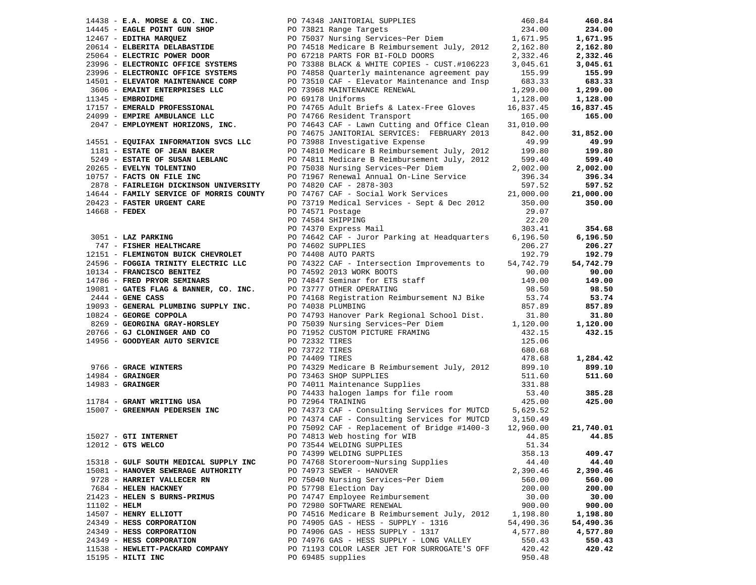|                 |                                                                |                  |                                                                                                                                                                                                                                                                                |                    | 460.84    |
|-----------------|----------------------------------------------------------------|------------------|--------------------------------------------------------------------------------------------------------------------------------------------------------------------------------------------------------------------------------------------------------------------------------|--------------------|-----------|
|                 |                                                                |                  | 14438 - E.A. MORSE & CO. INC.<br>14445 - EAGLE POINT GUN SHOP REPORT ON SHOP RELATION ON PO 73821 Range Targets<br>12467 - EDITHA MARQUEZ PO 75037 Nursing Services~Per Diem<br>20614 - ELBERITA DELABASTIDE PO 74518 Medicare B Rei                                           |                    | 234.00    |
|                 |                                                                |                  |                                                                                                                                                                                                                                                                                |                    | 1,671.95  |
|                 |                                                                |                  |                                                                                                                                                                                                                                                                                |                    | 2,162.80  |
|                 |                                                                |                  |                                                                                                                                                                                                                                                                                |                    | 2,332.46  |
|                 |                                                                |                  |                                                                                                                                                                                                                                                                                |                    | 3,045.61  |
|                 |                                                                |                  |                                                                                                                                                                                                                                                                                |                    | 155.99    |
|                 | 14501 - ELEVATOR MAINTENANCE CORP                              |                  | PO 73510 CAF - Elevator Maintenance and Insp                                                                                                                                                                                                                                   | 683.33             | 683.33    |
|                 |                                                                |                  |                                                                                                                                                                                                                                                                                | 1,299.00           | 1,299.00  |
|                 | 11345 - EMBROIDME                                              |                  | PO 69178 Uniforms                                                                                                                                                                                                                                                              | 1,128.00           | 1,128.00  |
|                 | 17157 - EMERALD PROFESSIONAL                                   |                  |                                                                                                                                                                                                                                                                                | 16,837.45          | 16,837.45 |
|                 | 24099 - EMPIRE AMBULANCE LLC                                   |                  | PO 74765 Adult Briefs & Latex-Free Gloves<br>PO 74766 Resident Transport                                                                                                                                                                                                       | 165.00             | 165.00    |
|                 |                                                                |                  | 2047 - EMPLOYMENT HORIZONS, INC. PO 74643 CAF - Lawn Cutting and Office Clean                                                                                                                                                                                                  | 31,010.00          |           |
|                 |                                                                |                  | PO 74675 JANITORIAL SERVICES: FEBRUARY 2013                                                                                                                                                                                                                                    | 842.00             | 31,852.00 |
|                 | 14551 - EQUIFAX INFORMATION SVCS LLC                           |                  | PO 73988 Investigative Expense                                                                                                                                                                                                                                                 | 49.99              | 49.99     |
|                 | 1181 - ESTATE OF JEAN BAKER                                    |                  |                                                                                                                                                                                                                                                                                |                    | 199.80    |
|                 | 5249 - ESTATE OF SUSAN LEBLANC                                 |                  | PO 74810 Medicare B Reimbursement July, 2012 199.80<br>PO 74811 Medicare B Reimbursement July, 2012 599.40                                                                                                                                                                     |                    |           |
|                 |                                                                |                  |                                                                                                                                                                                                                                                                                |                    | 599.40    |
|                 | 20265 - EVELYN TOLENTINO<br>$10757$ - FACTS ON FILE INC        |                  | PO 75038 Nursing Services~Per Diem                                                                                                                                                                                                                                             | 2,002.00           | 2,002.00  |
|                 |                                                                |                  | PO 71967 Renewal Annual On-Line Service                                                                                                                                                                                                                                        | 396.34             | 396.34    |
|                 |                                                                |                  | 2878 - FAIRLEIGH DICKINSON UNIVERSITY DO 74820 CAF - 2878-303 597.52<br>14644 - FAMILY SERVICE OF MORRIS COUNTY DO 74767 CAF - Social Work Services 21,000.00                                                                                                                  |                    | 597.52    |
|                 |                                                                |                  |                                                                                                                                                                                                                                                                                |                    | 21,000.00 |
|                 | 20423 - FASTER URGENT CARE                                     |                  | PO 73719 Medical Services - Sept & Dec 2012                                                                                                                                                                                                                                    | 350.00             | 350.00    |
| $14668$ - FEDEX |                                                                | PO 74571 Postage |                                                                                                                                                                                                                                                                                | 29.07              |           |
|                 |                                                                |                  | PO 74584 SHIPPING                                                                                                                                                                                                                                                              | 22.20              |           |
|                 |                                                                |                  | PO 74370 Express Mail                                                                                                                                                                                                                                                          | 303.41             | 354.68    |
|                 |                                                                |                  |                                                                                                                                                                                                                                                                                |                    | 6,196.50  |
|                 |                                                                |                  |                                                                                                                                                                                                                                                                                |                    | 206.27    |
|                 |                                                                |                  |                                                                                                                                                                                                                                                                                |                    | 192.79    |
|                 |                                                                |                  |                                                                                                                                                                                                                                                                                |                    | 54,742.79 |
|                 |                                                                |                  | 192.79<br>192.79<br>192.79<br>192.79<br>192.79<br>192.79<br>192.79<br>192.79<br>192.79<br>24596 - FOGGIA TRINITY ELECTRIC LLC<br>10134 - FRANCISCO BENITEZ<br>192.79<br>192.79<br>20074322 CAF - Intersection Improvements to 54,742.79<br>20074592 2013 W                     |                    | 90.00     |
|                 |                                                                |                  |                                                                                                                                                                                                                                                                                |                    | 149.00    |
|                 | 19081 - GATES FLAG & BANNER, CO. INC. PO 73777 OTHER OPERATING |                  |                                                                                                                                                                                                                                                                                |                    | 98.50     |
|                 | $2444$ - GENE CASS                                             |                  | PO 74168 Registration Reimbursement NJ Bike                                                                                                                                                                                                                                    | 53.74              | 53.74     |
|                 | 19093 - GENERAL PLUMBING SUPPLY INC. PO 74038 PLUMBING         |                  |                                                                                                                                                                                                                                                                                | 857.89             | 857.89    |
|                 | 10824 - GEORGE COPPOLA                                         |                  |                                                                                                                                                                                                                                                                                |                    | 31.80     |
|                 |                                                                |                  |                                                                                                                                                                                                                                                                                |                    | 1,120.00  |
|                 | 20766 - GJ CLONINGER AND CO                                    |                  |                                                                                                                                                                                                                                                                                |                    | 432.15    |
|                 | 14956 - GOODYEAR AUTO SERVICE PO 72332 TIRES                   |                  |                                                                                                                                                                                                                                                                                | 125.06             |           |
|                 |                                                                | PO 73722 TIRES   |                                                                                                                                                                                                                                                                                | 680.68             |           |
|                 |                                                                |                  |                                                                                                                                                                                                                                                                                |                    | 1,284.42  |
|                 |                                                                |                  |                                                                                                                                                                                                                                                                                |                    | 899.10    |
|                 |                                                                |                  |                                                                                                                                                                                                                                                                                |                    | 511.60    |
|                 |                                                                |                  |                                                                                                                                                                                                                                                                                |                    |           |
|                 |                                                                |                  |                                                                                                                                                                                                                                                                                |                    | 385.28    |
|                 |                                                                |                  | 9766 - <b>GRACE WINTERS</b><br>9766 - <b>GRACE WINTERS</b><br>9766 - <b>GRAINGER</b><br>999.10<br>999.10<br>999.10<br>999.10<br>9074409 TIRES<br>9766 - <b>GRAINGER</b><br>9074409 TIRES<br>9074409 TIRES<br>9074409 TIRES<br>9074463 SHOP SUPPLIES<br>9073464 TRAINING<br>907 |                    | 425.00    |
|                 |                                                                |                  |                                                                                                                                                                                                                                                                                |                    |           |
|                 |                                                                |                  | PO 74374 CAF - Consulting Services for MUTCD 3,150.49                                                                                                                                                                                                                          |                    |           |
|                 |                                                                |                  | PO 75092 CAF - Replacement of Bridge #1400-3                                                                                                                                                                                                                                   |                    | 21,740.01 |
|                 | 15027 - GTI INTERNET                                           |                  | PO 74813 Web hosting for WIB                                                                                                                                                                                                                                                   | 12,960.00<br>44.85 | 44.85     |
|                 |                                                                |                  | PO 73544 WELDING SUPPLIES                                                                                                                                                                                                                                                      | 51.34              |           |
|                 | 12012 - GTS WELCO                                              |                  |                                                                                                                                                                                                                                                                                |                    |           |
|                 |                                                                |                  | PO 74399 WELDING SUPPLIES                                                                                                                                                                                                                                                      | 358.13             | 409.47    |
|                 | 15318 - GULF SOUTH MEDICAL SUPPLY INC                          |                  | PO 74768 Storeroom~Nursing Supplies                                                                                                                                                                                                                                            | 44.40              | 44.40     |
|                 | 15081 - HANOVER SEWERAGE AUTHORITY                             |                  | PO 74973 SEWER - HANOVER                                                                                                                                                                                                                                                       | 2,390.46           | 2,390.46  |
|                 | 9728 - HARRIET VALLECER RN                                     |                  | PO 75040 Nursing Services~Per Diem                                                                                                                                                                                                                                             | 560.00             | 560.00    |
|                 | 7684 - HELEN HACKNEY                                           |                  | PO 57798 Election Day                                                                                                                                                                                                                                                          | 200.00             | 200.00    |
|                 | 21423 - HELEN S BURNS-PRIMUS                                   |                  | PO 74747 Employee Reimbursement                                                                                                                                                                                                                                                | 30.00              | 30.00     |
| 11102 - HELM    |                                                                |                  | PO 72980 SOFTWARE RENEWAL                                                                                                                                                                                                                                                      | 900.00             | 900.00    |
|                 | 14507 - HENRY ELLIOTT                                          |                  | PO 74516 Medicare B Reimbursement July, 2012                                                                                                                                                                                                                                   | 1,198.80           | 1,198.80  |
|                 | 24349 - HESS CORPORATION                                       |                  | PO 74905 GAS - HESS - SUPPLY - 1316                                                                                                                                                                                                                                            | 54,490.36          | 54,490.36 |
|                 | 24349 - HESS CORPORATION                                       |                  | PO 74906 GAS - HESS SUPPLY - 1317                                                                                                                                                                                                                                              | 4,577.80           | 4,577.80  |
|                 | 24349 - HESS CORPORATION                                       |                  | PO 74976 GAS - HESS SUPPLY - LONG VALLEY                                                                                                                                                                                                                                       | 550.43             | 550.43    |
|                 | 11538 - HEWLETT-PACKARD COMPANY                                |                  | PO 71193 COLOR LASER JET FOR SURROGATE'S OFF                                                                                                                                                                                                                                   | 420.42             | 420.42    |
|                 | 15195 - HILTI INC                                              |                  | PO 69485 supplies                                                                                                                                                                                                                                                              | 950.48             |           |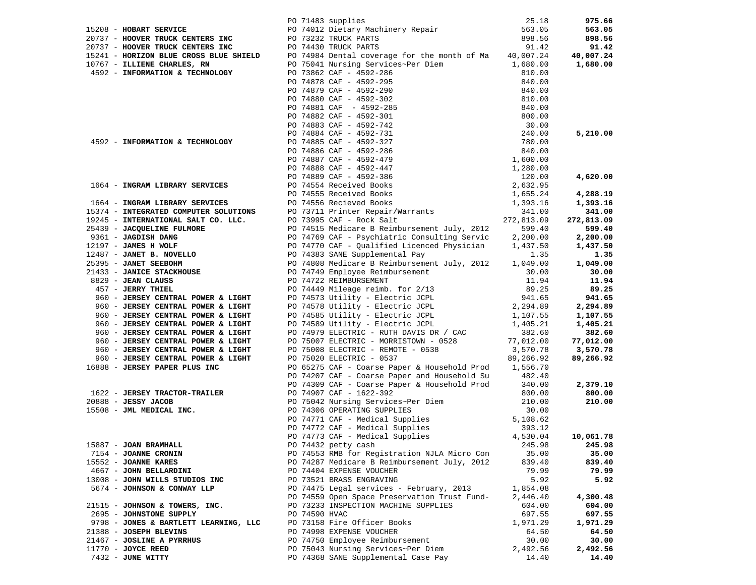|                                       |               |                                                                                                                                                                                                                                                                            | 25.18     | 975.66     |
|---------------------------------------|---------------|----------------------------------------------------------------------------------------------------------------------------------------------------------------------------------------------------------------------------------------------------------------------------|-----------|------------|
| 15208 - HOBART SERVICE                |               | PO 71483 supplies<br>PO 74012 Dietary Machinery Repair<br>DO 72222 TBUCK DABTS                                                                                                                                                                                             | 563.05    | 563.05     |
|                                       |               |                                                                                                                                                                                                                                                                            |           | 898.56     |
|                                       |               |                                                                                                                                                                                                                                                                            |           | 91.42      |
|                                       |               |                                                                                                                                                                                                                                                                            |           | 40,007.24  |
|                                       |               | 20737 - HOOVER TRUCK CENTERS INC<br>20737 - HOOVER TRUCK CENTERS INC<br>20737 - HOOVER TRUCK CENTERS INC<br>20737 - HOOVER TRUCK CENTERS INC<br>20737 - HOOVER TRUCK CENTERS INC<br>20737 - HOOVER TRUCK CENTERS INC<br>20737 - HOOVER TRUCK CEN                           |           | 1,680.00   |
|                                       |               | PO 75041 Nursing Services~Per Diem                                                                                                                                                                                                                                         |           |            |
|                                       |               |                                                                                                                                                                                                                                                                            |           |            |
|                                       |               |                                                                                                                                                                                                                                                                            |           |            |
|                                       |               |                                                                                                                                                                                                                                                                            |           |            |
|                                       |               |                                                                                                                                                                                                                                                                            |           |            |
|                                       |               |                                                                                                                                                                                                                                                                            |           |            |
|                                       |               |                                                                                                                                                                                                                                                                            |           |            |
|                                       |               |                                                                                                                                                                                                                                                                            |           |            |
|                                       |               |                                                                                                                                                                                                                                                                            |           | 5,210.00   |
|                                       |               |                                                                                                                                                                                                                                                                            |           |            |
|                                       |               |                                                                                                                                                                                                                                                                            |           |            |
|                                       |               |                                                                                                                                                                                                                                                                            |           |            |
|                                       |               |                                                                                                                                                                                                                                                                            |           |            |
|                                       |               |                                                                                                                                                                                                                                                                            |           |            |
|                                       |               |                                                                                                                                                                                                                                                                            |           | 4,620.00   |
|                                       |               | 1944 - <b>INFORMATION &amp; TECHNOLOGY</b><br>19767 - <b>ILIENE CHARLES, RY</b><br>19767 - <b>ILIENE CHARLES, RY</b><br>19767 - <b>ILIENE CHARLES, RY</b><br>19767 - <b>ILIENE CHARLES, RY</b><br>1979 CAF - 4592-295<br>290 291 292 295<br>290 291 292 295<br>290 291 292 |           |            |
|                                       |               |                                                                                                                                                                                                                                                                            |           | 4,288.19   |
|                                       |               |                                                                                                                                                                                                                                                                            |           | 1,393.16   |
|                                       |               |                                                                                                                                                                                                                                                                            |           | 341.00     |
| 19245 - INTERNATIONAL SALT CO. LLC.   |               |                                                                                                                                                                                                                                                                            |           | 272,813.09 |
| 25439 - JACQUELINE FULMORE            |               | PO 74515 Medicare B Reimbursement July, 2012                                                                                                                                                                                                                               | 599.40    | 599.40     |
| 9361 - JAGDISH DANG                   |               | PO 74769 CAF - Psychiatric Consulting Servic<br>PO 74770 CAF - Qualified Licenced Physician                                                                                                                                                                                | 2,200.00  | 2,200.00   |
| 12197 - JAMES H WOLF                  |               |                                                                                                                                                                                                                                                                            | 1,437.50  | 1,437.50   |
| $12487 - JANET B. NOVELLO$            |               | PO 74383 SANE Supplemental Pay                                                                                                                                                                                                                                             | 1.35      | 1.35       |
| 25395 - JANET SEEBOHM                 |               | PO 74808 Medicare B Reimbursement July, 2012                                                                                                                                                                                                                               | 1,049.00  | 1,049.00   |
| 21433 - JANICE STACKHOUSE             |               | PO 74749 Employee Reimbursement                                                                                                                                                                                                                                            | 30.00     | 30.00      |
| 8829 - JEAN CLAUSS                    |               | PO 74722 REIMBURSEMENT                                                                                                                                                                                                                                                     | 11.94     | 11.94      |
| 457 - JERRY THIEL                     |               | PO 74449 Mileage reimb. for 2/13<br>PO 74573 Utility - Electric JCPL                                                                                                                                                                                                       | 89.25     | 89.25      |
| 960 - JERSEY CENTRAL POWER & LIGHT    |               |                                                                                                                                                                                                                                                                            | 941.65    | 941.65     |
| 960 - JERSEY CENTRAL POWER & LIGHT    |               |                                                                                                                                                                                                                                                                            | 2,294.89  | 2,294.89   |
|                                       |               |                                                                                                                                                                                                                                                                            |           |            |
| 960 - JERSEY CENTRAL POWER & LIGHT    |               | PO 74578 Utility - Electric JCPL<br>PO 74585 Utility - Electric JCPL<br>PO 74589 Utility - Electric JCPL                                                                                                                                                                   | 1,107.55  | 1,107.55   |
| 960 - JERSEY CENTRAL POWER & LIGHT    |               |                                                                                                                                                                                                                                                                            | 1,405.21  | 1,405.21   |
| 960 - JERSEY CENTRAL POWER & LIGHT    |               | PO 74979 ELECTRIC - RUTH DAVIS DR / CAC                                                                                                                                                                                                                                    | 382.60    | 382.60     |
| 960 - JERSEY CENTRAL POWER & LIGHT    |               | PO 75007 ELECTRIC - MORRISTOWN - 0528                                                                                                                                                                                                                                      | 77,012.00 | 77,012.00  |
| 960 - JERSEY CENTRAL POWER & LIGHT    |               | PO 75008 ELECTRIC - REMOTE - 0538                                                                                                                                                                                                                                          | 3,570.78  | 3,570.78   |
| 960 - JERSEY CENTRAL POWER & LIGHT    |               | PO 75020 ELECTRIC - 0537                                                                                                                                                                                                                                                   | 89,266.92 | 89,266.92  |
| 16888 - JERSEY PAPER PLUS INC         |               | PO 65275 CAF - Coarse Paper & Household Prod 1,556.70                                                                                                                                                                                                                      |           |            |
|                                       |               | PO 74207 CAF - Coarse Paper and Household Su<br>PO 74309 CAF - Coarse Paper & Household Prod                                                                                                                                                                               | 482.40    |            |
|                                       |               |                                                                                                                                                                                                                                                                            | 340.00    | 2,379.10   |
| 1622 - JERSEY TRACTOR-TRAILER         |               | PO 74907 CAF - 1622-392                                                                                                                                                                                                                                                    | 800.00    | 800.00     |
| $20888 - JESSY JACOB$                 |               | PO 75042 Nursing Services~Per Diem                                                                                                                                                                                                                                         | 210.00    | 210.00     |
| 15508 - JML MEDICAL INC.              |               | PO 74306 OPERATING SUPPLIES                                                                                                                                                                                                                                                | 30.00     |            |
|                                       |               | PO 74771 CAF - Medical Supplies                                                                                                                                                                                                                                            | 5,108.62  |            |
|                                       |               |                                                                                                                                                                                                                                                                            | 393.12    |            |
|                                       |               |                                                                                                                                                                                                                                                                            | 4,530.04  | 10,061.78  |
| 15887 - JOAN BRAMHALL                 |               | PO 74772 CAF - Medical Supplies<br>PO 74773 CAF - Medical Supplies<br>PO 74432 petty cash<br>PO 74432 petty cash<br>245.98                                                                                                                                                 |           | 245.98     |
| 7154 - JOANNE CRONIN                  |               | PO 74553 RMB for Registration NJLA Micro Con                                                                                                                                                                                                                               | 35.00     | 35.00      |
|                                       |               | PO 74287 Medicare B Reimbursement July, 2012                                                                                                                                                                                                                               | 839.40    | 839.40     |
| 15552 - JOANNE KARES                  |               |                                                                                                                                                                                                                                                                            |           |            |
| 4667 - JOHN BELLARDINI                |               | PO 74404 EXPENSE VOUCHER                                                                                                                                                                                                                                                   | 79.99     | 79.99      |
| 13008 - JOHN WILLS STUDIOS INC        |               | PO 73521 BRASS ENGRAVING                                                                                                                                                                                                                                                   | 5.92      | 5.92       |
| 5674 - JOHNSON & CONWAY LLP           |               | PO 74475 Legal services - February, 2013                                                                                                                                                                                                                                   | 1,854.08  |            |
|                                       |               | PO 74559 Open Space Preservation Trust Fund-                                                                                                                                                                                                                               | 2,446.40  | 4,300.48   |
| 21515 - JOHNSON & TOWERS, INC.        |               | PO 73233 INSPECTION MACHINE SUPPLIES                                                                                                                                                                                                                                       | 604.00    | 604.00     |
| 2695 - JOHNSTONE SUPPLY               | PO 74590 HVAC |                                                                                                                                                                                                                                                                            | 697.55    | 697.55     |
| 9798 - JONES & BARTLETT LEARNING, LLC |               | PO 73158 Fire Officer Books                                                                                                                                                                                                                                                | 1,971.29  | 1,971.29   |
| 21388 - JOSEPH BLEVINS                |               | PO 74998 EXPENSE VOUCHER                                                                                                                                                                                                                                                   | 64.50     | 64.50      |
| 21467 - JOSLINE A PYRRHUS             |               | PO 74750 Employee Reimbursement                                                                                                                                                                                                                                            | 30.00     | 30.00      |
| $11770$ - JOYCE REED                  |               | PO 75043 Nursing Services~Per Diem                                                                                                                                                                                                                                         | 2,492.56  | 2,492.56   |
| 7432 - JUNE WITTY                     |               | PO 74368 SANE Supplemental Case Pay                                                                                                                                                                                                                                        | 14.40     | 14.40      |
|                                       |               |                                                                                                                                                                                                                                                                            |           |            |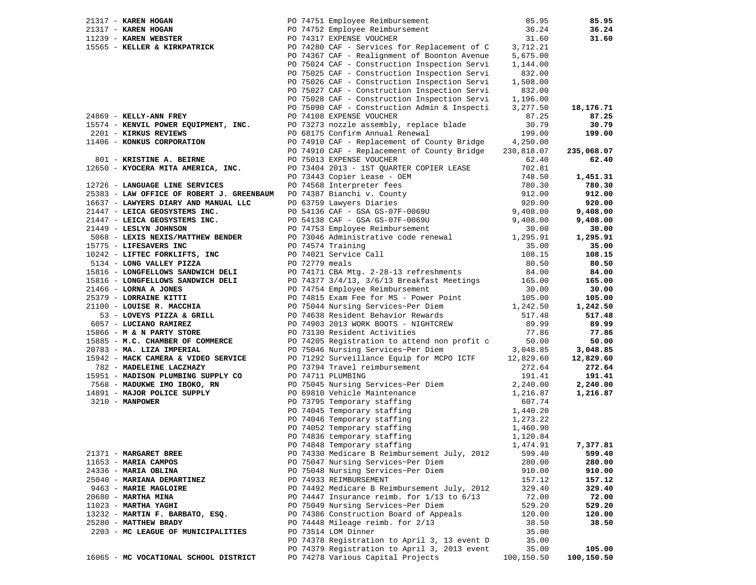| 21317 - KAREN HOGAN                       |  | PO 74751 Employee Reimbursement                        | 85.95      | 85.95      |
|-------------------------------------------|--|--------------------------------------------------------|------------|------------|
| 21317 - KAREN HOGAN                       |  | PO 74752 Employee Reimbursement                        | 36.24      | 36.24      |
| $11239$ - KAREN WEBSTER                   |  | PO 74317 EXPENSE VOUCHER                               | 31.60      | 31.60      |
| 15565 - KELLER & KIRKPATRICK              |  | PO 74280 CAF - Services for Replacement of C           | 3,712.21   |            |
|                                           |  | PO 74367 CAF - Realignment of Boonton Avenue           | 5,675.00   |            |
|                                           |  | PO 75024 CAF - Construction Inspection Servi           | 1,144.00   |            |
|                                           |  | PO 75025 CAF - Construction Inspection Servi           | 832.00     |            |
|                                           |  | PO 75026 CAF - Construction Inspection Servi           | 1,508.00   |            |
|                                           |  | PO 75027 CAF - Construction Inspection Servi           | 832.00     |            |
|                                           |  | PO 75028 CAF - Construction Inspection Servi           | 1,196.00   |            |
|                                           |  | PO 75090 CAF - Construction Admin & Inspecti           | 3,277.50   | 18,176.71  |
| 24869 - KELLY-ANN FREY                    |  | PO 74108 EXPENSE VOUCHER                               | 87.25      | 87.25      |
| 15574 - KENVIL POWER EQUIPMENT, INC.      |  | PO 73273 nozzle assembly, replace blade                | 30.79      | 30.79      |
| 2201 - KIRKUS REVIEWS                     |  | PO 68175 Confirm Annual Renewal                        | 199.00     | 199.00     |
| 11406 - KONKUS CORPORATION                |  | PO 74910 CAF - Replacement of County Bridge            | 4,250.00   |            |
|                                           |  | PO 74910 CAF - Replacement of County Bridge            | 230,818.07 | 235,068.07 |
| 801 - KRISTINE A. BEIRNE                  |  | PO 75013 EXPENSE VOUCHER                               | 62.40      | 62.40      |
| 12650 - KYOCERA MITA AMERICA, INC.        |  | PO 73404 2013 - 1ST QUARTER COPIER LEASE               | 702.81     |            |
|                                           |  | PO 73443 Copier Lease - OEM                            | 748.50     | 1,451.31   |
| 12726 - LANGUAGE LINE SERVICES            |  | PO 74568 Interpreter fees                              | 780.30     | 780.30     |
| 25383 - LAW OFFICE OF ROBERT J. GREENBAUM |  |                                                        | 912.00     | 912.00     |
|                                           |  | PO 74387 Bianchi v. County<br>PO 63759 Lawyers Diaries |            |            |
| 16637 - LAWYERS DIARY AND MANUAL LLC      |  |                                                        | 920.00     | 920.00     |
| 21447 - LEICA GEOSYSTEMS INC.             |  | PO 54136 CAF - GSA GS-07F-0069U                        | 9,408.00   | 9,408.00   |
| 21447 - LEICA GEOSYSTEMS INC.             |  | PO 54138 CAF - GSA GS-07F-0069U                        | 9,408.00   | 9,408.00   |
| 21449 - LESLYN JOHNSON                    |  | PO 74753 Employee Reimbursement                        | 30.00      | 30.00      |
| 5068 - LEXIS NEXIS/MATTHEW BENDER         |  | PO 73046 Administrative code renewal                   | 1,295.91   | 1,295.91   |
| 15775 - LIFESAVERS INC                    |  | PO 74574 Training                                      | 35.00      | 35.00      |
| 10242 - LIFTEC FORKLIFTS, INC             |  | PO 74021 Service Call                                  | 108.15     | 108.15     |
| 5134 - LONG VALLEY PIZZA                  |  | PO 72779 meals                                         | 80.50      | 80.50      |
| 15816 - LONGFELLOWS SANDWICH DELI         |  | PO 74171 CBA Mtg. 2-28-13 refreshments                 | 84.00      | 84.00      |
| 15816 - LONGFELLOWS SANDWICH DELI         |  | PO 74377 3/4/13, 3/6/13 Breakfast Meetings             | 165.00     | 165.00     |
| 21466 - LORNA A JONES                     |  | PO 74754 Employee Reimbursement                        | 30.00      | 30.00      |
| 25379 - LORRAINE KITTI                    |  | PO 74815 Exam Fee for MS - Power Point                 | 105.00     | 105.00     |
| 21100 - LOUISE R. MACCHIA                 |  | PO 75044 Nursing Services~Per Diem                     | 1,242.50   | 1,242.50   |
| 53 - LOVEYS PIZZA & GRILL                 |  | PO 74638 Resident Behavior Rewards                     | 517.48     | 517.48     |
| 6057 - LUCIANO RAMIREZ                    |  | PO 74903 2013 WORK BOOTS - NIGHTCREW                   | 89.99      | 89.99      |
| 15866 - M & N PARTY STORE                 |  | PO 73130 Resident Activities                           | 77.86      | 77.86      |
| 15885 - M.C. CHAMBER OF COMMERCE          |  | PO 74205 Registration to attend non profit c           | 50.00      | 50.00      |
| 20783 - MA. LIZA IMPERIAL                 |  | PO 75046 Nursing Services~Per Diem                     | 3,048.85   | 3,048.85   |
| 15942 - MACK CAMERA & VIDEO SERVICE       |  | PO 71292 Surveillance Equip for MCPO ICTF              | 12,829.60  | 12,829.60  |
| 782 - MADELEINE LACZHAZY                  |  | PO 73794 Travel reimbursement                          | 272.64     | 272.64     |
| 15951 - MADISON PLUMBING SUPPLY CO        |  | PO 74711 PLUMBING                                      | 191.41     | 191.41     |
| 7568 - MADUKWE IMO IBOKO, RN              |  | PO 75045 Nursing Services~Per Diem                     | 2,240.00   | 2,240.00   |
| 14891 - MAJOR POLICE SUPPLY               |  | PO 69810 Vehicle Maintenance                           | 1,216.87   | 1,216.87   |
| 3210 - MANPOWER                           |  | PO 73795 Temporary staffing                            | 607.74     |            |
|                                           |  | PO 74045 Temporary staffing                            | 1,440.20   |            |
|                                           |  | PO 74046 Temporary staffing                            | 1,273.22   |            |
|                                           |  | PO 74052 Temporary staffing                            | 1,460.90   |            |
|                                           |  | PO 74836 temporary staffing                            | 1,120.84   |            |
|                                           |  | PO 74848 Temporary staffing                            | 1,474.91   | 7,377.81   |
| 21371 - MARGARET BREE                     |  | PO 74330 Medicare B Reimbursement July, 2012           | 599.40     | 599.40     |
| 11653 - MARIA CAMPOS                      |  | PO 75047 Nursing Services~Per Diem                     | 280.00     | 280.00     |
| 24336 - MARIA OBLINA                      |  | PO 75048 Nursing Services~Per Diem                     | 910.00     | 910.00     |
| 25040 - MARIANA DEMARTINEZ                |  | PO 74933 REIMBURSEMENT                                 | 157.12     | 157.12     |
| 9463 - MARIE MAGLOIRE                     |  | PO 74492 Medicare B Reimbursement July, 2012           | 329.40     | 329.40     |
| $20680$ - MARTHA MINA                     |  | PO 74447 Insurance reimb. for $1/13$ to $6/13$         | 72.00      | 72.00      |
| 11023 - MARTHA YAGHI                      |  | PO 75049 Nursing Services~Per Diem                     | 529.20     | 529.20     |
| 13232 - MARTIN F. BARBATO, ESQ.           |  | PO 74386 Construction Board of Appeals                 | 120.00     | 120.00     |
| 25280 - MATTHEW BRADY                     |  | PO 74448 Mileage reimb. for 2/13                       | 38.50      | 38.50      |
| 2203 - MC LEAGUE OF MUNICIPALITIES        |  | PO 73514 LOM Dinner                                    | 35.00      |            |
|                                           |  | PO 74378 Registration to April 3, 13 event D           | 35.00      |            |
|                                           |  | PO 74379 Registration to April 3, 2013 event           | 35.00      | 105.00     |
| 16065 - MC VOCATIONAL SCHOOL DISTRICT     |  | PO 74278 Various Capital Projects                      | 100,150.50 | 100,150.50 |
|                                           |  |                                                        |            |            |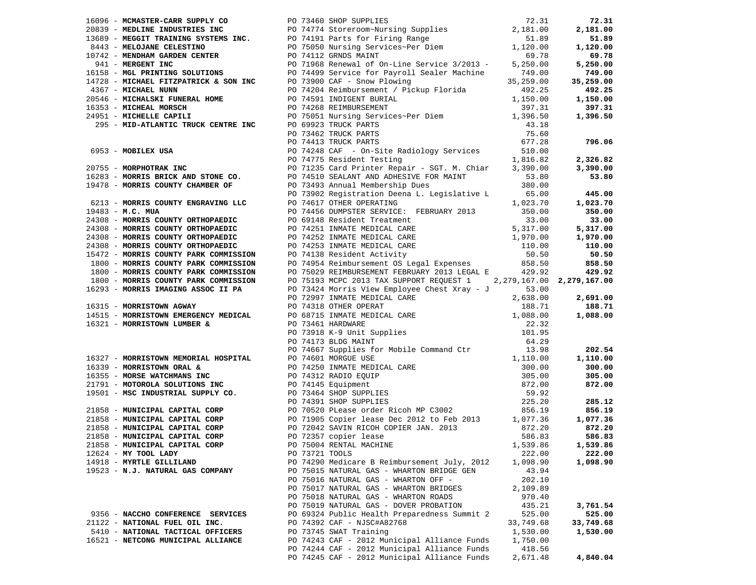|                                    |                | 1963 - SERGENT CHANNEL PRODUCED TRANSPORT (1972) SUPERIOR CHANNEL PRODUCED TRANSPORT (1973) - SERGENT PRODUCED TRANSPORT (1973) - SERGENT PRODUCED TRANSPORT (1973) - SERGENT PRODUCED TRANSPORT (1973) - SERGENT PRODUCED TR |                    |           |
|------------------------------------|----------------|-------------------------------------------------------------------------------------------------------------------------------------------------------------------------------------------------------------------------------|--------------------|-----------|
|                                    |                |                                                                                                                                                                                                                               |                    |           |
|                                    |                |                                                                                                                                                                                                                               |                    |           |
|                                    |                |                                                                                                                                                                                                                               |                    |           |
|                                    |                |                                                                                                                                                                                                                               |                    |           |
|                                    |                |                                                                                                                                                                                                                               |                    |           |
|                                    |                |                                                                                                                                                                                                                               |                    |           |
|                                    |                |                                                                                                                                                                                                                               |                    |           |
|                                    |                |                                                                                                                                                                                                                               |                    |           |
|                                    |                |                                                                                                                                                                                                                               |                    |           |
|                                    |                |                                                                                                                                                                                                                               |                    |           |
|                                    |                |                                                                                                                                                                                                                               |                    |           |
|                                    |                |                                                                                                                                                                                                                               |                    |           |
|                                    |                |                                                                                                                                                                                                                               |                    |           |
|                                    |                |                                                                                                                                                                                                                               |                    |           |
|                                    |                |                                                                                                                                                                                                                               |                    |           |
|                                    |                |                                                                                                                                                                                                                               |                    |           |
|                                    |                |                                                                                                                                                                                                                               |                    |           |
|                                    |                |                                                                                                                                                                                                                               |                    |           |
|                                    |                |                                                                                                                                                                                                                               |                    |           |
| 12624 - MY TOOL LADY               | PO 73721 TOOLS |                                                                                                                                                                                                                               | 222.00             | 222.00    |
| 14918 - MYRTLE GILLILAND           |                | PO 74290 Medicare B Reimbursement July, 2012                                                                                                                                                                                  | 1,098.90           | 1,098.90  |
| 19523 - N.J. NATURAL GAS COMPANY   |                | PO 75015 NATURAL GAS - WHARTON BRIDGE GEN                                                                                                                                                                                     | 43.94              |           |
|                                    |                | PO 75016 NATURAL GAS - WHARTON OFF -                                                                                                                                                                                          | 202.10             |           |
|                                    |                | PO 75017 NATURAL GAS - WHARTON BRIDGES                                                                                                                                                                                        | 2,109.89           |           |
|                                    |                | PO 75018 NATURAL GAS - WHARTON ROADS                                                                                                                                                                                          | 970.40             |           |
|                                    |                | PO 75019 NATURAL GAS - DOVER PROBATION                                                                                                                                                                                        | 435.21             | 3,761.54  |
|                                    |                |                                                                                                                                                                                                                               |                    |           |
|                                    |                |                                                                                                                                                                                                                               |                    |           |
| 9356 - NACCHO CONFERENCE SERVICES  |                | PO 69324 Public Health Preparedness Summit 2                                                                                                                                                                                  | 525.00             | 525.00    |
| 21122 - NATIONAL FUEL OIL INC.     |                | PO 74392 CAF - NJSC#A82768                                                                                                                                                                                                    | 33,749.68          | 33,749.68 |
| 5410 - NATIONAL TACTICAL OFFICERS  |                | PO 73745 SWAT Training                                                                                                                                                                                                        | 1,530.00           | 1,530.00  |
| 16521 - NETCONG MUNICIPAL ALLIANCE |                | PO 74243 CAF - 2012 Municipal Alliance Funds                                                                                                                                                                                  | 1,750.00           |           |
|                                    |                | PO 74244 CAF - 2012 Municipal Alliance Funds<br>PO 74245 CAF - 2012 Municipal Alliance Funds                                                                                                                                  | 418.56<br>2,671.48 | 4,840.04  |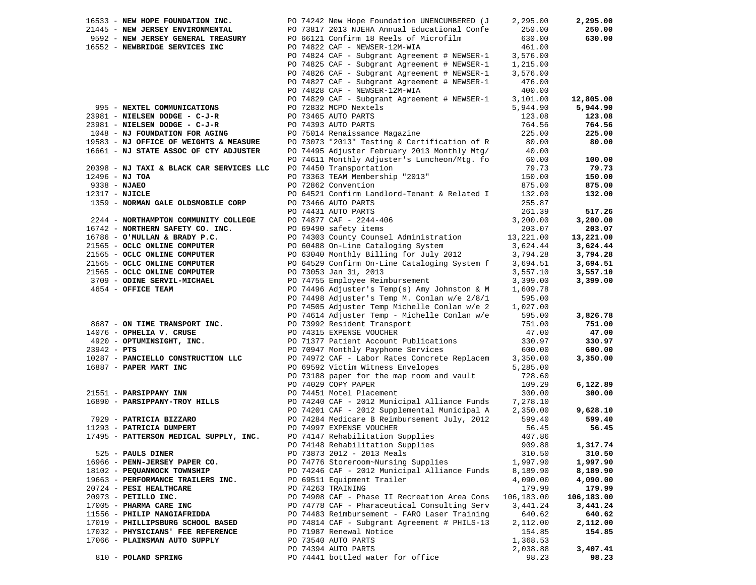|                  | 16533 - NEW HOPE FOUNDATION INC.         | PO 74242 New Hope Foundation UNENCUMBERED (J | 2,295.00   | 2,295.00   |
|------------------|------------------------------------------|----------------------------------------------|------------|------------|
|                  | 21445 - NEW JERSEY ENVIRONMENTAL         | PO 73817 2013 NJEHA Annual Educational Confe | 250.00     | 250.00     |
|                  | 9592 - NEW JERSEY GENERAL TREASURY       | PO 66121 Confirm 18 Reels of Microfilm       | 630.00     | 630.00     |
|                  | 16552 - NEWBRIDGE SERVICES INC           | PO 74822 CAF - NEWSER-12M-WIA                | 461.00     |            |
|                  |                                          | PO 74824 CAF - Subgrant Agreement # NEWSER-1 | 3,576.00   |            |
|                  |                                          | PO 74825 CAF - Subgrant Agreement # NEWSER-1 | 1,215.00   |            |
|                  |                                          | PO 74826 CAF - Subgrant Agreement # NEWSER-1 | 3,576.00   |            |
|                  |                                          | PO 74827 CAF - Subgrant Agreement # NEWSER-1 | 476.00     |            |
|                  |                                          | PO 74828 CAF - NEWSER-12M-WIA                | 400.00     |            |
|                  |                                          | PO 74829 CAF - Subgrant Agreement # NEWSER-1 | 3,101.00   | 12,805.00  |
|                  | 995 - NEXTEL COMMUNICATIONS              | PO 72832 MCPO Nextels                        |            | 5,944.90   |
|                  |                                          | PO 73465 AUTO PARTS                          | 5,944.90   |            |
|                  | 23981 - NIELSEN DODGE - C-J-R            |                                              | 123.08     | 123.08     |
|                  | 23981 - NIELSEN DODGE - C-J-R            | PO 74393 AUTO PARTS                          | 764.56     | 764.56     |
|                  | 1048 - NJ FOUNDATION FOR AGING           | PO 75014 Renaissance Magazine                | 225.00     | 225.00     |
|                  | 19583 - NJ OFFICE OF WEIGHTS & MEASURE   | PO 73073 "2013" Testing & Certification of R | 80.00      | 80.00      |
|                  | 16661 - NJ STATE ASSOC OF CTY ADJUSTER   | PO 74495 Adjuster February 2013 Monthly Mtg/ | 40.00      |            |
|                  |                                          | PO 74611 Monthly Adjuster's Luncheon/Mtg. fo | 60.00      | 100.00     |
|                  | 20398 - NJ TAXI & BLACK CAR SERVICES LLC | PO 74450 Transportation                      | 79.73      | 79.73      |
| 12496 - NJ TOA   |                                          | PO 73363 TEAM Membership "2013"              | 150.00     | 150.00     |
| 9338 - NJAEO     |                                          | PO 72862 Convention                          | 875.00     | 875.00     |
| $12317 - NJICLE$ |                                          | PO 64521 Confirm Landlord-Tenant & Related I | 132.00     | 132.00     |
|                  | 1359 - NORMAN GALE OLDSMOBILE CORP       | PO 73466 AUTO PARTS                          | 255.87     |            |
|                  |                                          | PO 74431 AUTO PARTS                          | 261.39     | 517.26     |
|                  | 2244 - NORTHAMPTON COMMUNITY COLLEGE     | PO 74877 CAF - 2244-406                      | 3,200.00   | 3,200.00   |
|                  | 16742 - NORTHERN SAFETY CO. INC.         |                                              |            | 203.07     |
|                  |                                          | PO 69490 safety items                        | 203.07     |            |
|                  | 16786 - O'MULLAN & BRADY P.C.            | PO 74303 County Counsel Administration       | 13,221.00  | 13,221.00  |
|                  | 21565 - OCLC ONLINE COMPUTER             | PO 60488 On-Line Cataloging System           | 3,624.44   | 3,624.44   |
|                  | 21565 - OCLC ONLINE COMPUTER             | PO 63040 Monthly Billing for July 2012       | 3,794.28   | 3,794.28   |
|                  | 21565 - OCLC ONLINE COMPUTER             | PO 64529 Confirm On-Line Cataloging System f | 3,694.51   | 3,694.51   |
|                  | 21565 - OCLC ONLINE COMPUTER             | PO 73053 Jan 31, 2013                        | 3,557.10   | 3,557.10   |
|                  | 3709 - ODINE SERVIL-MICHAEL              | PO 74755 Employee Reimbursement              | 3,399.00   | 3,399.00   |
|                  | 4654 - OFFICE TEAM                       | PO 74496 Adjuster's Temp(s) Amy Johnston & M | 1,609.78   |            |
|                  |                                          | PO 74498 Adjuster's Temp M. Conlan w/e 2/8/1 | 595.00     |            |
|                  |                                          | PO 74505 Adjuster Temp Michelle Conlan w/e 2 | 1,027.00   |            |
|                  |                                          | PO 74614 Adjuster Temp - Michelle Conlan w/e | 595.00     | 3,826.78   |
|                  | 8687 - ON TIME TRANSPORT INC.            | PO 73992 Resident Transport                  | 751.00     | 751.00     |
|                  | 14076 - OPHELIA V. CRUSE                 | PO 74315 EXPENSE VOUCHER                     | 47.00      | 47.00      |
|                  | 4920 - OPTUMINSIGHT, INC.                | PO 71377 Patient Account Publications        | 330.97     | 330.97     |
| $23942 - PTS$    |                                          | PO 70947 Monthly Payphone Services           | 600.00     | 600.00     |
|                  | 10287 - PANCIELLO CONSTRUCTION LLC       | PO 74972 CAF - Labor Rates Concrete Replacem | 3,350.00   | 3,350.00   |
|                  | 16887 - PAPER MART INC                   | PO 69592 Victim Witness Envelopes            | 5,285.00   |            |
|                  |                                          |                                              | 728.60     |            |
|                  |                                          | PO 73188 paper for the map room and vault    |            |            |
|                  |                                          | PO 74029 COPY PAPER                          | 109.29     | 6,122.89   |
|                  | 21551 - PARSIPPANY INN                   | PO 74451 Motel Placement                     | 300.00     | 300.00     |
|                  | 16890 - PARSIPPANY-TROY HILLS            | PO 74240 CAF - 2012 Municipal Alliance Funds | 7,278.10   |            |
|                  |                                          | PO 74201 CAF - 2012 Supplemental Municipal A | 2,350.00   | 9,628.10   |
|                  | 7929 - PATRICIA BIZZARO                  | PO 74284 Medicare B Reimbursement July, 2012 | 599.40     | 599.40     |
|                  | 11293 - PATRICIA DUMPERT                 | PO 74997 EXPENSE VOUCHER                     | 56.45      | 56.45      |
|                  | 17495 - PATTERSON MEDICAL SUPPLY, INC.   | PO 74147 Rehabilitation Supplies             | 407.86     |            |
|                  |                                          | PO 74148 Rehabilitation Supplies             | 909.88     | 1,317.74   |
|                  | 525 - PAULS DINER                        | PO 73873 2012 - 2013 Meals                   | 310.50     | 310.50     |
|                  | 16966 - PENN-JERSEY PAPER CO.            | PO 74776 Storeroom~Nursing Supplies          | 1,997.90   | 1,997.90   |
|                  | 18102 - PEQUANNOCK TOWNSHIP              | PO 74246 CAF - 2012 Municipal Alliance Funds | 8,189.90   | 8,189.90   |
|                  | 19663 - PERFORMANCE TRAILERS INC.        | PO 69511 Equipment Trailer                   | 4,090.00   | 4,090.00   |
|                  | 20724 - PESI HEALTHCARE                  | PO 74263 TRAINING                            | 179.99     | 179.99     |
|                  | 20973 - PETILLO INC.                     | PO 74908 CAF - Phase II Recreation Area Cons | 106,183.00 | 106,183.00 |
|                  | 17005 - PHARMA CARE INC                  | PO 74778 CAF - Pharaceutical Consulting Serv | 3,441.24   | 3,441.24   |
|                  |                                          | PO 74483 Reimbursement - FARO Laser Training |            |            |
|                  | 11556 - PHILIP MANGIAFRIDDA              |                                              | 640.62     | 640.62     |
|                  | 17019 - PHILLIPSBURG SCHOOL BASED        | PO 74814 CAF - Subgrant Agreement # PHILS-13 | 2,112.00   | 2,112.00   |
|                  | 17032 - PHYSICIANS' FEE REFERENCE        | PO 71987 Renewal Notice                      | 154.85     | 154.85     |
|                  | 17066 - PLAINSMAN AUTO SUPPLY            | PO 73540 AUTO PARTS                          | 1,368.53   |            |
|                  |                                          | PO 74394 AUTO PARTS                          | 2,038.88   | 3,407.41   |
|                  | 810 - POLAND SPRING                      | PO 74441 bottled water for office            | 98.23      | 98.23      |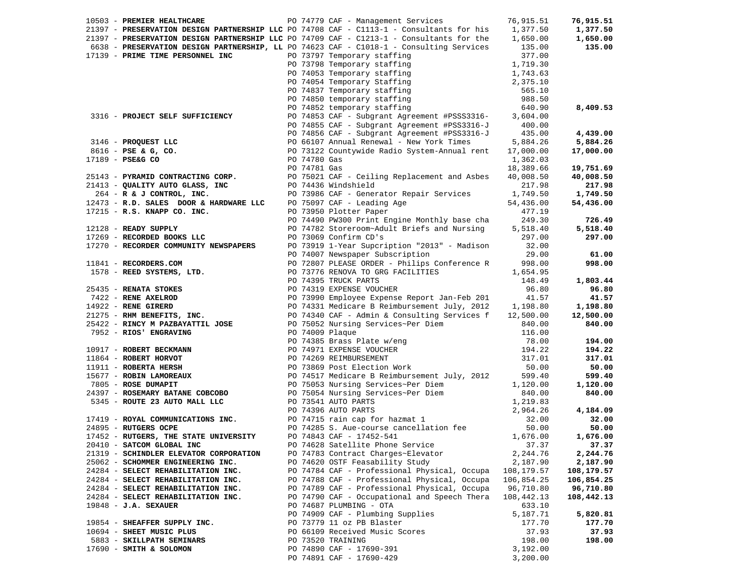| PO 74779 CAF - Management Services 76,915.51<br>10503 - PREMIER HEALTHCARE<br>21397 - PRESERVATION DESIGN PARTNERSHIP LLC PO 74708 CAF - C1113-1 - Consultants for his 1,377.50<br>21397 - PRESERVATION DESIGN PARTNERSHIP LLC PO 74709 CAF - C1213-1 - Consultants for the 1,650.00<br>6638 - PRESERVATION DESIGN PARTNERSHIP, LL PO 74623 CAF - C1018-1 - Consulting Services 135.00<br>135.00<br>377.00<br>17139 - PRIME TIME PERSONNEL INC PO 73797 Temporary staffing<br>PO 73797 Temporary staffing 377.00<br>PO 73798 Temporary staffing 1,719.30<br>PO 74053 Temporary staffing 1,719.30<br>PO 74054 Temporary staffing 2,375.10<br>PO 74852 temporary staffing 988.50<br>PO 74852 temporary staffing 988.50<br><br>3316 - PROJECT SELF SUFFICIENCY PO 74853 CAF - Subgrant Agreement #PSSS3316-3,604.00<br>PO 74855 CAF - Subgrant Agreement #PSS3316-J 400.00<br>PO 74856 CAF - Subgrant Agreement #PS3316-J<br>PO 74856 CAF - Subgrant Agreement #PS3316-J<br>PO 74856 CAF - Subgrant Agreement #PS3316-J<br>PO 66107 Annual Renewal - New York Times<br>90 73122 Countywide Radio System-Annual rent<br><br>5,884.26<br>17,000.00<br>19,751.69<br>40,008.50<br>1,749.50 1,749.50<br>12473 - R.D. SALES DOOR & HARDWARE LLC PO 75097 CAF - Leading Age<br>54,436.00<br>$17215$ - R.S. KNAPP CO. INC.<br>PO 73950 Plotter Paper<br>477.19<br>PO 74490 PW300 Print Engine Monthly base cha 249.30<br>12128 - READY SUPPLY<br>PO 74782 Storeroom~Adult Briefs and Nursing 5,518.40<br>5,518.40<br>17269 - RECORDED BOOKS LLC<br>PO 73069 Confirm CD's<br>297.00<br>297.00<br>17270 - RECORDER COMMUNITY NEWSPAPERS<br>PO 73919 1-Year Supcription "2013" - Madison<br>32.00<br>29.00<br>61.00<br>PO 74007 Newspaper Subscription<br>PO 72807 PLEASE ORDER - Philips Conference R 998.00<br>998.00<br>11841 - RECORDERS.COM<br>1578 - REED SYSTEMS, LTD.<br>PO 73776 RENOVA TO GRG FACILITIES<br>1,654.95<br>1578 - REED SYSTEMS, LTD.<br>25435 - RENATA STOKES PO 73776 ENOVA TO GRECILITIES 1.654.95<br>25435 - RENATA STOKES PO 74395 TRICK PARTS (1654.9<br>21275 - RENE AREED PO 73990 Employee Expense Report Jan-Feb 201<br>242 - RENE STRE<br>194.22<br>317.01<br>50.00<br>599.40<br>1,120.00<br>840.00<br>24397 - ROSEMARY BATANE COBCOBO<br>5345 - ROUTE 23 AUTO MALL LLC<br>24895 - ROYAL COMMUNICATIONS INC.<br>24895 - RUTGERS OCPE<br>24895 - RUTGERS OCPE<br>24895 - RUTGERS OCPE<br>24895 - RUTGERS OCPE<br>24895 - RUTGERS OCPE<br>24895 - RUTGE<br>32.00<br>50.00<br>17452 - RUTGERS, THE STATE UNIVERSITY<br>PO 74843 CAF - 17452-541<br>1,676.00<br>PO 74628 Satellite Phone Service<br>37.37<br>20410 - SATCOM GLOBAL INC<br>21319 - SCHINDLER ELEVATOR CORPORATION<br>PO 74783 Contract Charges~Elevator<br>2,244.76<br>PO 74620 OSTF Feasability Study<br>2,187.90<br>25062 - SCHOMMER ENGINEERING INC.<br>24284 - SELECT REHABILITATION INC.<br>PO 74784 CAF - Professional Physical, Occupa<br>108,179.57<br>108,179.57<br>PO 74788 CAF - Professional Physical, Occupa<br>106,854.25<br>106,854.25<br>24284 - SELECT REHABILITATION INC.<br>24284 - SELECT REHABILITATION INC.<br>PO 74789 CAF - Professional Physical, Occupa<br>96,710.80<br>96,710.80<br>24284 - SELECT REHABILITATION INC.<br>PO 74790 CAF - Occupational and Speech Thera<br>108,442.13<br>108,442.13<br>$19848 - J.A.$ SEXAUER<br>PO 74687 PLUMBING - OTA<br>633.10<br>PO 74909 CAF - Plumbing Supplies<br>5,187.71<br>19854 - SHEAFFER SUPPLY INC.<br>PO 73779 11 oz PB Blaster<br>177.70<br>PO 66109 Received Music Scores<br>10694 - SHEET MUSIC PLUS<br>37.93<br>5883 - SKILLPATH SEMINARS<br>PO 73520 TRAINING<br>198.00<br>17690 - SMITH & SOLOMON<br>PO 74890 CAF - 17690-391 |  |  |          |           |
|---------------------------------------------------------------------------------------------------------------------------------------------------------------------------------------------------------------------------------------------------------------------------------------------------------------------------------------------------------------------------------------------------------------------------------------------------------------------------------------------------------------------------------------------------------------------------------------------------------------------------------------------------------------------------------------------------------------------------------------------------------------------------------------------------------------------------------------------------------------------------------------------------------------------------------------------------------------------------------------------------------------------------------------------------------------------------------------------------------------------------------------------------------------------------------------------------------------------------------------------------------------------------------------------------------------------------------------------------------------------------------------------------------------------------------------------------------------------------------------------------------------------------------------------------------------------------------------------------------------------------------------------------------------------------------------------------------------------------------------------------------------------------------------------------------------------------------------------------------------------------------------------------------------------------------------------------------------------------------------------------------------------------------------------------------------------------------------------------------------------------------------------------------------------------------------------------------------------------------------------------------------------------------------------------------------------------------------------------------------------------------------------------------------------------------------------------------------------------------------------------------------------------------------------------------------------------------------------------------------------------------------------------------------------------------------------------------------------------------------------------------------------------------------------------------------------------------------------------------------------------------------------------------------------------------------------------------------------------------------------------------------------------------------------------------------------------------------------------------------------------------------------------------------------------------------------------------------------------------------------------------------------------------------------------------------------------------------------------------------------------------------------------------------------------------------------------------------------------------------------------------------------------------------------------------------------------------------------------------------------------------------------------------------------------------------------|--|--|----------|-----------|
|                                                                                                                                                                                                                                                                                                                                                                                                                                                                                                                                                                                                                                                                                                                                                                                                                                                                                                                                                                                                                                                                                                                                                                                                                                                                                                                                                                                                                                                                                                                                                                                                                                                                                                                                                                                                                                                                                                                                                                                                                                                                                                                                                                                                                                                                                                                                                                                                                                                                                                                                                                                                                                                                                                                                                                                                                                                                                                                                                                                                                                                                                                                                                                                                                                                                                                                                                                                                                                                                                                                                                                                                                                                                                             |  |  |          | 76,915.51 |
|                                                                                                                                                                                                                                                                                                                                                                                                                                                                                                                                                                                                                                                                                                                                                                                                                                                                                                                                                                                                                                                                                                                                                                                                                                                                                                                                                                                                                                                                                                                                                                                                                                                                                                                                                                                                                                                                                                                                                                                                                                                                                                                                                                                                                                                                                                                                                                                                                                                                                                                                                                                                                                                                                                                                                                                                                                                                                                                                                                                                                                                                                                                                                                                                                                                                                                                                                                                                                                                                                                                                                                                                                                                                                             |  |  |          | 1,377.50  |
|                                                                                                                                                                                                                                                                                                                                                                                                                                                                                                                                                                                                                                                                                                                                                                                                                                                                                                                                                                                                                                                                                                                                                                                                                                                                                                                                                                                                                                                                                                                                                                                                                                                                                                                                                                                                                                                                                                                                                                                                                                                                                                                                                                                                                                                                                                                                                                                                                                                                                                                                                                                                                                                                                                                                                                                                                                                                                                                                                                                                                                                                                                                                                                                                                                                                                                                                                                                                                                                                                                                                                                                                                                                                                             |  |  |          | 1,650.00  |
|                                                                                                                                                                                                                                                                                                                                                                                                                                                                                                                                                                                                                                                                                                                                                                                                                                                                                                                                                                                                                                                                                                                                                                                                                                                                                                                                                                                                                                                                                                                                                                                                                                                                                                                                                                                                                                                                                                                                                                                                                                                                                                                                                                                                                                                                                                                                                                                                                                                                                                                                                                                                                                                                                                                                                                                                                                                                                                                                                                                                                                                                                                                                                                                                                                                                                                                                                                                                                                                                                                                                                                                                                                                                                             |  |  |          |           |
|                                                                                                                                                                                                                                                                                                                                                                                                                                                                                                                                                                                                                                                                                                                                                                                                                                                                                                                                                                                                                                                                                                                                                                                                                                                                                                                                                                                                                                                                                                                                                                                                                                                                                                                                                                                                                                                                                                                                                                                                                                                                                                                                                                                                                                                                                                                                                                                                                                                                                                                                                                                                                                                                                                                                                                                                                                                                                                                                                                                                                                                                                                                                                                                                                                                                                                                                                                                                                                                                                                                                                                                                                                                                                             |  |  |          |           |
|                                                                                                                                                                                                                                                                                                                                                                                                                                                                                                                                                                                                                                                                                                                                                                                                                                                                                                                                                                                                                                                                                                                                                                                                                                                                                                                                                                                                                                                                                                                                                                                                                                                                                                                                                                                                                                                                                                                                                                                                                                                                                                                                                                                                                                                                                                                                                                                                                                                                                                                                                                                                                                                                                                                                                                                                                                                                                                                                                                                                                                                                                                                                                                                                                                                                                                                                                                                                                                                                                                                                                                                                                                                                                             |  |  |          |           |
|                                                                                                                                                                                                                                                                                                                                                                                                                                                                                                                                                                                                                                                                                                                                                                                                                                                                                                                                                                                                                                                                                                                                                                                                                                                                                                                                                                                                                                                                                                                                                                                                                                                                                                                                                                                                                                                                                                                                                                                                                                                                                                                                                                                                                                                                                                                                                                                                                                                                                                                                                                                                                                                                                                                                                                                                                                                                                                                                                                                                                                                                                                                                                                                                                                                                                                                                                                                                                                                                                                                                                                                                                                                                                             |  |  |          |           |
|                                                                                                                                                                                                                                                                                                                                                                                                                                                                                                                                                                                                                                                                                                                                                                                                                                                                                                                                                                                                                                                                                                                                                                                                                                                                                                                                                                                                                                                                                                                                                                                                                                                                                                                                                                                                                                                                                                                                                                                                                                                                                                                                                                                                                                                                                                                                                                                                                                                                                                                                                                                                                                                                                                                                                                                                                                                                                                                                                                                                                                                                                                                                                                                                                                                                                                                                                                                                                                                                                                                                                                                                                                                                                             |  |  |          |           |
|                                                                                                                                                                                                                                                                                                                                                                                                                                                                                                                                                                                                                                                                                                                                                                                                                                                                                                                                                                                                                                                                                                                                                                                                                                                                                                                                                                                                                                                                                                                                                                                                                                                                                                                                                                                                                                                                                                                                                                                                                                                                                                                                                                                                                                                                                                                                                                                                                                                                                                                                                                                                                                                                                                                                                                                                                                                                                                                                                                                                                                                                                                                                                                                                                                                                                                                                                                                                                                                                                                                                                                                                                                                                                             |  |  |          |           |
|                                                                                                                                                                                                                                                                                                                                                                                                                                                                                                                                                                                                                                                                                                                                                                                                                                                                                                                                                                                                                                                                                                                                                                                                                                                                                                                                                                                                                                                                                                                                                                                                                                                                                                                                                                                                                                                                                                                                                                                                                                                                                                                                                                                                                                                                                                                                                                                                                                                                                                                                                                                                                                                                                                                                                                                                                                                                                                                                                                                                                                                                                                                                                                                                                                                                                                                                                                                                                                                                                                                                                                                                                                                                                             |  |  |          |           |
|                                                                                                                                                                                                                                                                                                                                                                                                                                                                                                                                                                                                                                                                                                                                                                                                                                                                                                                                                                                                                                                                                                                                                                                                                                                                                                                                                                                                                                                                                                                                                                                                                                                                                                                                                                                                                                                                                                                                                                                                                                                                                                                                                                                                                                                                                                                                                                                                                                                                                                                                                                                                                                                                                                                                                                                                                                                                                                                                                                                                                                                                                                                                                                                                                                                                                                                                                                                                                                                                                                                                                                                                                                                                                             |  |  |          |           |
|                                                                                                                                                                                                                                                                                                                                                                                                                                                                                                                                                                                                                                                                                                                                                                                                                                                                                                                                                                                                                                                                                                                                                                                                                                                                                                                                                                                                                                                                                                                                                                                                                                                                                                                                                                                                                                                                                                                                                                                                                                                                                                                                                                                                                                                                                                                                                                                                                                                                                                                                                                                                                                                                                                                                                                                                                                                                                                                                                                                                                                                                                                                                                                                                                                                                                                                                                                                                                                                                                                                                                                                                                                                                                             |  |  |          | 8,409.53  |
|                                                                                                                                                                                                                                                                                                                                                                                                                                                                                                                                                                                                                                                                                                                                                                                                                                                                                                                                                                                                                                                                                                                                                                                                                                                                                                                                                                                                                                                                                                                                                                                                                                                                                                                                                                                                                                                                                                                                                                                                                                                                                                                                                                                                                                                                                                                                                                                                                                                                                                                                                                                                                                                                                                                                                                                                                                                                                                                                                                                                                                                                                                                                                                                                                                                                                                                                                                                                                                                                                                                                                                                                                                                                                             |  |  |          |           |
|                                                                                                                                                                                                                                                                                                                                                                                                                                                                                                                                                                                                                                                                                                                                                                                                                                                                                                                                                                                                                                                                                                                                                                                                                                                                                                                                                                                                                                                                                                                                                                                                                                                                                                                                                                                                                                                                                                                                                                                                                                                                                                                                                                                                                                                                                                                                                                                                                                                                                                                                                                                                                                                                                                                                                                                                                                                                                                                                                                                                                                                                                                                                                                                                                                                                                                                                                                                                                                                                                                                                                                                                                                                                                             |  |  |          |           |
|                                                                                                                                                                                                                                                                                                                                                                                                                                                                                                                                                                                                                                                                                                                                                                                                                                                                                                                                                                                                                                                                                                                                                                                                                                                                                                                                                                                                                                                                                                                                                                                                                                                                                                                                                                                                                                                                                                                                                                                                                                                                                                                                                                                                                                                                                                                                                                                                                                                                                                                                                                                                                                                                                                                                                                                                                                                                                                                                                                                                                                                                                                                                                                                                                                                                                                                                                                                                                                                                                                                                                                                                                                                                                             |  |  |          | 4,439.00  |
|                                                                                                                                                                                                                                                                                                                                                                                                                                                                                                                                                                                                                                                                                                                                                                                                                                                                                                                                                                                                                                                                                                                                                                                                                                                                                                                                                                                                                                                                                                                                                                                                                                                                                                                                                                                                                                                                                                                                                                                                                                                                                                                                                                                                                                                                                                                                                                                                                                                                                                                                                                                                                                                                                                                                                                                                                                                                                                                                                                                                                                                                                                                                                                                                                                                                                                                                                                                                                                                                                                                                                                                                                                                                                             |  |  |          |           |
|                                                                                                                                                                                                                                                                                                                                                                                                                                                                                                                                                                                                                                                                                                                                                                                                                                                                                                                                                                                                                                                                                                                                                                                                                                                                                                                                                                                                                                                                                                                                                                                                                                                                                                                                                                                                                                                                                                                                                                                                                                                                                                                                                                                                                                                                                                                                                                                                                                                                                                                                                                                                                                                                                                                                                                                                                                                                                                                                                                                                                                                                                                                                                                                                                                                                                                                                                                                                                                                                                                                                                                                                                                                                                             |  |  |          |           |
|                                                                                                                                                                                                                                                                                                                                                                                                                                                                                                                                                                                                                                                                                                                                                                                                                                                                                                                                                                                                                                                                                                                                                                                                                                                                                                                                                                                                                                                                                                                                                                                                                                                                                                                                                                                                                                                                                                                                                                                                                                                                                                                                                                                                                                                                                                                                                                                                                                                                                                                                                                                                                                                                                                                                                                                                                                                                                                                                                                                                                                                                                                                                                                                                                                                                                                                                                                                                                                                                                                                                                                                                                                                                                             |  |  |          |           |
|                                                                                                                                                                                                                                                                                                                                                                                                                                                                                                                                                                                                                                                                                                                                                                                                                                                                                                                                                                                                                                                                                                                                                                                                                                                                                                                                                                                                                                                                                                                                                                                                                                                                                                                                                                                                                                                                                                                                                                                                                                                                                                                                                                                                                                                                                                                                                                                                                                                                                                                                                                                                                                                                                                                                                                                                                                                                                                                                                                                                                                                                                                                                                                                                                                                                                                                                                                                                                                                                                                                                                                                                                                                                                             |  |  |          |           |
|                                                                                                                                                                                                                                                                                                                                                                                                                                                                                                                                                                                                                                                                                                                                                                                                                                                                                                                                                                                                                                                                                                                                                                                                                                                                                                                                                                                                                                                                                                                                                                                                                                                                                                                                                                                                                                                                                                                                                                                                                                                                                                                                                                                                                                                                                                                                                                                                                                                                                                                                                                                                                                                                                                                                                                                                                                                                                                                                                                                                                                                                                                                                                                                                                                                                                                                                                                                                                                                                                                                                                                                                                                                                                             |  |  |          |           |
|                                                                                                                                                                                                                                                                                                                                                                                                                                                                                                                                                                                                                                                                                                                                                                                                                                                                                                                                                                                                                                                                                                                                                                                                                                                                                                                                                                                                                                                                                                                                                                                                                                                                                                                                                                                                                                                                                                                                                                                                                                                                                                                                                                                                                                                                                                                                                                                                                                                                                                                                                                                                                                                                                                                                                                                                                                                                                                                                                                                                                                                                                                                                                                                                                                                                                                                                                                                                                                                                                                                                                                                                                                                                                             |  |  |          |           |
|                                                                                                                                                                                                                                                                                                                                                                                                                                                                                                                                                                                                                                                                                                                                                                                                                                                                                                                                                                                                                                                                                                                                                                                                                                                                                                                                                                                                                                                                                                                                                                                                                                                                                                                                                                                                                                                                                                                                                                                                                                                                                                                                                                                                                                                                                                                                                                                                                                                                                                                                                                                                                                                                                                                                                                                                                                                                                                                                                                                                                                                                                                                                                                                                                                                                                                                                                                                                                                                                                                                                                                                                                                                                                             |  |  |          | 217.98    |
|                                                                                                                                                                                                                                                                                                                                                                                                                                                                                                                                                                                                                                                                                                                                                                                                                                                                                                                                                                                                                                                                                                                                                                                                                                                                                                                                                                                                                                                                                                                                                                                                                                                                                                                                                                                                                                                                                                                                                                                                                                                                                                                                                                                                                                                                                                                                                                                                                                                                                                                                                                                                                                                                                                                                                                                                                                                                                                                                                                                                                                                                                                                                                                                                                                                                                                                                                                                                                                                                                                                                                                                                                                                                                             |  |  |          |           |
|                                                                                                                                                                                                                                                                                                                                                                                                                                                                                                                                                                                                                                                                                                                                                                                                                                                                                                                                                                                                                                                                                                                                                                                                                                                                                                                                                                                                                                                                                                                                                                                                                                                                                                                                                                                                                                                                                                                                                                                                                                                                                                                                                                                                                                                                                                                                                                                                                                                                                                                                                                                                                                                                                                                                                                                                                                                                                                                                                                                                                                                                                                                                                                                                                                                                                                                                                                                                                                                                                                                                                                                                                                                                                             |  |  |          | 54,436.00 |
|                                                                                                                                                                                                                                                                                                                                                                                                                                                                                                                                                                                                                                                                                                                                                                                                                                                                                                                                                                                                                                                                                                                                                                                                                                                                                                                                                                                                                                                                                                                                                                                                                                                                                                                                                                                                                                                                                                                                                                                                                                                                                                                                                                                                                                                                                                                                                                                                                                                                                                                                                                                                                                                                                                                                                                                                                                                                                                                                                                                                                                                                                                                                                                                                                                                                                                                                                                                                                                                                                                                                                                                                                                                                                             |  |  |          |           |
|                                                                                                                                                                                                                                                                                                                                                                                                                                                                                                                                                                                                                                                                                                                                                                                                                                                                                                                                                                                                                                                                                                                                                                                                                                                                                                                                                                                                                                                                                                                                                                                                                                                                                                                                                                                                                                                                                                                                                                                                                                                                                                                                                                                                                                                                                                                                                                                                                                                                                                                                                                                                                                                                                                                                                                                                                                                                                                                                                                                                                                                                                                                                                                                                                                                                                                                                                                                                                                                                                                                                                                                                                                                                                             |  |  |          | 726.49    |
|                                                                                                                                                                                                                                                                                                                                                                                                                                                                                                                                                                                                                                                                                                                                                                                                                                                                                                                                                                                                                                                                                                                                                                                                                                                                                                                                                                                                                                                                                                                                                                                                                                                                                                                                                                                                                                                                                                                                                                                                                                                                                                                                                                                                                                                                                                                                                                                                                                                                                                                                                                                                                                                                                                                                                                                                                                                                                                                                                                                                                                                                                                                                                                                                                                                                                                                                                                                                                                                                                                                                                                                                                                                                                             |  |  |          |           |
|                                                                                                                                                                                                                                                                                                                                                                                                                                                                                                                                                                                                                                                                                                                                                                                                                                                                                                                                                                                                                                                                                                                                                                                                                                                                                                                                                                                                                                                                                                                                                                                                                                                                                                                                                                                                                                                                                                                                                                                                                                                                                                                                                                                                                                                                                                                                                                                                                                                                                                                                                                                                                                                                                                                                                                                                                                                                                                                                                                                                                                                                                                                                                                                                                                                                                                                                                                                                                                                                                                                                                                                                                                                                                             |  |  |          |           |
|                                                                                                                                                                                                                                                                                                                                                                                                                                                                                                                                                                                                                                                                                                                                                                                                                                                                                                                                                                                                                                                                                                                                                                                                                                                                                                                                                                                                                                                                                                                                                                                                                                                                                                                                                                                                                                                                                                                                                                                                                                                                                                                                                                                                                                                                                                                                                                                                                                                                                                                                                                                                                                                                                                                                                                                                                                                                                                                                                                                                                                                                                                                                                                                                                                                                                                                                                                                                                                                                                                                                                                                                                                                                                             |  |  |          |           |
|                                                                                                                                                                                                                                                                                                                                                                                                                                                                                                                                                                                                                                                                                                                                                                                                                                                                                                                                                                                                                                                                                                                                                                                                                                                                                                                                                                                                                                                                                                                                                                                                                                                                                                                                                                                                                                                                                                                                                                                                                                                                                                                                                                                                                                                                                                                                                                                                                                                                                                                                                                                                                                                                                                                                                                                                                                                                                                                                                                                                                                                                                                                                                                                                                                                                                                                                                                                                                                                                                                                                                                                                                                                                                             |  |  |          |           |
|                                                                                                                                                                                                                                                                                                                                                                                                                                                                                                                                                                                                                                                                                                                                                                                                                                                                                                                                                                                                                                                                                                                                                                                                                                                                                                                                                                                                                                                                                                                                                                                                                                                                                                                                                                                                                                                                                                                                                                                                                                                                                                                                                                                                                                                                                                                                                                                                                                                                                                                                                                                                                                                                                                                                                                                                                                                                                                                                                                                                                                                                                                                                                                                                                                                                                                                                                                                                                                                                                                                                                                                                                                                                                             |  |  |          |           |
|                                                                                                                                                                                                                                                                                                                                                                                                                                                                                                                                                                                                                                                                                                                                                                                                                                                                                                                                                                                                                                                                                                                                                                                                                                                                                                                                                                                                                                                                                                                                                                                                                                                                                                                                                                                                                                                                                                                                                                                                                                                                                                                                                                                                                                                                                                                                                                                                                                                                                                                                                                                                                                                                                                                                                                                                                                                                                                                                                                                                                                                                                                                                                                                                                                                                                                                                                                                                                                                                                                                                                                                                                                                                                             |  |  |          |           |
|                                                                                                                                                                                                                                                                                                                                                                                                                                                                                                                                                                                                                                                                                                                                                                                                                                                                                                                                                                                                                                                                                                                                                                                                                                                                                                                                                                                                                                                                                                                                                                                                                                                                                                                                                                                                                                                                                                                                                                                                                                                                                                                                                                                                                                                                                                                                                                                                                                                                                                                                                                                                                                                                                                                                                                                                                                                                                                                                                                                                                                                                                                                                                                                                                                                                                                                                                                                                                                                                                                                                                                                                                                                                                             |  |  |          |           |
|                                                                                                                                                                                                                                                                                                                                                                                                                                                                                                                                                                                                                                                                                                                                                                                                                                                                                                                                                                                                                                                                                                                                                                                                                                                                                                                                                                                                                                                                                                                                                                                                                                                                                                                                                                                                                                                                                                                                                                                                                                                                                                                                                                                                                                                                                                                                                                                                                                                                                                                                                                                                                                                                                                                                                                                                                                                                                                                                                                                                                                                                                                                                                                                                                                                                                                                                                                                                                                                                                                                                                                                                                                                                                             |  |  |          | 1,803.44  |
|                                                                                                                                                                                                                                                                                                                                                                                                                                                                                                                                                                                                                                                                                                                                                                                                                                                                                                                                                                                                                                                                                                                                                                                                                                                                                                                                                                                                                                                                                                                                                                                                                                                                                                                                                                                                                                                                                                                                                                                                                                                                                                                                                                                                                                                                                                                                                                                                                                                                                                                                                                                                                                                                                                                                                                                                                                                                                                                                                                                                                                                                                                                                                                                                                                                                                                                                                                                                                                                                                                                                                                                                                                                                                             |  |  |          | 96.80     |
|                                                                                                                                                                                                                                                                                                                                                                                                                                                                                                                                                                                                                                                                                                                                                                                                                                                                                                                                                                                                                                                                                                                                                                                                                                                                                                                                                                                                                                                                                                                                                                                                                                                                                                                                                                                                                                                                                                                                                                                                                                                                                                                                                                                                                                                                                                                                                                                                                                                                                                                                                                                                                                                                                                                                                                                                                                                                                                                                                                                                                                                                                                                                                                                                                                                                                                                                                                                                                                                                                                                                                                                                                                                                                             |  |  |          | 41.57     |
|                                                                                                                                                                                                                                                                                                                                                                                                                                                                                                                                                                                                                                                                                                                                                                                                                                                                                                                                                                                                                                                                                                                                                                                                                                                                                                                                                                                                                                                                                                                                                                                                                                                                                                                                                                                                                                                                                                                                                                                                                                                                                                                                                                                                                                                                                                                                                                                                                                                                                                                                                                                                                                                                                                                                                                                                                                                                                                                                                                                                                                                                                                                                                                                                                                                                                                                                                                                                                                                                                                                                                                                                                                                                                             |  |  |          | 1,198.80  |
|                                                                                                                                                                                                                                                                                                                                                                                                                                                                                                                                                                                                                                                                                                                                                                                                                                                                                                                                                                                                                                                                                                                                                                                                                                                                                                                                                                                                                                                                                                                                                                                                                                                                                                                                                                                                                                                                                                                                                                                                                                                                                                                                                                                                                                                                                                                                                                                                                                                                                                                                                                                                                                                                                                                                                                                                                                                                                                                                                                                                                                                                                                                                                                                                                                                                                                                                                                                                                                                                                                                                                                                                                                                                                             |  |  |          | 12,500.00 |
|                                                                                                                                                                                                                                                                                                                                                                                                                                                                                                                                                                                                                                                                                                                                                                                                                                                                                                                                                                                                                                                                                                                                                                                                                                                                                                                                                                                                                                                                                                                                                                                                                                                                                                                                                                                                                                                                                                                                                                                                                                                                                                                                                                                                                                                                                                                                                                                                                                                                                                                                                                                                                                                                                                                                                                                                                                                                                                                                                                                                                                                                                                                                                                                                                                                                                                                                                                                                                                                                                                                                                                                                                                                                                             |  |  |          | 840.00    |
|                                                                                                                                                                                                                                                                                                                                                                                                                                                                                                                                                                                                                                                                                                                                                                                                                                                                                                                                                                                                                                                                                                                                                                                                                                                                                                                                                                                                                                                                                                                                                                                                                                                                                                                                                                                                                                                                                                                                                                                                                                                                                                                                                                                                                                                                                                                                                                                                                                                                                                                                                                                                                                                                                                                                                                                                                                                                                                                                                                                                                                                                                                                                                                                                                                                                                                                                                                                                                                                                                                                                                                                                                                                                                             |  |  |          |           |
|                                                                                                                                                                                                                                                                                                                                                                                                                                                                                                                                                                                                                                                                                                                                                                                                                                                                                                                                                                                                                                                                                                                                                                                                                                                                                                                                                                                                                                                                                                                                                                                                                                                                                                                                                                                                                                                                                                                                                                                                                                                                                                                                                                                                                                                                                                                                                                                                                                                                                                                                                                                                                                                                                                                                                                                                                                                                                                                                                                                                                                                                                                                                                                                                                                                                                                                                                                                                                                                                                                                                                                                                                                                                                             |  |  |          | 194.00    |
|                                                                                                                                                                                                                                                                                                                                                                                                                                                                                                                                                                                                                                                                                                                                                                                                                                                                                                                                                                                                                                                                                                                                                                                                                                                                                                                                                                                                                                                                                                                                                                                                                                                                                                                                                                                                                                                                                                                                                                                                                                                                                                                                                                                                                                                                                                                                                                                                                                                                                                                                                                                                                                                                                                                                                                                                                                                                                                                                                                                                                                                                                                                                                                                                                                                                                                                                                                                                                                                                                                                                                                                                                                                                                             |  |  |          |           |
|                                                                                                                                                                                                                                                                                                                                                                                                                                                                                                                                                                                                                                                                                                                                                                                                                                                                                                                                                                                                                                                                                                                                                                                                                                                                                                                                                                                                                                                                                                                                                                                                                                                                                                                                                                                                                                                                                                                                                                                                                                                                                                                                                                                                                                                                                                                                                                                                                                                                                                                                                                                                                                                                                                                                                                                                                                                                                                                                                                                                                                                                                                                                                                                                                                                                                                                                                                                                                                                                                                                                                                                                                                                                                             |  |  |          |           |
|                                                                                                                                                                                                                                                                                                                                                                                                                                                                                                                                                                                                                                                                                                                                                                                                                                                                                                                                                                                                                                                                                                                                                                                                                                                                                                                                                                                                                                                                                                                                                                                                                                                                                                                                                                                                                                                                                                                                                                                                                                                                                                                                                                                                                                                                                                                                                                                                                                                                                                                                                                                                                                                                                                                                                                                                                                                                                                                                                                                                                                                                                                                                                                                                                                                                                                                                                                                                                                                                                                                                                                                                                                                                                             |  |  |          |           |
|                                                                                                                                                                                                                                                                                                                                                                                                                                                                                                                                                                                                                                                                                                                                                                                                                                                                                                                                                                                                                                                                                                                                                                                                                                                                                                                                                                                                                                                                                                                                                                                                                                                                                                                                                                                                                                                                                                                                                                                                                                                                                                                                                                                                                                                                                                                                                                                                                                                                                                                                                                                                                                                                                                                                                                                                                                                                                                                                                                                                                                                                                                                                                                                                                                                                                                                                                                                                                                                                                                                                                                                                                                                                                             |  |  |          |           |
|                                                                                                                                                                                                                                                                                                                                                                                                                                                                                                                                                                                                                                                                                                                                                                                                                                                                                                                                                                                                                                                                                                                                                                                                                                                                                                                                                                                                                                                                                                                                                                                                                                                                                                                                                                                                                                                                                                                                                                                                                                                                                                                                                                                                                                                                                                                                                                                                                                                                                                                                                                                                                                                                                                                                                                                                                                                                                                                                                                                                                                                                                                                                                                                                                                                                                                                                                                                                                                                                                                                                                                                                                                                                                             |  |  |          |           |
|                                                                                                                                                                                                                                                                                                                                                                                                                                                                                                                                                                                                                                                                                                                                                                                                                                                                                                                                                                                                                                                                                                                                                                                                                                                                                                                                                                                                                                                                                                                                                                                                                                                                                                                                                                                                                                                                                                                                                                                                                                                                                                                                                                                                                                                                                                                                                                                                                                                                                                                                                                                                                                                                                                                                                                                                                                                                                                                                                                                                                                                                                                                                                                                                                                                                                                                                                                                                                                                                                                                                                                                                                                                                                             |  |  |          |           |
|                                                                                                                                                                                                                                                                                                                                                                                                                                                                                                                                                                                                                                                                                                                                                                                                                                                                                                                                                                                                                                                                                                                                                                                                                                                                                                                                                                                                                                                                                                                                                                                                                                                                                                                                                                                                                                                                                                                                                                                                                                                                                                                                                                                                                                                                                                                                                                                                                                                                                                                                                                                                                                                                                                                                                                                                                                                                                                                                                                                                                                                                                                                                                                                                                                                                                                                                                                                                                                                                                                                                                                                                                                                                                             |  |  |          |           |
|                                                                                                                                                                                                                                                                                                                                                                                                                                                                                                                                                                                                                                                                                                                                                                                                                                                                                                                                                                                                                                                                                                                                                                                                                                                                                                                                                                                                                                                                                                                                                                                                                                                                                                                                                                                                                                                                                                                                                                                                                                                                                                                                                                                                                                                                                                                                                                                                                                                                                                                                                                                                                                                                                                                                                                                                                                                                                                                                                                                                                                                                                                                                                                                                                                                                                                                                                                                                                                                                                                                                                                                                                                                                                             |  |  |          |           |
|                                                                                                                                                                                                                                                                                                                                                                                                                                                                                                                                                                                                                                                                                                                                                                                                                                                                                                                                                                                                                                                                                                                                                                                                                                                                                                                                                                                                                                                                                                                                                                                                                                                                                                                                                                                                                                                                                                                                                                                                                                                                                                                                                                                                                                                                                                                                                                                                                                                                                                                                                                                                                                                                                                                                                                                                                                                                                                                                                                                                                                                                                                                                                                                                                                                                                                                                                                                                                                                                                                                                                                                                                                                                                             |  |  |          | 4,184.09  |
|                                                                                                                                                                                                                                                                                                                                                                                                                                                                                                                                                                                                                                                                                                                                                                                                                                                                                                                                                                                                                                                                                                                                                                                                                                                                                                                                                                                                                                                                                                                                                                                                                                                                                                                                                                                                                                                                                                                                                                                                                                                                                                                                                                                                                                                                                                                                                                                                                                                                                                                                                                                                                                                                                                                                                                                                                                                                                                                                                                                                                                                                                                                                                                                                                                                                                                                                                                                                                                                                                                                                                                                                                                                                                             |  |  |          | 32.00     |
|                                                                                                                                                                                                                                                                                                                                                                                                                                                                                                                                                                                                                                                                                                                                                                                                                                                                                                                                                                                                                                                                                                                                                                                                                                                                                                                                                                                                                                                                                                                                                                                                                                                                                                                                                                                                                                                                                                                                                                                                                                                                                                                                                                                                                                                                                                                                                                                                                                                                                                                                                                                                                                                                                                                                                                                                                                                                                                                                                                                                                                                                                                                                                                                                                                                                                                                                                                                                                                                                                                                                                                                                                                                                                             |  |  |          | 50.00     |
|                                                                                                                                                                                                                                                                                                                                                                                                                                                                                                                                                                                                                                                                                                                                                                                                                                                                                                                                                                                                                                                                                                                                                                                                                                                                                                                                                                                                                                                                                                                                                                                                                                                                                                                                                                                                                                                                                                                                                                                                                                                                                                                                                                                                                                                                                                                                                                                                                                                                                                                                                                                                                                                                                                                                                                                                                                                                                                                                                                                                                                                                                                                                                                                                                                                                                                                                                                                                                                                                                                                                                                                                                                                                                             |  |  |          | 1,676.00  |
|                                                                                                                                                                                                                                                                                                                                                                                                                                                                                                                                                                                                                                                                                                                                                                                                                                                                                                                                                                                                                                                                                                                                                                                                                                                                                                                                                                                                                                                                                                                                                                                                                                                                                                                                                                                                                                                                                                                                                                                                                                                                                                                                                                                                                                                                                                                                                                                                                                                                                                                                                                                                                                                                                                                                                                                                                                                                                                                                                                                                                                                                                                                                                                                                                                                                                                                                                                                                                                                                                                                                                                                                                                                                                             |  |  |          | 37.37     |
|                                                                                                                                                                                                                                                                                                                                                                                                                                                                                                                                                                                                                                                                                                                                                                                                                                                                                                                                                                                                                                                                                                                                                                                                                                                                                                                                                                                                                                                                                                                                                                                                                                                                                                                                                                                                                                                                                                                                                                                                                                                                                                                                                                                                                                                                                                                                                                                                                                                                                                                                                                                                                                                                                                                                                                                                                                                                                                                                                                                                                                                                                                                                                                                                                                                                                                                                                                                                                                                                                                                                                                                                                                                                                             |  |  |          | 2,244.76  |
|                                                                                                                                                                                                                                                                                                                                                                                                                                                                                                                                                                                                                                                                                                                                                                                                                                                                                                                                                                                                                                                                                                                                                                                                                                                                                                                                                                                                                                                                                                                                                                                                                                                                                                                                                                                                                                                                                                                                                                                                                                                                                                                                                                                                                                                                                                                                                                                                                                                                                                                                                                                                                                                                                                                                                                                                                                                                                                                                                                                                                                                                                                                                                                                                                                                                                                                                                                                                                                                                                                                                                                                                                                                                                             |  |  |          | 2,187.90  |
|                                                                                                                                                                                                                                                                                                                                                                                                                                                                                                                                                                                                                                                                                                                                                                                                                                                                                                                                                                                                                                                                                                                                                                                                                                                                                                                                                                                                                                                                                                                                                                                                                                                                                                                                                                                                                                                                                                                                                                                                                                                                                                                                                                                                                                                                                                                                                                                                                                                                                                                                                                                                                                                                                                                                                                                                                                                                                                                                                                                                                                                                                                                                                                                                                                                                                                                                                                                                                                                                                                                                                                                                                                                                                             |  |  |          |           |
|                                                                                                                                                                                                                                                                                                                                                                                                                                                                                                                                                                                                                                                                                                                                                                                                                                                                                                                                                                                                                                                                                                                                                                                                                                                                                                                                                                                                                                                                                                                                                                                                                                                                                                                                                                                                                                                                                                                                                                                                                                                                                                                                                                                                                                                                                                                                                                                                                                                                                                                                                                                                                                                                                                                                                                                                                                                                                                                                                                                                                                                                                                                                                                                                                                                                                                                                                                                                                                                                                                                                                                                                                                                                                             |  |  |          |           |
|                                                                                                                                                                                                                                                                                                                                                                                                                                                                                                                                                                                                                                                                                                                                                                                                                                                                                                                                                                                                                                                                                                                                                                                                                                                                                                                                                                                                                                                                                                                                                                                                                                                                                                                                                                                                                                                                                                                                                                                                                                                                                                                                                                                                                                                                                                                                                                                                                                                                                                                                                                                                                                                                                                                                                                                                                                                                                                                                                                                                                                                                                                                                                                                                                                                                                                                                                                                                                                                                                                                                                                                                                                                                                             |  |  |          |           |
|                                                                                                                                                                                                                                                                                                                                                                                                                                                                                                                                                                                                                                                                                                                                                                                                                                                                                                                                                                                                                                                                                                                                                                                                                                                                                                                                                                                                                                                                                                                                                                                                                                                                                                                                                                                                                                                                                                                                                                                                                                                                                                                                                                                                                                                                                                                                                                                                                                                                                                                                                                                                                                                                                                                                                                                                                                                                                                                                                                                                                                                                                                                                                                                                                                                                                                                                                                                                                                                                                                                                                                                                                                                                                             |  |  |          |           |
|                                                                                                                                                                                                                                                                                                                                                                                                                                                                                                                                                                                                                                                                                                                                                                                                                                                                                                                                                                                                                                                                                                                                                                                                                                                                                                                                                                                                                                                                                                                                                                                                                                                                                                                                                                                                                                                                                                                                                                                                                                                                                                                                                                                                                                                                                                                                                                                                                                                                                                                                                                                                                                                                                                                                                                                                                                                                                                                                                                                                                                                                                                                                                                                                                                                                                                                                                                                                                                                                                                                                                                                                                                                                                             |  |  |          |           |
|                                                                                                                                                                                                                                                                                                                                                                                                                                                                                                                                                                                                                                                                                                                                                                                                                                                                                                                                                                                                                                                                                                                                                                                                                                                                                                                                                                                                                                                                                                                                                                                                                                                                                                                                                                                                                                                                                                                                                                                                                                                                                                                                                                                                                                                                                                                                                                                                                                                                                                                                                                                                                                                                                                                                                                                                                                                                                                                                                                                                                                                                                                                                                                                                                                                                                                                                                                                                                                                                                                                                                                                                                                                                                             |  |  |          |           |
|                                                                                                                                                                                                                                                                                                                                                                                                                                                                                                                                                                                                                                                                                                                                                                                                                                                                                                                                                                                                                                                                                                                                                                                                                                                                                                                                                                                                                                                                                                                                                                                                                                                                                                                                                                                                                                                                                                                                                                                                                                                                                                                                                                                                                                                                                                                                                                                                                                                                                                                                                                                                                                                                                                                                                                                                                                                                                                                                                                                                                                                                                                                                                                                                                                                                                                                                                                                                                                                                                                                                                                                                                                                                                             |  |  |          | 5,820.81  |
|                                                                                                                                                                                                                                                                                                                                                                                                                                                                                                                                                                                                                                                                                                                                                                                                                                                                                                                                                                                                                                                                                                                                                                                                                                                                                                                                                                                                                                                                                                                                                                                                                                                                                                                                                                                                                                                                                                                                                                                                                                                                                                                                                                                                                                                                                                                                                                                                                                                                                                                                                                                                                                                                                                                                                                                                                                                                                                                                                                                                                                                                                                                                                                                                                                                                                                                                                                                                                                                                                                                                                                                                                                                                                             |  |  |          | 177.70    |
|                                                                                                                                                                                                                                                                                                                                                                                                                                                                                                                                                                                                                                                                                                                                                                                                                                                                                                                                                                                                                                                                                                                                                                                                                                                                                                                                                                                                                                                                                                                                                                                                                                                                                                                                                                                                                                                                                                                                                                                                                                                                                                                                                                                                                                                                                                                                                                                                                                                                                                                                                                                                                                                                                                                                                                                                                                                                                                                                                                                                                                                                                                                                                                                                                                                                                                                                                                                                                                                                                                                                                                                                                                                                                             |  |  |          | 37.93     |
|                                                                                                                                                                                                                                                                                                                                                                                                                                                                                                                                                                                                                                                                                                                                                                                                                                                                                                                                                                                                                                                                                                                                                                                                                                                                                                                                                                                                                                                                                                                                                                                                                                                                                                                                                                                                                                                                                                                                                                                                                                                                                                                                                                                                                                                                                                                                                                                                                                                                                                                                                                                                                                                                                                                                                                                                                                                                                                                                                                                                                                                                                                                                                                                                                                                                                                                                                                                                                                                                                                                                                                                                                                                                                             |  |  |          | 198.00    |
|                                                                                                                                                                                                                                                                                                                                                                                                                                                                                                                                                                                                                                                                                                                                                                                                                                                                                                                                                                                                                                                                                                                                                                                                                                                                                                                                                                                                                                                                                                                                                                                                                                                                                                                                                                                                                                                                                                                                                                                                                                                                                                                                                                                                                                                                                                                                                                                                                                                                                                                                                                                                                                                                                                                                                                                                                                                                                                                                                                                                                                                                                                                                                                                                                                                                                                                                                                                                                                                                                                                                                                                                                                                                                             |  |  | 3,192.00 |           |
| PO 74891 CAF - 17690-429<br>3,200.00                                                                                                                                                                                                                                                                                                                                                                                                                                                                                                                                                                                                                                                                                                                                                                                                                                                                                                                                                                                                                                                                                                                                                                                                                                                                                                                                                                                                                                                                                                                                                                                                                                                                                                                                                                                                                                                                                                                                                                                                                                                                                                                                                                                                                                                                                                                                                                                                                                                                                                                                                                                                                                                                                                                                                                                                                                                                                                                                                                                                                                                                                                                                                                                                                                                                                                                                                                                                                                                                                                                                                                                                                                                        |  |  |          |           |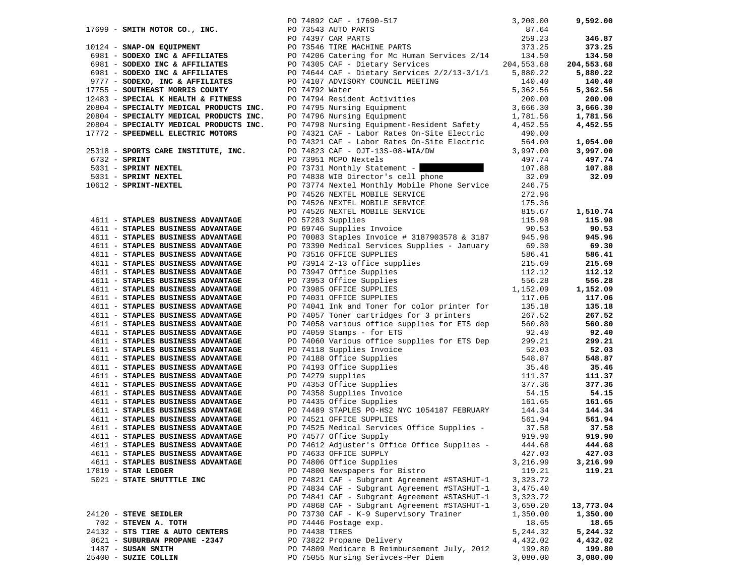|                                                                        |                | PO 74892 CAF - 17690-517                                                                                                                     | 3,200.00          | 9,592.00              |
|------------------------------------------------------------------------|----------------|----------------------------------------------------------------------------------------------------------------------------------------------|-------------------|-----------------------|
| 17699 - SMITH MOTOR CO., INC.                                          |                | PO 73543 AUTO PARTS                                                                                                                          | 87.64             |                       |
|                                                                        |                | PO 74397 CAR PARTS                                                                                                                           | 259.23            | 346.87                |
| 10124 - SNAP-ON EQUIPMENT                                              |                | PO 73546 TIRE MACHINE PARTS                                                                                                                  | 373.25            | 373.25                |
| 6981 - SODEXO INC & AFFILIATES                                         |                | PO 74206 Catering for Mc Human Services 2/14                                                                                                 | 134.50            | 134.50                |
| 6981 - SODEXO INC & AFFILIATES                                         |                | PO 74305 CAF - Dietary Services                                                                                                              | 204,553.68        | 204,553.68            |
| 6981 - SODEXO INC & AFFILIATES                                         |                | PO 74644 CAF - Dietary Services 2/2/13-3/1/1                                                                                                 | 5,880.22          | 5,880.22              |
| 9777 - SODEXO, INC & AFFILIATES                                        |                | PO 74107 ADVISORY COUNCIL MEETING                                                                                                            | 140.40            | 140.40                |
| 17755 - SOUTHEAST MORRIS COUNTY                                        | PO 74792 Water |                                                                                                                                              | 5,362.56          | 5,362.56              |
| 12483 - SPECIAL K HEALTH & FITNESS                                     |                | PO 74794 Resident Activities                                                                                                                 | 200.00            | 200.00                |
| 20804 - SPECIALTY MEDICAL PRODUCTS INC.                                |                | PO 74795 Nursing Equipment                                                                                                                   | 3,666.30          | 3,666.30              |
| 20804 - SPECIALTY MEDICAL PRODUCTS INC.                                |                | PO 74796 Nursing Equipment                                                                                                                   | 1,781.56          | 1,781.56              |
| 20804 - SPECIALTY MEDICAL PRODUCTS INC.                                |                | PO 74798 Nursing Equipment-Resident Safety 4,452.55                                                                                          |                   | 4,452.55              |
| 17772 - SPEEDWELL ELECTRIC MOTORS                                      |                | PO 74321 CAF - Labor Rates On-Site Electric                                                                                                  | 490.00            |                       |
|                                                                        |                | PO 74321 CAF - Labor Rates On-Site Electric 564.00<br>PO 74823 CAF - OJT-13S-08-WIA/DW                                                       | 3,997.00          | 1,054.00              |
| 25318 - SPORTS CARE INSTITUTE, INC.<br>$6732$ - SPRINT                 |                | PO 73951 MCPO Nextels                                                                                                                        | 497.74            | 3,997.00<br>497.74    |
| 5031 - SPRINT NEXTEL                                                   |                | PO 73731 Monthly Statement -                                                                                                                 | 107.88            | 107.88                |
| 5031 - SPRINT NEXTEL                                                   |                | PO 74838 WIB Director's cell phone                                                                                                           | 32.09             | 32.09                 |
| 10612 - SPRINT-NEXTEL                                                  |                | PO 73774 Nextel Monthly Mobile Phone Service                                                                                                 | 246.75            |                       |
|                                                                        |                | PO 74526 NEXTEL MOBILE SERVICE                                                                                                               | 272.96            |                       |
|                                                                        |                | PO 74526 NEXTEL MOBILE SERVICE                                                                                                               | 175.36            |                       |
|                                                                        |                | PO 74526 NEXTEL MOBILE SERVICE<br>PO 74526 NEXTEL MOBILE SERVICE                                                                             | 815.67            | 1,510.74              |
| 4611 - STAPLES BUSINESS ADVANTAGE                                      |                | PO 57283 Supplies                                                                                                                            | 115.98            | 115.98                |
| 4611 - STAPLES BUSINESS ADVANTAGE                                      |                | PO 69746 Supplies Invoice                                                                                                                    | 90.53             | 90.53                 |
| 4611 - STAPLES BUSINESS ADVANTAGE                                      |                | PO 70083 Staples Invoice # 3187903578 & 3187                                                                                                 | 945.96            | 945.96                |
| 4611 - STAPLES BUSINESS ADVANTAGE                                      |                | PO 73390 Medical Services Supplies - January                                                                                                 | 69.30             | 69.30                 |
| 4611 - STAPLES BUSINESS ADVANTAGE                                      |                |                                                                                                                                              | 586.41            | 586.41                |
| 4611 - STAPLES BUSINESS ADVANTAGE                                      |                |                                                                                                                                              | 215.69            | 215.69                |
| 4611 - STAPLES BUSINESS ADVANTAGE                                      |                |                                                                                                                                              | 112.12            | 112.12                |
| 4611 - STAPLES BUSINESS ADVANTAGE                                      |                |                                                                                                                                              | 556.28            | 556.28                |
| 4611 - STAPLES BUSINESS ADVANTAGE                                      |                | PO 73914 2-13 office supplies<br>PO 73947 Office supplies<br>PO 73947 Office Supplies<br>PO 73985 OFFICE SUPPLIES<br>PO 74041 T. DO 74041 T. | 1,152.09          | 1,152.09              |
| 4611 - STAPLES BUSINESS ADVANTAGE                                      |                |                                                                                                                                              | 117.06            | 117.06                |
| 4611 - STAPLES BUSINESS ADVANTAGE                                      |                | PO 74041 Ink and Toner for color printer for                                                                                                 | 135.18            | 135.18                |
| 4611 - STAPLES BUSINESS ADVANTAGE                                      |                | PO 74057 Toner cartridges for 3 printers                                                                                                     | 267.52            | 267.52                |
| 4611 - STAPLES BUSINESS ADVANTAGE                                      |                | PO 74058 various office supplies for ETS dep                                                                                                 | 560.80            | 560.80                |
| 4611 - STAPLES BUSINESS ADVANTAGE                                      |                | PO 74059 Stamps - for ETS                                                                                                                    | 92.40             | 92.40                 |
| 4611 - STAPLES BUSINESS ADVANTAGE                                      |                | PO 74060 Various office supplies for ETS Dep                                                                                                 | 299.21<br>52.03   | 299.21<br>52.03       |
| 4611 - STAPLES BUSINESS ADVANTAGE<br>4611 - STAPLES BUSINESS ADVANTAGE |                | PO 74118 Supplies Invoice<br>PO 74188 Office Supplies                                                                                        | 548.87            | 548.87                |
| 4611 - STAPLES BUSINESS ADVANTAGE                                      |                | PO 74193 Office Supplies                                                                                                                     | 35.46             | 35.46                 |
| 4611 - STAPLES BUSINESS ADVANTAGE                                      |                | PO 74279 supplies                                                                                                                            | 111.37            | 111.37                |
| 4611 - STAPLES BUSINESS ADVANTAGE                                      |                |                                                                                                                                              | 377.36            | 377.36                |
| 4611 - STAPLES BUSINESS ADVANTAGE                                      |                |                                                                                                                                              | 54.15             | 54.15                 |
| 4611 - STAPLES BUSINESS ADVANTAGE                                      |                | PO 74353 Office Supplies<br>PO 74358 Supplies Invoice<br>PO 74435 Office Supplies                                                            | 161.65            | 161.65                |
| 4611 - STAPLES BUSINESS ADVANTAGE                                      |                | PO 74489 STAPLES PO-HS2 NYC 1054187 FEBRUARY                                                                                                 | 144.34            | 144.34                |
| 4611 - STAPLES BUSINESS ADVANTAGE                                      |                | PO 74521 OFFICE SUPPLIES                                                                                                                     | 561.94            | 561.94                |
| 4611 - STAPLES BUSINESS ADVANTAGE                                      |                | PO 74525 Medical Services Office Supplies -                                                                                                  | 37.58             | 37.58                 |
| 4611 - STAPLES BUSINESS ADVANTAGE                                      |                | PO 74577 Office Supply                                                                                                                       | 919.90            | 919.90                |
| 4611 - STAPLES BUSINESS ADVANTAGE                                      |                | PO 74612 Adjuster's Office Office Supplies -                                                                                                 | 444.68            | 444.68                |
| 4611 - STAPLES BUSINESS ADVANTAGE                                      |                | PO 74633 OFFICE SUPPLY                                                                                                                       | 427.03            | 427.03                |
| 4611 - STAPLES BUSINESS ADVANTAGE                                      |                | PO 74806 Office Supplies                                                                                                                     | 3,216.99          | 3,216.99              |
| 17819 - STAR LEDGER                                                    |                | PO 74800 Newspapers for Bistro                                                                                                               | 119.21            | 119.21                |
| 5021 - STATE SHUTTTLE INC                                              |                | PO 74821 CAF - Subgrant Agreement #STASHUT-1                                                                                                 | 3,323.72          |                       |
|                                                                        |                | PO 74834 CAF - Subgrant Agreement #STASHUT-1                                                                                                 | 3,475.40          |                       |
|                                                                        |                | PO 74841 CAF - Subgrant Agreement #STASHUT-1<br>PO 74868 CAF - Subgrant Agreement #STASHUT-1                                                 | 3,323.72          |                       |
| 24120 - STEVE SEIDLER                                                  |                | PO 73730 CAF - K-9 Supervisory Trainer                                                                                                       | 3,650.20          | 13,773.04<br>1,350.00 |
| 702 - STEVEN A. TOTH                                                   |                | PO 74446 Postage exp.                                                                                                                        | 1,350.00<br>18.65 | 18.65                 |
| 24132 - STS TIRE & AUTO CENTERS                                        |                | PO 74438 TIRES                                                                                                                               | 5,244.32          | 5,244.32              |
| 8621 - SUBURBAN PROPANE -2347                                          |                | PO 73822 Propane Delivery                                                                                                                    | 4,432.02          | 4,432.02              |
| 1487 - SUSAN SMITH                                                     |                | PO 74809 Medicare B Reimbursement July, 2012                                                                                                 | 199.80            | 199.80                |
| 25400 - SUZIE COLLIN                                                   |                | PO 75055 Nursing Serivces~Per Diem                                                                                                           | 3,080.00          | 3,080.00              |
|                                                                        |                |                                                                                                                                              |                   |                       |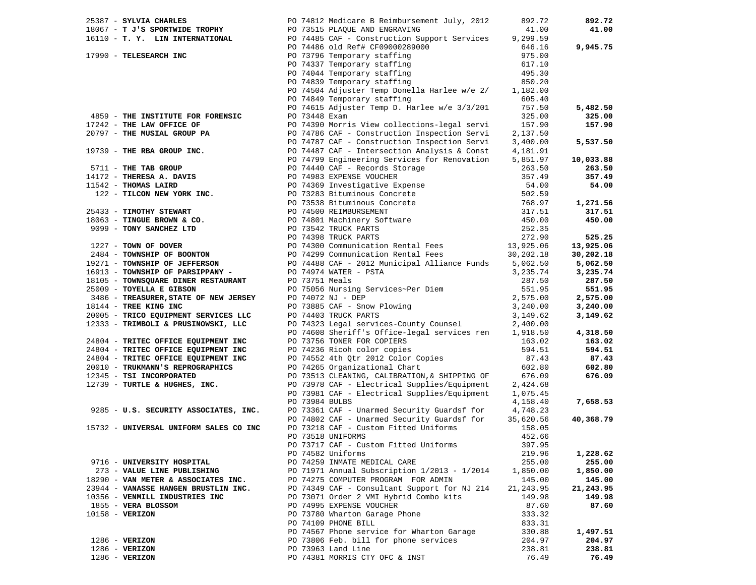| 25387 - SYLVIA CHARLES                                                                                       |                | PO 74812 Medicare B Reimbursement July, 2012                                              | 892.72     | 892.72    |
|--------------------------------------------------------------------------------------------------------------|----------------|-------------------------------------------------------------------------------------------|------------|-----------|
| 18067 - T J'S SPORTWIDE TROPHY                                                                               |                | PO 73515 PLAQUE AND ENGRAVING                                                             | 41.00      | 41.00     |
|                                                                                                              |                | 16110 - T. Y. LIN INTERNATIONAL PO 74485 CAF - Construction Support Services              | 9,299.59   |           |
|                                                                                                              |                |                                                                                           | 646.16     | 9,945.75  |
| 17990 - TELESEARCH INC                                                                                       |                | PO 74486 old Ref# CF09000289000<br>PO 73796 Temporary staffing                            | 975.00     |           |
|                                                                                                              |                |                                                                                           |            |           |
|                                                                                                              |                |                                                                                           | 617.10     |           |
|                                                                                                              |                | PO 74337 Temporary staffing<br>PO 74044 Temporary staffing<br>PO 74839 Temporary staffing | 495.30     |           |
|                                                                                                              |                |                                                                                           | 850.20     |           |
|                                                                                                              |                | PO 74504 Adjuster Temp Donella Harlee w/e 2/ 1,182.00                                     |            |           |
|                                                                                                              |                | PO 74849 Temporary staffing                                                               | 605.40     |           |
|                                                                                                              |                | PO 74615 Adjuster Temp D. Harlee w/e 3/3/201                                              | 757.50     | 5,482.50  |
| 4859 - THE INSTITUTE FOR FORENSIC                                                                            | PO 73448 Exam  |                                                                                           | 325.00     | 325.00    |
| 17242 - THE LAW OFFICE OF                                                                                    |                | PO 74390 Morris View collections-legal servi                                              | 157.90     | 157.90    |
| 20797 - THE MUSIAL GROUP PA                                                                                  |                | PO 74786 CAF - Construction Inspection Servi                                              | 2,137.50   |           |
|                                                                                                              |                | PO 74787 CAF - Construction Inspection Servi                                              | 3,400.00   | 5,537.50  |
|                                                                                                              |                |                                                                                           |            |           |
|                                                                                                              |                |                                                                                           |            | 10,033.88 |
|                                                                                                              |                |                                                                                           |            |           |
|                                                                                                              |                |                                                                                           |            | 263.50    |
|                                                                                                              |                |                                                                                           |            | 357.49    |
|                                                                                                              |                |                                                                                           |            | 54.00     |
|                                                                                                              |                |                                                                                           |            |           |
|                                                                                                              |                |                                                                                           |            | 1,271.56  |
|                                                                                                              |                |                                                                                           |            | 317.51    |
|                                                                                                              |                |                                                                                           |            | 450.00    |
|                                                                                                              |                |                                                                                           |            |           |
|                                                                                                              |                |                                                                                           |            | 525.25    |
|                                                                                                              |                |                                                                                           |            | 13,925.06 |
|                                                                                                              |                |                                                                                           |            | 30,202.18 |
|                                                                                                              |                |                                                                                           |            | 5,062.50  |
|                                                                                                              |                |                                                                                           | 3,235.74   | 3,235.74  |
| 16913 - TOWNSHIP OF PARSIPPANY - PO 74974 WATER - PSTA<br>18105 - TOWNSQUARE DINER RESTAURANT PO 73751 Meals |                |                                                                                           | 287.50     | 287.50    |
| 25009 - TOYELLA E GIBSON                                                                                     |                | PO 73751 Meals<br>PO 75056 Nursing Services~Per Diem<br>PO 74072 NJ - DEP                 | 551.95     | 551.95    |
| 3486 - TREASURER, STATE OF NEW JERSEY                                                                        |                |                                                                                           | 2,575.00   | 2,575.00  |
| 18144 - TREE KING INC                                                                                        |                |                                                                                           | 3,240.00   | 3,240.00  |
| 20005 - TRICO EQUIPMENT SERVICES LLC                                                                         |                | PO 73885 CAF - Snow Plowing<br>PO 74403 TRUCK PARTS<br>PO 74403 TRUCK PARTS               | 3,149.62   | 3,149.62  |
| 12333 - TRIMBOLI & PRUSINOWSKI, LLC                                                                          |                | PO 74323 Legal services-County Counsel                                                    | 2,400.00   |           |
|                                                                                                              |                | PO 74608 Sheriff's Office-legal services ren                                              | 1,918.50   | 4,318.50  |
| 24804 - TRITEC OFFICE EQUIPMENT INC                                                                          |                | PO 73756 TONER FOR COPIERS                                                                | 163.02     | 163.02    |
|                                                                                                              |                | PO 74236 Ricoh color copies                                                               |            | 594.51    |
| 24804 - TRITEC OFFICE EQUIPMENT INC                                                                          |                | PO 74552 4th Qtr 2012 Color Copies                                                        | 594.51     |           |
| 24804 - TRITEC OFFICE EQUIPMENT INC                                                                          |                |                                                                                           | 87.43      | 87.43     |
| 20010 - TRUKMANN'S REPROGRAPHICS                                                                             |                | PO 74265 Organizational Chart                                                             | 602.80     | 602.80    |
| 12345 - TSI INCORPORATED                                                                                     |                | PO 73513 CLEANING, CALIBRATION, & SHIPPING OF                                             | 676.09     | 676.09    |
| 12739 - TURTLE & HUGHES, INC.                                                                                |                | PO 73978 CAF - Electrical Supplies/Equipment                                              | 2,424.68   |           |
|                                                                                                              |                | PO 73981 CAF - Electrical Supplies/Equipment                                              | 1,075.45   |           |
|                                                                                                              | PO 73984 BULBS |                                                                                           | 4,158.40   | 7,658.53  |
| 9285 - U.S. SECURITY ASSOCIATES, INC.                                                                        |                | PO 73361 CAF - Unarmed Security Guardsf for 4,748.23                                      |            |           |
|                                                                                                              |                | PO 74802 CAF - Unarmed Security Guardsf for                                               | 35,620.56  | 40,368.79 |
| 15732 - UNIVERSAL UNIFORM SALES CO INC                                                                       |                | PO 73218 CAF - Custom Fitted Uniforms                                                     | 158.05     |           |
|                                                                                                              |                | PO 73518 UNIFORMS                                                                         | 452.66     |           |
|                                                                                                              |                | PO 73717 CAF - Custom Fitted Uniforms                                                     | 397.95     |           |
|                                                                                                              |                | PO 74582 Uniforms                                                                         | 219.96     | 1,228.62  |
| 9716 - UNIVERSITY HOSPITAL                                                                                   |                | PO 74259 INMATE MEDICAL CARE                                                              | 255.00     | 255.00    |
| 273 - VALUE LINE PUBLISHING                                                                                  |                | PO 71971 Annual Subscription 1/2013 - 1/2014                                              | 1,850.00   | 1,850.00  |
| 18290 - VAN METER & ASSOCIATES INC.                                                                          |                | PO 74275 COMPUTER PROGRAM FOR ADMIN                                                       | 145.00     | 145.00    |
| 23944 - VANASSE HANGEN BRUSTLIN INC.                                                                         |                | PO 74349 CAF - Consultant Support for NJ 214                                              | 21, 243.95 | 21,243.95 |
| 10356 - VENMILL INDUSTRIES INC                                                                               |                | PO 73071 Order 2 VMI Hybrid Combo kits                                                    | 149.98     | 149.98    |
| 1855 - VERA BLOSSOM                                                                                          |                | PO 74995 EXPENSE VOUCHER                                                                  | 87.60      | 87.60     |
| $10158 - VERIZON$                                                                                            |                | PO 73780 Wharton Garage Phone                                                             | 333.32     |           |
|                                                                                                              |                |                                                                                           |            |           |
|                                                                                                              |                | PO 74109 PHONE BILL                                                                       | 833.31     | 1,497.51  |
|                                                                                                              |                | PO 74567 Phone service for Wharton Garage                                                 | 330.88     |           |
| $1286 - VERIZON$                                                                                             |                | PO 73806 Feb. bill for phone services                                                     | 204.97     | 204.97    |
| $1286 - VERIZON$                                                                                             |                | PO 73963 Land Line                                                                        | 238.81     | 238.81    |
| 1286 - VERIZON                                                                                               |                | PO 74381 MORRIS CTY OFC & INST                                                            | 76.49      | 76.49     |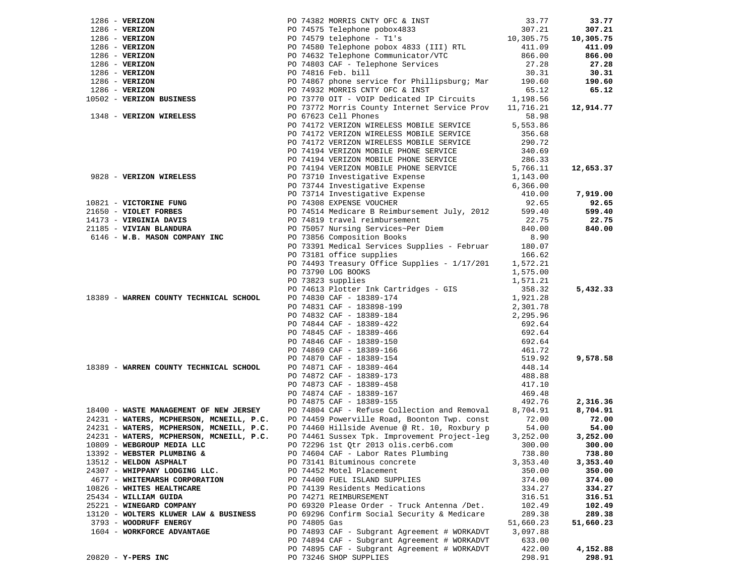|                                          |              |                                                                                                                                                                                                                                                                                              |                  | 33.77              |
|------------------------------------------|--------------|----------------------------------------------------------------------------------------------------------------------------------------------------------------------------------------------------------------------------------------------------------------------------------------------|------------------|--------------------|
|                                          |              | 1286 - VERIZON<br>1286 - VERIZON<br>1286 - VERIZON<br>1286 - VERIZON<br>1286 - VERIZON<br>1286 - VERIZON<br>1286 - VERIZON<br>1286 - VERIZON<br>1286 - VERIZON<br>1286 - VERIZON<br>1286 - VERIZON<br>1286 - VERIZON<br>1286 - VERIZON<br>1286 - VERIZO                                      |                  | 307.21             |
|                                          |              |                                                                                                                                                                                                                                                                                              |                  | 10,305.75          |
|                                          |              |                                                                                                                                                                                                                                                                                              |                  | 411.09             |
|                                          |              |                                                                                                                                                                                                                                                                                              |                  | 866.00             |
|                                          |              |                                                                                                                                                                                                                                                                                              |                  | 27.28              |
|                                          |              |                                                                                                                                                                                                                                                                                              |                  | 30.31              |
|                                          |              |                                                                                                                                                                                                                                                                                              |                  | 190.60             |
|                                          |              |                                                                                                                                                                                                                                                                                              |                  | 65.12              |
|                                          |              |                                                                                                                                                                                                                                                                                              |                  |                    |
|                                          |              |                                                                                                                                                                                                                                                                                              |                  | 12,914.77          |
|                                          |              |                                                                                                                                                                                                                                                                                              |                  |                    |
|                                          |              | PO 74172 VERIZON WIRELESS MOBILE SERVICE                                                                                                                                                                                                                                                     | 5,553.86         |                    |
|                                          |              | PO 74172 VERIZON WIRELESS MOBILE SERVICE                                                                                                                                                                                                                                                     | 356.68           |                    |
|                                          |              | PO 74172 VERIZON WIRELESS MOBILE SERVICE                                                                                                                                                                                                                                                     | 290.72           |                    |
|                                          |              | PO 74194 VERIZON MOBILE PHONE SERVICE                                                                                                                                                                                                                                                        | 340.69           |                    |
|                                          |              | PO 74194 VERIZON MOBILE PHONE SERVICE                                                                                                                                                                                                                                                        | 286.33           |                    |
|                                          |              | PO 74194 VERIZON MOBILE PHONE SERVICE<br>DO 73710 Investigative Europee                                                                                                                                                                                                                      | 5,766.11         | 12,653.37          |
| 9828 - VERIZON WIRELESS                  |              | PO 73710 Investigative Expense                                                                                                                                                                                                                                                               | 1,143.00         |                    |
|                                          |              |                                                                                                                                                                                                                                                                                              | 6,366.00         |                    |
|                                          |              | PO 73744 Investigative Expense<br>PO 73714 Investigative Expense<br>PO 74308 EXPENSE VOUCHER                                                                                                                                                                                                 | 410.00           | 7,919.00           |
|                                          |              |                                                                                                                                                                                                                                                                                              |                  | 92.65              |
|                                          |              |                                                                                                                                                                                                                                                                                              |                  | 599.40             |
|                                          |              |                                                                                                                                                                                                                                                                                              |                  | 22.75              |
|                                          |              |                                                                                                                                                                                                                                                                                              |                  | 840.00             |
|                                          |              | 10821 - <b>VICTORINE FUNG</b><br>20165 - <b>VICTORINE FUNG</b><br>20165 - <b>VIOLET FORBES</b><br>2017 - <b>VIRGINIA DAVIS</b><br>2017 - <b>VIRGINIA DAVIS</b><br>2017 - <b>VIRGINIA DAVIS</b><br>20185 - <b>VIVIAN BLANDURA</b><br>20185 - <b>VIVIAN BLANDURA</b><br>20185 - <b>VIVIAN </b> |                  |                    |
|                                          |              | PO 73391 Medical Services Supplies - Februar                                                                                                                                                                                                                                                 | 180.07           |                    |
|                                          |              | PO 73181 office supplies                                                                                                                                                                                                                                                                     | 166.62           |                    |
|                                          |              | PO 74493 Treasury Office Supplies - 1/17/201 1,572.21                                                                                                                                                                                                                                        |                  |                    |
|                                          |              | PO 73790 LOG BOOKS                                                                                                                                                                                                                                                                           | 1,575.00         |                    |
|                                          |              | PO 73823 supplies                                                                                                                                                                                                                                                                            | 1,571.21         |                    |
|                                          |              | PO 74613 Plotter Ink Cartridges - GIS                                                                                                                                                                                                                                                        | 358.32           | 5,432.33           |
| 18389 - WARREN COUNTY TECHNICAL SCHOOL   |              | PO 74830 CAF - 18389-174                                                                                                                                                                                                                                                                     | 1,921.28         |                    |
|                                          |              | PO 74831 CAF - 183898-199                                                                                                                                                                                                                                                                    | 2,301.78         |                    |
|                                          |              |                                                                                                                                                                                                                                                                                              | 2,295.96         |                    |
|                                          |              |                                                                                                                                                                                                                                                                                              | 692.64           |                    |
|                                          |              |                                                                                                                                                                                                                                                                                              | 692.64           |                    |
|                                          |              |                                                                                                                                                                                                                                                                                              | 692.64           |                    |
|                                          |              |                                                                                                                                                                                                                                                                                              | 461.72           |                    |
|                                          |              |                                                                                                                                                                                                                                                                                              | 519.92           | 9,578.58           |
| 18389 - WARREN COUNTY TECHNICAL SCHOOL   |              |                                                                                                                                                                                                                                                                                              | 448.14           |                    |
|                                          |              | PO 74831 CAF - 183898-199<br>PO 74832 CAF - 18389-184<br>PO 74844 CAF - 18389-422<br>PO 74845 CAF - 18389-466<br>PO 74845 CAF - 18389-150<br>PO 74866 CAF - 18389-156<br>PO 74870 CAF - 18389-154<br>PO 74871 CAF - 18389-464<br>PO 74872 CAF                                                | 488.88           |                    |
|                                          |              |                                                                                                                                                                                                                                                                                              | 417.10           |                    |
|                                          |              |                                                                                                                                                                                                                                                                                              | 469.48           |                    |
|                                          |              | PO 74875 CAF - 18389-155                                                                                                                                                                                                                                                                     | 492.76           | 2,316.36           |
| 18400 - WASTE MANAGEMENT OF NEW JERSEY   |              | PO 74804 CAF - Refuse Collection and Removal                                                                                                                                                                                                                                                 | 8,704.91         | 8,704.91           |
|                                          |              | 24231 - WATERS, MCPHERSON, MCNEILL, P.C. PO 74459 Powerville Road, Boonton Twp. const                                                                                                                                                                                                        | 72.00            | 72.00              |
| 24231 - WATERS, MCPHERSON, MCNEILL, P.C. |              | PO 74460 Hillside Avenue @ Rt. 10, Roxbury p                                                                                                                                                                                                                                                 | 54.00            | 54.00              |
| 24231 - WATERS, MCPHERSON, MCNEILL, P.C. |              | PO 74461 Sussex Tpk. Improvement Project-leg                                                                                                                                                                                                                                                 | 3,252.00         | 3,252.00           |
| 10809 - WEBGROUP MEDIA LLC               |              | PO 72296 1st Otr 2013 olis.cerb6.com 300.00                                                                                                                                                                                                                                                  |                  | 300.00             |
| 13392 - WEBSTER PLUMBING &               |              | PO 74604 CAF - Labor Rates Plumbing                                                                                                                                                                                                                                                          | 738.80           | 738.80             |
| 13512 - WELDON ASPHALT                   |              | PO 73141 Bituminous concrete                                                                                                                                                                                                                                                                 | 3,353.40         | 3,353.40           |
| 24307 - WHIPPANY LODGING LLC.            |              | PO 74452 Motel Placement                                                                                                                                                                                                                                                                     | 350.00           | 350.00             |
| 4677 - WHITEMARSH CORPORATION            |              | PO 74400 FUEL ISLAND SUPPLIES                                                                                                                                                                                                                                                                | 374.00           | 374.00             |
| 10826 - WHITES HEALTHCARE                |              | PO 74139 Residents Medications                                                                                                                                                                                                                                                               | 334.27           | 334.27             |
| 25434 - WILLIAM GUIDA                    |              | PO 74271 REIMBURSEMENT                                                                                                                                                                                                                                                                       | 316.51           | 316.51             |
| 25221 - WINEGARD COMPANY                 |              | PO 69320 Please Order - Truck Antenna /Det.                                                                                                                                                                                                                                                  | 102.49           | 102.49             |
| 13120 - WOLTERS KLUWER LAW & BUSINESS    |              | PO 69296 Confirm Social Security & Medicare                                                                                                                                                                                                                                                  | 289.38           | 289.38             |
| 3793 - WOODRUFF ENERGY                   | PO 74805 Gas |                                                                                                                                                                                                                                                                                              |                  |                    |
|                                          |              |                                                                                                                                                                                                                                                                                              | 51,660.23        | 51,660.23          |
| 1604 - WORKFORCE ADVANTAGE               |              | PO 74893 CAF - Subgrant Agreement # WORKADVT                                                                                                                                                                                                                                                 | 3,097.88         |                    |
|                                          |              | PO 74894 CAF - Subgrant Agreement # WORKADVT                                                                                                                                                                                                                                                 | 633.00           |                    |
| $20820 - Y - PERS$ INC                   |              | PO 74895 CAF - Subgrant Agreement # WORKADVT<br>PO 73246 SHOP SUPPLIES                                                                                                                                                                                                                       | 422.00<br>298.91 | 4,152.88<br>298.91 |
|                                          |              |                                                                                                                                                                                                                                                                                              |                  |                    |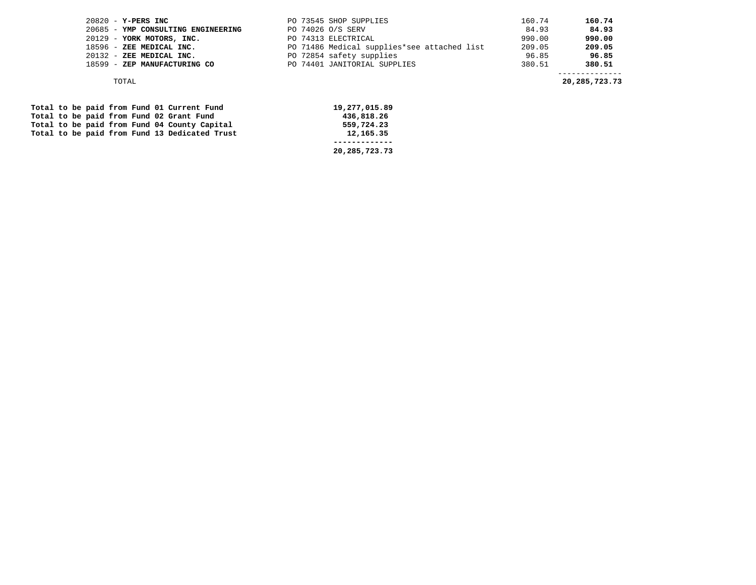| $20820 - Y - PERS$ INC             | PO 73545 SHOP SUPPLIES                      | 160.74 | 160.74 |
|------------------------------------|---------------------------------------------|--------|--------|
| 20685 - YMP CONSULTING ENGINEERING | PO 74026 O/S SERV                           | 84.93  | 84.93  |
| 20129 - YORK MOTORS, INC.          | PO 74313 ELECTRICAL                         | 990.00 | 990.00 |
| 18596 - ZEE MEDICAL INC.           | PO 71486 Medical supplies*see attached list | 209.05 | 209.05 |
| 20132 - ZEE MEDICAL INC.           | PO 72854 safety supplies                    | 96.85  | 96.85  |
| 18599 - ZEP MANUFACTURING CO       | PO 74401 JANITORIAL SUPPLIES                | 380.51 | 380.51 |
|                                    |                                             |        |        |

TOTAL **20,285,723.73** 

|  |  |  |  | Total to be paid from Fund 01 Current Fund    | 19,277,015.89 |
|--|--|--|--|-----------------------------------------------|---------------|
|  |  |  |  | Total to be paid from Fund 02 Grant Fund      | 436,818.26    |
|  |  |  |  | Total to be paid from Fund 04 County Capital  | 559,724.23    |
|  |  |  |  | Total to be paid from Fund 13 Dedicated Trust | 12,165.35     |
|  |  |  |  |                                               |               |
|  |  |  |  |                                               | 20,285,723.73 |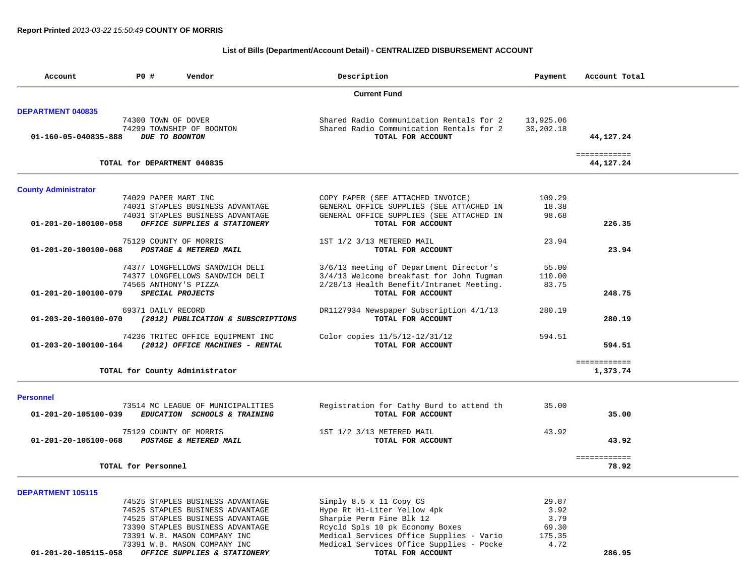## **List of Bills (Department/Account Detail) - CENTRALIZED DISBURSEMENT ACCOUNT**

| Account                     | P0 #                 | Vendor                             | Description                              | Payment   | Account Total             |
|-----------------------------|----------------------|------------------------------------|------------------------------------------|-----------|---------------------------|
|                             |                      |                                    | <b>Current Fund</b>                      |           |                           |
| <b>DEPARTMENT 040835</b>    |                      |                                    |                                          |           |                           |
|                             | 74300 TOWN OF DOVER  |                                    | Shared Radio Communication Rentals for 2 | 13,925.06 |                           |
|                             |                      | 74299 TOWNSHIP OF BOONTON          | Shared Radio Communication Rentals for 2 | 30,202.18 |                           |
| 01-160-05-040835-888        |                      | DUE TO BOONTON                     | TOTAL FOR ACCOUNT                        |           | 44,127.24                 |
|                             |                      | TOTAL for DEPARTMENT 040835        |                                          |           | ============<br>44,127.24 |
|                             |                      |                                    |                                          |           |                           |
| <b>County Administrator</b> | 74029 PAPER MART INC |                                    | COPY PAPER (SEE ATTACHED INVOICE)        | 109.29    |                           |
|                             |                      | 74031 STAPLES BUSINESS ADVANTAGE   | GENERAL OFFICE SUPPLIES (SEE ATTACHED IN | 18.38     |                           |
|                             |                      | 74031 STAPLES BUSINESS ADVANTAGE   | GENERAL OFFICE SUPPLIES (SEE ATTACHED IN | 98.68     |                           |
| 01-201-20-100100-058        |                      | OFFICE SUPPLIES & STATIONERY       | TOTAL FOR ACCOUNT                        |           | 226.35                    |
|                             |                      | 75129 COUNTY OF MORRIS             | 1ST 1/2 3/13 METERED MAIL                | 23.94     |                           |
| 01-201-20-100100-068        |                      | POSTAGE & METERED MAIL             | TOTAL FOR ACCOUNT                        |           | 23.94                     |
|                             |                      | 74377 LONGFELLOWS SANDWICH DELI    | 3/6/13 meeting of Department Director's  | 55.00     |                           |
|                             |                      | 74377 LONGFELLOWS SANDWICH DELI    | 3/4/13 Welcome breakfast for John Tugman | 110.00    |                           |
|                             |                      | 74565 ANTHONY'S PIZZA              | 2/28/13 Health Benefit/Intranet Meeting. | 83.75     |                           |
| 01-201-20-100100-079        |                      | SPECIAL PROJECTS                   | TOTAL FOR ACCOUNT                        |           | 248.75                    |
|                             | 69371 DAILY RECORD   |                                    | DR1127934 Newspaper Subscription 4/1/13  | 280.19    |                           |
| 01-203-20-100100-070        |                      | (2012) PUBLICATION & SUBSCRIPTIONS | TOTAL FOR ACCOUNT                        |           | 280.19                    |
|                             |                      | 74236 TRITEC OFFICE EQUIPMENT INC  | Color copies 11/5/12-12/31/12            | 594.51    |                           |
| 01-203-20-100100-164        |                      | (2012) OFFICE MACHINES - RENTAL    | TOTAL FOR ACCOUNT                        |           | 594.51                    |
|                             |                      | TOTAL for County Administrator     |                                          |           | ============<br>1,373.74  |
|                             |                      |                                    |                                          |           |                           |
| <b>Personnel</b>            |                      |                                    |                                          |           |                           |
|                             |                      | 73514 MC LEAGUE OF MUNICIPALITIES  | Registration for Cathy Burd to attend th | 35.00     |                           |
| 01-201-20-105100-039        |                      | EDUCATION SCHOOLS & TRAINING       | TOTAL FOR ACCOUNT                        |           | 35.00                     |
|                             |                      | 75129 COUNTY OF MORRIS             | 1ST 1/2 3/13 METERED MAIL                | 43.92     |                           |
| 01-201-20-105100-068        |                      | POSTAGE & METERED MAIL             | TOTAL FOR ACCOUNT                        |           | 43.92                     |
|                             |                      |                                    |                                          |           | ============              |
|                             | TOTAL for Personnel  |                                    |                                          |           | 78.92                     |

#### **DEPARTMENT 105115**

| 01-201-20-105115-058<br>OFFICE SUPPLIES & STATIONERY | TOTAL FOR ACCOUNT                        |        | 286.95 |
|------------------------------------------------------|------------------------------------------|--------|--------|
| 73391 W.B. MASON COMPANY INC                         | Medical Services Office Supplies - Pocke | 4.72   |        |
| 73391 W.B. MASON COMPANY INC                         | Medical Services Office Supplies - Vario | 175.35 |        |
| 73390 STAPLES BUSINESS ADVANTAGE                     | Rcycld Spls 10 pk Economy Boxes          | 69.30  |        |
| 74525 STAPLES BUSINESS ADVANTAGE                     | Sharpie Perm Fine Blk 12                 | 3.79   |        |
| 74525 STAPLES BUSINESS ADVANTAGE                     | Hype Rt Hi-Liter Yellow 4pk              | 3.92   |        |
| 74525 STAPLES BUSINESS ADVANTAGE                     | Simply $8.5 \times 11$ Copy CS           | 29.87  |        |
|                                                      |                                          |        |        |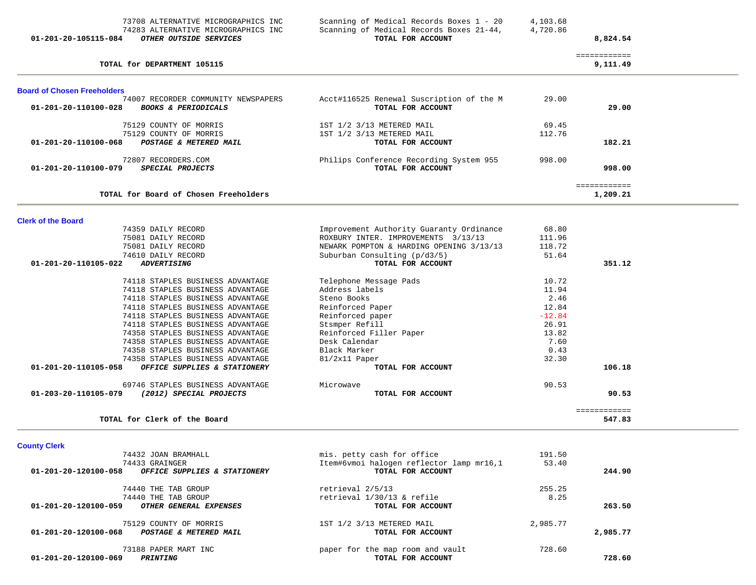| Scanning of Medical Records Boxes 1 - 20 | 4,103.68                                                                                                                                                                                                                                 |                                                                                  |                                                                             |
|------------------------------------------|------------------------------------------------------------------------------------------------------------------------------------------------------------------------------------------------------------------------------------------|----------------------------------------------------------------------------------|-----------------------------------------------------------------------------|
| TOTAL FOR ACCOUNT                        |                                                                                                                                                                                                                                          | 8,824.54                                                                         |                                                                             |
|                                          |                                                                                                                                                                                                                                          |                                                                                  |                                                                             |
|                                          |                                                                                                                                                                                                                                          | 9,111.49                                                                         |                                                                             |
|                                          |                                                                                                                                                                                                                                          |                                                                                  |                                                                             |
| Acct#116525 Renewal Suscription of the M | 29.00                                                                                                                                                                                                                                    |                                                                                  |                                                                             |
| TOTAL FOR ACCOUNT                        |                                                                                                                                                                                                                                          | 29.00                                                                            |                                                                             |
| 1ST 1/2 3/13 METERED MAIL                | 69.45                                                                                                                                                                                                                                    |                                                                                  |                                                                             |
| 1ST 1/2 3/13 METERED MAIL                | 112.76                                                                                                                                                                                                                                   |                                                                                  |                                                                             |
| TOTAL FOR ACCOUNT                        |                                                                                                                                                                                                                                          | 182.21                                                                           |                                                                             |
| Philips Conference Recording System 955  | 998.00                                                                                                                                                                                                                                   |                                                                                  |                                                                             |
| TOTAL FOR ACCOUNT                        |                                                                                                                                                                                                                                          | 998.00                                                                           |                                                                             |
|                                          |                                                                                                                                                                                                                                          |                                                                                  |                                                                             |
|                                          |                                                                                                                                                                                                                                          |                                                                                  |                                                                             |
|                                          |                                                                                                                                                                                                                                          |                                                                                  |                                                                             |
| Improvement Authority Guaranty Ordinance | 68.80                                                                                                                                                                                                                                    |                                                                                  |                                                                             |
| ROXBURY INTER. IMPROVEMENTS 3/13/13      | 111.96                                                                                                                                                                                                                                   |                                                                                  |                                                                             |
| NEWARK POMPTON & HARDING OPENING 3/13/13 | 118.72                                                                                                                                                                                                                                   |                                                                                  |                                                                             |
| Suburban Consulting (p/d3/5)             | 51.64                                                                                                                                                                                                                                    |                                                                                  |                                                                             |
| TOTAL FOR ACCOUNT                        |                                                                                                                                                                                                                                          | 351.12                                                                           |                                                                             |
| Telephone Message Pads                   | 10.72                                                                                                                                                                                                                                    |                                                                                  |                                                                             |
| Address labels                           | 11.94                                                                                                                                                                                                                                    |                                                                                  |                                                                             |
|                                          |                                                                                                                                                                                                                                          |                                                                                  |                                                                             |
|                                          |                                                                                                                                                                                                                                          |                                                                                  |                                                                             |
|                                          |                                                                                                                                                                                                                                          |                                                                                  |                                                                             |
|                                          |                                                                                                                                                                                                                                          |                                                                                  |                                                                             |
|                                          |                                                                                                                                                                                                                                          |                                                                                  |                                                                             |
|                                          |                                                                                                                                                                                                                                          |                                                                                  |                                                                             |
|                                          |                                                                                                                                                                                                                                          |                                                                                  |                                                                             |
|                                          |                                                                                                                                                                                                                                          |                                                                                  |                                                                             |
|                                          |                                                                                                                                                                                                                                          |                                                                                  |                                                                             |
| Microwave                                | 90.53                                                                                                                                                                                                                                    |                                                                                  |                                                                             |
|                                          |                                                                                                                                                                                                                                          |                                                                                  |                                                                             |
|                                          |                                                                                                                                                                                                                                          | 547.83                                                                           |                                                                             |
|                                          | Scanning of Medical Records Boxes 21-44,<br>Steno Books<br>Reinforced Paper<br>Reinforced paper<br>Stsmper Refill<br>Reinforced Filler Paper<br>Desk Calendar<br>Black Marker<br>81/2x11 Paper<br>TOTAL FOR ACCOUNT<br>TOTAL FOR ACCOUNT | 4,720.86<br>2.46<br>12.84<br>$-12.84$<br>26.91<br>13.82<br>7.60<br>0.43<br>32.30 | ============<br>============<br>1,209.21<br>106.18<br>90.53<br>============ |

**County Clerk** 

| 74432 JOAN BRAMHALL                                                      | mis. petty cash for office                            | 191.50   |          |
|--------------------------------------------------------------------------|-------------------------------------------------------|----------|----------|
| 74433 GRAINGER                                                           | Item#6vmoi halogen reflector lamp mr16,1              | 53.40    |          |
| 01-201-20-120100-058<br>OFFICE SUPPLIES & STATIONERY                     | TOTAL FOR ACCOUNT                                     |          | 244.90   |
| 74440 THE TAB GROUP                                                      | retrieval 2/5/13                                      | 255.25   |          |
| 74440 THE TAB GROUP                                                      | retrieval 1/30/13 & refile                            | 8.25     |          |
| 01-201-20-120100-059<br>OTHER GENERAL EXPENSES                           | TOTAL FOR ACCOUNT                                     |          | 263.50   |
| 75129 COUNTY OF MORRIS<br>01-201-20-120100-068<br>POSTAGE & METERED MAIL | 1ST 1/2 3/13 METERED MAIL<br>TOTAL FOR ACCOUNT        | 2,985.77 | 2,985.77 |
|                                                                          |                                                       |          |          |
| 73188 PAPER MART INC<br>01-201-20-120100-069<br>PRINTING                 | paper for the map room and vault<br>TOTAL FOR ACCOUNT | 728.60   | 728.60   |
|                                                                          |                                                       |          |          |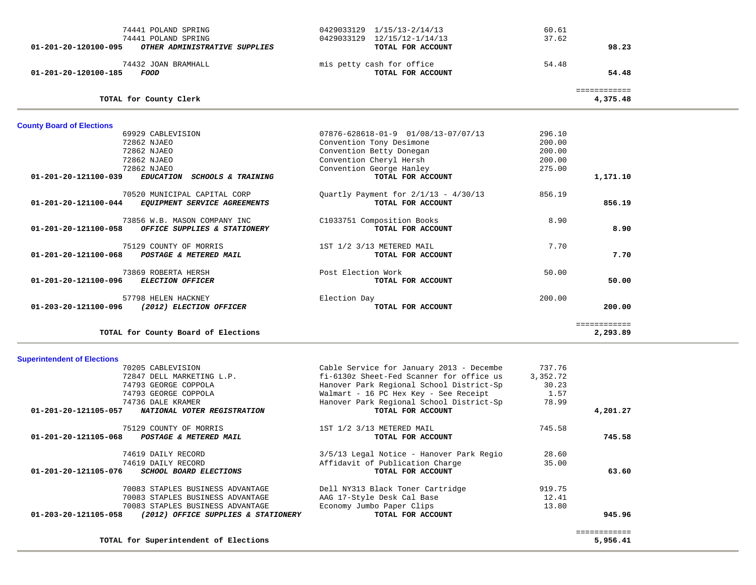| TOTAL for County Board of Elections                                                  |                                                             |                  | ============<br>2,293.89 |  |
|--------------------------------------------------------------------------------------|-------------------------------------------------------------|------------------|--------------------------|--|
| 57798 HELEN HACKNEY<br>01-203-20-121100-096<br>(2012) ELECTION OFFICER               | Election Day<br>TOTAL FOR ACCOUNT                           | 200.00           | 200.00                   |  |
| 73869 ROBERTA HERSH<br>01-201-20-121100-096<br><b>ELECTION OFFICER</b>               | Post Election Work<br>TOTAL FOR ACCOUNT                     | 50.00            | 50.00                    |  |
| 75129 COUNTY OF MORRIS<br>$01 - 201 - 20 - 121100 - 068$<br>POSTAGE & METERED MAIL   | 1ST 1/2 3/13 METERED MAIL<br>TOTAL FOR ACCOUNT              | 7.70             | 7.70                     |  |
| 73856 W.B. MASON COMPANY INC<br>OFFICE SUPPLIES & STATIONERY<br>01-201-20-121100-058 | C1033751 Composition Books<br>TOTAL FOR ACCOUNT             | 8.90             | 8.90                     |  |
| 70520 MUNICIPAL CAPITAL CORP<br>EQUIPMENT SERVICE AGREEMENTS<br>01-201-20-121100-044 | Quartly Payment for $2/1/13 - 4/30/13$<br>TOTAL FOR ACCOUNT | 856.19           | 856.19                   |  |
| 72862 NJAEO<br>01-201-20-121100-039<br>EDUCATION SCHOOLS & TRAINING                  | Convention George Hanley<br>TOTAL FOR ACCOUNT               | 275.00           | 1,171.10                 |  |
| 72862 NJAEO                                                                          | Convention Cheryl Hersh                                     | 200.00           |                          |  |
| 72862 NJAEO<br>72862 NJAEO                                                           | Convention Tony Desimone<br>Convention Betty Donegan        | 200.00           |                          |  |
| <b>County Board of Elections</b><br>69929 CABLEVISION                                | $07876 - 628618 - 01 - 9$ $01/08/13 - 07/07/13$             | 296.10<br>200.00 |                          |  |
| TOTAL for County Clerk                                                               |                                                             |                  | 4,375.48                 |  |
|                                                                                      |                                                             |                  | ============             |  |
| 74432 JOAN BRAMHALL<br>01-201-20-120100-185<br>FOOD                                  | mis petty cash for office<br>TOTAL FOR ACCOUNT              | 54.48            | 54.48                    |  |
| 01-201-20-120100-095<br>OTHER ADMINISTRATIVE SUPPLIES                                | TOTAL FOR ACCOUNT                                           |                  | 98.23                    |  |
| 74441 POLAND SPRING                                                                  | 0429033129 12/15/12-1/14/13                                 | 37.62            |                          |  |
| 74441 POLAND SPRING                                                                  | 0429033129 1/15/13-2/14/13                                  | 60.61            |                          |  |

## **Superintendent of Elections**

| 70205 CABLEVISION                                           | Cable Service for January 2013 - Decembe | 737.76   |              |
|-------------------------------------------------------------|------------------------------------------|----------|--------------|
| 72847 DELL MARKETING L.P.                                   | fi-6130z Sheet-Fed Scanner for office us | 3,352.72 |              |
| 74793 GEORGE COPPOLA                                        | Hanover Park Regional School District-Sp | 30.23    |              |
| 74793 GEORGE COPPOLA                                        | Walmart - 16 PC Hex Key - See Receipt    | 1.57     |              |
| 74736 DALE KRAMER                                           | Hanover Park Regional School District-Sp | 78.99    |              |
| 01-201-20-121105-057<br>NATIONAL VOTER REGISTRATION         | TOTAL FOR ACCOUNT                        |          | 4,201.27     |
| 75129 COUNTY OF MORRIS                                      | 1ST 1/2 3/13 METERED MAIL                | 745.58   |              |
| 01-201-20-121105-068<br>POSTAGE & METERED MAIL              | TOTAL FOR ACCOUNT                        |          | 745.58       |
| 74619 DAILY RECORD                                          | 3/5/13 Legal Notice - Hanover Park Regio | 28.60    |              |
| 74619 DAILY RECORD                                          | Affidavit of Publication Charge          | 35.00    |              |
| 01-201-20-121105-076<br><i>SCHOOL BOARD ELECTIONS</i>       | TOTAL FOR ACCOUNT                        |          | 63.60        |
| 70083 STAPLES BUSINESS ADVANTAGE                            | Dell NY313 Black Toner Cartridge         | 919.75   |              |
| 70083 STAPLES BUSINESS ADVANTAGE                            | AAG 17-Style Desk Cal Base               | 12.41    |              |
| 70083 STAPLES BUSINESS ADVANTAGE                            | Economy Jumbo Paper Clips                | 13.80    |              |
| 01-203-20-121105-058<br>(2012) OFFICE SUPPLIES & STATIONERY | TOTAL FOR ACCOUNT                        |          | 945.96       |
|                                                             |                                          |          | ------------ |
| TOTAL for Superintendent of Elections                       |                                          |          | 5,956.41     |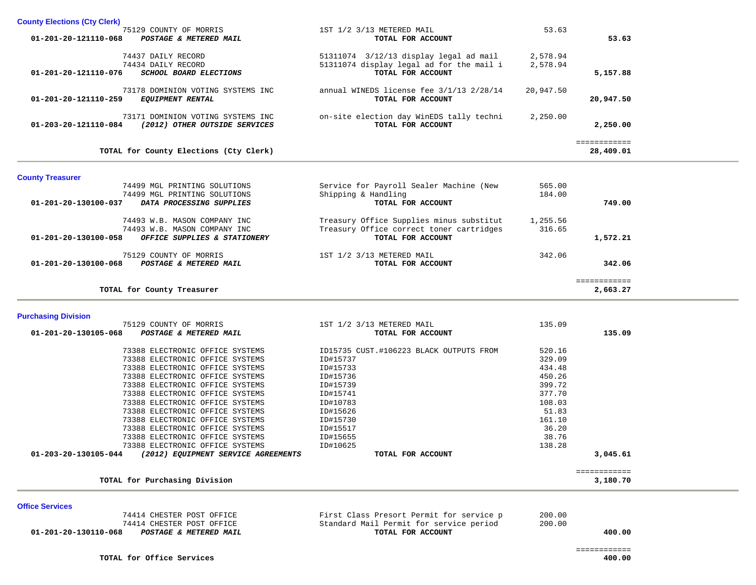| <b>County Elections (Cty Clerk)</b>                     |                                                               |           |                             |
|---------------------------------------------------------|---------------------------------------------------------------|-----------|-----------------------------|
| 75129 COUNTY OF MORRIS                                  | 1ST 1/2 3/13 METERED MAIL                                     | 53.63     |                             |
| POSTAGE & METERED MAIL<br>01-201-20-121110-068          | TOTAL FOR ACCOUNT                                             |           | 53.63                       |
|                                                         |                                                               |           |                             |
| 74437 DAILY RECORD                                      | 51311074 3/12/13 display legal ad mail                        | 2,578.94  |                             |
| 74434 DAILY RECORD                                      | 51311074 display legal ad for the mail i<br>TOTAL FOR ACCOUNT | 2,578.94  |                             |
| SCHOOL BOARD ELECTIONS<br>01-201-20-121110-076          |                                                               |           | 5,157.88                    |
| 73178 DOMINION VOTING SYSTEMS INC                       | annual WINEDS license fee 3/1/13 2/28/14                      | 20,947.50 |                             |
| <b>EQUIPMENT RENTAL</b><br>01-201-20-121110-259         | TOTAL FOR ACCOUNT                                             |           | 20,947.50                   |
|                                                         |                                                               |           |                             |
| 73171 DOMINION VOTING SYSTEMS INC                       | on-site election day WinEDS tally techni                      | 2,250.00  |                             |
| 01-203-20-121110-084 (2012) OTHER OUTSIDE SERVICES      | TOTAL FOR ACCOUNT                                             |           | 2,250.00                    |
|                                                         |                                                               |           |                             |
| TOTAL for County Elections (Cty Clerk)                  |                                                               |           | ============<br>28,409.01   |
|                                                         |                                                               |           |                             |
|                                                         |                                                               |           |                             |
| <b>County Treasurer</b><br>74499 MGL PRINTING SOLUTIONS | Service for Payroll Sealer Machine (New                       | 565.00    |                             |
| 74499 MGL PRINTING SOLUTIONS                            | Shipping & Handling                                           | 184.00    |                             |
| DATA PROCESSING SUPPLIES<br>01-201-20-130100-037        | TOTAL FOR ACCOUNT                                             |           | 749.00                      |
|                                                         |                                                               |           |                             |
| 74493 W.B. MASON COMPANY INC                            | Treasury Office Supplies minus substitut                      | 1,255.56  |                             |
| 74493 W.B. MASON COMPANY INC                            | Treasury Office correct toner cartridges                      | 316.65    |                             |
| 01-201-20-130100-058<br>OFFICE SUPPLIES & STATIONERY    | TOTAL FOR ACCOUNT                                             |           | 1,572.21                    |
|                                                         |                                                               |           |                             |
| 75129 COUNTY OF MORRIS                                  | 1ST 1/2 3/13 METERED MAIL                                     | 342.06    |                             |
| 01-201-20-130100-068<br>POSTAGE & METERED MAIL          | TOTAL FOR ACCOUNT                                             |           | 342.06                      |
|                                                         |                                                               |           | ============                |
| TOTAL for County Treasurer                              |                                                               |           | 2,663.27                    |
|                                                         |                                                               |           |                             |
| <b>Purchasing Division</b>                              |                                                               |           |                             |
| 75129 COUNTY OF MORRIS                                  | 1ST 1/2 3/13 METERED MAIL                                     | 135.09    |                             |
| 01-201-20-130105-068<br>POSTAGE & METERED MAIL          | TOTAL FOR ACCOUNT                                             |           | 135.09                      |
| 73388 ELECTRONIC OFFICE SYSTEMS                         | ID15735 CUST.#106223 BLACK OUTPUTS FROM                       | 520.16    |                             |
| 73388 ELECTRONIC OFFICE SYSTEMS                         | ID#15737                                                      | 329.09    |                             |
| 73388 ELECTRONIC OFFICE SYSTEMS                         | ID#15733                                                      | 434.48    |                             |
| 73388 ELECTRONIC OFFICE SYSTEMS                         | ID#15736                                                      | 450.26    |                             |
| 73388 ELECTRONIC OFFICE SYSTEMS                         | ID#15739                                                      | 399.72    |                             |
| 73388 ELECTRONIC OFFICE SYSTEMS                         | ID#15741                                                      | 377.70    |                             |
| 73388 ELECTRONIC OFFICE SYSTEMS                         | ID#10783                                                      | 108.03    |                             |
| 73388 ELECTRONIC OFFICE SYSTEMS                         | ID#15626                                                      | 51.83     |                             |
| 73388 ELECTRONIC OFFICE SYSTEMS                         | ID#15730                                                      | 161.10    |                             |
| 73388 ELECTRONIC OFFICE SYSTEMS                         | ID#15517                                                      | 36.20     |                             |
| 73388 ELECTRONIC OFFICE SYSTEMS                         | ID#15655                                                      | 38.76     |                             |
| 73388 ELECTRONIC OFFICE SYSTEMS                         | ID#10625                                                      | 138.28    |                             |
| 27.22227                                                |                                                               |           | $\sim$ $\sim$ $\sim$ $\sim$ |

|                      |                                     | ----------        | -----    |
|----------------------|-------------------------------------|-------------------|----------|
| 01-203-20-130105-044 | (2012) EQUIPMENT SERVICE AGREEMENTS | TOTAL FOR ACCOUNT | 3,045.61 |
|                      |                                     |                   |          |
|                      |                                     |                   |          |
|                      | TOTAL for Purchasing Division       |                   | 3,180.70 |

**Office Services** 

 **01-201-20-130110-068** *POSTAGE & METERED MAIL TOTAL FOR ACCOUNT* 

 74414 CHESTER POST OFFICE First Class Presort Permit for service p 200.00 74414 CHESTER POST OFFICE Standard Mail Permit for service period 200.00

400.00

 ============ 400.00

TOTAL for Office Services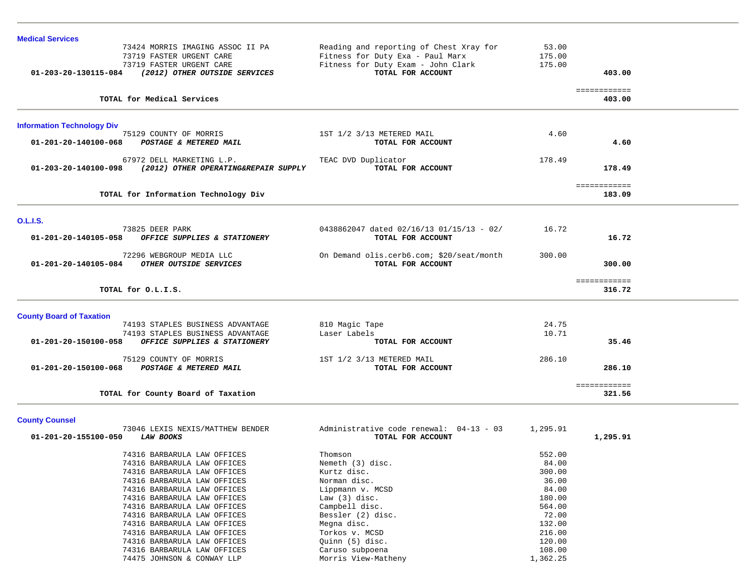| <b>Medical Services</b>                                      |                                           |          |                        |  |
|--------------------------------------------------------------|-------------------------------------------|----------|------------------------|--|
| 73424 MORRIS IMAGING ASSOC II PA                             | Reading and reporting of Chest Xray for   | 53.00    |                        |  |
| 73719 FASTER URGENT CARE                                     | Fitness for Duty Exa - Paul Marx          | 175.00   |                        |  |
| 73719 FASTER URGENT CARE                                     | Fitness for Duty Exam - John Clark        | 175.00   |                        |  |
| 01-203-20-130115-084 (2012) OTHER OUTSIDE SERVICES           | TOTAL FOR ACCOUNT                         |          | 403.00                 |  |
| TOTAL for Medical Services                                   |                                           |          | ============<br>403.00 |  |
|                                                              |                                           |          |                        |  |
| <b>Information Technology Div</b>                            |                                           |          |                        |  |
| 75129 COUNTY OF MORRIS                                       | 1ST 1/2 3/13 METERED MAIL                 | 4.60     |                        |  |
| 01-201-20-140100-068<br>POSTAGE & METERED MAIL               | TOTAL FOR ACCOUNT                         |          | 4.60                   |  |
| 67972 DELL MARKETING L.P.                                    | TEAC DVD Duplicator                       | 178.49   |                        |  |
| (2012) OTHER OPERATING&REPAIR SUPPLY<br>01-203-20-140100-098 | TOTAL FOR ACCOUNT                         |          | 178.49                 |  |
|                                                              |                                           |          | ============           |  |
| TOTAL for Information Technology Div                         |                                           |          | 183.09                 |  |
| <b>O.L.I.S.</b>                                              |                                           |          |                        |  |
| 73825 DEER PARK                                              | 0438862047 dated 02/16/13 01/15/13 - 02/  | 16.72    |                        |  |
| 01-201-20-140105-058<br>OFFICE SUPPLIES & STATIONERY         | TOTAL FOR ACCOUNT                         |          | 16.72                  |  |
| 72296 WEBGROUP MEDIA LLC                                     | On Demand olis.cerb6.com; \$20/seat/month | 300.00   |                        |  |
| 01-201-20-140105-084 OTHER OUTSIDE SERVICES                  | TOTAL FOR ACCOUNT                         |          | 300.00                 |  |
|                                                              |                                           |          | ============           |  |
| TOTAL for O.L.I.S.                                           |                                           |          | 316.72                 |  |
| <b>County Board of Taxation</b>                              |                                           |          |                        |  |
| 74193 STAPLES BUSINESS ADVANTAGE                             | 810 Magic Tape                            | 24.75    |                        |  |
| 74193 STAPLES BUSINESS ADVANTAGE                             | Laser Labels                              | 10.71    |                        |  |
| OFFICE SUPPLIES & STATIONERY<br>01-201-20-150100-058         | TOTAL FOR ACCOUNT                         |          | 35.46                  |  |
| 75129 COUNTY OF MORRIS                                       | 1ST 1/2 3/13 METERED MAIL                 | 286.10   |                        |  |
| 01-201-20-150100-068 POSTAGE & METERED MAIL                  | TOTAL FOR ACCOUNT                         |          | 286.10                 |  |
|                                                              |                                           |          | ============           |  |
| TOTAL for County Board of Taxation                           |                                           |          | 321.56                 |  |
| <b>County Counsel</b>                                        |                                           |          |                        |  |
| 73046 LEXIS NEXIS/MATTHEW BENDER                             | Administrative code renewal: 04-13 - 03   | 1,295.91 |                        |  |
| 01-201-20-155100-050<br><b>LAW BOOKS</b>                     | TOTAL FOR ACCOUNT                         |          | 1,295.91               |  |
| 74316 BARBARULA LAW OFFICES                                  | Thomson                                   | 552.00   |                        |  |
| 74316 BARBARULA LAW OFFICES                                  | Nemeth (3) disc.                          | 84.00    |                        |  |
| 74316 BARBARULA LAW OFFICES                                  | Kurtz disc.                               | 300.00   |                        |  |
| 74316 BARBARULA LAW OFFICES                                  | Norman disc.                              | 36.00    |                        |  |
| 74316 BARBARULA LAW OFFICES                                  | Lippmann v. MCSD                          | 84.00    |                        |  |
| 74316 BARBARULA LAW OFFICES                                  | Law $(3)$ disc.                           | 180.00   |                        |  |
| 74316 BARBARULA LAW OFFICES                                  | Campbell disc.                            | 564.00   |                        |  |
| 74316 BARBARULA LAW OFFICES                                  | Bessler (2) disc.                         | 72.00    |                        |  |
| 74316 BARBARULA LAW OFFICES                                  | Megna disc.                               | 132.00   |                        |  |

74316 BARBARULA LAW OFFICES Caruso subpoena 108.00

216.00<br>120.00

74316 BARBARULA LAW OFFICES Torkos v. MCSD

74316 BARBARULA LAW OFFICES (Quinn (5) disc.

74475 JOHNSON & CONWAY LLP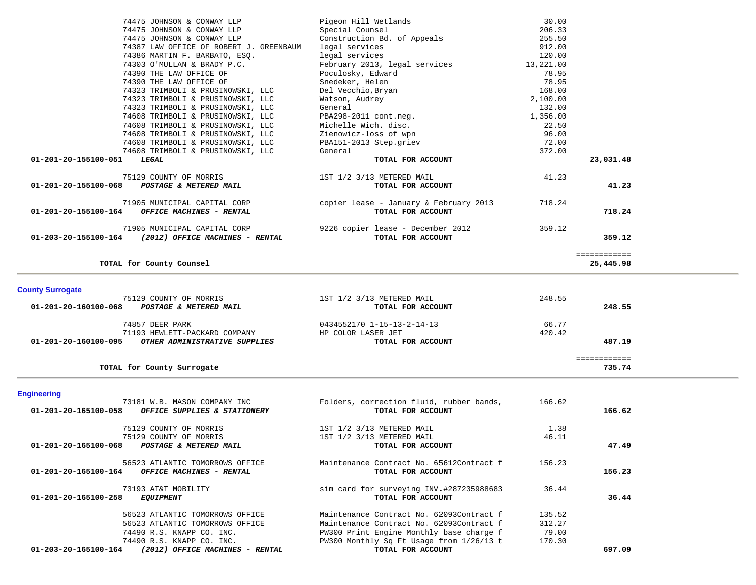|                                               | 74475 JOHNSON & CONWAY LLP                             | Pigeon Hill Wetlands                   | 30.00     |              |
|-----------------------------------------------|--------------------------------------------------------|----------------------------------------|-----------|--------------|
|                                               | 74475 JOHNSON & CONWAY LLP                             | Special Counsel                        | 206.33    |              |
|                                               | 74475 JOHNSON & CONWAY LLP                             | Construction Bd. of Appeals            | 255.50    |              |
|                                               | 74387 LAW OFFICE OF ROBERT J. GREENBAUM                | legal services                         | 912.00    |              |
|                                               | 74386 MARTIN F. BARBATO, ESO.                          | legal services                         | 120.00    |              |
|                                               | 74303 O'MULLAN & BRADY P.C.                            | February 2013, legal services          | 13,221.00 |              |
|                                               | 74390 THE LAW OFFICE OF                                | Poculosky, Edward                      | 78.95     |              |
|                                               | 74390 THE LAW OFFICE OF                                | Snedeker, Helen                        | 78.95     |              |
|                                               | 74323 TRIMBOLI & PRUSINOWSKI, LLC                      | Del Vecchio,Bryan                      | 168.00    |              |
|                                               | 74323 TRIMBOLI & PRUSINOWSKI, LLC                      | Watson, Audrey                         | 2,100.00  |              |
|                                               | 74323 TRIMBOLI & PRUSINOWSKI, LLC                      | General                                | 132.00    |              |
|                                               | 74608 TRIMBOLI & PRUSINOWSKI, LLC                      | PBA298-2011 cont.neg.                  | 1,356.00  |              |
|                                               | 74608 TRIMBOLI & PRUSINOWSKI, LLC                      | Michelle Wich. disc.                   | 22.50     |              |
|                                               | 74608 TRIMBOLI & PRUSINOWSKI, LLC                      | Zienowicz-loss of wpn                  | 96.00     |              |
|                                               | 74608 TRIMBOLI & PRUSINOWSKI, LLC                      | PBA151-2013 Step.griev                 | 72.00     |              |
|                                               | 74608 TRIMBOLI & PRUSINOWSKI, LLC                      | General                                | 372.00    |              |
| 01-201-20-155100-051                          | LEGAL                                                  | TOTAL FOR ACCOUNT                      |           | 23,031.48    |
|                                               | 75129 COUNTY OF MORRIS                                 | 1ST 1/2 3/13 METERED MAIL              | 41.23     |              |
| 01-201-20-155100-068                          | POSTAGE & METERED MAIL                                 | TOTAL FOR ACCOUNT                      |           | 41.23        |
|                                               | 71905 MUNICIPAL CAPITAL CORP                           | copier lease - January & February 2013 | 718.24    |              |
| 01-201-20-155100-164 OFFICE MACHINES - RENTAL |                                                        | TOTAL FOR ACCOUNT                      |           | 718.24       |
|                                               | 71905 MUNICIPAL CAPITAL CORP                           | 9226 copier lease - December 2012      | 359.12    |              |
|                                               | $01-203-20-155100-164$ (2012) OFFICE MACHINES - RENTAL | TOTAL FOR ACCOUNT                      |           | 359.12       |
|                                               |                                                        |                                        |           | ============ |
|                                               | TOTAL for County Counsel                               |                                        |           | 25,445.98    |

## **County Surrogate**

| 75129 COUNTY OF MORRIS                                | 1ST 1/2 3/13 METERED MAIL  | 248.55     |  |
|-------------------------------------------------------|----------------------------|------------|--|
| 01-201-20-160100-068<br>POSTAGE & METERED MAIL        | TOTAL FOR ACCOUNT          | 248.55     |  |
| 74857 DEER PARK                                       | 0434552170 1-15-13-2-14-13 | 66.77      |  |
| 71193 HEWLETT-PACKARD COMPANY                         | HP COLOR LASER JET         | 420.42     |  |
| 01-201-20-160100-095<br>OTHER ADMINISTRATIVE SUPPLIES | TOTAL FOR ACCOUNT          | 487.19     |  |
|                                                       |                            | ---------- |  |
| TOTAL for County Surrogate                            |                            | 735.74     |  |

# **Engineering**

| 73181 W.B. MASON COMPANY INC                                                        | Folders, correction fluid, rubber bands,                      | 166.62 |        |
|-------------------------------------------------------------------------------------|---------------------------------------------------------------|--------|--------|
| 01-201-20-165100-058<br>OFFICE SUPPLIES & STATIONERY                                | TOTAL FOR ACCOUNT                                             |        | 166.62 |
| 75129 COUNTY OF MORRIS                                                              | 1ST 1/2 3/13 METERED MAIL                                     | 1.38   |        |
| 75129 COUNTY OF MORRIS                                                              | 1ST 1/2 3/13 METERED MAIL                                     | 46.11  |        |
| 01-201-20-165100-068<br>POSTAGE & METERED MAIL                                      | TOTAL FOR ACCOUNT                                             |        | 47.49  |
| 56523 ATLANTIC TOMORROWS OFFICE<br>01-201-20-165100-164<br>OFFICE MACHINES - RENTAL | Maintenance Contract No. 65612Contract f<br>TOTAL FOR ACCOUNT | 156.23 | 156.23 |
| 73193 AT&T MOBILITY                                                                 | sim card for surveying INV.#287235988683                      | 36.44  |        |
| 01-201-20-165100-258<br><b>EQUIPMENT</b>                                            | TOTAL FOR ACCOUNT                                             |        | 36.44  |
| 56523 ATLANTIC TOMORROWS OFFICE                                                     | Maintenance Contract No. 62093Contract f                      | 135.52 |        |
| 56523 ATLANTIC TOMORROWS OFFICE                                                     | Maintenance Contract No. 62093Contract f                      | 312.27 |        |
| 74490 R.S. KNAPP CO. INC.                                                           | PW300 Print Engine Monthly base charge f                      | 79.00  |        |
| 74490 R.S. KNAPP CO. INC.                                                           | PW300 Monthly Sq Ft Usage from 1/26/13 t                      | 170.30 |        |
| 01-203-20-165100-164<br>(2012) OFFICE MACHINES - RENTAL                             | TOTAL FOR ACCOUNT                                             |        | 697.09 |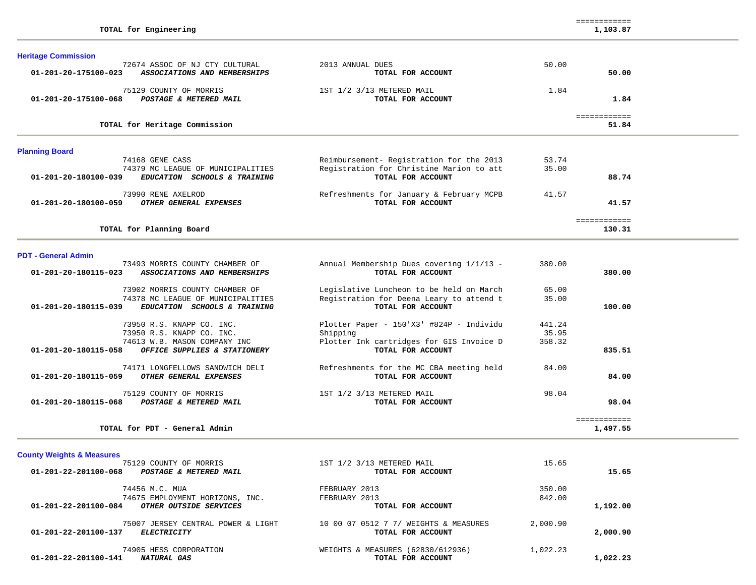TOTAL for PDT - General Admin

**Heritage Commission** 

| 72674 ASSOC OF NJ CTY CULTURAL<br>ASSOCIATIONS AND MEMBERSHIPS<br>01-201-20-175100-023    | 2013 ANNUAL DUES<br>TOTAL FOR ACCOUNT                         | 50.00<br>50.00        |  |
|-------------------------------------------------------------------------------------------|---------------------------------------------------------------|-----------------------|--|
| 75129 COUNTY OF MORRIS<br>01-201-20-175100-068<br>POSTAGE & METERED MAIL                  | 1ST 1/2 3/13 METERED MAIL<br>TOTAL FOR ACCOUNT                | 1.84<br>1.84          |  |
| TOTAL for Heritage Commission                                                             |                                                               | ============<br>51.84 |  |
| <b>Planning Board</b>                                                                     |                                                               |                       |  |
| 74168 GENE CASS                                                                           | Reimbursement- Registration for the 2013                      | 53.74                 |  |
| 74379 MC LEAGUE OF MUNICIPALITIES<br>01-201-20-180100-039<br>EDUCATION SCHOOLS & TRAINING | Registration for Christine Marion to att<br>TOTAL FOR ACCOUNT | 35.00<br>88.74        |  |
| 73990 RENE AXELROD<br>OTHER GENERAL EXPENSES<br>01-201-20-180100-059                      | Refreshments for January & February MCPB<br>TOTAL FOR ACCOUNT | 41.57<br>41.57        |  |
|                                                                                           |                                                               | <b>EEEEEEEEEEE</b>    |  |
| TOTAL for Planning Board                                                                  |                                                               | 130.31                |  |
| <b>PDT - General Admin</b>                                                                |                                                               |                       |  |
| 73493 MORRIS COUNTY CHAMBER OF<br>ASSOCIATIONS AND MEMBERSHIPS<br>01-201-20-180115-023    | Annual Membership Dues covering 1/1/13 -<br>TOTAL FOR ACCOUNT | 380.00<br>380.00      |  |
| 73902 MORRIS COUNTY CHAMBER OF                                                            | Legislative Luncheon to be held on March                      | 65.00                 |  |
| 74378 MC LEAGUE OF MUNICIPALITIES<br>01-201-20-180115-039<br>EDUCATION SCHOOLS & TRAINING | Registration for Deena Leary to attend t<br>TOTAL FOR ACCOUNT | 35.00<br>100.00       |  |
| 73950 R.S. KNAPP CO. INC.                                                                 | Plotter Paper - 150'X3' #824P - Individu                      | 441.24                |  |
| 73950 R.S. KNAPP CO. INC.                                                                 | Shipping                                                      | 35.95                 |  |
| 74613 W.B. MASON COMPANY INC<br>01-201-20-180115-058<br>OFFICE SUPPLIES & STATIONERY      | Plotter Ink cartridges for GIS Invoice D<br>TOTAL FOR ACCOUNT | 358.32<br>835.51      |  |
| 74171 LONGFELLOWS SANDWICH DELI<br>OTHER GENERAL EXPENSES<br>01-201-20-180115-059         | Refreshments for the MC CBA meeting held<br>TOTAL FOR ACCOUNT | 84.00<br>84.00        |  |
| 75129 COUNTY OF MORRIS<br>01-201-20-180115-068<br>POSTAGE & METERED MAIL                  | 1ST 1/2 3/13 METERED MAIL<br>TOTAL FOR ACCOUNT                | 98.04<br>98.04        |  |
|                                                                                           |                                                               | ============          |  |

1,497.55

## **County Weights & Measures**

| 75129 COUNTY OF MORRIS<br>01-201-22-201100-068<br>POSTAGE & METERED MAIL          | 1ST 1/2 3/13 METERED MAIL<br>TOTAL FOR ACCOUNT | 15.65    | 15.65    |
|-----------------------------------------------------------------------------------|------------------------------------------------|----------|----------|
| 74456 M.C. MUA                                                                    | FEBRUARY 2013                                  | 350.00   |          |
| 74675 EMPLOYMENT HORIZONS, INC.<br>01-201-22-201100-084<br>OTHER OUTSIDE SERVICES | FEBRUARY 2013<br>TOTAL FOR ACCOUNT             | 842.00   | 1,192.00 |
| 75007 JERSEY CENTRAL POWER & LIGHT                                                | 10 00 07 0512 7 7/ WEIGHTS & MEASURES          | 2,000.90 |          |
| 01-201-22-201100-137<br><i>ELECTRICITY</i>                                        | TOTAL FOR ACCOUNT                              |          | 2,000.90 |
| 74905 HESS CORPORATION                                                            | WEIGHTS & MEASURES (62830/612936)              | 1,022.23 |          |
| 01-201-22-201100-141<br>NATURAL GAS                                               | TOTAL FOR ACCOUNT                              |          | 1,022.23 |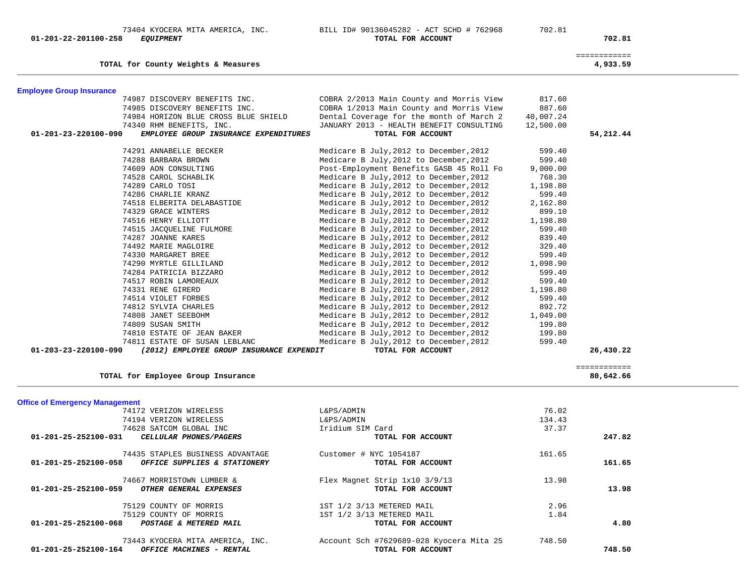| 74812 SYLVIA CHARLES                                                       | Medicare B July, 2012 to December, 2012                                   | 892.72   |              |  |
|----------------------------------------------------------------------------|---------------------------------------------------------------------------|----------|--------------|--|
| 74808 JANET SEEBOHM                                                        | Medicare B July, 2012 to December, 2012                                   | 1,049.00 |              |  |
| 74809 SUSAN SMITH                                                          | Medicare B July, 2012 to December, 2012                                   | 199.80   |              |  |
| 74810 ESTATE OF JEAN BAKER                                                 | Medicare B July, 2012 to December, 2012 199.80                            |          |              |  |
| 74811 ESTATE OF SUSAN LEBLANC                                              | Medicare B July, 2012 to December, 2012                                   | 599.40   |              |  |
| $01 - 203 - 23 - 220100 - 090$<br>(2012) EMPLOYEE GROUP INSURANCE EXPENDIT | TOTAL FOR ACCOUNT                                                         |          | 26,430.22    |  |
|                                                                            |                                                                           |          |              |  |
|                                                                            |                                                                           |          | ============ |  |
| TOTAL for Employee Group Insurance                                         |                                                                           |          | 80,642.66    |  |
| <b>Office of Emergency Management</b>                                      |                                                                           |          |              |  |
| 74172 VERIZON WIRELESS                                                     | L&PS/ADMIN                                                                | 76.02    |              |  |
| 74194 VERIZON WIRELESS                                                     | L&PS/ADMIN                                                                | 134.43   |              |  |
| 74628 SATCOM GLOBAL INC                                                    | Iridium SIM Card                                                          | 37.37    |              |  |
| 01-201-25-252100-031 CELLULAR PHONES/PAGERS                                | TOTAL FOR ACCOUNT                                                         |          | 247.82       |  |
|                                                                            |                                                                           |          |              |  |
| 74435 STAPLES BUSINESS ADVANTAGE                                           | Customer # $NYC$ 1054187                                                  | 161.65   |              |  |
| 01-201-25-252100-058 OFFICE SUPPLIES & STATIONERY                          | TOTAL FOR ACCOUNT                                                         |          | 161.65       |  |
|                                                                            |                                                                           |          |              |  |
| 74667 MORRISTOWN LUMBER &                                                  | Flex Magnet Strip 1x10 3/9/13                                             | 13.98    |              |  |
| 01-201-25-252100-059<br>OTHER GENERAL EXPENSES                             | TOTAL FOR ACCOUNT                                                         |          | 13.98        |  |
| 75129 COUNTY OF MORRIS                                                     | 1ST 1/2 3/13 METERED MAIL                                                 | 2.96     |              |  |
| 75129 COUNTY OF MORRIS                                                     | 1ST 1/2 3/13 METERED MAIL                                                 | 1.84     |              |  |
| 01-201-25-252100-068 POSTAGE & METERED MAIL                                | TOTAL FOR ACCOUNT                                                         |          | 4.80         |  |
|                                                                            |                                                                           |          |              |  |
|                                                                            | 73443 KYOCERA MITA AMERICA, INC. Account Sch #7629689-028 Kyocera Mita 25 | 748.50   |              |  |
| $01-201-25-252100-164$ OFFICE MACHINES - RENTAL                            | TOTAL FOR ACCOUNT                                                         |          | 748.50       |  |
|                                                                            |                                                                           |          |              |  |

| <b>Employee Group Insurance</b> |                                       |                                                                        |           |           |
|---------------------------------|---------------------------------------|------------------------------------------------------------------------|-----------|-----------|
|                                 |                                       | 74987 DISCOVERY BENEFITS INC. COBRA 2/2013 Main County and Morris View | 817.60    |           |
|                                 |                                       | 74985 DISCOVERY BENEFITS INC. COBRA 1/2013 Main County and Morris View | 887.60    |           |
|                                 | 74984 HORIZON BLUE CROSS BLUE SHIELD  | Dental Coverage for the month of March 2                               | 40,007.24 |           |
|                                 | 74340 RHM BENEFITS, INC.              | JANUARY 2013 - HEALTH BENEFIT CONSULTING                               | 12,500.00 |           |
| 01-201-23-220100-090            | EMPLOYEE GROUP INSURANCE EXPENDITURES | TOTAL FOR ACCOUNT                                                      |           | 54,212.44 |
|                                 | 74291 ANNABELLE BECKER                | Medicare B July, 2012 to December, 2012                                | 599.40    |           |
|                                 | 74288 BARBARA BROWN                   | Medicare B July, 2012 to December, 2012                                | 599.40    |           |
|                                 | 74609 AON CONSULTING                  | Post-Employment Benefits GASB 45 Roll Fo                               | 9,000.00  |           |
|                                 | 74528 CAROL SCHABLIK                  | Medicare B July, 2012 to December, 2012 768.30                         |           |           |
|                                 | 74289 CARLO TOSI                      | Medicare B July, 2012 to December, 2012                                | 1,198.80  |           |
|                                 | 74286 CHARLIE KRANZ                   | Medicare B July, 2012 to December, 2012                                | 599.40    |           |
|                                 | 74518 ELBERITA DELABASTIDE            | Medicare B July, 2012 to December, 2012                                | 2,162.80  |           |
|                                 | 74329 GRACE WINTERS                   | Medicare B July, 2012 to December, 2012                                | 899.10    |           |
|                                 | 74516 HENRY ELLIOTT                   | Medicare B July, 2012 to December, 2012                                | 1,198.80  |           |
|                                 | 74515 JACQUELINE FULMORE              | Medicare B July, 2012 to December, 2012                                | 599.40    |           |
|                                 | 74287 JOANNE KARES                    | Medicare B July, 2012 to December, 2012                                | 839.40    |           |
|                                 | 74492 MARIE MAGLOIRE                  | Medicare B July, 2012 to December, 2012                                | 329.40    |           |
|                                 | 74330 MARGARET BREE                   | Medicare B July, 2012 to December, 2012                                | 599.40    |           |
|                                 | 74290 MYRTLE GILLILAND                | Medicare B July, 2012 to December, 2012                                | 1,098.90  |           |
|                                 | 74284 PATRICIA BIZZARO                | Medicare B July, 2012 to December, 2012                                | 599.40    |           |
|                                 | 74517 ROBIN LAMOREAUX                 | Medicare B July, 2012 to December, 2012                                | 599.40    |           |
|                                 | 74331 RENE GIRERD                     | Medicare B July, 2012 to December, 2012                                | 1,198.80  |           |
|                                 | 74514 VIOLET FORBES                   | Medicare B July, 2012 to December, 2012                                | 599.40    |           |
|                                 | 74812 SYLVIA CHARLES                  | Medicare B July, 2012 to December, 2012                                | 892.72    |           |
|                                 | 74808 JANET SEEBOHM                   | Medicare B July, 2012 to December, 2012                                | 1,049.00  |           |
|                                 | 74809 SUSAN SMITH                     | Medicare B July, 2012 to December, 2012                                | 199.80    |           |
|                                 | 74810 ESTATE OF JEAN BAKER            | Medicare B July, 2012 to December, 2012                                | 199.80    |           |
|                                 | 74811 ESTATE OF SUSAN LEBLANC         | Medicare B July, 2012 to December, 2012                                | 599.40    |           |

# **TOTAL for County Weights & Measures 4,933.59**

============

### 73404 KYOCERA MITA AMERICA, INC.<br> **BILL ID# 90136045282 - ACT SCHD # 762968** 702.81<br> **TOTAL FOR ACCOUNT 01-201-22-201100-258** *EQUIPMENT* **TOTAL FOR ACCOUNT 702.81**

4,933.59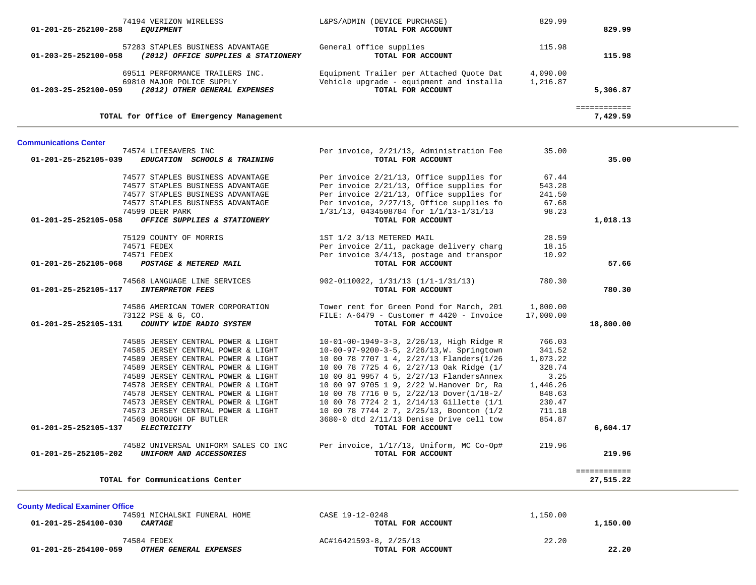| 01-201-25-252100-258                  | 74194 VERIZON WIRELESS<br><b>EQUIPMENT</b>      | L&PS/ADMIN (DEVICE PURCHASE)<br>TOTAL FOR ACCOUNT | 829.99    | 829.99                   |  |
|---------------------------------------|-------------------------------------------------|---------------------------------------------------|-----------|--------------------------|--|
|                                       | 57283 STAPLES BUSINESS ADVANTAGE                |                                                   |           |                          |  |
| 01-203-25-252100-058                  | (2012) OFFICE SUPPLIES & STATIONERY             | General office supplies<br>TOTAL FOR ACCOUNT      | 115.98    | 115.98                   |  |
|                                       | 69511 PERFORMANCE TRAILERS INC.                 | Equipment Trailer per Attached Quote Dat          | 4,090.00  |                          |  |
|                                       | 69810 MAJOR POLICE SUPPLY                       | Vehicle upgrade - equipment and installa          | 1,216.87  |                          |  |
| 01-203-25-252100-059                  | (2012) OTHER GENERAL EXPENSES                   | TOTAL FOR ACCOUNT                                 |           | 5,306.87                 |  |
|                                       | TOTAL for Office of Emergency Management        |                                                   |           | ============<br>7,429.59 |  |
| <b>Communications Center</b>          |                                                 |                                                   |           |                          |  |
|                                       | 74574 LIFESAVERS INC                            | Per invoice, 2/21/13, Administration Fee          | 35.00     |                          |  |
| 01-201-25-252105-039                  | EDUCATION SCHOOLS & TRAINING                    | TOTAL FOR ACCOUNT                                 |           | 35.00                    |  |
|                                       | 74577 STAPLES BUSINESS ADVANTAGE                | Per invoice 2/21/13, Office supplies for          | 67.44     |                          |  |
|                                       | 74577 STAPLES BUSINESS ADVANTAGE                | Per invoice 2/21/13, Office supplies for          | 543.28    |                          |  |
|                                       | 74577 STAPLES BUSINESS ADVANTAGE                | Per invoice 2/21/13, Office supplies for          | 241.50    |                          |  |
|                                       | 74577 STAPLES BUSINESS ADVANTAGE                | Per invoice, 2/27/13, Office supplies fo          | 67.68     |                          |  |
|                                       | 74599 DEER PARK<br>OFFICE SUPPLIES & STATIONERY | 1/31/13, 0434508784 for 1/1/13-1/31/13            | 98.23     |                          |  |
| 01-201-25-252105-058                  |                                                 | TOTAL FOR ACCOUNT                                 |           | 1,018.13                 |  |
|                                       | 75129 COUNTY OF MORRIS                          | 1ST 1/2 3/13 METERED MAIL                         | 28.59     |                          |  |
|                                       | 74571 FEDEX                                     | Per invoice 2/11, package delivery charg          | 18.15     |                          |  |
|                                       | 74571 FEDEX                                     | Per invoice 3/4/13, postage and transpor          | 10.92     |                          |  |
| 01-201-25-252105-068                  | POSTAGE & METERED MAIL                          | TOTAL FOR ACCOUNT                                 |           | 57.66                    |  |
|                                       | 74568 LANGUAGE LINE SERVICES                    | $902 - 0110022$ , $1/31/13$ $(1/1-1/31/13)$       | 780.30    |                          |  |
| 01-201-25-252105-117                  | <b>INTERPRETOR FEES</b>                         | TOTAL FOR ACCOUNT                                 |           | 780.30                   |  |
|                                       | 74586 AMERICAN TOWER CORPORATION                | Tower rent for Green Pond for March, 201          | 1,800.00  |                          |  |
|                                       | 73122 PSE & G, CO.                              | FILE: A-6479 - Customer # 4420 - Invoice          | 17,000.00 |                          |  |
| 01-201-25-252105-131                  | COUNTY WIDE RADIO SYSTEM                        | TOTAL FOR ACCOUNT                                 |           | 18,800.00                |  |
|                                       | 74585 JERSEY CENTRAL POWER & LIGHT              | 10-01-00-1949-3-3, 2/26/13, High Ridge R          | 766.03    |                          |  |
|                                       | 74585 JERSEY CENTRAL POWER & LIGHT              | 10-00-97-9200-3-5, 2/26/13, W. Springtown         | 341.52    |                          |  |
|                                       | 74589 JERSEY CENTRAL POWER & LIGHT              | 10 00 78 7707 1 4, 2/27/13 Flanders(1/26          | 1,073.22  |                          |  |
|                                       | 74589 JERSEY CENTRAL POWER & LIGHT              | 10 00 78 7725 4 6, 2/27/13 Oak Ridge (1/          | 328.74    |                          |  |
|                                       | 74589 JERSEY CENTRAL POWER & LIGHT              | 10 00 81 9957 4 5, 2/27/13 FlandersAnnex          | 3.25      |                          |  |
|                                       | 74578 JERSEY CENTRAL POWER & LIGHT              | 10 00 97 9705 1 9, 2/22 W. Hanover Dr, Ra         | 1,446.26  |                          |  |
|                                       | 74578 JERSEY CENTRAL POWER & LIGHT              | 10 00 78 7716 0 5, 2/22/13 Dover(1/18-2/          | 848.63    |                          |  |
|                                       | 74573 JERSEY CENTRAL POWER & LIGHT              | 10 00 78 7724 2 1, 2/14/13 Gillette (1/1          | 230.47    |                          |  |
|                                       | 74573 JERSEY CENTRAL POWER & LIGHT              | 10 00 78 7744 2 7, 2/25/13, Boonton (1/2          | 711.18    |                          |  |
|                                       | 74569 BOROUGH OF BUTLER                         | 3680-0 dtd 2/11/13 Denise Drive cell tow          | 854.87    |                          |  |
| 01-201-25-252105-137                  | <b>ELECTRICITY</b>                              | TOTAL FOR ACCOUNT                                 |           | 6,604.17                 |  |
|                                       | 74582 UNIVERSAL UNIFORM SALES CO INC            | Per invoice, 1/17/13, Uniform, MC Co-Op#          | 219.96    |                          |  |
| 01-201-25-252105-202                  | UNIFORM AND ACCESSORIES                         | TOTAL FOR ACCOUNT                                 |           | 219.96                   |  |
|                                       |                                                 |                                                   |           | ============             |  |
|                                       | TOTAL for Communications Center                 |                                                   |           | 27,515.22                |  |
|                                       |                                                 |                                                   |           |                          |  |
| <b>County Medical Examiner Office</b> | 74591 MICHALSKI FUNERAL HOME                    | CASE 19-12-0248                                   | 1,150.00  |                          |  |
| 01-201-25-254100-030                  | <b>CARTAGE</b>                                  | TOTAL FOR ACCOUNT                                 |           | 1,150.00                 |  |
|                                       |                                                 |                                                   |           |                          |  |
|                                       | 74584 FEDEX                                     | AC#16421593-8, 2/25/13                            | 22.20     |                          |  |
| 01-201-25-254100-059                  | OTHER GENERAL EXPENSES                          | TOTAL FOR ACCOUNT                                 |           | 22.20                    |  |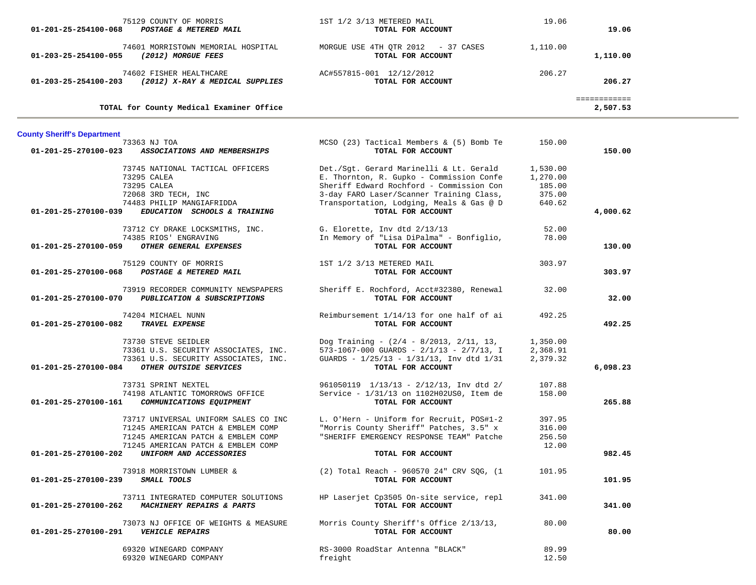| 75129 COUNTY OF MORRIS                                                             | 1ST 1/2 3/13 METERED MAIL                                                            | 19.06            |              |  |
|------------------------------------------------------------------------------------|--------------------------------------------------------------------------------------|------------------|--------------|--|
| POSTAGE & METERED MAIL<br>01-201-25-254100-068                                     | TOTAL FOR ACCOUNT                                                                    |                  | 19.06        |  |
| 74601 MORRISTOWN MEMORIAL HOSPITAL                                                 | MORGUE USE 4TH OTR 2012 - 37 CASES                                                   | 1,110.00         |              |  |
| (2012) MORGUE FEES<br>01-203-25-254100-055                                         | TOTAL FOR ACCOUNT                                                                    |                  | 1,110.00     |  |
| 74602 FISHER HEALTHCARE                                                            | AC#557815-001 12/12/2012                                                             | 206.27           |              |  |
| 01-203-25-254100-203<br>(2012) X-RAY & MEDICAL SUPPLIES                            | TOTAL FOR ACCOUNT                                                                    |                  | 206.27       |  |
|                                                                                    |                                                                                      |                  | ============ |  |
| TOTAL for County Medical Examiner Office                                           |                                                                                      |                  | 2,507.53     |  |
| <b>County Sheriff's Department</b>                                                 |                                                                                      |                  |              |  |
| 73363 NJ TOA                                                                       | MCSO (23) Tactical Members & (5) Bomb Te                                             | 150.00           |              |  |
| 01-201-25-270100-023<br>ASSOCIATIONS AND MEMBERSHIPS                               | TOTAL FOR ACCOUNT                                                                    |                  | 150.00       |  |
| 73745 NATIONAL TACTICAL OFFICERS                                                   | Det./Sgt. Gerard Marinelli & Lt. Gerald                                              | 1,530.00         |              |  |
| 73295 CALEA                                                                        | E. Thornton, R. Gupko - Commission Confe                                             | 1,270.00         |              |  |
| 73295 CALEA                                                                        | Sheriff Edward Rochford - Commission Con<br>3-day FARO Laser/Scanner Training Class, | 185.00<br>375.00 |              |  |
| 72068 3RD TECH, INC<br>74483 PHILIP MANGIAFRIDDA                                   | Transportation, Lodging, Meals & Gas @ D                                             | 640.62           |              |  |
| EDUCATION SCHOOLS & TRAINING<br>01-201-25-270100-039                               | TOTAL FOR ACCOUNT                                                                    |                  | 4,000.62     |  |
|                                                                                    |                                                                                      |                  |              |  |
| 73712 CY DRAKE LOCKSMITHS, INC.<br>74385 RIOS' ENGRAVING                           | G. Elorette, Inv dtd 2/13/13<br>In Memory of "Lisa DiPalma" - Bonfiglio,             | 52.00<br>78.00   |              |  |
| OTHER GENERAL EXPENSES<br>01-201-25-270100-059                                     | TOTAL FOR ACCOUNT                                                                    |                  | 130.00       |  |
| 75129 COUNTY OF MORRIS                                                             | 1ST 1/2 3/13 METERED MAIL                                                            | 303.97           |              |  |
| 01-201-25-270100-068<br>POSTAGE & METERED MAIL                                     | TOTAL FOR ACCOUNT                                                                    |                  | 303.97       |  |
| 73919 RECORDER COMMUNITY NEWSPAPERS                                                | Sheriff E. Rochford, Acct#32380, Renewal                                             | 32.00            |              |  |
| 01-201-25-270100-070<br>PUBLICATION & SUBSCRIPTIONS                                | TOTAL FOR ACCOUNT                                                                    |                  | 32.00        |  |
| 74204 MICHAEL NUNN                                                                 | Reimbursement 1/14/13 for one half of ai                                             | 492.25           |              |  |
| TRAVEL EXPENSE<br>01-201-25-270100-082                                             | TOTAL FOR ACCOUNT                                                                    |                  | 492.25       |  |
| 73730 STEVE SEIDLER                                                                | Dog Training - (2/4 - 8/2013, 2/11, 13,                                              | 1,350.00         |              |  |
| 73361 U.S. SECURITY ASSOCIATES, INC.                                               | 573-1067-000 GUARDS - $2/1/13$ - $2/7/13$ , I                                        | 2,368.91         |              |  |
| 73361 U.S. SECURITY ASSOCIATES, INC.                                               | GUARDS - 1/25/13 - 1/31/13, Inv dtd 1/31                                             | 2,379.32         |              |  |
| OTHER OUTSIDE SERVICES<br>01-201-25-270100-084                                     | TOTAL FOR ACCOUNT                                                                    |                  | 6,098.23     |  |
| 73731 SPRINT NEXTEL                                                                | $961050119$ $1/13/13$ - $2/12/13$ , Inv dtd 2/                                       | 107.88           |              |  |
| 74198 ATLANTIC TOMORROWS OFFICE                                                    | Service - 1/31/13 on 1102H02US0, Item de                                             | 158.00           |              |  |
| 01-201-25-270100-161<br>COMMUNICATIONS EQUIPMENT                                   | TOTAL FOR ACCOUNT                                                                    |                  | 265.88       |  |
| 73717 UNIVERSAL UNIFORM SALES CO INC                                               | L. O'Hern - Uniform for Recruit, POS#1-2                                             | 397.95           |              |  |
| 71245 AMERICAN PATCH & EMBLEM COMP                                                 | "Morris County Sheriff" Patches, 3.5" x                                              | 316.00           |              |  |
| 71245 AMERICAN PATCH & EMBLEM COMP                                                 | "SHERIFF EMERGENCY RESPONSE TEAM" Patche                                             | 256.50           |              |  |
| 71245 AMERICAN PATCH & EMBLEM COMP<br>01-201-25-270100-202 UNIFORM AND ACCESSORIES | TOTAL FOR ACCOUNT                                                                    | 12.00            | 982.45       |  |
|                                                                                    |                                                                                      |                  |              |  |
| 73918 MORRISTOWN LUMBER &                                                          | (2) Total Reach - 960570 24" CRV SQG, (1                                             | 101.95           |              |  |
| 01-201-25-270100-239 SMALL TOOLS                                                   | TOTAL FOR ACCOUNT                                                                    |                  | 101.95       |  |
| 73711 INTEGRATED COMPUTER SOLUTIONS                                                | HP Laserjet Cp3505 On-site service, repl                                             | 341.00           |              |  |
| 01-201-25-270100-262 MACHINERY REPAIRS & PARTS                                     | TOTAL FOR ACCOUNT                                                                    |                  | 341.00       |  |
| 73073 NJ OFFICE OF WEIGHTS & MEASURE                                               | Morris County Sheriff's Office 2/13/13,                                              | 80.00            |              |  |
| 01-201-25-270100-291    VEHICLE REPAIRS                                            | TOTAL FOR ACCOUNT                                                                    |                  | 80.00        |  |
| 69320 WINEGARD COMPANY                                                             | RS-3000 RoadStar Antenna "BLACK"                                                     | 89.99            |              |  |
| 69320 WINEGARD COMPANY                                                             | freight                                                                              | 12.50            |              |  |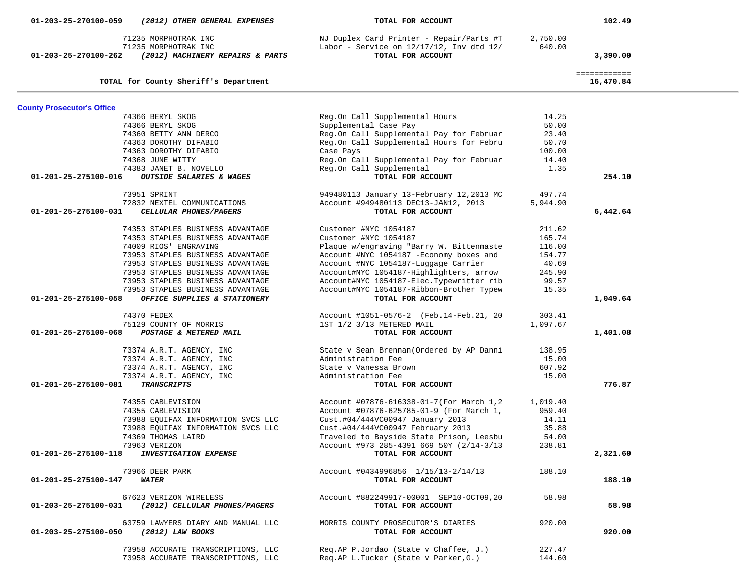| 71235 MORPHOTRAK INC<br>71235 MORPHOTRAK INC<br>01-203-25-270100-262<br>(2012) MACHINERY REPAIRS & PARTS | NJ Duplex Card Printer - Repair/Parts #T<br>Labor - Service on $12/17/12$ , Inv dtd $12/$<br>TOTAL FOR ACCOUNT | 2,750.00<br>640.00 | 3,390.00                  |  |
|----------------------------------------------------------------------------------------------------------|----------------------------------------------------------------------------------------------------------------|--------------------|---------------------------|--|
| TOTAL for County Sheriff's Department                                                                    |                                                                                                                |                    | ============<br>16,470.84 |  |
| <b>County Prosecutor's Office</b>                                                                        |                                                                                                                |                    |                           |  |
| 74366 BERYL SKOG                                                                                         | Reg.On Call Supplemental Hours                                                                                 | 14.25              |                           |  |
| 74366 BERYL SKOG                                                                                         | Supplemental Case Pay                                                                                          | 50.00              |                           |  |
| 74360 BETTY ANN DERCO                                                                                    | Reg.On Call Supplemental Pay for Februar                                                                       | 23.40              |                           |  |
| 74363 DOROTHY DIFABIO                                                                                    | Reg.On Call Supplemental Hours for Febru                                                                       | 50.70              |                           |  |
| 74363 DOROTHY DIFABIO                                                                                    | Case Pays                                                                                                      | 100.00             |                           |  |
| 74368 JUNE WITTY                                                                                         | Reg.On Call Supplemental Pay for Februar                                                                       | 14.40              |                           |  |
| 74383 JANET B. NOVELLO                                                                                   | Reg.On Call Supplemental                                                                                       | 1.35               |                           |  |
| 01-201-25-275100-016<br>OUTSIDE SALARIES & WAGES                                                         | TOTAL FOR ACCOUNT                                                                                              |                    | 254.10                    |  |
| 73951 SPRINT                                                                                             | 949480113 January 13-February 12,2013 MC                                                                       | 497.74             |                           |  |
| 72832 NEXTEL COMMUNICATIONS                                                                              | Account #949480113 DEC13-JAN12, 2013                                                                           | 5,944.90           |                           |  |
| 01-201-25-275100-031<br>CELLULAR PHONES/PAGERS                                                           | TOTAL FOR ACCOUNT                                                                                              |                    | 6,442.64                  |  |
| 74353 STAPLES BUSINESS ADVANTAGE                                                                         | Customer #NYC 1054187                                                                                          | 211.62             |                           |  |
| 74353 STAPLES BUSINESS ADVANTAGE                                                                         | Customer #NYC 1054187                                                                                          | 165.74             |                           |  |
| 74009 RIOS' ENGRAVING                                                                                    | Plaque w/engraving "Barry W. Bittenmaste                                                                       | 116.00             |                           |  |
| 73953 STAPLES BUSINESS ADVANTAGE                                                                         | Account #NYC 1054187 - Economy boxes and                                                                       | 154.77             |                           |  |
| 73953 STAPLES BUSINESS ADVANTAGE                                                                         | Account #NYC 1054187-Luggage Carrier                                                                           | 40.69              |                           |  |
| 73953 STAPLES BUSINESS ADVANTAGE                                                                         | Account#NYC 1054187-Highlighters, arrow                                                                        | 245.90             |                           |  |
| 73953 STAPLES BUSINESS ADVANTAGE                                                                         | Account#NYC 1054187-Elec.Typewritter rib                                                                       | 99.57              |                           |  |
| 73953 STAPLES BUSINESS ADVANTAGE                                                                         | Account#NYC 1054187-Ribbon-Brother Typew                                                                       | 15.35              |                           |  |
| 01-201-25-275100-058<br>OFFICE SUPPLIES & STATIONERY                                                     | TOTAL FOR ACCOUNT                                                                                              |                    | 1,049.64                  |  |
| 74370 FEDEX                                                                                              | Account #1051-0576-2 (Feb.14-Feb.21, 20                                                                        | 303.41             |                           |  |
| 75129 COUNTY OF MORRIS                                                                                   | 1ST 1/2 3/13 METERED MAIL                                                                                      | 1,097.67           |                           |  |
| 01-201-25-275100-068<br>POSTAGE & METERED MAIL                                                           | TOTAL FOR ACCOUNT                                                                                              |                    | 1,401.08                  |  |
| 73374 A.R.T. AGENCY, INC                                                                                 | State v Sean Brennan (Ordered by AP Danni                                                                      | 138.95             |                           |  |
| 73374 A.R.T. AGENCY, INC                                                                                 | Administration Fee                                                                                             | 15.00              |                           |  |
| 73374 A.R.T. AGENCY, INC                                                                                 | State v Vanessa Brown                                                                                          | 607.92             |                           |  |
| 73374 A.R.T. AGENCY, INC                                                                                 | Administration Fee                                                                                             | 15.00              |                           |  |
| 01-201-25-275100-081<br><b>TRANSCRIPTS</b>                                                               | TOTAL FOR ACCOUNT                                                                                              |                    | 776.87                    |  |
| 74355 CABLEVISION                                                                                        | Account #07876-616338-01-7(For March 1,2                                                                       | 1,019.40           |                           |  |
| 74355 CABLEVISION                                                                                        | Account #07876-625785-01-9 (For March 1,                                                                       | 959.40             |                           |  |
| 73988 EQUIFAX INFORMATION SVCS LLC                                                                       | Cust.#04/444VC00947 January 2013                                                                               | 14.11              |                           |  |
| 73988 EQUIFAX INFORMATION SVCS LLC                                                                       | Cust.#04/444VC00947 February 2013                                                                              | 35.88              |                           |  |
| 74369 THOMAS LAIRD                                                                                       | Traveled to Bayside State Prison, Leesbu                                                                       | 54.00              |                           |  |
| 73963 VERIZON                                                                                            | Account #973 285-4391 669 50Y (2/14-3/13                                                                       | 238.81             |                           |  |
| 01-201-25-275100-118<br><b>INVESTIGATION EXPENSE</b>                                                     | TOTAL FOR ACCOUNT                                                                                              |                    | 2,321.60                  |  |
| 73966 DEER PARK                                                                                          | Account #0434996856 1/15/13-2/14/13                                                                            | 188.10             |                           |  |
| 01-201-25-275100-147<br><i><b>WATER</b></i>                                                              | TOTAL FOR ACCOUNT                                                                                              |                    | 188.10                    |  |
| 67623 VERIZON WIRELESS<br>(2012) CELLULAR PHONES/PAGERS<br>01-203-25-275100-031                          | Account #882249917-00001 SEP10-OCT09,20<br>TOTAL FOR ACCOUNT                                                   | 58.98              | 58.98                     |  |
| 63759 LAWYERS DIARY AND MANUAL LLC<br>(2012) LAW BOOKS<br>01-203-25-275100-050                           | MORRIS COUNTY PROSECUTOR'S DIARIES<br>TOTAL FOR ACCOUNT                                                        | 920.00             | 920.00                    |  |
| 73958 ACCURATE TRANSCRIPTIONS, LLC<br>73958 ACCURATE TRANSCRIPTIONS, LLC                                 | Reg.AP P.Jordao (State v Chaffee, J.)<br>Req.AP L.Tucker (State v Parker, G.)                                  | 227.47<br>144.60   |                           |  |

 **01-203-25-270100-059** *(2012) OTHER GENERAL EXPENSES* **TOTAL FOR ACCOUNT 102.49**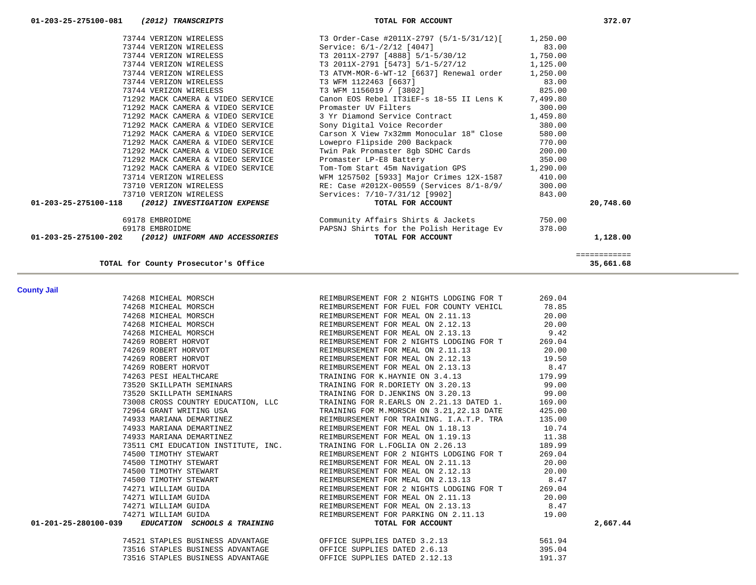| 74521 STAPLES BUSINESS ADVANTAGE | OFFICE SUPPLIES DATED 3.2.13  | 561.94 |
|----------------------------------|-------------------------------|--------|
| 73516 STAPLES BUSINESS ADVANTAGE | OFFICE SUPPLIES DATED 2.6.13  | 395.04 |
| 73516 STAPLES BUSINESS ADVANTAGE | OFFICE SUPPLIES DATED 2.12.13 | 191.37 |

|  | 73520 SKILLPATH SEMINARS TRAINING FOR D.JENKINS ON 3.20.13 99.00                                                                                                                                                                       |                   |        |          |
|--|----------------------------------------------------------------------------------------------------------------------------------------------------------------------------------------------------------------------------------------|-------------------|--------|----------|
|  | 73008 CROSS COUNTRY EDUCATION, LLC TRAINING FOR R.EARLS ON 2.21.13 DATED 1.                                                                                                                                                            |                   | 169.00 |          |
|  | 72964 GRANT WRITING USA <b>TRAINING FOR M.MORSCH ON 3.21,22.13 DATE</b>                                                                                                                                                                |                   | 425.00 |          |
|  |                                                                                                                                                                                                                                        |                   |        |          |
|  | 9133 MARIANA DEMARTINEZ (REIMBURSEMENT FOR TRAINING. I.A.T.P. TRA 135.00)<br>10.74 MARIANA DEMARTINEZ (REIMBURSEMENT FOR MEAL ON 1.18.13 10.74<br>11.38 MARIANA DEMARTINEZ (REIMBURSEMENT FOR MEAL ON 1.19.13 11.38                    |                   |        |          |
|  |                                                                                                                                                                                                                                        |                   |        |          |
|  | 73511 CMI EDUCATION INSTITUTE, INC. TRAINING FOR L.FOGLIA ON 2.26.13                                                                                                                                                                   |                   | 189.99 |          |
|  |                                                                                                                                                                                                                                        |                   |        |          |
|  |                                                                                                                                                                                                                                        |                   |        |          |
|  |                                                                                                                                                                                                                                        |                   |        |          |
|  |                                                                                                                                                                                                                                        |                   |        |          |
|  |                                                                                                                                                                                                                                        |                   |        |          |
|  |                                                                                                                                                                                                                                        |                   |        |          |
|  | 33-1 CHE MENTREMART ROLL AND REIMBURSEMENT FOR 2NIGHTS LODGING FOR T<br>269.04<br>74500 TIMOTHY STEWART REMART REIMBURSEMENT FOR 2NIGHTS LODGING FOR T<br>74500 TIMOTHY STEWART REMART REIMBURSEMENT FOR MEAL ON 2.12.13<br>74271 WILL |                   |        |          |
|  | 74271 WILLIAM GUIDA CONTROLLER TREIMBURSEMENT FOR PARKING ON 2.11.13                                                                                                                                                                   |                   | 19.00  |          |
|  | 01-201-25-280100-039 EDUCATION SCHOOLS & TRAINING                                                                                                                                                                                      | TOTAL FOR ACCOUNT |        | 2,667.44 |
|  |                                                                                                                                                                                                                                        |                   |        |          |

| TOTAL for County Prosecutor's Office                 |                                                   |          | 35,661.68                |
|------------------------------------------------------|---------------------------------------------------|----------|--------------------------|
| 01-203-25-275100-202 (2012) UNIFORM AND ACCESSORIES  | TOTAL FOR ACCOUNT                                 |          | 1,128.00<br>============ |
| 69178 EMBROIDME                                      | PAPSNJ Shirts for the Polish Heritage Ev          | 378.00   |                          |
| 69178 EMBROIDME                                      | Community Affairs Shirts & Jackets                | 750.00   |                          |
| 01-203-25-275100-118<br>(2012) INVESTIGATION EXPENSE | TOTAL FOR ACCOUNT                                 |          | 20,748.60                |
| 73710 VERIZON WIRELESS                               | Services: 7/10-7/31/12 [9902]                     | 843.00   |                          |
| 73710 VERIZON WIRELESS                               | RE: Case #2012X-00559 (Services 8/1-8/9/          | 300.00   |                          |
| 73714 VERIZON WIRELESS                               | WFM 1257502 [5933] Major Crimes 12X-1587          | 410.00   |                          |
| 71292 MACK CAMERA & VIDEO SERVICE                    | Tom-Tom Start 45m Navigation GPS 1,290.00         |          |                          |
| 71292 MACK CAMERA & VIDEO SERVICE                    | Promaster LP-E8 Battery 350.00                    |          |                          |
| 71292 MACK CAMERA & VIDEO SERVICE                    | Twin Pak Promaster 8gb SDHC Cards                 | 200.00   |                          |
| 71292 MACK CAMERA & VIDEO SERVICE                    | Lowepro Flipside 200 Backpack                     | 770.00   |                          |
| 71292 MACK CAMERA & VIDEO SERVICE                    | Carson X View 7x32mm Monocular 18" Close          | 580.00   |                          |
| 71292 MACK CAMERA & VIDEO SERVICE                    | Sony Digital Voice Recorder                       | 380.00   |                          |
| 71292 MACK CAMERA & VIDEO SERVICE                    | 3 Yr Diamond Service Contract                     | 1,459.80 |                          |
| 71292 MACK CAMERA & VIDEO SERVICE                    | Promaster UV Filters                              | 300.00   |                          |
| 71292 MACK CAMERA & VIDEO SERVICE                    | Canon EOS Rebel IT3iEF-s 18-55 II Lens K 7,499.80 |          |                          |
| 73744 VERIZON WIRELESS                               | T3 WFM 1156019 / [3802]                           | 825.00   |                          |
| 73744 VERIZON WIRELESS                               | T3 WFM 1122463 [6637]                             | 83.00    |                          |
| 73744 VERIZON WIRELESS                               | T3 ATVM-MOR-6-WT-12 [6637] Renewal order 1,250.00 |          |                          |
| 73744 VERIZON WIRELESS                               | T3 2011X-2791 [5473] 5/1-5/27/12 1,125.00         |          |                          |
| 73744 VERIZON WIRELESS                               | T3 2011X-2797 [4888] 5/1-5/30/12 1,750.00         |          |                          |
| 73744 VERIZON WIRELESS                               | Service: 6/1-/2/12 [4047]                         | 83.00    |                          |
| 73744 VERIZON WIRELESS                               | T3 Order-Case #2011X-2797 (5/1-5/31/12)[          | 1,250.00 |                          |

74268 MICHEAL MORSCH REIMBURSEMENT FOR 2 NIGHTS LODGING FOR T 269.04

**County Jail**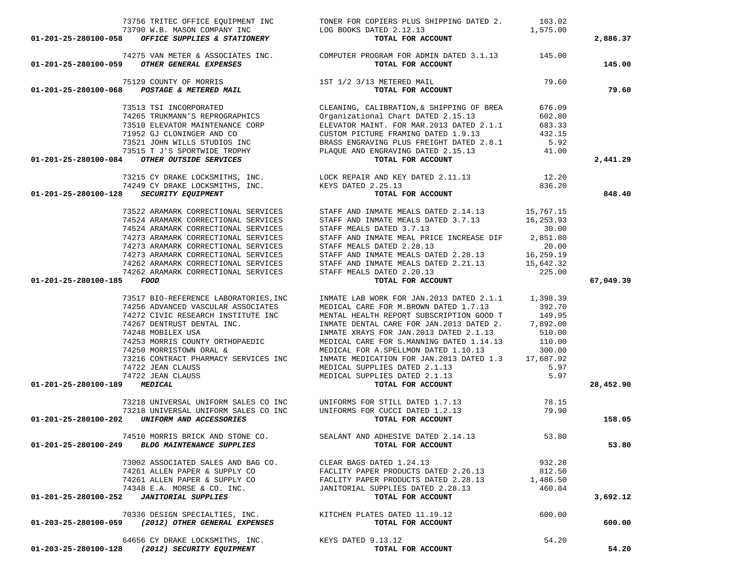|                                                                                  | 73756 TRITEC OFFICE EQUIPMENT INC TONER FOR COPIERS PLUS SHIPPING DATED 2. 163.02                                                                                                                                                                                                                                                                                                                                                                                                              |          |           |
|----------------------------------------------------------------------------------|------------------------------------------------------------------------------------------------------------------------------------------------------------------------------------------------------------------------------------------------------------------------------------------------------------------------------------------------------------------------------------------------------------------------------------------------------------------------------------------------|----------|-----------|
|                                                                                  |                                                                                                                                                                                                                                                                                                                                                                                                                                                                                                | 1,575.00 |           |
|                                                                                  | TOTAL FOR ACCOUNT                                                                                                                                                                                                                                                                                                                                                                                                                                                                              |          | 2,886.37  |
|                                                                                  | 74275 VAN METER & ASSOCIATES INC. COMPUTER PROGRAM FOR ADMIN DATED 3.1.13 145.00                                                                                                                                                                                                                                                                                                                                                                                                               |          |           |
| 01-201-25-280100-059 OTHER GENERAL EXPENSES                                      | TOTAL FOR ACCOUNT                                                                                                                                                                                                                                                                                                                                                                                                                                                                              |          | 145.00    |
| 75129 COUNTY OF MORRIS<br>01-201-25-280100-068 <i>POSTAGE &amp; METERED MAIL</i> | 1ST 1/2 3/13 METERED MAIL                                                                                                                                                                                                                                                                                                                                                                                                                                                                      | 79.60    |           |
|                                                                                  | TOTAL FOR ACCOUNT                                                                                                                                                                                                                                                                                                                                                                                                                                                                              |          | 79.60     |
| 73513 TSI INCORPORATED                                                           | CLEANING, CALIBRATION, & SHIPPING OF BREA 676.09                                                                                                                                                                                                                                                                                                                                                                                                                                               |          |           |
|                                                                                  |                                                                                                                                                                                                                                                                                                                                                                                                                                                                                                |          |           |
|                                                                                  |                                                                                                                                                                                                                                                                                                                                                                                                                                                                                                |          |           |
|                                                                                  |                                                                                                                                                                                                                                                                                                                                                                                                                                                                                                |          |           |
|                                                                                  |                                                                                                                                                                                                                                                                                                                                                                                                                                                                                                |          |           |
|                                                                                  |                                                                                                                                                                                                                                                                                                                                                                                                                                                                                                |          |           |
| 01-201-25-280100-084 OTHER OUTSIDE SERVICES                                      | TABLE TRUKMANN'S REPROGRAPHICS<br>TABLE TRUKMANN'S REPROGRAPHICS<br>TABLE TRUKMANN'S REPROGRAPHICS<br>TABLE TO THE TRUKMANNE CORP<br>TABLE TO THE TRUKMANNE CORP<br>TABLE TRUKMANNE TROPHY<br>CUSTOM PICTURE FRAMING DATED 1.9.13<br>TABLE T<br>TOTAL FOR ACCOUNT                                                                                                                                                                                                                              |          | 2,441.29  |
|                                                                                  |                                                                                                                                                                                                                                                                                                                                                                                                                                                                                                |          |           |
|                                                                                  |                                                                                                                                                                                                                                                                                                                                                                                                                                                                                                |          |           |
| 01-201-25-280100-128 SECURITY EQUIPMENT                                          | TOTAL FOR ACCOUNT                                                                                                                                                                                                                                                                                                                                                                                                                                                                              |          | 848.40    |
|                                                                                  | 73522 ARAMARK CORRECTIONAL SERVICES STAFF AND INMATE MEALS DATED 2.14.13 15,767.15                                                                                                                                                                                                                                                                                                                                                                                                             |          |           |
|                                                                                  |                                                                                                                                                                                                                                                                                                                                                                                                                                                                                                |          |           |
|                                                                                  | 31822 ARAWARK CORRECTIONAL SERVICES<br>T4524 ARAWARK CORRECTIONAL SERVICES<br>T4524 ARAWARK CORRECTIONAL SERVICES<br>T473 ARAWARK CORRECTIONAL SERVICES<br>T473 ARAWARK CORRECTIONAL SERVICES<br>T473 ARAWARK CORRECTIONAL SERVICES<br>T47                                                                                                                                                                                                                                                     |          |           |
|                                                                                  |                                                                                                                                                                                                                                                                                                                                                                                                                                                                                                |          |           |
|                                                                                  |                                                                                                                                                                                                                                                                                                                                                                                                                                                                                                |          |           |
|                                                                                  |                                                                                                                                                                                                                                                                                                                                                                                                                                                                                                |          |           |
|                                                                                  |                                                                                                                                                                                                                                                                                                                                                                                                                                                                                                |          |           |
|                                                                                  |                                                                                                                                                                                                                                                                                                                                                                                                                                                                                                |          |           |
|                                                                                  |                                                                                                                                                                                                                                                                                                                                                                                                                                                                                                |          |           |
| 01-201-25-280100-185 FOOD                                                        | TOTAL FOR ACCOUNT                                                                                                                                                                                                                                                                                                                                                                                                                                                                              |          | 67,049.39 |
|                                                                                  | 73517 BIO-REFERENCE LABORATORIES, INC   INMATE LAB WORK FOR JAN. 2013 DATED 2.1.1   1,398.39                                                                                                                                                                                                                                                                                                                                                                                                   |          |           |
| 74256 ADVANCED VASCULAR ASSOCIATES<br>74272 CIVIC RESEARCH INSTITUTE INC         | MEDICAL CARE FOR M.BROWN DATED 1.7.13                                                                                                                                                                                                                                                                                                                                                                                                                                                          | 392.70   |           |
|                                                                                  |                                                                                                                                                                                                                                                                                                                                                                                                                                                                                                |          |           |
|                                                                                  |                                                                                                                                                                                                                                                                                                                                                                                                                                                                                                |          |           |
|                                                                                  |                                                                                                                                                                                                                                                                                                                                                                                                                                                                                                |          |           |
|                                                                                  |                                                                                                                                                                                                                                                                                                                                                                                                                                                                                                |          |           |
|                                                                                  |                                                                                                                                                                                                                                                                                                                                                                                                                                                                                                |          |           |
|                                                                                  |                                                                                                                                                                                                                                                                                                                                                                                                                                                                                                |          |           |
|                                                                                  |                                                                                                                                                                                                                                                                                                                                                                                                                                                                                                |          |           |
|                                                                                  |                                                                                                                                                                                                                                                                                                                                                                                                                                                                                                |          |           |
| 01-201-25-280100-189 MEDICAL                                                     | $\begin{tabular}{lllllllllllllllllllll} \hline \text{{\sc 14272 CLVIC RESEARCH INSTITUTE INC}} & \text{{\sc 14272 CLVIC RESEARCH INSTITUTE INC}} & \text{{\sc 14272 CLVIC RESEARCH INSTITUTE INC}} & \text{{\sc 14278 NN.2013 DATED 2.1.13}} & \text{{\sc 14272 CLVIC RESENTAL INC}} & \text{{\sc 14278 NN.2013 DATED 2.1.13}} & \text{{\sc 14278 NN.2013 DATED 1.14.13}} & \text{{\sc 14278 NN.2013 DATED $<br>MEDICAL SUPPLIES DATED 2.1.13<br><b>TOTAL FOR ACCOUNT</b><br>TOTAL FOR ACCOUNT |          | 28,452.90 |
|                                                                                  | 73218 UNIVERSAL UNIFORM SALES CO INC<br>78.15 78.15 UNIVERSAL UNIFORM SALES CO INC<br>1999 10 UNIVERSAL UNIFORM SALES CO INC<br>1999 10 UNIFORM SALES CO INC                                                                                                                                                                                                                                                                                                                                   |          |           |
|                                                                                  |                                                                                                                                                                                                                                                                                                                                                                                                                                                                                                |          |           |
| 01-201-25-280100-202 UNIFORM AND ACCESSORIES                                     | TOTAL FOR ACCOUNT                                                                                                                                                                                                                                                                                                                                                                                                                                                                              |          | 158.05    |
|                                                                                  |                                                                                                                                                                                                                                                                                                                                                                                                                                                                                                |          |           |
| BLDG MAINTENANCE SUPPLIES                                                        | 74510 MORRIS BRICK AND STONE CO. SEALANT AND ADHESIVE DATED 2.14.13 53.80<br><b>BLDG MAINTENANCE SUPPLIES</b>                                                                                                                                                                                                                                                                                                                                                                                  |          |           |
| 01-201-25-280100-249                                                             |                                                                                                                                                                                                                                                                                                                                                                                                                                                                                                |          | 53.80     |
| 73002 ASSOCIATED SALES AND BAG CO.                                               | CLEAR BAGS DATED 1.24.13                                                                                                                                                                                                                                                                                                                                                                                                                                                                       | 932.28   |           |
| 74261 ALLEN PAPER & SUPPLY CO                                                    | FACLITY PAPER PRODUCTS DATED 2.26.13                                                                                                                                                                                                                                                                                                                                                                                                                                                           | 812.50   |           |
| 74261 ALLEN PAPER & SUPPLY CO                                                    | FACLITY PAPER PRODUCTS DATED 2.28.13                                                                                                                                                                                                                                                                                                                                                                                                                                                           | 1,486.50 |           |
| 74348 E.A. MORSE & CO. INC.                                                      | JANITORIAL SUPPLIES DATED 2.28.13                                                                                                                                                                                                                                                                                                                                                                                                                                                              | 460.84   |           |
| <b>JANITORIAL SUPPLIES</b><br>01-201-25-280100-252                               | TOTAL FOR ACCOUNT                                                                                                                                                                                                                                                                                                                                                                                                                                                                              |          | 3,692.12  |
| 70336 DESIGN SPECIALTIES, INC.                                                   | KITCHEN PLATES DATED 11.19.12                                                                                                                                                                                                                                                                                                                                                                                                                                                                  | 600.00   |           |
| 01-203-25-280100-059<br>(2012) OTHER GENERAL EXPENSES                            | TOTAL FOR ACCOUNT                                                                                                                                                                                                                                                                                                                                                                                                                                                                              |          | 600.00    |
| 64656 CY DRAKE LOCKSMITHS, INC.                                                  | KEYS DATED 9.13.12                                                                                                                                                                                                                                                                                                                                                                                                                                                                             | 54.20    |           |
| (2012) SECURITY EQUIPMENT<br>01-203-25-280100-128                                | TOTAL FOR ACCOUNT                                                                                                                                                                                                                                                                                                                                                                                                                                                                              |          | 54.20     |
|                                                                                  |                                                                                                                                                                                                                                                                                                                                                                                                                                                                                                |          |           |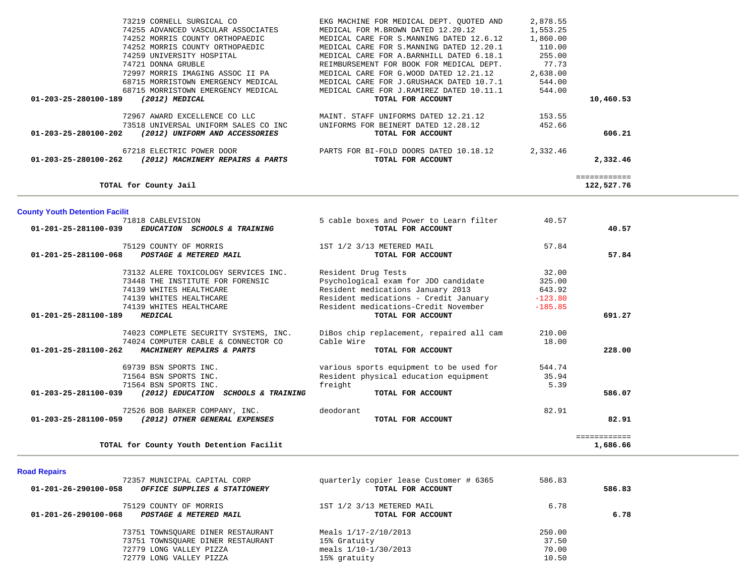|                                       | 73219 CORNELL SURGICAL CO<br>74255 ADVANCED VASCULAR ASSOCIATES<br>74252 MORRIS COUNTY ORTHOPAEDIC<br>74252 MORRIS COUNTY ORTHOPAEDIC | EKG MACHINE FOR MEDICAL DEPT. QUOTED AND<br>MEDICAL FOR M.BROWN DATED 12.20.12<br>MEDICAL CARE FOR S.MANNING DATED 12.6.12<br>MEDICAL CARE FOR S.MANNING DATED 12.20.1 | 2,878.55<br>1,553.25<br>1,860.00<br>110.00 |              |  |
|---------------------------------------|---------------------------------------------------------------------------------------------------------------------------------------|------------------------------------------------------------------------------------------------------------------------------------------------------------------------|--------------------------------------------|--------------|--|
|                                       | 74259 UNIVERSITY HOSPITAL                                                                                                             | MEDICAL CARE FOR A.BARNHILL DATED 6.18.1                                                                                                                               | 255.00                                     |              |  |
|                                       | 74721 DONNA GRUBLE                                                                                                                    | REIMBURSEMENT FOR BOOK FOR MEDICAL DEPT.                                                                                                                               | 77.73                                      |              |  |
|                                       | 72997 MORRIS IMAGING ASSOC II PA                                                                                                      | MEDICAL CARE FOR G.WOOD DATED 12.21.12                                                                                                                                 | 2,638.00                                   |              |  |
|                                       | 68715 MORRISTOWN EMERGENCY MEDICAL                                                                                                    | MEDICAL CARE FOR J.GRUSHACK DATED 10.7.1                                                                                                                               | 544.00                                     |              |  |
|                                       | 68715 MORRISTOWN EMERGENCY MEDICAL                                                                                                    | MEDICAL CARE FOR J.RAMIREZ DATED 10.11.1                                                                                                                               | 544.00                                     | 10,460.53    |  |
| 01-203-25-280100-189                  | (2012) MEDICAL                                                                                                                        | TOTAL FOR ACCOUNT                                                                                                                                                      |                                            |              |  |
|                                       | 72967 AWARD EXCELLENCE CO LLC                                                                                                         | MAINT. STAFF UNIFORMS DATED 12.21.12                                                                                                                                   | 153.55                                     |              |  |
|                                       | 73518 UNIVERSAL UNIFORM SALES CO INC                                                                                                  | UNIFORMS FOR BEINERT DATED 12.28.12                                                                                                                                    | 452.66                                     |              |  |
| 01-203-25-280100-202                  | (2012) UNIFORM AND ACCESSORIES                                                                                                        | TOTAL FOR ACCOUNT                                                                                                                                                      |                                            | 606.21       |  |
|                                       | 67218 ELECTRIC POWER DOOR                                                                                                             | PARTS FOR BI-FOLD DOORS DATED 10.18.12                                                                                                                                 | 2,332.46                                   |              |  |
| 01-203-25-280100-262                  | (2012) MACHINERY REPAIRS & PARTS                                                                                                      | TOTAL FOR ACCOUNT                                                                                                                                                      |                                            | 2,332.46     |  |
|                                       |                                                                                                                                       |                                                                                                                                                                        |                                            | ============ |  |
|                                       | TOTAL for County Jail                                                                                                                 |                                                                                                                                                                        |                                            | 122,527.76   |  |
|                                       |                                                                                                                                       |                                                                                                                                                                        |                                            |              |  |
| <b>County Youth Detention Facilit</b> | 71818 CABLEVISION                                                                                                                     |                                                                                                                                                                        | 40.57                                      |              |  |
| 01-201-25-281100-039                  | EDUCATION SCHOOLS & TRAINING                                                                                                          | 5 cable boxes and Power to Learn filter<br>TOTAL FOR ACCOUNT                                                                                                           |                                            | 40.57        |  |
|                                       |                                                                                                                                       |                                                                                                                                                                        |                                            |              |  |
|                                       | 75129 COUNTY OF MORRIS                                                                                                                | 1ST 1/2 3/13 METERED MAIL                                                                                                                                              | 57.84                                      |              |  |
| 01-201-25-281100-068                  | POSTAGE & METERED MAIL                                                                                                                | TOTAL FOR ACCOUNT                                                                                                                                                      |                                            | 57.84        |  |
|                                       | 73132 ALERE TOXICOLOGY SERVICES INC.                                                                                                  | Resident Drug Tests                                                                                                                                                    | 32.00                                      |              |  |
|                                       | 73448 THE INSTITUTE FOR FORENSIC                                                                                                      | Psychological exam for JDO candidate                                                                                                                                   | 325.00                                     |              |  |
|                                       | 74139 WHITES HEALTHCARE                                                                                                               | Resident medications January 2013                                                                                                                                      | 643.92                                     |              |  |
|                                       | 74139 WHITES HEALTHCARE                                                                                                               | Resident medications - Credit January                                                                                                                                  | $-123.80$                                  |              |  |
|                                       | 74139 WHITES HEALTHCARE                                                                                                               | Resident medications-Credit November                                                                                                                                   | $-185.85$                                  |              |  |
| 01-201-25-281100-189                  | <b>MEDICAL</b>                                                                                                                        | TOTAL FOR ACCOUNT                                                                                                                                                      |                                            | 691.27       |  |
|                                       | 74023 COMPLETE SECURITY SYSTEMS, INC.                                                                                                 | DiBos chip replacement, repaired all cam                                                                                                                               | 210.00                                     |              |  |
|                                       | 74024 COMPUTER CABLE & CONNECTOR CO                                                                                                   | Cable Wire                                                                                                                                                             | 18.00                                      |              |  |
| 01-201-25-281100-262                  | MACHINERY REPAIRS & PARTS                                                                                                             | TOTAL FOR ACCOUNT                                                                                                                                                      |                                            | 228.00       |  |
|                                       | 69739 BSN SPORTS INC.                                                                                                                 | various sports equipment to be used for                                                                                                                                | 544.74                                     |              |  |
|                                       | 71564 BSN SPORTS INC.                                                                                                                 | Resident physical education equipment                                                                                                                                  | 35.94                                      |              |  |
|                                       | 71564 BSN SPORTS INC.                                                                                                                 | freight                                                                                                                                                                | 5.39                                       |              |  |
|                                       | 01-203-25-281100-039 (2012) EDUCATION SCHOOLS & TRAINING                                                                              | TOTAL FOR ACCOUNT                                                                                                                                                      |                                            | 586.07       |  |
|                                       | 72526 BOB BARKER COMPANY, INC.                                                                                                        | deodorant                                                                                                                                                              | 82.91                                      |              |  |
| 01-203-25-281100-059                  | (2012) OTHER GENERAL EXPENSES                                                                                                         | TOTAL FOR ACCOUNT                                                                                                                                                      |                                            | 82.91        |  |
|                                       |                                                                                                                                       |                                                                                                                                                                        |                                            | ============ |  |
|                                       | TOTAL for County Youth Detention Facilit                                                                                              |                                                                                                                                                                        |                                            | 1,686.66     |  |
|                                       |                                                                                                                                       |                                                                                                                                                                        |                                            |              |  |

 $\sim$ 

-

# **Road Repairs**

| 01-201-26-290100-058 | 72357 MUNICIPAL CAPITAL CORP<br>OFFICE SUPPLIES & STATIONERY                                                                 | quarterly copier lease Customer # 6365<br>TOTAL FOR ACCOUNT                    | 586.83                            | 586.83 |
|----------------------|------------------------------------------------------------------------------------------------------------------------------|--------------------------------------------------------------------------------|-----------------------------------|--------|
| 01-201-26-290100-068 | 75129 COUNTY OF MORRIS<br>POSTAGE & METERED MAIL                                                                             | 1ST 1/2 3/13 METERED MAIL<br>TOTAL FOR ACCOUNT                                 | 6.78                              | 6.78   |
|                      | 73751 TOWNSOUARE DINER RESTAURANT<br>73751 TOWNSQUARE DINER RESTAURANT<br>72779 LONG VALLEY PIZZA<br>72779 LONG VALLEY PIZZA | Meals 1/17-2/10/2013<br>15% Gratuity<br>meals $1/10-1/30/2013$<br>15% gratuity | 250.00<br>37.50<br>70.00<br>10.50 |        |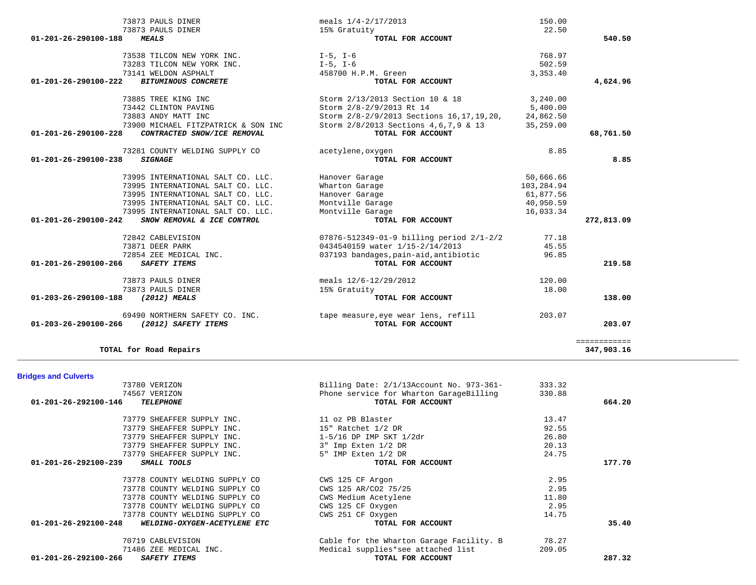| <b>Bridges and Culverts</b>                          |                                          |        |        |
|------------------------------------------------------|------------------------------------------|--------|--------|
| 73780 VERIZON                                        | Billing Date: 2/1/13Account No. 973-361- | 333.32 |        |
| 74567 VERIZON                                        | Phone service for Wharton GarageBilling  | 330.88 |        |
| 01-201-26-292100-146<br><b>TELEPHONE</b>             | TOTAL FOR ACCOUNT                        |        | 664.20 |
| 73779 SHEAFFER SUPPLY INC.                           | 11 oz PB Blaster                         | 13.47  |        |
| 73779 SHEAFFER SUPPLY INC.                           | 15" Ratchet 1/2 DR                       | 92.55  |        |
| 73779 SHEAFFER SUPPLY INC.                           | $1-5/16$ DP IMP SKT $1/2dr$              | 26.80  |        |
| 73779 SHEAFFER SUPPLY INC.                           | 3" Imp Exten 1/2 DR                      | 20.13  |        |
| 73779 SHEAFFER SUPPLY INC.                           | 5" IMP Exten 1/2 DR                      | 24.75  |        |
| 01-201-26-292100-239<br>SMALL TOOLS                  | TOTAL FOR ACCOUNT                        |        | 177.70 |
| 73778 COUNTY WELDING SUPPLY CO                       | CWS 125 CF Argon                         | 2.95   |        |
| 73778 COUNTY WELDING SUPPLY CO                       | CWS 125 AR/CO2 75/25                     | 2.95   |        |
| 73778 COUNTY WELDING SUPPLY CO                       | CWS Medium Acetylene                     | 11.80  |        |
| 73778 COUNTY WELDING SUPPLY CO                       | CWS 125 CF Oxygen                        | 2.95   |        |
| 73778 COUNTY WELDING SUPPLY CO                       | CWS 251 CF Oxygen                        | 14.75  |        |
| 01-201-26-292100-248<br>WELDING-OXYGEN-ACETYLENE ETC | TOTAL FOR ACCOUNT                        |        | 35.40  |
| 70719 CABLEVISION                                    | Cable for the Wharton Garage Facility. B | 78.27  |        |
| 71486 ZEE MEDICAL INC.                               | Medical supplies*see attached list       | 209.05 |        |
| 01-201-26-292100-266<br><b>SAFETY ITEMS</b>          | TOTAL FOR ACCOUNT                        |        | 287.32 |

============

347,903.16

**TOTAL for Road Repairs 347,903.16**

| 73873 PAULS DINER                                   | meals $1/4 - 2/17/2013$                              | 150.00     |            |
|-----------------------------------------------------|------------------------------------------------------|------------|------------|
| 73873 PAULS DINER                                   | 15% Gratuity                                         | 22.50      |            |
| <b>MEALS</b><br>01-201-26-290100-188                | TOTAL FOR ACCOUNT                                    |            | 540.50     |
| 73538 TILCON NEW YORK INC.                          | $I-5$ , $I-6$                                        | 768.97     |            |
| 73283 TILCON NEW YORK INC.                          | $I-5$ , $I-6$                                        | 502.59     |            |
| 73141 WELDON ASPHALT                                | 458700 H.P.M. Green                                  | 3,353.40   |            |
| <b>BITUMINOUS CONCRETE</b><br>01-201-26-290100-222  | TOTAL FOR ACCOUNT                                    |            | 4,624.96   |
| 73885 TREE KING INC                                 | Storm 2/13/2013 Section 10 & 18                      | 3,240.00   |            |
| 73442 CLINTON PAVING                                | Storm 2/8-2/9/2013 Rt 14                             | 5,400.00   |            |
| 73883 ANDY MATT INC                                 | Storm 2/8-2/9/2013 Sections 16, 17, 19, 20,          | 24,862.50  |            |
| 73900 MICHAEL FITZPATRICK & SON INC                 | Storm 2/8/2013 Sections 4,6,7,9 & 13                 | 35,259.00  |            |
| 01-201-26-290100-228<br>CONTRACTED SNOW/ICE REMOVAL | TOTAL FOR ACCOUNT                                    |            | 68,761.50  |
| 73281 COUNTY WELDING SUPPLY CO                      | acetylene, oxygen                                    | 8.85       |            |
| 01-201-26-290100-238<br><b>SIGNAGE</b>              | TOTAL FOR ACCOUNT                                    |            | 8.85       |
| 73995 INTERNATIONAL SALT CO. LLC.                   | Hanover Garage                                       | 50,666.66  |            |
| 73995 INTERNATIONAL SALT CO. LLC.                   | Wharton Garage                                       | 103,284.94 |            |
| 73995 INTERNATIONAL SALT CO. LLC.                   | Hanover Garage                                       | 61,877.56  |            |
| 73995 INTERNATIONAL SALT CO. LLC.                   | Montville Garage                                     | 40,950.59  |            |
| 73995 INTERNATIONAL SALT CO. LLC.                   | Montville Garage                                     | 16,033.34  |            |
| 01-201-26-290100-242<br>SNOW REMOVAL & ICE CONTROL  | TOTAL FOR ACCOUNT                                    |            | 272,813.09 |
| 72842 CABLEVISION                                   | $07876 - 512349 - 01 - 9$ billing period $2/1 - 2/2$ | 77.18      |            |
| 73871 DEER PARK                                     | 0434540159 water 1/15-2/14/2013                      | 45.55      |            |
| 72854 ZEE MEDICAL INC.                              | 037193 bandages, pain-aid, antibiotic                | 96.85      |            |
| 01-201-26-290100-266<br>SAFETY ITEMS                | TOTAL FOR ACCOUNT                                    |            | 219.58     |
| 73873 PAULS DINER                                   | meals 12/6-12/29/2012                                | 120.00     |            |
| 73873 PAULS DINER                                   | 15% Gratuity                                         | 18.00      |            |
| (2012) MEALS<br>01-203-26-290100-188                | TOTAL FOR ACCOUNT                                    |            | 138.00     |
| 69490 NORTHERN SAFETY CO. INC.                      | tape measure, eye wear lens, refill                  | 203.07     |            |
| 01-203-26-290100-266<br>(2012) SAFETY ITEMS         | TOTAL FOR ACCOUNT                                    |            | 203.07     |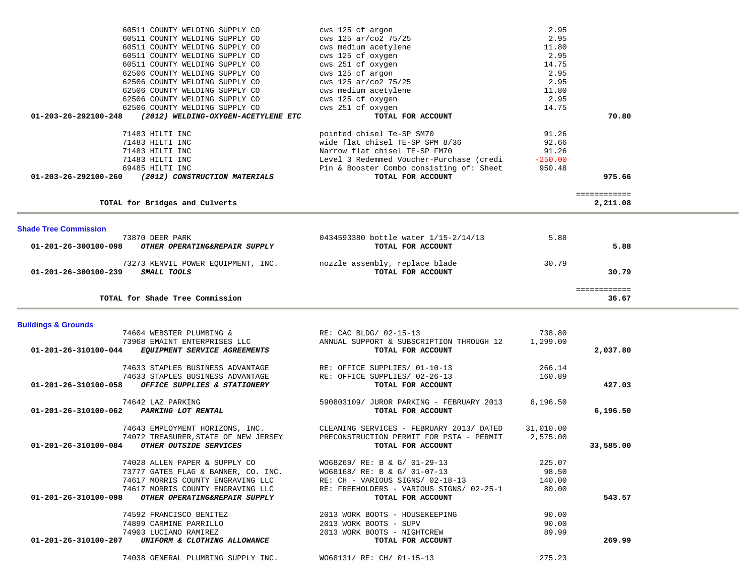| 60511 COUNTY WELDING SUPPLY CO                                  | cws 125 cf argon                                              | 2.95           |  |
|-----------------------------------------------------------------|---------------------------------------------------------------|----------------|--|
| 60511 COUNTY WELDING SUPPLY CO                                  | cws 125 ar/co2 75/25                                          | 2.95           |  |
| 60511 COUNTY WELDING SUPPLY CO                                  | cws medium acetylene                                          | 11.80          |  |
| 60511 COUNTY WELDING SUPPLY CO                                  | cws 125 cf oxygen                                             | 2.95           |  |
| 60511 COUNTY WELDING SUPPLY CO                                  | cws 251 cf oxygen                                             | 14.75          |  |
| 62506 COUNTY WELDING SUPPLY CO                                  | cws 125 cf argon                                              | 2.95           |  |
| 62506 COUNTY WELDING SUPPLY CO                                  | cws 125 ar/co2 75/25                                          | 2.95           |  |
| 62506 COUNTY WELDING SUPPLY CO                                  | cws medium acetylene                                          | 11.80          |  |
| 62506 COUNTY WELDING SUPPLY CO                                  | cws 125 cf oxygen                                             | 2.95           |  |
| 62506 COUNTY WELDING SUPPLY CO                                  | cws 251 cf oxygen                                             | 14.75          |  |
| 01-203-26-292100-248<br>(2012) WELDING-OXYGEN-ACETYLENE ETC     | TOTAL FOR ACCOUNT                                             | 70.80          |  |
|                                                                 |                                                               |                |  |
| 71483 HILTI INC<br>71483 HILTI INC                              | pointed chisel Te-SP SM70<br>wide flat chisel TE-SP SPM 8/36  | 91.26<br>92.66 |  |
| 71483 HILTI INC                                                 | Narrow flat chisel TE-SP FM70                                 | 91.26          |  |
| 71483 HILTI INC                                                 | Level 3 Redemmed Voucher-Purchase (credi                      | $-250.00$      |  |
| 69485 HILTI INC                                                 | Pin & Booster Combo consisting of: Sheet                      | 950.48         |  |
| 01-203-26-292100-260<br>(2012) CONSTRUCTION MATERIALS           | TOTAL FOR ACCOUNT                                             | 975.66         |  |
|                                                                 |                                                               |                |  |
|                                                                 |                                                               | ============   |  |
| TOTAL for Bridges and Culverts                                  |                                                               | 2,211.08       |  |
|                                                                 |                                                               |                |  |
| <b>Shade Tree Commission</b>                                    |                                                               |                |  |
| 73870 DEER PARK                                                 | 0434593380 bottle water 1/15-2/14/13                          | 5.88           |  |
| OTHER OPERATING&REPAIR SUPPLY<br>01-201-26-300100-098           | TOTAL FOR ACCOUNT                                             | 5.88           |  |
|                                                                 |                                                               |                |  |
| 73273 KENVIL POWER EQUIPMENT, INC.                              | nozzle assembly, replace blade                                | 30.79          |  |
| SMALL TOOLS<br>01-201-26-300100-239                             | TOTAL FOR ACCOUNT                                             | 30.79          |  |
|                                                                 |                                                               | ============   |  |
| TOTAL for Shade Tree Commission                                 |                                                               | 36.67          |  |
|                                                                 |                                                               |                |  |
| <b>Buildings &amp; Grounds</b>                                  |                                                               |                |  |
| 74604 WEBSTER PLUMBING &                                        | RE: CAC BLDG/ 02-15-13                                        | 738.80         |  |
| 73968 EMAINT ENTERPRISES LLC                                    | ANNUAL SUPPORT & SUBSCRIPTION THROUGH 12                      | 1,299.00       |  |
| EQUIPMENT SERVICE AGREEMENTS<br>01-201-26-310100-044            |                                                               |                |  |
|                                                                 | TOTAL FOR ACCOUNT                                             | 2,037.80       |  |
|                                                                 |                                                               |                |  |
| 74633 STAPLES BUSINESS ADVANTAGE                                | RE: OFFICE SUPPLIES/ 01-10-13                                 | 266.14         |  |
| 74633 STAPLES BUSINESS ADVANTAGE                                | RE: OFFICE SUPPLIES/ 02-26-13                                 | 160.89         |  |
| 01-201-26-310100-058<br>OFFICE SUPPLIES & STATIONERY            | TOTAL FOR ACCOUNT                                             | 427.03         |  |
|                                                                 |                                                               |                |  |
| 74642 LAZ PARKING<br>PARKING LOT RENTAL<br>01-201-26-310100-062 | 590803109/ JUROR PARKING - FEBRUARY 2013<br>TOTAL FOR ACCOUNT | 6.196.50       |  |
|                                                                 |                                                               | 6,196.50       |  |
| 74643 EMPLOYMENT HORIZONS, INC.                                 | CLEANING SERVICES - FEBRUARY 2013/ DATED                      | 31,010.00      |  |
| 74072 TREASURER, STATE OF NEW JERSEY                            | PRECONSTRUCTION PERMIT FOR PSTA - PERMIT                      | 2,575.00       |  |
| 01-201-26-310100-084<br>OTHER OUTSIDE SERVICES                  | TOTAL FOR ACCOUNT                                             | 33,585.00      |  |
|                                                                 |                                                               |                |  |
| 74028 ALLEN PAPER & SUPPLY CO                                   | WO68269/ RE: B & G/ 01-29-13                                  | 225.07         |  |
| 73777 GATES FLAG & BANNER, CO. INC.                             | WO68168/ RE: B & G/ 01-07-13                                  | 98.50          |  |
| 74617 MORRIS COUNTY ENGRAVING LLC                               | RE: CH - VARIOUS SIGNS/ 02-18-13                              | 140.00         |  |
| 74617 MORRIS COUNTY ENGRAVING LLC                               | RE: FREEHOLDERS - VARIOUS SIGNS/ 02-25-1                      | 80.00          |  |
| OTHER OPERATING&REPAIR SUPPLY<br>01-201-26-310100-098           | TOTAL FOR ACCOUNT                                             | 543.57         |  |
| 74592 FRANCISCO BENITEZ                                         | 2013 WORK BOOTS - HOUSEKEEPING                                | 90.00          |  |
| 74899 CARMINE PARRILLO                                          | 2013 WORK BOOTS - SUPV                                        | 90.00          |  |
| 74903 LUCIANO RAMIREZ                                           | 2013 WORK BOOTS - NIGHTCREW                                   | 89.99          |  |
| 01-201-26-310100-207<br>UNIFORM & CLOTHING ALLOWANCE            | TOTAL FOR ACCOUNT                                             | 269.99         |  |
| 74038 GENERAL PLUMBING SUPPLY INC.                              | WO68131/ RE: CH/ 01-15-13                                     | 275.23         |  |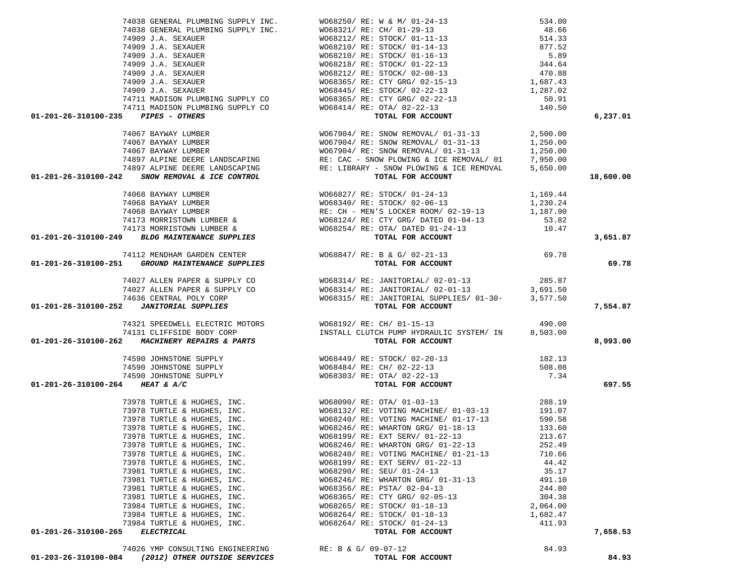|                                                                                                                                                                                                                                                                                                                                                                                                           |                                                                                                                                                                                                                        |                 | 6,237.01  |
|-----------------------------------------------------------------------------------------------------------------------------------------------------------------------------------------------------------------------------------------------------------------------------------------------------------------------------------------------------------------------------------------------------------|------------------------------------------------------------------------------------------------------------------------------------------------------------------------------------------------------------------------|-----------------|-----------|
| 01-201-26-310100-235 PIPES - OTHERS<br>74067 BAYWAY LUMBER<br>74067 BAYWAY LUMBER<br>74067 BAYWAY LUMBER<br>74067 BAYWAY LUMBER<br>74067 BAYWAY LUMBER<br>74067 BAYWAY LUMBER<br>74067 BAYWAY LUMBER<br>74067 BAYWAY LUMBER<br>74067 BAYWAY LUM                                                                                                                                                           |                                                                                                                                                                                                                        |                 |           |
|                                                                                                                                                                                                                                                                                                                                                                                                           |                                                                                                                                                                                                                        |                 |           |
|                                                                                                                                                                                                                                                                                                                                                                                                           |                                                                                                                                                                                                                        |                 |           |
|                                                                                                                                                                                                                                                                                                                                                                                                           |                                                                                                                                                                                                                        |                 |           |
|                                                                                                                                                                                                                                                                                                                                                                                                           |                                                                                                                                                                                                                        |                 |           |
|                                                                                                                                                                                                                                                                                                                                                                                                           |                                                                                                                                                                                                                        |                 | 18,600.00 |
|                                                                                                                                                                                                                                                                                                                                                                                                           |                                                                                                                                                                                                                        |                 |           |
|                                                                                                                                                                                                                                                                                                                                                                                                           |                                                                                                                                                                                                                        |                 |           |
|                                                                                                                                                                                                                                                                                                                                                                                                           |                                                                                                                                                                                                                        |                 |           |
|                                                                                                                                                                                                                                                                                                                                                                                                           |                                                                                                                                                                                                                        |                 |           |
|                                                                                                                                                                                                                                                                                                                                                                                                           |                                                                                                                                                                                                                        |                 |           |
|                                                                                                                                                                                                                                                                                                                                                                                                           |                                                                                                                                                                                                                        |                 |           |
| $1,169.44\n74068 BAYWAY LUMBER\n74068 BAYWAY LUMBER\n74068 BAYWAY LUMBER\n74068 BAYWAY LUMBER\n74173 MORRISTOWN LUMBER & W068124/ RE: CTY GRG/DATED 01-04-13\n74173 MORRISTOWN LUMBER & W068124/ RE: CTY GRG/DATED 01-04-13\n74173 MORRISTOWN LUMBER & W068254/ RE: CTX GRG/DATED 01-24-13\nTOTAL FOR ACCOUNT\nTCTAL FOR ACCOUN$                                                                          |                                                                                                                                                                                                                        |                 | 3,651.87  |
| 74112 MENDHAM GARDEN CENTER WO68847/RE: B & G/02-21-13<br>01-201-26-310100-251 GROUND MAINTENANCE SUPPLIES TOTAL FOR ACCOUNT                                                                                                                                                                                                                                                                              |                                                                                                                                                                                                                        |                 |           |
|                                                                                                                                                                                                                                                                                                                                                                                                           |                                                                                                                                                                                                                        |                 | 69.78     |
|                                                                                                                                                                                                                                                                                                                                                                                                           |                                                                                                                                                                                                                        |                 |           |
|                                                                                                                                                                                                                                                                                                                                                                                                           |                                                                                                                                                                                                                        |                 |           |
|                                                                                                                                                                                                                                                                                                                                                                                                           |                                                                                                                                                                                                                        |                 |           |
| $(365.87) \label{eq:201-201-26-310100-252} \begin{array}{l} \text{74027 ALLEN PAPER & \text{SUPFLY CO} \\ \text{74027 ALLEN PAPER & \text{SUPFLY CO} \\ \text{74036 CENTRAL POLY CORP} \\ \text{74636 CENTRAL POLY CORP} \\ \text{55.87.50} \end{array} \end{array} \qquad \begin{array}{l} \text{WO68314/ RE: JANTORIAL} / \text{ R} \\ \text{WO68314/ RE: JANTORIAL} / \text{ 02-01-13} \\ \text{WO683$ |                                                                                                                                                                                                                        |                 | 7,554.87  |
|                                                                                                                                                                                                                                                                                                                                                                                                           |                                                                                                                                                                                                                        |                 |           |
|                                                                                                                                                                                                                                                                                                                                                                                                           |                                                                                                                                                                                                                        |                 |           |
| 74321 SPEEDWELL ELECTRIC MOTORS WO68192/ RE: CH/ 01-15-13 (74131 CLIFFSIDE BODY CORP 1157ALL CLUTCH PUMP HYDRAULIC SYSTEM/ IN 8,503.00                                                                                                                                                                                                                                                                    |                                                                                                                                                                                                                        |                 | 8,993.00  |
|                                                                                                                                                                                                                                                                                                                                                                                                           | 74590 JOHNSTONE SUPPLY WO68449/RE: STOCK/02-20-13 182.13<br>74590 JOHNSTONE SUPPLY WO68484/RE: CH/02-22-13 508.08<br>74590 JOHNSTONE SUPPLY WO68303/RE: OTA/02-22-13 7.34<br><b>4 HEAT &amp; A/C</b> TOTAL FOR ACCOUNT |                 |           |
|                                                                                                                                                                                                                                                                                                                                                                                                           |                                                                                                                                                                                                                        |                 |           |
|                                                                                                                                                                                                                                                                                                                                                                                                           |                                                                                                                                                                                                                        |                 |           |
| 01-201-26-310100-264 HEAT & A/C                                                                                                                                                                                                                                                                                                                                                                           |                                                                                                                                                                                                                        |                 | 697.55    |
|                                                                                                                                                                                                                                                                                                                                                                                                           |                                                                                                                                                                                                                        |                 |           |
|                                                                                                                                                                                                                                                                                                                                                                                                           |                                                                                                                                                                                                                        |                 |           |
|                                                                                                                                                                                                                                                                                                                                                                                                           |                                                                                                                                                                                                                        |                 |           |
|                                                                                                                                                                                                                                                                                                                                                                                                           |                                                                                                                                                                                                                        |                 |           |
|                                                                                                                                                                                                                                                                                                                                                                                                           |                                                                                                                                                                                                                        |                 |           |
|                                                                                                                                                                                                                                                                                                                                                                                                           |                                                                                                                                                                                                                        |                 |           |
|                                                                                                                                                                                                                                                                                                                                                                                                           |                                                                                                                                                                                                                        |                 |           |
|                                                                                                                                                                                                                                                                                                                                                                                                           | 73978 TURTLE & HUGHES, INC. WO68240/ RE: VOTING MACHINE/ 01-21-13 710.66                                                                                                                                               |                 |           |
| 73978 TURTLE & HUGHES, INC.                                                                                                                                                                                                                                                                                                                                                                               | WO68199/ RE: EXT SERV/ 01-22-13<br>WO68290/ RE: SEU/ 01-24-13                                                                                                                                                          | 44.42           |           |
| 73981 TURTLE & HUGHES, INC.<br>73981 TURTLE & HUGHES, INC.                                                                                                                                                                                                                                                                                                                                                | WO68246/ RE: WHARTON GRG/ 01-31-13                                                                                                                                                                                     | 35.17<br>491.10 |           |
| 73981 TURTLE & HUGHES, INC.                                                                                                                                                                                                                                                                                                                                                                               | W068356/ RE: PSTA/ 02-04-13                                                                                                                                                                                            | 244.80          |           |
| 73981 TURTLE & HUGHES, INC.                                                                                                                                                                                                                                                                                                                                                                               | W068365/ RE: CTY GRG/ 02-05-13                                                                                                                                                                                         | 304.38          |           |
| 73984 TURTLE & HUGHES, INC.                                                                                                                                                                                                                                                                                                                                                                               | W068265/ RE: STOCK/ 01-18-13                                                                                                                                                                                           | 2,064.00        |           |
| 73984 TURTLE & HUGHES, INC.                                                                                                                                                                                                                                                                                                                                                                               | W068264/ RE: STOCK/ 01-18-13                                                                                                                                                                                           | 1,682.47        |           |
| 73984 TURTLE & HUGHES, INC.                                                                                                                                                                                                                                                                                                                                                                               | W068264/ RE: STOCK/ 01-24-13                                                                                                                                                                                           | 411.93          |           |
| <b>ELECTRICAL</b><br>01-201-26-310100-265                                                                                                                                                                                                                                                                                                                                                                 | TOTAL FOR ACCOUNT                                                                                                                                                                                                      |                 | 7,658.53  |
|                                                                                                                                                                                                                                                                                                                                                                                                           |                                                                                                                                                                                                                        |                 |           |
| 74026 YMP CONSULTING ENGINEERING<br>01-203-26-310100-084 (2012) OTHER OUTSIDE SERVICES                                                                                                                                                                                                                                                                                                                    | RE: B & G/ 09-07-12<br>TOTAL FOR ACCOUNT                                                                                                                                                                               | 84.93           | 84.93     |
|                                                                                                                                                                                                                                                                                                                                                                                                           |                                                                                                                                                                                                                        |                 |           |

74038 GENERAL PLUMBING SUPPLY INC. WO68250/ RE: W & M/ 01-24-13 534.00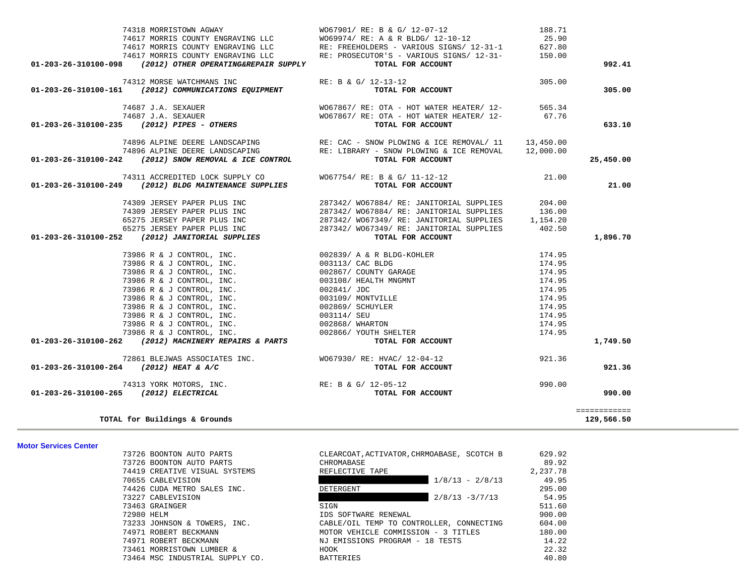| 73726 BOONTON AUTO PARTS        | CLEARCOAT, ACTIVATOR, CHRMOABASE, SCOTCH B | 629.92   |
|---------------------------------|--------------------------------------------|----------|
| 73726 BOONTON AUTO PARTS        | CHROMABASE                                 | 89.92    |
| 74419 CREATIVE VISUAL SYSTEMS   | REFLECTIVE TAPE                            | 2,237.78 |
| 70655 CABLEVISION               | $1/8/13 - 2/8/13$                          | 49.95    |
| 74426 CUDA METRO SALES INC.     | DETERGENT                                  | 295.00   |
| 73227 CABLEVISION               | $2/8/13 - 3/7/13$                          | 54.95    |
| 73463 GRAINGER                  | SIGN                                       | 511.60   |
| 72980 HELM                      | IDS SOFTWARE RENEWAL                       | 900.00   |
| 73233 JOHNSON & TOWERS, INC.    | CABLE/OIL TEMP TO CONTROLLER, CONNECTING   | 604.00   |
| 74971 ROBERT BECKMANN           | MOTOR VEHICLE COMMISSION - 3 TITLES        | 180.00   |
| 74971 ROBERT BECKMANN           | NJ EMISSIONS PROGRAM - 18 TESTS            | 14.22    |
| 73461 MORRISTOWN LUMBER &       | HOOK                                       | 22.32    |
| 73464 MSC INDUSTRIAL SUPPLY CO. | <b>BATTERIES</b>                           | 40.80    |
|                                 |                                            |          |

**TOTAL for Buildings & Grounds 129,566.50**

**Motor Services Center** 

| 921.36 |        | TOTAL FOR ACCOUNT                        | (2012) HEAT & A/C                            | 01-203-26-310100-264 |
|--------|--------|------------------------------------------|----------------------------------------------|----------------------|
| 990.00 | 990.00 | RE: B & G/ 12-05-12<br>TOTAL FOR ACCOUNT | 74313 YORK MOTORS, INC.<br>(2012) ELECTRICAL | 01-203-26-310100-265 |
|        |        |                                          |                                              |                      |

|                                                                                                                                                                                                                                              | 74617 MORRIS COUNTY ENGRAVING LLC WO69974/ RE: A & R BLDG/ 12-10-12 25.90                                                                                                                                                                  |        |           |
|----------------------------------------------------------------------------------------------------------------------------------------------------------------------------------------------------------------------------------------------|--------------------------------------------------------------------------------------------------------------------------------------------------------------------------------------------------------------------------------------------|--------|-----------|
|                                                                                                                                                                                                                                              | 74617 MORRIS COUNTY ENGRAVING LLC<br>74617 MORRIS COUNTY ENGRAVING LLC<br>74617 MORRIS COUNTY ENGRAVING LLC RE: PROSECUTOR'S - VARIOUS SIGNS/ 12-31-<br>74617 MORRIS COUNTY ENGRAVING LLC RE: PROSECUTOR'S - VARIOUS SIGNS/ 12-31-<br>150. |        |           |
|                                                                                                                                                                                                                                              |                                                                                                                                                                                                                                            |        |           |
| 01-203-26-310100-098 (2012) OTHER OPERATING&REPAIR SUPPLY                                                                                                                                                                                    | TOTAL FOR ACCOUNT                                                                                                                                                                                                                          |        | 992.41    |
| 74312 MORSE WATCHMANS INC $RE: B & G/12-13-12$                                                                                                                                                                                               |                                                                                                                                                                                                                                            | 305.00 |           |
| 01-203-26-310100-161 (2012) COMMUNICATIONS EQUIPMENT                                                                                                                                                                                         | TOTAL FOR ACCOUNT                                                                                                                                                                                                                          |        | 305.00    |
| 74687 J.A. SEXAUER<br>74687 J.A. SEXAUER<br><b>74687 J.A. SEXAUER</b><br>776 70067867/ RE: OTA - HOT WATER HEATER/ 12-<br><b>707AL FOR ACCOUNT</b>                                                                                           |                                                                                                                                                                                                                                            |        |           |
|                                                                                                                                                                                                                                              |                                                                                                                                                                                                                                            |        |           |
|                                                                                                                                                                                                                                              |                                                                                                                                                                                                                                            |        | 633.10    |
|                                                                                                                                                                                                                                              | 74896 ALPINE DEERE LANDSCAPING RE: CAC - SNOW PLOWING & ICE REMOVAL/ 11 13,450.00                                                                                                                                                          |        |           |
|                                                                                                                                                                                                                                              |                                                                                                                                                                                                                                            |        |           |
| 74896 ALPINE DEERE LANDSCAPING<br>01-203-26-310100-242 (2012) SNOW REMOVAL & ICE CONTROL RE: LIBRARY - SNOW PLOWING & ICE REMOVAL 12,000.00                                                                                                  |                                                                                                                                                                                                                                            |        | 25,450.00 |
|                                                                                                                                                                                                                                              | 74311 ACCREDITED LOCK SUPPLY CO<br>WO67754/ RE: B & G/ 11-12-12<br><b>TOTAL FOR ACCOUNT</b>                                                                                                                                                | 21.00  |           |
| $01-203-26-310100-249$ (2012) BLDG MAINTENANCE SUPPLIES                                                                                                                                                                                      |                                                                                                                                                                                                                                            |        | 21.00     |
|                                                                                                                                                                                                                                              | 74309 JERSEY PAPER PLUS INC $287342/$ W067884/RE: JANITORIAL SUPPLIES 204.00                                                                                                                                                               |        |           |
|                                                                                                                                                                                                                                              |                                                                                                                                                                                                                                            |        |           |
|                                                                                                                                                                                                                                              |                                                                                                                                                                                                                                            |        |           |
|                                                                                                                                                                                                                                              |                                                                                                                                                                                                                                            |        |           |
| 74309 UERSET PAPER PLUS INC<br>74309 JERSEY PAPER PLUS INC<br>74309 JERSEY PAPER PLUS INC<br>65275 JERSEY PAPER PLUS INC<br>65275 JERSEY PAPER PLUS INC<br>65275 JERSEY PAPER PLUS INC<br>287342/ W067349/ RE: JANITORIAL SUPPLIES<br>287342 |                                                                                                                                                                                                                                            |        | 1,896.70  |
|                                                                                                                                                                                                                                              |                                                                                                                                                                                                                                            |        |           |
|                                                                                                                                                                                                                                              |                                                                                                                                                                                                                                            |        |           |
|                                                                                                                                                                                                                                              |                                                                                                                                                                                                                                            |        |           |
|                                                                                                                                                                                                                                              |                                                                                                                                                                                                                                            |        |           |
|                                                                                                                                                                                                                                              |                                                                                                                                                                                                                                            |        |           |
|                                                                                                                                                                                                                                              |                                                                                                                                                                                                                                            |        |           |
|                                                                                                                                                                                                                                              |                                                                                                                                                                                                                                            |        |           |
|                                                                                                                                                                                                                                              |                                                                                                                                                                                                                                            |        |           |
|                                                                                                                                                                                                                                              |                                                                                                                                                                                                                                            |        |           |
| $73986$ R & J CONTROL, INC.<br>73986 R & J CONTROL, INC. 002866<br>01-203-26-310100-262 (2012) MACHINERY REPAIRS & PARTS                                                                                                                     |                                                                                                                                                                                                                                            |        |           |
|                                                                                                                                                                                                                                              |                                                                                                                                                                                                                                            |        | 1,749.50  |
|                                                                                                                                                                                                                                              | 72861 BLEJWAS ASSOCIATES INC.<br><b>WO67930/ RE: HVAC/ 12-04-12 POR ACCOUNT</b> 921.36                                                                                                                                                     |        |           |
| 01-203-26-310100-264 (2012) HEAT & A/C                                                                                                                                                                                                       |                                                                                                                                                                                                                                            |        | 921.36    |
| ${\tt 74313 \hbox{ YORK MOTORS, INC.}} {\tt RE: B & G/ 12-05-12} \label{eq:RE: BE: B & G/ 12-05-12} {\tt TOTAL FOR ACCOUNT}$                                                                                                                 |                                                                                                                                                                                                                                            | 990.00 |           |
| 01-203-26-310100-265 (2012) ELECTRICAL                                                                                                                                                                                                       |                                                                                                                                                                                                                                            |        | 990.00    |

74318 MORRISTOWN AGWAY WO67901/ RE: B & G/ 12-07-12 188.71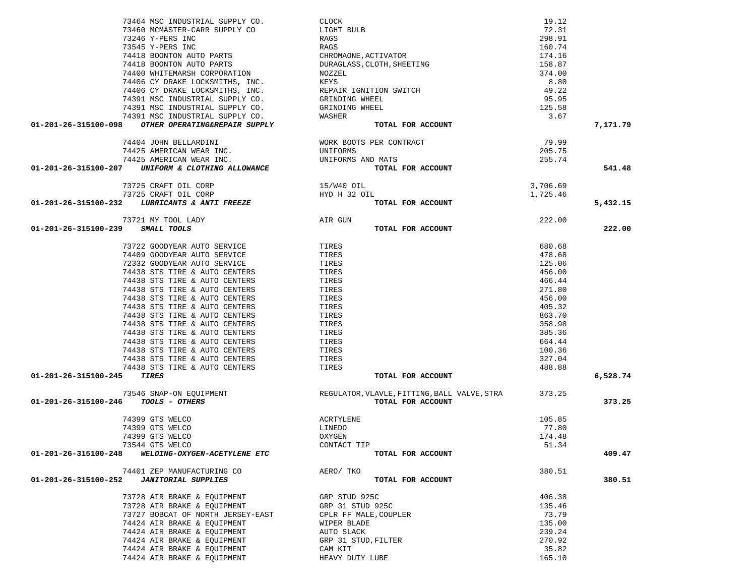|                                                                                                                                                                                                                                |                                                                                                                | 19.12    |          |
|--------------------------------------------------------------------------------------------------------------------------------------------------------------------------------------------------------------------------------|----------------------------------------------------------------------------------------------------------------|----------|----------|
|                                                                                                                                                                                                                                |                                                                                                                | 72.31    |          |
|                                                                                                                                                                                                                                |                                                                                                                |          |          |
|                                                                                                                                                                                                                                |                                                                                                                | 298.91   |          |
|                                                                                                                                                                                                                                |                                                                                                                | 160.74   |          |
|                                                                                                                                                                                                                                |                                                                                                                | 174.16   |          |
|                                                                                                                                                                                                                                |                                                                                                                | 158.87   |          |
|                                                                                                                                                                                                                                |                                                                                                                | 374.00   |          |
|                                                                                                                                                                                                                                |                                                                                                                |          |          |
|                                                                                                                                                                                                                                |                                                                                                                | 8.80     |          |
|                                                                                                                                                                                                                                |                                                                                                                | 49.22    |          |
|                                                                                                                                                                                                                                |                                                                                                                | 95.95    |          |
|                                                                                                                                                                                                                                |                                                                                                                | 125.58   |          |
|                                                                                                                                                                                                                                |                                                                                                                |          |          |
|                                                                                                                                                                                                                                |                                                                                                                | 3.67     |          |
| $(1-201-26-315100-098$ $(1-201-26-315100-098$ $(1-201-26-315100-098$ $(1-201-26-315100-098$ $(1-201-26-315100-098$ $(1-201-26-315100-098$ $(1-201-26-315100-098$ $(1-201-26-315100-098$ $(1-201-26-315100-098$ $(1-201-26-315$ |                                                                                                                |          | 7,171.79 |
|                                                                                                                                                                                                                                |                                                                                                                | 79.99    |          |
|                                                                                                                                                                                                                                |                                                                                                                | 205.75   |          |
| 74425 AMERICAN WEAR INC.                                                                                                                                                                                                       | UNIFORMS AND MATS                                                                                              | 255.74   |          |
|                                                                                                                                                                                                                                |                                                                                                                |          |          |
| 01-201-26-315100-207 UNIFORM & CLOTHING ALLOWANCE                                                                                                                                                                              | TOTAL FOR ACCOUNT                                                                                              |          | 541.48   |
| 73725 CRAFT OIL CORP                                                                                                                                                                                                           | 15/W40 OIL                                                                                                     | 3,706.69 |          |
| 73725 CRAFT OIL CORP                                                                                                                                                                                                           |                                                                                                                | 1,725.46 |          |
| 01-201-26-315100-232 LUBRICANTS & ANTI FREEZE                                                                                                                                                                                  | ${\tt HYD \hspace{1.5mm} H \hspace{1.5mm} 32\hspace{1.5mm} OIL}$ ${\tt FREEZE}$ ${\tt T}$<br>TOTAL FOR ACCOUNT |          | 5,432.15 |
| 73721 MY TOOL LADY                                                                                                                                                                                                             | AIR GUN                                                                                                        | 222.00   |          |
|                                                                                                                                                                                                                                |                                                                                                                |          | 222.00   |
| 01-201-26-315100-239 SMALL TOOLS                                                                                                                                                                                               | TOTAL FOR ACCOUNT                                                                                              |          |          |
| 73722 GOODYEAR AUTO SERVICE TIRES                                                                                                                                                                                              |                                                                                                                | 680.68   |          |
| 74409 GOODYEAR AUTO SERVICE                                                                                                                                                                                                    | TIRES                                                                                                          | 478.68   |          |
|                                                                                                                                                                                                                                |                                                                                                                |          |          |
| 72332 GOODYEAR AUTO SERVICE                                                                                                                                                                                                    | TIRES                                                                                                          | 125.06   |          |
| 74438 STS TIRE & AUTO CENTERS                                                                                                                                                                                                  | TIRES                                                                                                          | 456.00   |          |
| 74438 STS TIRE & AUTO CENTERS                                                                                                                                                                                                  | TIRES                                                                                                          | 466.44   |          |
| 74438 STS TIRE & AUTO CENTERS                                                                                                                                                                                                  | TIRES                                                                                                          | 271.80   |          |
|                                                                                                                                                                                                                                |                                                                                                                |          |          |
| 74438 STS TIRE & AUTO CENTERS                                                                                                                                                                                                  | TIRES                                                                                                          | 456.00   |          |
| 74438 STS TIRE & AUTO CENTERS                                                                                                                                                                                                  | TIRES                                                                                                          | 405.32   |          |
| 74438 STS TIRE & AUTO CENTERS                                                                                                                                                                                                  | TIRES                                                                                                          | 863.70   |          |
| 74438 STS TIRE & AUTO CENTERS                                                                                                                                                                                                  | TIRES                                                                                                          | 358.98   |          |
| 74438 STS TIRE & AUTO CENTERS                                                                                                                                                                                                  | TIRES                                                                                                          | 385.36   |          |
|                                                                                                                                                                                                                                |                                                                                                                |          |          |
| 74438 STS TIRE & AUTO CENTERS                                                                                                                                                                                                  | TIRES                                                                                                          | 664.44   |          |
| 74438 STS TIRE & AUTO CENTERS                                                                                                                                                                                                  | TIRES                                                                                                          | 100.36   |          |
| 74438 STS TIRE & AUTO CENTERS                                                                                                                                                                                                  | TIRES                                                                                                          | 327.04   |          |
| 74438 STS TIRE & AUTO CENTERS                                                                                                                                                                                                  | IIRES<br>TIRES                                                                                                 | 488.88   |          |
| 01-201-26-315100-245 TIRES                                                                                                                                                                                                     | TOTAL FOR ACCOUNT                                                                                              |          | 6,528.74 |
|                                                                                                                                                                                                                                | 73546 SNAP-ON EQUIPMENT<br>REGULATOR, VLAVLE, FITTING, BALL VALVE, STRA<br>TOOLS - OTHERS                      |          |          |
|                                                                                                                                                                                                                                |                                                                                                                |          |          |
| 01-201-26-315100-246 TOOLS - OTHERS                                                                                                                                                                                            | TOTAL FOR ACCOUNT                                                                                              |          | 373.25   |
| 74399 GTS WELCO                                                                                                                                                                                                                | ACRTYLENE                                                                                                      | 105.85   |          |
| 74399 GTS WELCO                                                                                                                                                                                                                | LINEDO                                                                                                         | 77.80    |          |
|                                                                                                                                                                                                                                |                                                                                                                |          |          |
| 74399 GTS WELCO                                                                                                                                                                                                                | OXYGEN                                                                                                         | 174.48   |          |
| 73544 GTS WELCO                                                                                                                                                                                                                | CONTACT TIP                                                                                                    | 51.34    |          |
| 01-201-26-315100-248<br>WELDING-OXYGEN-ACETYLENE ETC                                                                                                                                                                           | TOTAL FOR ACCOUNT                                                                                              |          | 409.47   |
| 74401 ZEP MANUFACTURING CO                                                                                                                                                                                                     | AERO/ TKO                                                                                                      | 380.51   |          |
| 01-201-26-315100-252<br><b>JANITORIAL SUPPLIES</b>                                                                                                                                                                             | TOTAL FOR ACCOUNT                                                                                              |          | 380.51   |
|                                                                                                                                                                                                                                |                                                                                                                |          |          |
| 73728 AIR BRAKE & EQUIPMENT                                                                                                                                                                                                    | GRP STUD 925C                                                                                                  | 406.38   |          |
| 73728 AIR BRAKE & EOUIPMENT                                                                                                                                                                                                    | GRP 31 STUD 925C                                                                                               | 135.46   |          |
| 73727 BOBCAT OF NORTH JERSEY-EAST                                                                                                                                                                                              | CPLR FF MALE, COUPLER                                                                                          | 73.79    |          |
| 74424 AIR BRAKE & EQUIPMENT                                                                                                                                                                                                    | WIPER BLADE                                                                                                    | 135.00   |          |
| 74424 AIR BRAKE & EQUIPMENT                                                                                                                                                                                                    | AUTO SLACK                                                                                                     | 239.24   |          |
| 74424 AIR BRAKE & EQUIPMENT                                                                                                                                                                                                    | GRP 31 STUD, FILTER                                                                                            | 270.92   |          |
|                                                                                                                                                                                                                                |                                                                                                                |          |          |
| 74424 AIR BRAKE & EQUIPMENT                                                                                                                                                                                                    | CAM KIT                                                                                                        | 35.82    |          |
| 74424 AIR BRAKE & EQUIPMENT                                                                                                                                                                                                    | HEAVY DUTY LUBE                                                                                                | 165.10   |          |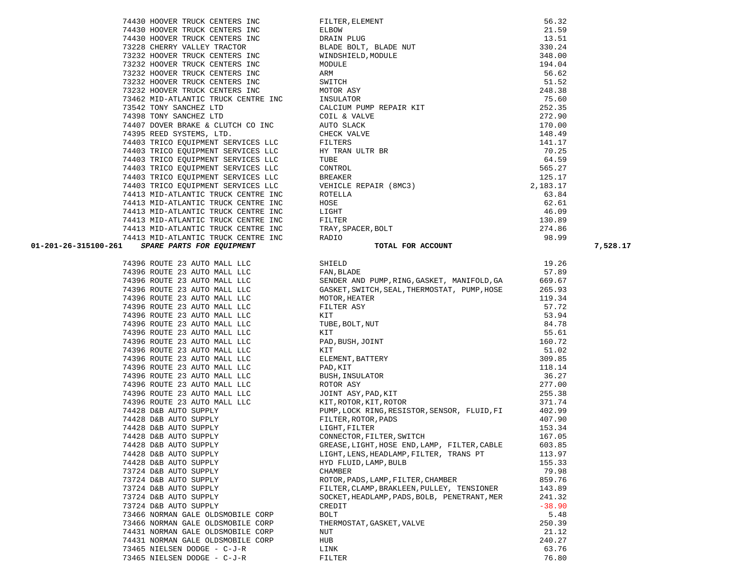| /4413 MID-AILANIIC IRUCA CENIRE INC KADIO                                                        |                                              | フロ・フフ    |
|--------------------------------------------------------------------------------------------------|----------------------------------------------|----------|
| <b>SPARE PARTS FOR EQUIPMENT</b><br>01-201-26-315100-261                                         | TOTAL FOR ACCOUNT                            |          |
| 74396 ROUTE 23 AUTO MALL LLC                                                                     | SHIELD                                       | 19.26    |
| 74396 ROUTE 23 AUTO MALL LLC                                                                     | FAN, BLADE                                   | 57.89    |
| 74396 ROUTE 23 AUTO MALL LLC                                                                     | SENDER AND PUMP, RING, GASKET, MANIFOLD, GA  | 669.67   |
| 74396 ROUTE 23 AUTO MALL LLC                                                                     | GASKET, SWITCH, SEAL, THERMOSTAT, PUMP, HOSE | 265.93   |
| 74396 ROUTE 23 AUTO MALL LLC                                                                     | MOTOR, HEATER                                | 119.34   |
| 74396 ROUTE 23 AUTO MALL LLC                                                                     | FILTER ASY                                   | 57.72    |
| 74396 ROUTE 23 AUTO MALL LLC                                                                     | KIT                                          | 53.94    |
| 74396 ROUTE 23 AUTO MALL LLC                                                                     | TUBE, BOLT, NUT                              | 84.78    |
| 74396 ROUTE 23 AUTO MALL LLC                                                                     | KIT                                          | 55.61    |
| 74396 ROUTE 23 AUTO MALL LLC                                                                     | PAD, BUSH, JOINT                             | 160.72   |
| 74396 ROUTE 23 AUTO MALL LLC                                                                     | KIT                                          | 51.02    |
| 74396 ROUTE 23 AUTO MALL LLC                                                                     | ELEMENT, BATTERY                             | 309.85   |
| 74396 ROUTE 23 AUTO MALL LLC                                                                     | PAD, KIT                                     | 118.14   |
| 74396 ROUTE 23 AUTO MALL LLC                                                                     | BUSH, INSULATOR                              | 36.27    |
| 74396 ROUTE 23 AUTO MALL LLC                                                                     | ROTOR ASY                                    | 277.00   |
| 74396 ROUTE 23 AUTO MALL LLC                                                                     | JOINT ASY, PAD, KIT                          | 255.38   |
| 74396 ROUTE 23 AUTO MALL LLC                                                                     | KIT, ROTOR, KIT, ROTOR                       | 371.74   |
| 74428 D&B AUTO SUPPLY                                                                            | PUMP, LOCK RING, RESISTOR, SENSOR, FLUID, FI | 402.99   |
| 74428 D&B AUTO SUPPLY<br>74428 D&B AUTO SUPPLY<br>74428 D&B AUTO SUPPLY<br>74428 D&B AUTO SUPPLY | FILTER, ROTOR, PADS                          | 407.90   |
|                                                                                                  | LIGHT, FILTER                                | 153.34   |
|                                                                                                  | CONNECTOR, FILTER, SWITCH                    | 167.05   |
|                                                                                                  | GREASE, LIGHT, HOSE END, LAMP, FILTER, CABLE | 603.85   |
| 74428 D&B AUTO SUPPLY                                                                            | LIGHT, LENS, HEADLAMP, FILTER, TRANS PT      | 113.97   |
| 74428 D&B AUTO SUPPLY                                                                            | HYD FLUID, LAMP, BULB                        | 155.33   |
| 73724 D&B AUTO SUPPLY                                                                            | CHAMBER                                      | 79.98    |
| 73724 D&B AUTO SUPPLY                                                                            | ROTOR, PADS, LAMP, FILTER, CHAMBER           | 859.76   |
| 73724 D&B AUTO SUPPLY                                                                            | FILTER, CLAMP, BRAKLEEN, PULLEY, TENSIONER   | 143.89   |
| 73724 D&B AUTO SUPPLY                                                                            | SOCKET, HEADLAMP, PADS, BOLB, PENETRANT, MER | 241.32   |
| 73724 D&B AUTO SUPPLY                                                                            | CREDIT                                       | $-38.90$ |
| 73466 NORMAN GALE OLDSMOBILE CORP                                                                | <b>BOLT</b>                                  | 5.48     |
| 73466 NORMAN GALE OLDSMOBILE CORP                                                                | THERMOSTAT, GASKET, VALVE                    | 250.39   |
| 74431 NORMAN GALE OLDSMOBILE CORP                                                                | NUT                                          | 21.12    |
| 74431 NORMAN GALE OLDSMOBILE CORP                                                                | <b>HUB</b>                                   | 240.27   |
| 73465 NIELSEN DODGE - C-J-R                                                                      | LINK                                         | 63.76    |
| 73465 NIELSEN DODGE - C-J-R                                                                      | FILTER                                       | 76.80    |

| 74413 MID-ATLANTIC TRUCK CENTRE INC               | TRAY, SPACER, BOLT                           | 274.86   |
|---------------------------------------------------|----------------------------------------------|----------|
| 74413 MID-ATLANTIC TRUCK CENTRE INC               | RADIO                                        | 98.99    |
| SPARE PARTS FOR EQUIPMENT<br>01-201-26-315100-261 | TOTAL FOR ACCOUNT                            |          |
| 74396 ROUTE 23 AUTO MALL LLC                      | SHIELD                                       | 19.26    |
| 74396 ROUTE 23 AUTO MALL LLC                      | FAN, BLADE                                   | 57.89    |
| 74396 ROUTE 23 AUTO MALL LLC                      | SENDER AND PUMP, RING, GASKET, MANIFOLD, GA  | 669.67   |
| 74396 ROUTE 23 AUTO MALL LLC                      | GASKET, SWITCH, SEAL, THERMOSTAT, PUMP, HOSE | 265.93   |
| 74396 ROUTE 23 AUTO MALL LLC                      | MOTOR, HEATER                                | 119.34   |
| 74396 ROUTE 23 AUTO MALL LLC                      | FILTER ASY                                   | 57.72    |
| 74396 ROUTE 23 AUTO MALL LLC                      | KIT                                          | 53.94    |
| 74396 ROUTE 23 AUTO MALL LLC                      | TUBE, BOLT, NUT                              | 84.78    |
| 74396 ROUTE 23 AUTO MALL LLC                      | KIT                                          | 55.61    |
| 74396 ROUTE 23 AUTO MALL LLC                      | PAD, BUSH, JOINT                             | 160.72   |
| 74396 ROUTE 23 AUTO MALL LLC                      | KIT                                          | 51.02    |
| 74396 ROUTE 23 AUTO MALL LLC                      | ELEMENT, BATTERY                             | 309.85   |
| 74396 ROUTE 23 AUTO MALL LLC                      | PAD, KIT                                     | 118.14   |
| 74396 ROUTE 23 AUTO MALL LLC                      | BUSH, INSULATOR                              | 36.27    |
| 74396 ROUTE 23 AUTO MALL LLC                      | ROTOR ASY                                    | 277.00   |
| 74396 ROUTE 23 AUTO MALL LLC                      | JOINT ASY, PAD, KIT                          | 255.38   |
| 74396 ROUTE 23 AUTO MALL LLC                      | KIT, ROTOR, KIT, ROTOR                       | 371.74   |
| 74428 D&B AUTO SUPPLY                             | PUMP, LOCK RING, RESISTOR, SENSOR, FLUID, FI | 402.99   |
| 74428 D&B AUTO SUPPLY                             | FILTER, ROTOR, PADS                          | 407.90   |
| 74428 D&B AUTO SUPPLY                             | LIGHT, FILTER                                | 153.34   |
| 74428 D&B AUTO SUPPLY                             | CONNECTOR, FILTER, SWITCH                    | 167.05   |
| 74428 D&B AUTO SUPPLY                             | GREASE, LIGHT, HOSE END, LAMP, FILTER, CABLE | 603.85   |
| 74428 D&B AUTO SUPPLY                             | LIGHT, LENS, HEADLAMP, FILTER, TRANS PT      | 113.97   |
| 74428 D&B AUTO SUPPLY                             | HYD FLUID, LAMP, BULB                        | 155.33   |
| 73724 D&B AUTO SUPPLY                             | CHAMBER                                      | 79.98    |
| 73724 D&B AUTO SUPPLY                             | ROTOR, PADS, LAMP, FILTER, CHAMBER           | 859.76   |
| 73724 D&B AUTO SUPPLY                             | FILTER, CLAMP, BRAKLEEN, PULLEY, TENSIONER   | 143.89   |
| 73724 D&B AUTO SUPPLY                             | SOCKET, HEADLAMP, PADS, BOLB, PENETRANT, MER | 241.32   |
| 73724 D&B AUTO SUPPLY                             | CREDIT                                       | $-38.90$ |
| 73466 NORMAN GALE OLDSMOBILE CORP                 | <b>BOLT</b>                                  | 5.48     |
| 73466 NORMAN GALE OLDSMOBILE CORP                 | THERMOSTAT, GASKET, VALVE                    | 250.39   |
| 74431 NORMAN GALE OLDSMOBILE CORP                 | NUT                                          | 21.12    |
| 74431 NORMAN GALE OLDSMOBILE CORP                 | <b>HUB</b>                                   | 240.27   |
| 73465 NIELSEN DODGE - C-J-R                       | LINK                                         | 63.76    |
| 73465 NIELSEN DODGE - C-J-R                       | <b>FILTER</b>                                | 76.80    |

| 01-201-26-315100-261<br>SPARE PARTS FOR EQUIPMENT | TOTAL FOR ACCOUNT       |          | 7,528.17 |
|---------------------------------------------------|-------------------------|----------|----------|
| 74413 MID-ATLANTIC TRUCK CENTRE INC               | RADIO                   | 98.99    |          |
| 74413 MID-ATLANTIC TRUCK CENTRE INC               | TRAY, SPACER, BOLT      | 274.86   |          |
| 74413 MID-ATLANTIC TRUCK CENTRE INC               | FILTER                  | 130.89   |          |
| 74413 MID-ATLANTIC TRUCK CENTRE INC               | LIGHT                   | 46.09    |          |
| 74413 MID-ATLANTIC TRUCK CENTRE INC               | HOSE                    | 62.61    |          |
| 74413 MID-ATLANTIC TRUCK CENTRE INC               | <b>ROTELLA</b>          | 63.84    |          |
| 74403 TRICO EQUIPMENT SERVICES LLC                | VEHICLE REPAIR (8MC3)   | 2,183.17 |          |
| 74403 TRICO EOUIPMENT SERVICES LLC                | <b>BREAKER</b>          | 125.17   |          |
| 74403 TRICO EQUIPMENT SERVICES LLC                | CONTROL                 | 565.27   |          |
| 74403 TRICO EQUIPMENT SERVICES LLC                | TUBE                    | 64.59    |          |
| 74403 TRICO EQUIPMENT SERVICES LLC                | HY TRAN ULTR BR         | 70.25    |          |
| 74403 TRICO EQUIPMENT SERVICES LLC                | FILTERS                 | 141.17   |          |
| 74395 REED SYSTEMS, LTD.                          | CHECK VALVE             | 148.49   |          |
| 74407 DOVER BRAKE & CLUTCH CO INC                 | AUTO SLACK              | 170.00   |          |
| 74398 TONY SANCHEZ LTD                            | COIL & VALVE            | 272.90   |          |
| 73542 TONY SANCHEZ LTD                            | CALCIUM PUMP REPAIR KIT | 252.35   |          |
| 73462 MID-ATLANTIC TRUCK CENTRE INC               | INSULATOR               | 75.60    |          |
| 73232 HOOVER TRUCK CENTERS INC                    | MOTOR ASY               | 248.38   |          |
| 73232 HOOVER TRUCK CENTERS INC                    | SWITCH                  | 51.52    |          |
| 73232 HOOVER TRUCK CENTERS INC                    | ARM                     | 56.62    |          |
| 73232 HOOVER TRUCK CENTERS INC                    | MODULE                  | 194.04   |          |
| 73232 HOOVER TRUCK CENTERS INC                    | WINDSHIELD, MODULE      | 348.00   |          |
| 73228 CHERRY VALLEY TRACTOR                       | BLADE BOLT, BLADE NUT   | 330.24   |          |
| 74430 HOOVER TRUCK CENTERS INC                    | DRAIN PLUG              | 13.51    |          |
| 74430 HOOVER TRUCK CENTERS INC                    | ELBOW                   | 21.59    |          |
| 74430 HOOVER TRUCK CENTERS INC                    | FILTER, ELEMENT         | 56.32    |          |
|                                                   |                         |          |          |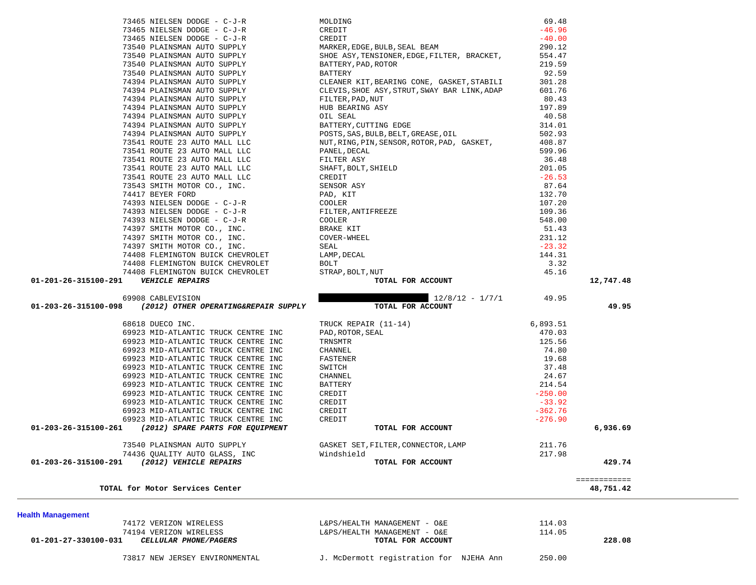| 73465 NIELSEN DODGE - C-J-R                                                                                                                                                                                                         |                                                                                                                                                                        | 69.48     |              |  |
|-------------------------------------------------------------------------------------------------------------------------------------------------------------------------------------------------------------------------------------|------------------------------------------------------------------------------------------------------------------------------------------------------------------------|-----------|--------------|--|
| 73465 NIELSEN DODGE - C-J-R                                                                                                                                                                                                         |                                                                                                                                                                        | $-46.96$  |              |  |
| 73465 NIELSEN DODGE - C-J-R                                                                                                                                                                                                         | MOLDING<br>CREDIT<br>CREDIT<br>MARKER, EDGE, BULB, SEAL BEAM                                                                                                           | $-40.00$  |              |  |
| 73540 PLAINSMAN AUTO SUPPLY                                                                                                                                                                                                         |                                                                                                                                                                        | 290.12    |              |  |
| 73540 PLAINSMAN AUTO SUPPLY                                                                                                                                                                                                         | SHOE ASY, TENSIONER, EDGE, FILTER, BRACKET,                                                                                                                            | 554.47    |              |  |
| 73540 PLAINSMAN AUTO SUPPLY                                                                                                                                                                                                         | BATTERY, PAD, ROTOR                                                                                                                                                    | 219.59    |              |  |
| 73540 PLAINSMAN AUTO SUPPLY                                                                                                                                                                                                         | BATTERY                                                                                                                                                                | 92.59     |              |  |
| 74394 PLAINSMAN AUTO SUPPLY                                                                                                                                                                                                         |                                                                                                                                                                        |           |              |  |
|                                                                                                                                                                                                                                     | CLEANER KIT, BEARING CONE, GASKET, STABILI                                                                                                                             | 301.28    |              |  |
| 74394 PLAINSMAN AUTO SUPPLY                                                                                                                                                                                                         | CLEVIS, SHOE ASY, STRUT, SWAY BAR LINK, ADAP                                                                                                                           | 601.76    |              |  |
| 74394 PLAINSMAN AUTO SUPPLY                                                                                                                                                                                                         |                                                                                                                                                                        | 80.43     |              |  |
| 74394 PLAINSMAN AUTO SUPPLY                                                                                                                                                                                                         |                                                                                                                                                                        | 197.89    |              |  |
| 74394 PLAINSMAN AUTO SUPPLY                                                                                                                                                                                                         |                                                                                                                                                                        | 40.58     |              |  |
| 74394 PLAINSMAN AUTO SUPPLY                                                                                                                                                                                                         | FILTER, PAD, NUT<br>HUB BEARING ASY<br>OIL SEAL<br>BATTERY, CUTTING EDGE                                                                                               | 314.01    |              |  |
| 74394 PLAINSMAN AUTO SUPPLY                                                                                                                                                                                                         | POSTS, SAS, BULB, BELT, GREASE, OIL                                                                                                                                    | 502.93    |              |  |
| 73541 ROUTE 23 AUTO MALL LLC                                                                                                                                                                                                        | NUT, RING, PIN, SENSOR, ROTOR, PAD, GASKET,                                                                                                                            | 408.87    |              |  |
|                                                                                                                                                                                                                                     |                                                                                                                                                                        | 599.96    |              |  |
|                                                                                                                                                                                                                                     |                                                                                                                                                                        | 36.48     |              |  |
|                                                                                                                                                                                                                                     |                                                                                                                                                                        | 201.05    |              |  |
|                                                                                                                                                                                                                                     |                                                                                                                                                                        | $-26.53$  |              |  |
|                                                                                                                                                                                                                                     |                                                                                                                                                                        |           |              |  |
|                                                                                                                                                                                                                                     |                                                                                                                                                                        | 87.64     |              |  |
|                                                                                                                                                                                                                                     |                                                                                                                                                                        | 132.70    |              |  |
|                                                                                                                                                                                                                                     |                                                                                                                                                                        | 107.20    |              |  |
|                                                                                                                                                                                                                                     |                                                                                                                                                                        | 109.36    |              |  |
|                                                                                                                                                                                                                                     |                                                                                                                                                                        | 548.00    |              |  |
|                                                                                                                                                                                                                                     |                                                                                                                                                                        | 51.43     |              |  |
|                                                                                                                                                                                                                                     |                                                                                                                                                                        | 231.12    |              |  |
|                                                                                                                                                                                                                                     |                                                                                                                                                                        | $-23.32$  |              |  |
|                                                                                                                                                                                                                                     |                                                                                                                                                                        | 144.31    |              |  |
|                                                                                                                                                                                                                                     |                                                                                                                                                                        | 3.32      |              |  |
|                                                                                                                                                                                                                                     |                                                                                                                                                                        | 45.16     |              |  |
|                                                                                                                                                                                                                                     |                                                                                                                                                                        |           |              |  |
|                                                                                                                                                                                                                                     |                                                                                                                                                                        |           |              |  |
| 01-201-26-315100-291    VEHICLE REPAIRS                                                                                                                                                                                             |                                                                                                                                                                        |           | 12,747.48    |  |
| 74391 ROUTE 23 AUTO MALL LLC (MUT, RING, PIN, SENSOR, ROTOR, PAD, GASKET, 73541 ROUTE 23 AUTO MALL LLC PANEL, DEALY<br>75541 ROUTE 23 AUTO MALL LLC PANEL, DEALY<br>75541 ROUTE 23 AUTO MALL LLC FILTER ASY<br>7541 ROUTE 23 AUTO M |                                                                                                                                                                        |           |              |  |
| 69908 CABLEVISION                                                                                                                                                                                                                   | $12/8/12 - 1/7/1$ 49.95                                                                                                                                                |           |              |  |
| 01-203-26-315100-098 (2012) OTHER OPERATING&REPAIR SUPPLY                                                                                                                                                                           | TOTAL FOR ACCOUNT                                                                                                                                                      |           | 49.95        |  |
|                                                                                                                                                                                                                                     |                                                                                                                                                                        |           |              |  |
| 68618 DUECO INC.                                                                                                                                                                                                                    |                                                                                                                                                                        | 6,893.51  |              |  |
| 69923 MID-ATLANTIC TRUCK CENTRE INC                                                                                                                                                                                                 |                                                                                                                                                                        | 470.03    |              |  |
| 69923 MID-ATLANTIC TRUCK CENTRE INC                                                                                                                                                                                                 |                                                                                                                                                                        | 125.56    |              |  |
| 69923 MID-ATLANTIC TRUCK CENTRE INC                                                                                                                                                                                                 |                                                                                                                                                                        | 74.80     |              |  |
| 69923 MID-ATLANTIC TRUCK CENTRE INC                                                                                                                                                                                                 |                                                                                                                                                                        | 19.68     |              |  |
| 69923 MID-ATLANTIC TRUCK CENTRE INC                                                                                                                                                                                                 |                                                                                                                                                                        | 37.48     |              |  |
| 69923 MID-ATLANTIC TRUCK CENTRE INC                                                                                                                                                                                                 |                                                                                                                                                                        | 24.67     |              |  |
| 69923 MID-ATLANTIC TRUCK CENTRE INC                                                                                                                                                                                                 |                                                                                                                                                                        | 214.54    |              |  |
|                                                                                                                                                                                                                                     |                                                                                                                                                                        | $-250.00$ |              |  |
| 69923 MID-ATLANTIC TRUCK CENTRE INC                                                                                                                                                                                                 |                                                                                                                                                                        | $-33.92$  |              |  |
| 69923 MID-ATLANTIC TRUCK CENTRE INC                                                                                                                                                                                                 |                                                                                                                                                                        |           |              |  |
| 69923 MID-ATLANTIC TRUCK CENTRE INC                                                                                                                                                                                                 |                                                                                                                                                                        | $-362.76$ |              |  |
| 69923 MID-ATLANTIC TRUCK CENTRE INC                                                                                                                                                                                                 | TRUCK REPAIR (11-14)<br>PAD, ROTOR, SEAL<br>TRNSMTR<br>CHANNEL<br>FASTENER<br>SWITCH<br>CHANNEL<br>BATTERY<br>CREDIT<br>CREDIT<br>CREDIT<br>CREDIT<br>CREDIT<br>CREDIT | $-276.90$ |              |  |
| 01-203-26-315100-261 (2012) SPARE PARTS FOR EQUIPMENT                                                                                                                                                                               | TOTAL FOR ACCOUNT                                                                                                                                                      |           | 6,936.69     |  |
|                                                                                                                                                                                                                                     |                                                                                                                                                                        |           |              |  |
| 73540 PLAINSMAN AUTO SUPPLY                                                                                                                                                                                                         | GASKET SET, FILTER, CONNECTOR, LAMP                                                                                                                                    | 211.76    |              |  |
| 74436 QUALITY AUTO GLASS, INC                                                                                                                                                                                                       | Windshield                                                                                                                                                             | 217.98    |              |  |
| (2012) VEHICLE REPAIRS<br>01-203-26-315100-291                                                                                                                                                                                      | TOTAL FOR ACCOUNT                                                                                                                                                      |           | 429.74       |  |
|                                                                                                                                                                                                                                     |                                                                                                                                                                        |           |              |  |
|                                                                                                                                                                                                                                     |                                                                                                                                                                        |           | ============ |  |
| TOTAL for Motor Services Center                                                                                                                                                                                                     |                                                                                                                                                                        |           | 48,751.42    |  |
|                                                                                                                                                                                                                                     |                                                                                                                                                                        |           |              |  |
|                                                                                                                                                                                                                                     |                                                                                                                                                                        |           |              |  |
| 74172 VERIZON WIRELESS                                                                                                                                                                                                              | L&PS/HEALTH MANAGEMENT - O&E                                                                                                                                           | 114.03    |              |  |
| <b>Health Management</b><br>74194 VERIZON WIRELESS                                                                                                                                                                                  | L&PS/HEALTH MANAGEMENT - O&E                                                                                                                                           | 114.05    |              |  |
| CELLULAR PHONE/PAGERS<br>01-201-27-330100-031                                                                                                                                                                                       | TOTAL FOR ACCOUNT                                                                                                                                                      |           | 228.08       |  |
|                                                                                                                                                                                                                                     |                                                                                                                                                                        |           |              |  |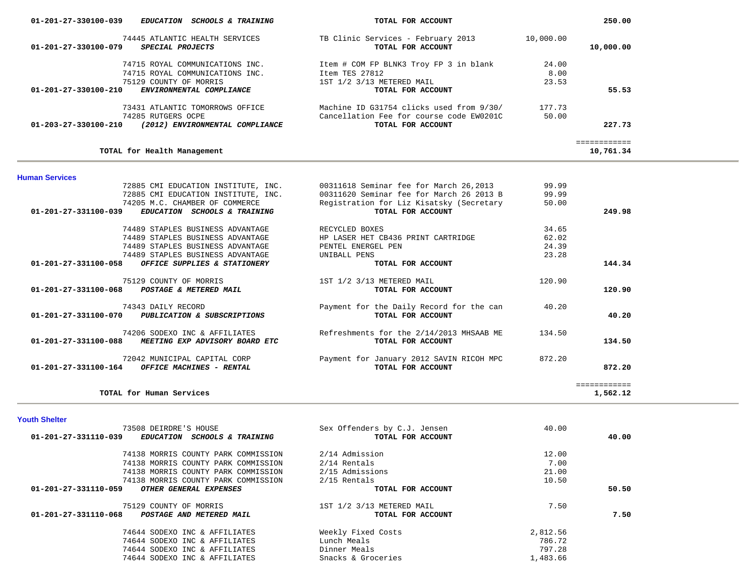| 01-201-27-330100-039<br><i>EDUCATION</i><br><b>SCHOOLS &amp; TRAINING</b>         | TOTAL FOR ACCOUNT                                       |           | 250.00       |
|-----------------------------------------------------------------------------------|---------------------------------------------------------|-----------|--------------|
| 74445 ATLANTIC HEALTH SERVICES<br>01-201-27-330100-079<br><i>SPECIAL PROJECTS</i> | TB Clinic Services - February 2013<br>TOTAL FOR ACCOUNT | 10,000.00 | 10,000.00    |
| 74715 ROYAL COMMUNICATIONS INC.                                                   | Item # COM FP BLNK3 Troy FP 3 in blank                  | 24.00     |              |
| 74715 ROYAL COMMUNICATIONS INC.                                                   | Item TES 27812                                          | 8.00      |              |
| 75129 COUNTY OF MORRIS                                                            | 1ST 1/2 3/13 METERED MAIL                               | 23.53     |              |
| $01 - 201 - 27 - 330100 - 210$<br>ENVIRONMENTAL COMPLIANCE                        | TOTAL FOR ACCOUNT                                       |           | 55.53        |
| 73431 ATLANTIC TOMORROWS OFFICE                                                   | Machine ID G31754 clicks used from 9/30/                | 177.73    |              |
| 74285 RUTGERS OCPE                                                                | Cancellation Fee for course code EW0201C                | 50.00     |              |
| 01-203-27-330100-210<br>(2012) ENVIRONMENTAL COMPLIANCE                           | TOTAL FOR ACCOUNT                                       |           | 227.73       |
|                                                                                   |                                                         |           | ------------ |
| TOTAL for Health Management                                                       |                                                         |           | 10,761.34    |

#### **Human Services**

|                                | 72885 CMI EDUCATION INSTITUTE, INC. | 00311618 Seminar fee for March 26,2013   | 99.99  |              |
|--------------------------------|-------------------------------------|------------------------------------------|--------|--------------|
|                                | 72885 CMI EDUCATION INSTITUTE, INC. | 00311620 Seminar fee for March 26 2013 B | 99.99  |              |
|                                | 74205 M.C. CHAMBER OF COMMERCE      | Registration for Liz Kisatsky (Secretary | 50.00  |              |
| $01 - 201 - 27 - 331100 - 039$ | EDUCATION SCHOOLS & TRAINING        | TOTAL FOR ACCOUNT                        |        | 249.98       |
|                                | 74489 STAPLES BUSINESS ADVANTAGE    | RECYCLED BOXES                           | 34.65  |              |
|                                | 74489 STAPLES BUSINESS ADVANTAGE    | HP LASER HET CB436 PRINT CARTRIDGE       | 62.02  |              |
|                                | 74489 STAPLES BUSINESS ADVANTAGE    | PENTEL ENERGEL PEN                       | 24.39  |              |
|                                | 74489 STAPLES BUSINESS ADVANTAGE    | UNIBALL PENS                             | 23.28  |              |
| 01-201-27-331100-058           | OFFICE SUPPLIES & STATIONERY        | TOTAL FOR ACCOUNT                        |        | 144.34       |
|                                | 75129 COUNTY OF MORRIS              | 1ST 1/2 3/13 METERED MAIL                | 120.90 |              |
| $01 - 201 - 27 - 331100 - 068$ | POSTAGE & METERED MAIL              | TOTAL FOR ACCOUNT                        |        | 120.90       |
|                                | 74343 DAILY RECORD                  | Payment for the Daily Record for the can | 40.20  |              |
| $01 - 201 - 27 - 331100 - 070$ | PUBLICATION & SUBSCRIPTIONS         | TOTAL FOR ACCOUNT                        |        | 40.20        |
|                                | 74206 SODEXO INC & AFFILIATES       | Refreshments for the 2/14/2013 MHSAAB ME | 134.50 |              |
| $01 - 201 - 27 - 331100 - 088$ | MEETING EXP ADVISORY BOARD ETC      | TOTAL FOR ACCOUNT                        |        | 134.50       |
|                                | 72042 MUNICIPAL CAPITAL CORP        | Payment for January 2012 SAVIN RICOH MPC | 872.20 |              |
| 01-201-27-331100-164           | OFFICE MACHINES - RENTAL            | TOTAL FOR ACCOUNT                        |        | 872.20       |
|                                |                                     |                                          |        | ============ |
|                                | TOTAL for Human Services            |                                          |        | 1,562.12     |
|                                |                                     |                                          |        |              |

#### **Youth Shelter**

| 73508 DEIRDRE'S HOUSE                                 | Sex Offenders by C.J. Jensen | 40.00    |       |
|-------------------------------------------------------|------------------------------|----------|-------|
| 01-201-27-331110-039<br>EDUCATION SCHOOLS & TRAINING  | TOTAL FOR ACCOUNT            |          | 40.00 |
| 74138 MORRIS COUNTY PARK COMMISSION                   | 2/14 Admission               | 12.00    |       |
| 74138 MORRIS COUNTY PARK COMMISSION                   | 2/14 Rentals                 | 7.00     |       |
| 74138 MORRIS COUNTY PARK COMMISSION                   | 2/15 Admissions              | 21.00    |       |
| 74138 MORRIS COUNTY PARK COMMISSION                   | 2/15 Rentals                 | 10.50    |       |
| 01-201-27-331110-059<br><i>OTHER GENERAL EXPENSES</i> | TOTAL FOR ACCOUNT            |          | 50.50 |
| 75129 COUNTY OF MORRIS                                | 1ST 1/2 3/13 METERED MAIL    | 7.50     |       |
| 01-201-27-331110-068<br>POSTAGE AND METERED MAIL      | TOTAL FOR ACCOUNT            |          | 7.50  |
| 74644 SODEXO INC & AFFILIATES                         | Weekly Fixed Costs           | 2,812.56 |       |
| 74644 SODEXO INC & AFFILIATES                         | Lunch Meals                  | 786.72   |       |
| 74644 SODEXO INC & AFFILIATES                         | Dinner Meals                 | 797.28   |       |
| 74644 SODEXO INC & AFFILIATES                         | Snacks & Groceries           | 1,483.66 |       |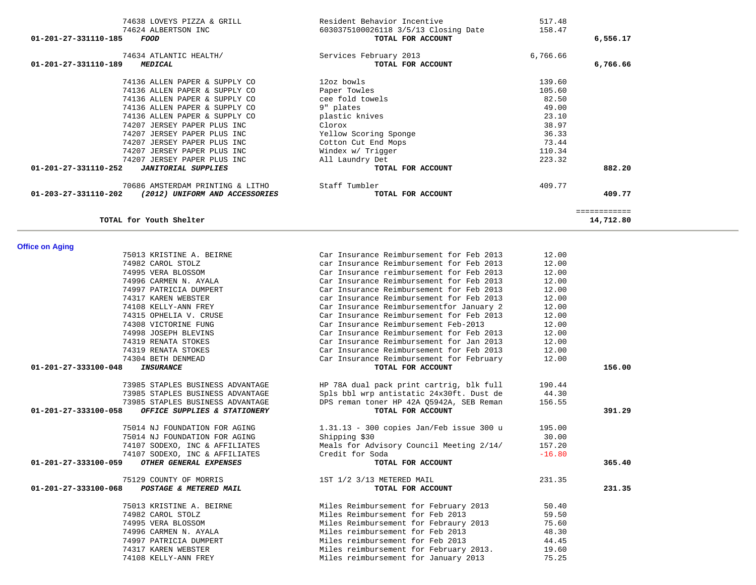| TOTAL for Youth Shelter                              |                                          |          | ============<br>14,712.80 |
|------------------------------------------------------|------------------------------------------|----------|---------------------------|
| <b>Office on Aging</b>                               |                                          |          |                           |
| 75013 KRISTINE A. BEIRNE                             | Car Insurance Reimbursement for Feb 2013 | 12.00    |                           |
| 74982 CAROL STOLZ                                    | car Insurance Reimbursement for Feb 2013 | 12.00    |                           |
| 74995 VERA BLOSSOM                                   | Car Insurance reimbursement for Feb 2013 | 12.00    |                           |
| 74996 CARMEN N. AYALA                                | Car Insurance Reimbursement for Feb 2013 | 12.00    |                           |
| 74997 PATRICIA DUMPERT                               | Car Insurance Reimbursement for Feb 2013 | 12.00    |                           |
| 74317 KAREN WEBSTER                                  | car Insurance Reimbursement for Feb 2013 | 12.00    |                           |
| 74108 KELLY-ANN FREY                                 | Car Insurance Reimbursementfor January 2 | 12.00    |                           |
| 74315 OPHELIA V. CRUSE                               | Car Insurance Reimbursement for Feb 2013 | 12.00    |                           |
| 74308 VICTORINE FUNG                                 | Car Insurance Reimbursement Feb-2013     | 12.00    |                           |
| 74998 JOSEPH BLEVINS                                 | Car Insurance Reimbursement for Feb 2013 | 12.00    |                           |
| 74319 RENATA STOKES                                  | Car Insurance Reimbursement for Jan 2013 | 12.00    |                           |
| 74319 RENATA STOKES                                  | Car Insurance Reimbursement for Feb 2013 | 12.00    |                           |
| 74304 BETH DENMEAD                                   | Car Insurance Reimbursement for February | 12.00    |                           |
| 01-201-27-333100-048<br><b>INSURANCE</b>             | TOTAL FOR ACCOUNT                        |          | 156.00                    |
| 73985 STAPLES BUSINESS ADVANTAGE                     | HP 78A dual pack print cartrig, blk full | 190.44   |                           |
| 73985 STAPLES BUSINESS ADVANTAGE                     | Spls bbl wrp antistatic 24x30ft. Dust de | 44.30    |                           |
| 73985 STAPLES BUSINESS ADVANTAGE                     | DPS reman toner HP 42A Q5942A, SEB Reman | 156.55   |                           |
| 01-201-27-333100-058<br>OFFICE SUPPLIES & STATIONERY | TOTAL FOR ACCOUNT                        |          | 391.29                    |
| 75014 NJ FOUNDATION FOR AGING                        | 1.31.13 - 300 copies Jan/Feb issue 300 u | 195.00   |                           |
| 75014 NJ FOUNDATION FOR AGING                        | Shipping \$30                            | 30.00    |                           |
| 74107 SODEXO, INC & AFFILIATES                       | Meals for Advisory Council Meeting 2/14/ | 157.20   |                           |
| 74107 SODEXO, INC & AFFILIATES                       | Credit for Soda                          | $-16.80$ |                           |
| OTHER GENERAL EXPENSES<br>01-201-27-333100-059       | TOTAL FOR ACCOUNT                        |          | 365.40                    |
| 75129 COUNTY OF MORRIS                               | 1ST 1/2 3/13 METERED MAIL                | 231.35   |                           |
| POSTAGE & METERED MAIL<br>01-201-27-333100-068       | TOTAL FOR ACCOUNT                        |          | 231.35                    |
| 75013 KRISTINE A. BEIRNE                             | Miles Reimbursement for February 2013    | 50.40    |                           |
| 74982 CAROL STOLZ                                    | Miles Reimbursement for Feb 2013         | 59.50    |                           |
| 74995 VERA BLOSSOM                                   | Miles Reimbursement for Febraury 2013    | 75.60    |                           |
| 74996 CARMEN N. AYALA                                | Miles reimbursement for Feb 2013         | 48.30    |                           |
| 74997 PATRICIA DUMPERT                               | Miles reimbursement for Feb 2013         | 44.45    |                           |
| 74317 KAREN WEBSTER                                  | Miles reimbursement for February 2013.   | 19.60    |                           |
| 74108 KELLY-ANN FREY                                 | Miles reimbursement for January 2013     | 75.25    |                           |

| 74638 LOVEYS PIZZA & GRILL<br>74624 ALBERTSON INC<br>01-201-27-331110-185<br>FOOD | Resident Behavior Incentive<br>6030375100026118 3/5/13 Closing Date<br>TOTAL FOR ACCOUNT | 517.48<br>158.47 | 6,556.17                  |
|-----------------------------------------------------------------------------------|------------------------------------------------------------------------------------------|------------------|---------------------------|
| 74634 ATLANTIC HEALTH/<br>01-201-27-331110-189<br><b>MEDICAL</b>                  | Services February 2013<br>TOTAL FOR ACCOUNT                                              | 6,766.66         | 6,766.66                  |
| 74136 ALLEN PAPER & SUPPLY CO                                                     | 12oz bowls                                                                               | 139.60           |                           |
| 74136 ALLEN PAPER & SUPPLY CO                                                     | Paper Towles                                                                             | 105.60           |                           |
| 74136 ALLEN PAPER & SUPPLY CO                                                     | cee fold towels                                                                          | 82.50            |                           |
| 74136 ALLEN PAPER & SUPPLY CO                                                     | 9" plates                                                                                | 49.00            |                           |
| 74136 ALLEN PAPER & SUPPLY CO                                                     | plastic knives                                                                           | 23.10            |                           |
| 74207 JERSEY PAPER PLUS INC                                                       | Clorox                                                                                   | 38.97            |                           |
| 74207 JERSEY PAPER PLUS INC                                                       | Yellow Scoring Sponge                                                                    | 36.33            |                           |
| 74207 JERSEY PAPER PLUS INC                                                       | Cotton Cut End Mops                                                                      | 73.44            |                           |
| 74207 JERSEY PAPER PLUS INC                                                       | Windex w/ Trigger                                                                        | 110.34           |                           |
| 74207 JERSEY PAPER PLUS INC                                                       | All Laundry Det                                                                          | 223.32           |                           |
| $01 - 201 - 27 - 331110 - 252$<br><b>JANITORIAL SUPPLIES</b>                      | TOTAL FOR ACCOUNT                                                                        |                  | 882.20                    |
| 70686 AMSTERDAM PRINTING & LITHO                                                  | Staff Tumbler                                                                            | 409.77           |                           |
| $01 - 203 - 27 - 331110 - 202$<br>(2012) UNIFORM AND ACCESSORIES                  | TOTAL FOR ACCOUNT                                                                        |                  | 409.77                    |
| TOTAL for Youth Shelter                                                           |                                                                                          |                  | ------------<br>14,712.80 |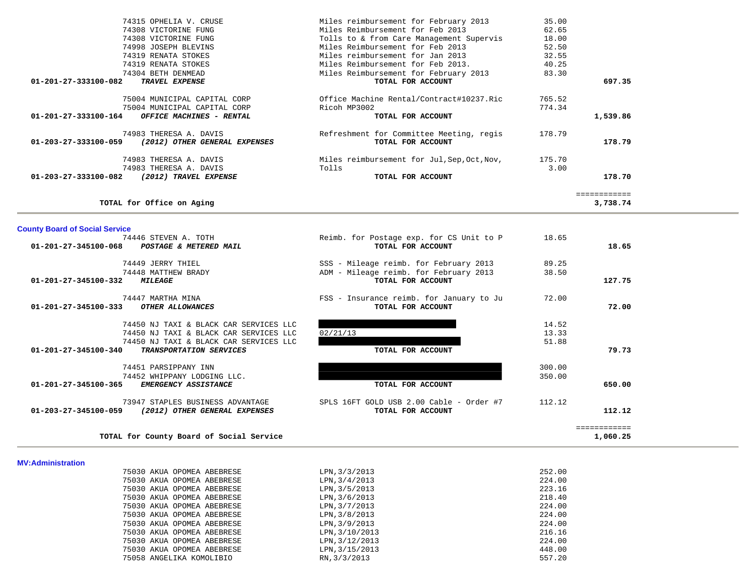| TOTAL for County Board of Social Service                                                                         |                                                                                                                  |                         | 1,060.25               |
|------------------------------------------------------------------------------------------------------------------|------------------------------------------------------------------------------------------------------------------|-------------------------|------------------------|
| 73947 STAPLES BUSINESS ADVANTAGE<br>01-203-27-345100-059<br>(2012) OTHER GENERAL EXPENSES                        | SPLS 16FT GOLD USB 2.00 Cable - Order #7<br>TOTAL FOR ACCOUNT                                                    | 112.12                  | 112.12<br>============ |
| 74452 WHIPPANY LODGING LLC.<br>01-201-27-345100-365<br>EMERGENCY ASSISTANCE                                      | TOTAL FOR ACCOUNT                                                                                                | 350.00                  | 650.00                 |
| 74451 PARSIPPANY INN                                                                                             |                                                                                                                  | 300.00                  |                        |
| 74450 NJ TAXI & BLACK CAR SERVICES LLC<br>TRANSPORTATION SERVICES<br>01-201-27-345100-340                        | TOTAL FOR ACCOUNT                                                                                                | 51.88                   | 79.73                  |
| 74450 NJ TAXI & BLACK CAR SERVICES LLC<br>74450 NJ TAXI & BLACK CAR SERVICES LLC                                 | 02/21/13                                                                                                         | 14.52<br>13.33          |                        |
| 74447 MARTHA MINA<br>OTHER ALLOWANCES<br>01-201-27-345100-333                                                    | FSS - Insurance reimb. for January to Ju<br>TOTAL FOR ACCOUNT                                                    | 72.00                   | 72.00                  |
| 01-201-27-345100-332 MILEAGE                                                                                     | TOTAL FOR ACCOUNT                                                                                                |                         | 127.75                 |
| 74449 JERRY THIEL<br>74448 MATTHEW BRADY                                                                         | SSS - Mileage reimb. for February 2013<br>ADM - Mileage reimb. for February 2013                                 | 89.25<br>38.50          |                        |
| <b>County Board of Social Service</b><br>74446 STEVEN A. TOTH<br>01-201-27-345100-068 POSTAGE & METERED MAIL     | Reimb. for Postage exp. for CS Unit to P<br>TOTAL FOR ACCOUNT                                                    | 18.65                   | 18.65                  |
| TOTAL for Office on Aging                                                                                        |                                                                                                                  |                         | 3,738.74               |
| (2012) TRAVEL EXPENSE<br>01-203-27-333100-082                                                                    | TOTAL FOR ACCOUNT                                                                                                |                         | 178.70<br>============ |
| 74983 THERESA A. DAVIS<br>74983 THERESA A. DAVIS                                                                 | Miles reimbursement for Jul, Sep, Oct, Nov,<br>Tolls                                                             | 175.70<br>3.00          |                        |
| 74983 THERESA A. DAVIS<br>(2012) OTHER GENERAL EXPENSES<br>01-203-27-333100-059                                  | Refreshment for Committee Meeting, regis<br>TOTAL FOR ACCOUNT                                                    | 178.79                  | 178.79                 |
| 75004 MUNICIPAL CAPITAL CORP<br>75004 MUNICIPAL CAPITAL CORP<br>01-201-27-333100-164<br>OFFICE MACHINES - RENTAL | Office Machine Rental/Contract#10237.Ric<br>Ricoh MP3002<br>TOTAL FOR ACCOUNT                                    | 765.52<br>774.34        | 1,539.86               |
| 01-201-27-333100-082<br>TRAVEL EXPENSE                                                                           | TOTAL FOR ACCOUNT                                                                                                |                         | 697.35                 |
| 74319 RENATA STOKES<br>74319 RENATA STOKES<br>74304 BETH DENMEAD                                                 | Miles Reimbursement for Feb 2013.<br>Miles Reimbursement for February 2013                                       | 32.55<br>40.25<br>83.30 |                        |
| 74308 VICTORINE FUNG<br>74998 JOSEPH BLEVINS                                                                     | Tolls to & from Care Management Supervis<br>Miles Reimbursement for Feb 2013<br>Miles reimbursement for Jan 2013 | 18.00<br>52.50          |                        |
|                                                                                                                  |                                                                                                                  |                         |                        |

| <b>MV:Administration</b> |  |
|--------------------------|--|

| 75030 AKUA OPOMEA ABEBRESE | LPN, 3/3/2013  | 252.00 |
|----------------------------|----------------|--------|
| 75030 AKUA OPOMEA ABEBRESE | LPN, 3/4/2013  | 224.00 |
| 75030 AKUA OPOMEA ABEBRESE | LPN, 3/5/2013  | 223.16 |
| 75030 AKUA OPOMEA ABEBRESE | LPN, 3/6/2013  | 218.40 |
| 75030 AKUA OPOMEA ABEBRESE | LPN, 3/7/2013  | 224.00 |
| 75030 AKUA OPOMEA ABEBRESE | LPN, 3/8/2013  | 224.00 |
| 75030 AKUA OPOMEA ABEBRESE | LPN, 3/9/2013  | 224.00 |
| 75030 AKUA OPOMEA ABEBRESE | LPN, 3/10/2013 | 216.16 |
| 75030 AKUA OPOMEA ABEBRESE | LPN, 3/12/2013 | 224.00 |
| 75030 AKUA OPOMEA ABEBRESE | LPN, 3/15/2013 | 448.00 |
| 75058 ANGELIKA KOMOLIBIO   | RN. 3/3/2013   | 557.20 |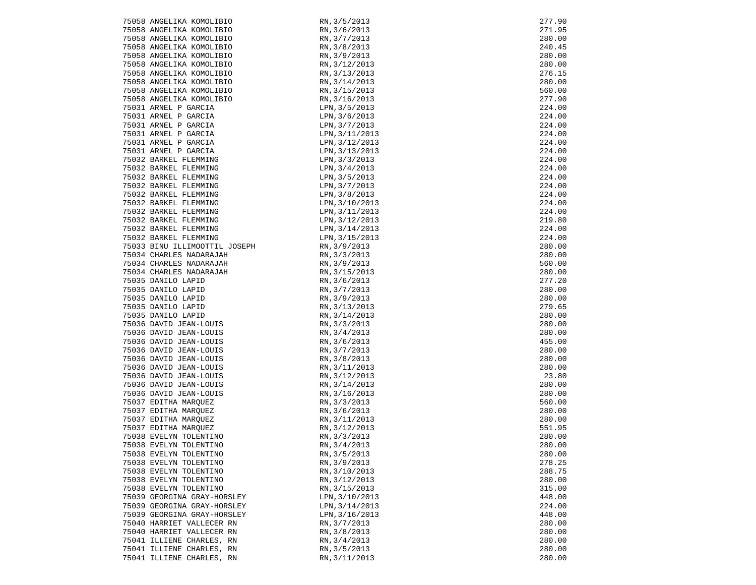| 75058 ANGELIKA KOMOLIBIO                         | RN, 3/5/2013                 | 277.90           |
|--------------------------------------------------|------------------------------|------------------|
| 75058 ANGELIKA KOMOLIBIO                         | RN, 3/6/2013                 | 271.95           |
| 75058 ANGELIKA KOMOLIBIO                         | RN, 3/7/2013                 | 280.00           |
| 75058 ANGELIKA KOMOLIBIO                         | RN, 3/8/2013                 | 240.45           |
| 75058 ANGELIKA KOMOLIBIO                         | RN, 3/9/2013                 | 280.00           |
| 75058 ANGELIKA KOMOLIBIO                         | RN, 3/12/2013                | 280.00           |
| 75058 ANGELIKA KOMOLIBIO                         | RN, 3/13/2013                | 276.15           |
| 75058 ANGELIKA KOMOLIBIO                         | RN, 3/14/2013                | 280.00           |
| 75058 ANGELIKA KOMOLIBIO                         | RN, 3/15/2013                | 560.00           |
| 75058 ANGELIKA KOMOLIBIO                         | RN, 3/16/2013                | 277.90           |
| 75031 ARNEL P GARCIA                             | LPN, 3/5/2013                | 224.00           |
| 75031 ARNEL P GARCIA                             | LPN, 3/6/2013                | 224.00           |
|                                                  | LPN, 3/7/2013                | 224.00           |
| 75031 ARNEL P GARCIA<br>75031 ARNEL P GARCIA     | LPN, 3/11/2013               | 224.00           |
|                                                  | LPN, 3/12/2013               | 224.00           |
| 75031 ARNEL P GARCIA<br>75031 ARNEL P GARCIA     | LPN, 3/13/2013               | 224.00           |
| 75032 BARKEL FLEMMING                            | LPN, 3/3/2013                | 224.00           |
| 75032 BARKEL FLEMMING                            | LPN, 3/4/2013                | 224.00           |
| 75032 BARKEL FLEMMING                            | LPN, 3/5/2013                | 224.00           |
| 75032 BARKEL FLEMMING                            | LPN, 3/7/2013                | 224.00           |
| 75032 BARKEL FLEMMING                            | LPN, 3/8/2013                | 224.00           |
| 75032 BARKEL FLEMMING                            | LPN, 3/10/2013               | 224.00           |
| 75032 BARKEL FLEMMING                            | LPN, 3/11/2013               | 224.00           |
| 75032 BARKEL FLEMMING                            | LPN, 3/12/2013               | 219.80           |
| 75032 BARKEL FLEMMING                            | LPN, 3/14/2013               | 224.00           |
| 75032 BARKEL FLEMMING                            | LPN, 3/15/2013               | 224.00           |
| 75033 BINU ILLIMOOTTIL JOSEPH                    | RN, 3/9/2013                 | 280.00           |
| 75034 CHARLES NADARAJAH                          | RN, 3/3/2013                 | 280.00           |
| 75034 CHARLES NADARAJAH                          | RN, 3/9/2013                 | 560.00           |
| 75034 CHARLES NADARAJAH                          | RN, 3/15/2013                | 280.00           |
| 75035 DANILO LAPID                               | RN, 3/6/2013                 | 277.20           |
| 75035 DANILO LAPID                               | RN, 3/7/2013                 | 280.00           |
| 75035 DANILO LAPID                               | RN, 3/9/2013                 | 280.00           |
| 75035 DANILO LAPID                               | RN, 3/13/2013                | 279.65           |
|                                                  |                              |                  |
| 75035 DANILO LAPID                               | RN, 3/14/2013                | 280.00<br>280.00 |
| 75036 DAVID JEAN-LOUIS<br>75036 DAVID JEAN-LOUIS | RN, 3/3/2013<br>RN, 3/4/2013 | 280.00           |
| 75036 DAVID JEAN-LOUIS                           | RN, 3/6/2013                 | 455.00           |
|                                                  |                              |                  |
| 75036 DAVID JEAN-LOUIS                           | RN, 3/7/2013                 | 280.00           |
| 75036 DAVID JEAN-LOUIS                           | RN, 3/8/2013                 | 280.00           |
| 75036 DAVID JEAN-LOUIS                           | RN, 3/11/2013                | 280.00           |
| 75036 DAVID JEAN-LOUIS                           | RN, 3/12/2013                | 23.80            |
| 75036 DAVID JEAN-LOUIS                           | RN, 3/14/2013                | 280.00           |
| 75036 DAVID JEAN-LOUIS                           | RN, 3/16/2013                | 280.00           |
| 75037 EDITHA MARQUEZ                             | RN, 3/3/2013                 | 560.00           |
| 75037 EDITHA MARQUEZ                             | RN, 3/6/2013                 | 280.00           |
| 75037 EDITHA MARQUEZ                             | RN, 3/11/2013                | 280.00           |
| 75037 EDITHA MARQUEZ                             | RN, 3/12/2013                | 551.95           |
| 75038 EVELYN TOLENTINO                           | RN, 3/3/2013                 | 280.00           |
| 75038 EVELYN TOLENTINO                           | RN, 3/4/2013                 | 280.00           |
| 75038 EVELYN TOLENTINO                           | RN, 3/5/2013                 | 280.00           |
| 75038 EVELYN TOLENTINO                           | RN, 3/9/2013                 | 278.25           |
| 75038 EVELYN TOLENTINO                           | RN, 3/10/2013                | 288.75           |
| 75038 EVELYN TOLENTINO                           | RN, 3/12/2013                | 280.00           |
| 75038 EVELYN TOLENTINO                           | RN, 3/15/2013                | 315.00           |
| 75039 GEORGINA GRAY-HORSLEY                      | LPN, 3/10/2013               | 448.00           |
| 75039 GEORGINA GRAY-HORSLEY                      | LPN, 3/14/2013               | 224.00           |
| 75039 GEORGINA GRAY-HORSLEY                      | LPN, 3/16/2013               | 448.00           |
| 75040 HARRIET VALLECER RN                        | RN, 3/7/2013                 | 280.00           |
| 75040 HARRIET VALLECER RN                        | RN, 3/8/2013                 | 280.00           |
| 75041 ILLIENE CHARLES, RN                        | RN, 3/4/2013                 | 280.00           |
| 75041 ILLIENE CHARLES, RN                        | RN, 3/5/2013                 | 280.00           |
| 75041 ILLIENE CHARLES, RN                        | RN, 3/11/2013                | 280.00           |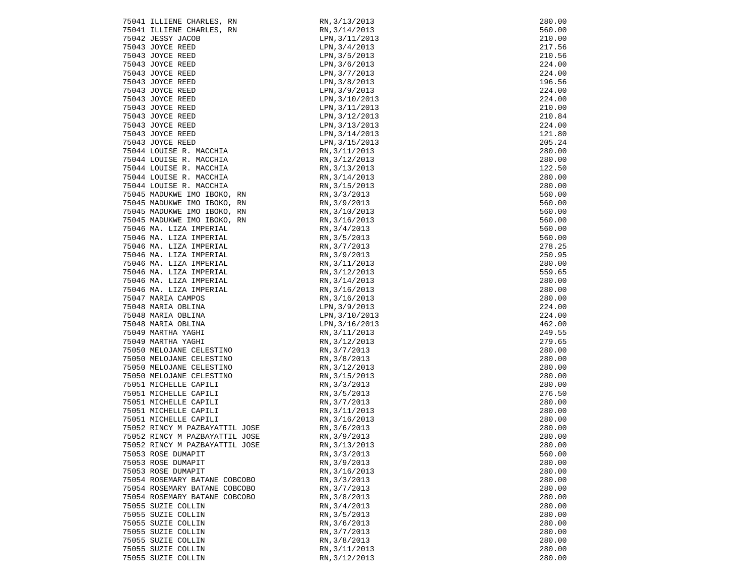| 75041 ILLIENE CHARLES, RN                                        | RN, 3/13/2013                                                         | 280.00           |
|------------------------------------------------------------------|-----------------------------------------------------------------------|------------------|
| 75041 ILLIENE CHARLES, RN                                        | RN, 3/14/2013                                                         | 560.00           |
| 75042 JESSY JACOB                                                | LPN, 3/11/2013                                                        | 210.00           |
| 75043 JOYCE REED                                                 | LPN, 3/4/2013                                                         | 217.56           |
| 75043 JOYCE REED                                                 | LPN, 3/5/2013                                                         | 210.56           |
| 75043 JOYCE REED                                                 | LPN, 3/6/2013                                                         | 224.00           |
| 75043 JOYCE REED                                                 | LPN, 3/7/2013                                                         | 224.00           |
| 75043 JOYCE REED                                                 | LPN, 3/8/2013                                                         | 196.56           |
|                                                                  |                                                                       | 224.00           |
| 75043 JOYCE REED                                                 | LPN, 3/9/2013                                                         |                  |
| 75043 JOYCE REED                                                 | LPN, 3/10/2013                                                        | 224.00           |
| 75043 JOYCE REED                                                 | LPN, 3/11/2013                                                        | 210.00           |
| 75043 JOYCE REED                                                 | LPN, 3/12/2013                                                        | 210.84           |
| 75043 JOYCE REED                                                 | LPN, 3/13/2013                                                        | 224.00           |
| 75043 JOYCE REED                                                 | LPN, 3/14/2013                                                        | 121.80           |
| 75043 JOYCE REED                                                 | LPN, 3/15/2013                                                        | 205.24           |
| 75044 LOUISE R. MACCHIA                                          | RN,3/11/2013                                                          | 280.00           |
| 75044 LOUISE R. MACCHIA                                          | RN, 3/12/2013                                                         | 280.00           |
| 75044 LOUISE R. MACCHIA                                          | RN, 3/13/2013                                                         | 122.50           |
| 75044 LOUISE R. MACCHIA                                          | RN, 3/14/2013                                                         | 280.00           |
| 75044 LOUISE R. MACCHIA                                          | RN, 3/15/2013                                                         | 280.00           |
| 75045 MADUKWE IMO IBOKO, RN                                      | RN, 3/3/2013                                                          | 560.00           |
| 75045 MADUKWE IMO IBOKO, RN                                      | RN,3/3/2013<br>RN,3/9/2013                                            | 560.00           |
| 75045 MADUKWE IMO IBOKO, RN                                      | RN, 3/10/2013<br>RN, 3/16/2013                                        | 560.00           |
| 75045 MADUKWE IMO IBOKO, RN                                      |                                                                       | 560.00           |
| 75046 MA. LIZA IMPERIAL                                          | RN, 3/4/2013                                                          | 560.00           |
| 75046 MA. LIZA IMPERIAL                                          | RN, 3/5/2013                                                          | 560.00           |
| 75046 MA. LIZA IMPERIAL                                          | RN, 3/7/2013                                                          | 278.25           |
| 75046 MA. LIZA IMPERIAL                                          | RN, 3/9/2013                                                          | 250.95           |
| 75046 MA. LIZA IMPERIAL                                          | RN, 3/11/2013                                                         | 280.00           |
| 75046 MA. LIZA IMPERIAL                                          | RN, 3/12/2013                                                         | 559.65           |
| 75046 MA. LIZA IMPERIAL                                          | RN, 3/14/2013                                                         | 280.00           |
| 75046 MA. LIZA IMPERIAL                                          | RN, 3/16/2013                                                         | 280.00           |
| 75047 MARIA CAMPOS                                               | RN, 3/16/2013                                                         | 280.00           |
| 75048 MARIA OBLINA                                               | LPN, 3/9/2013                                                         | 224.00           |
| TO 18 MARIA UBLINA<br>75048 MARIA OBLINA<br>10 MARTHA YAGHI      | LPN, 3/10/2013                                                        | 224.00           |
|                                                                  | LPN, 3/16/2013                                                        | 462.00           |
|                                                                  | RN, 3/11/2013                                                         | 249.55           |
| 75049 MARTHA YAGHI                                               | RN, 3/12/2013                                                         | 279.65           |
| 75050 MELOJANE CELESTINO                                         | RN, 3/7/2013                                                          | 280.00           |
| 75050 MELOJANE CELESTINO                                         | RN, 3/8/2013                                                          | 280.00           |
| 75050 MELOJANE CELESTINO                                         | RN, 3/12/2013                                                         | 280.00           |
| 75050 MELOJANE CELESTINO                                         | RN, 3/15/2013                                                         | 280.00           |
|                                                                  | RN, 3/3/2013                                                          | 280.00           |
|                                                                  | RN, 3/5/2013                                                          | 276.50           |
|                                                                  |                                                                       | 280.00           |
| 75051 MICHELLE CAPILI                                            | RN,<br>RN, 3/11/2011<br>RN, 3/16/2013<br>RN, 3/6/2013<br>PN, 3/9/2013 | 280.00           |
| 75051 MICHELLE CAPILI                                            |                                                                       | 280.00           |
|                                                                  |                                                                       | 280.00           |
| 75052 RINCY M PAZBAYATTIL JOSE<br>75052 RINCY M PAZBAYATTIL JOSE |                                                                       |                  |
|                                                                  | RN, 3/13/2013                                                         | 280.00<br>280.00 |
| 75052 RINCY M PAZBAYATTIL JOSE                                   |                                                                       |                  |
| 75053 ROSE DUMAPIT                                               | RN, 3/3/2013                                                          | 560.00           |
| 75053 ROSE DUMAPIT                                               | RN, 3/9/2013                                                          | 280.00           |
| 75053 ROSE DUMAPIT                                               | RN, 3/16/2013                                                         | 280.00           |
| 75054 ROSEMARY BATANE COBCOBO                                    | RN, 3/3/2013                                                          | 280.00           |
| 75054 ROSEMARY BATANE COBCOBO                                    | RN, 3/7/2013                                                          | 280.00           |
| 75054 ROSEMARY BATANE COBCOBO                                    | RN, 3/8/2013                                                          | 280.00           |
| 75055 SUZIE COLLIN                                               | RN, 3/4/2013                                                          | 280.00           |
| 75055 SUZIE COLLIN                                               | RN, 3/5/2013                                                          | 280.00           |
| 75055 SUZIE COLLIN                                               | RN, 3/6/2013                                                          | 280.00           |
| 75055 SUZIE COLLIN                                               | RN, 3/7/2013                                                          | 280.00           |
| 75055 SUZIE COLLIN                                               | RN, 3/8/2013                                                          | 280.00           |
| 75055 SUZIE COLLIN                                               | RN, 3/11/2013                                                         | 280.00           |
| 75055 SUZIE COLLIN                                               | RN, 3/12/2013                                                         | 280.00           |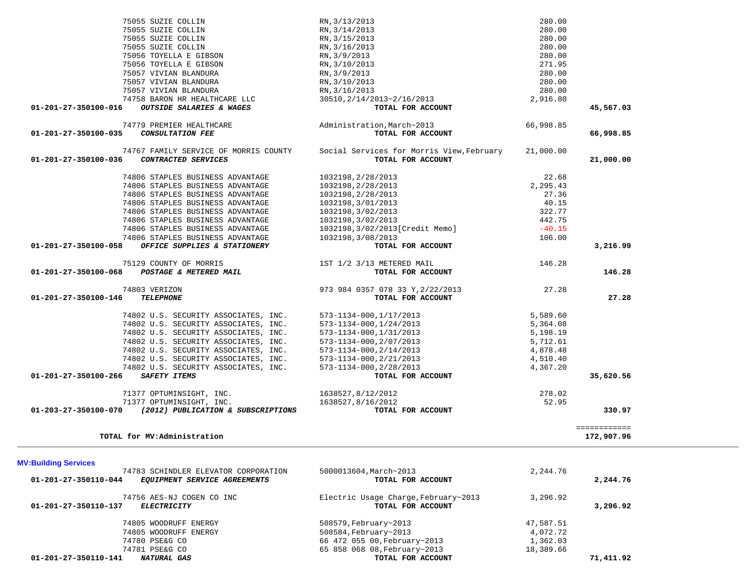| <b>MV:Building Services</b>                                                                  |                                                           |           |           |
|----------------------------------------------------------------------------------------------|-----------------------------------------------------------|-----------|-----------|
| 74783 SCHINDLER ELEVATOR CORPORATION<br>01-201-27-350110-044<br>EQUIPMENT SERVICE AGREEMENTS | 5000013604, March~2013<br>TOTAL FOR ACCOUNT               | 2,244.76  | 2,244.76  |
| 74756 AES-NJ COGEN CO INC<br>01-201-27-350110-137<br><b>ELECTRICITY</b>                      | Electric Usage Charge, February~2013<br>TOTAL FOR ACCOUNT | 3,296.92  | 3,296.92  |
| 74805 WOODRUFF ENERGY                                                                        | 508579, February~2013                                     | 47,587.51 |           |
| 74805 WOODRUFF ENERGY                                                                        | 508584, February~2013                                     | 4,072.72  |           |
| 74780 PSE&G CO                                                                               | 66 472 055 00, February~2013                              | 1,362.03  |           |
| 74781 PSE&G CO                                                                               | 65 858 068 08, February~2013                              | 18,389.66 |           |
| $01 - 201 - 27 - 350110 - 141$<br>NATURAL GAS                                                | TOTAL FOR ACCOUNT                                         |           | 71,411.92 |

============<br>172,907.96

| 52.95                        |                   | 1638527,8/16/2012 | 71377 OPTUMINSIGHT,<br>INC.        |                      |
|------------------------------|-------------------|-------------------|------------------------------------|----------------------|
| 330.97                       | TOTAL FOR ACCOUNT |                   | (2012) PUBLICATION & SUBSCRIPTIONS | 01-203-27-350100-070 |
|                              |                   |                   |                                    |                      |
| ____________<br>------------ |                   |                   |                                    |                      |

**TOTAL for MV:Administration 172,907.96**

75055 SUZIE COLLIN

| 75055 SUZIE COLLIN                                         | RN, 3/16/2013                             | 280.00    |           |
|------------------------------------------------------------|-------------------------------------------|-----------|-----------|
| 75056 TOYELLA E GIBSON                                     | RN, 3/9/2013                              | 280.00    |           |
| 75056 TOYELLA E GIBSON                                     | RN, 3/10/2013                             | 271.95    |           |
| 75057 VIVIAN BLANDURA                                      | RN, 3/9/2013                              | 280.00    |           |
| 75057 VIVIAN BLANDURA                                      | RN, 3/10/2013                             | 280.00    |           |
| 75057 VIVIAN BLANDURA                                      | RN, 3/16/2013                             | 280.00    |           |
| 74758 BARON HR HEALTHCARE LLC                              | 30510, 2/14/2013~2/16/2013                | 2,916.80  |           |
| 01-201-27-350100-016<br>OUTSIDE SALARIES & WAGES           | TOTAL FOR ACCOUNT                         |           | 45,567.03 |
| 74779 PREMIER HEALTHCARE                                   | Administration, March~2013                | 66,998.85 |           |
| <b>CONSULTATION FEE</b><br>01-201-27-350100-035            | TOTAL FOR ACCOUNT                         |           | 66,998.85 |
| 74767 FAMILY SERVICE OF MORRIS COUNTY                      | Social Services for Morris View, February | 21,000.00 |           |
| 01-201-27-350100-036<br>CONTRACTED SERVICES                | TOTAL FOR ACCOUNT                         |           | 21,000.00 |
| 74806 STAPLES BUSINESS ADVANTAGE                           | 1032198, 2/28/2013                        | 22.68     |           |
| 74806 STAPLES BUSINESS ADVANTAGE                           | 1032198, 2/28/2013                        | 2,295.43  |           |
| 74806 STAPLES BUSINESS ADVANTAGE                           | 1032198, 2/28/2013                        | 27.36     |           |
| 74806 STAPLES BUSINESS ADVANTAGE                           | 1032198, 3/01/2013                        | 40.15     |           |
| 74806 STAPLES BUSINESS ADVANTAGE                           | 1032198, 3/02/2013                        | 322.77    |           |
| 74806 STAPLES BUSINESS ADVANTAGE                           | 1032198, 3/02/2013                        | 442.75    |           |
| 74806 STAPLES BUSINESS ADVANTAGE                           | 1032198, 3/02/2013 [Credit Memo]          | $-40.15$  |           |
| 74806 STAPLES BUSINESS ADVANTAGE                           | 1032198,3/08/2013                         | 106.00    |           |
| OFFICE SUPPLIES & STATIONERY<br>01-201-27-350100-058       | TOTAL FOR ACCOUNT                         |           | 3,216.99  |
| 75129 COUNTY OF MORRIS                                     | 1ST 1/2 3/13 METERED MAIL                 | 146.28    |           |
| POSTAGE & METERED MAIL<br>01-201-27-350100-068             | TOTAL FOR ACCOUNT                         |           | 146.28    |
| 74803 VERIZON                                              | 973 984 0357 078 33 Y, 2/22/2013          | 27.28     |           |
| 01-201-27-350100-146<br><b>TELEPHONE</b>                   | TOTAL FOR ACCOUNT                         |           | 27.28     |
| 74802 U.S. SECURITY ASSOCIATES, INC.                       | 573-1134-000, 1/17/2013                   | 5,589.60  |           |
| 74802 U.S. SECURITY ASSOCIATES, INC.                       | 573-1134-000, 1/24/2013                   | 5,364.08  |           |
| 74802 U.S. SECURITY ASSOCIATES, INC.                       | 573-1134-000, 1/31/2013                   | 5,198.19  |           |
| 74802 U.S. SECURITY ASSOCIATES, INC.                       | 573-1134-000, 2/07/2013                   | 5,712.61  |           |
| 74802 U.S. SECURITY ASSOCIATES, INC.                       | 573-1134-000, 2/14/2013                   | 4,878.48  |           |
| 74802 U.S. SECURITY ASSOCIATES, INC.                       | 573-1134-000, 2/21/2013                   | 4,510.40  |           |
| 74802 U.S. SECURITY ASSOCIATES, INC.                       | 573-1134-000, 2/28/2013                   | 4,367.20  |           |
| 01-201-27-350100-266<br>SAFETY ITEMS                       | TOTAL FOR ACCOUNT                         |           | 35,620.56 |
| 71377 OPTUMINSIGHT, INC.                                   | 1638527,8/12/2012                         | 278.02    |           |
| 71377 OPTUMINSIGHT, INC.                                   | 1638527,8/16/2012                         | 52.95     |           |
| 01-203-27-350100-070<br>(2012) PUBLICATION & SUBSCRIPTIONS | TOTAL FOR ACCOUNT                         |           | 330.97    |

 75055 SUZIE COLLIN RN,3/13/2013 280.00 75055 SUZIE COLLIN RN,3/14/2013 280.00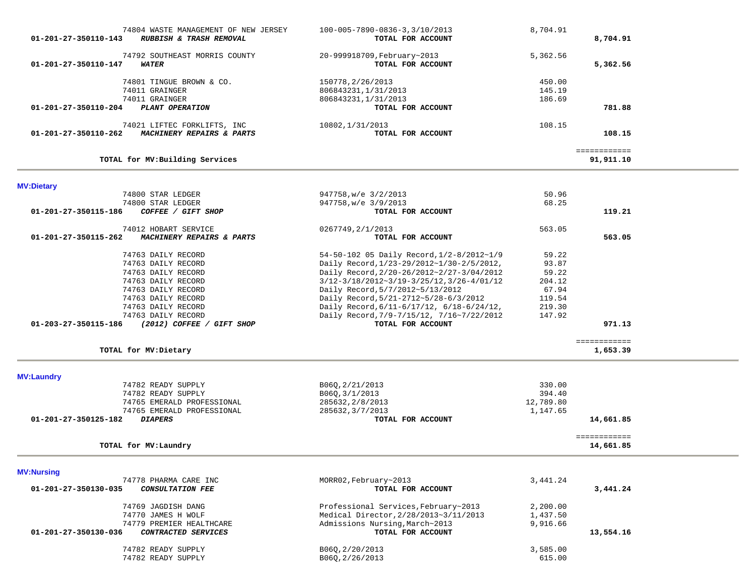| 01-201-27-350110-143 | 74804 WASTE MANAGEMENT OF NEW JERSEY<br>RUBBISH & TRASH REMOVAL | 100-005-7890-0836-3,3/10/2013<br>TOTAL FOR ACCOUNT | 8,704.91  | 8,704.91     |  |
|----------------------|-----------------------------------------------------------------|----------------------------------------------------|-----------|--------------|--|
|                      | 74792 SOUTHEAST MORRIS COUNTY                                   | 20-999918709, February~2013                        | 5,362.56  |              |  |
| 01-201-27-350110-147 | <b>WATER</b>                                                    | TOTAL FOR ACCOUNT                                  |           | 5,362.56     |  |
|                      | 74801 TINGUE BROWN & CO.                                        | 150778, 2/26/2013                                  | 450.00    |              |  |
|                      | 74011 GRAINGER                                                  | 806843231, 1/31/2013                               | 145.19    |              |  |
|                      | 74011 GRAINGER                                                  | 806843231, 1/31/2013                               | 186.69    |              |  |
| 01-201-27-350110-204 | PLANT OPERATION                                                 | TOTAL FOR ACCOUNT                                  |           | 781.88       |  |
|                      | 74021 LIFTEC FORKLIFTS, INC                                     | 10802, 1/31/2013                                   | 108.15    |              |  |
| 01-201-27-350110-262 | MACHINERY REPAIRS & PARTS                                       | TOTAL FOR ACCOUNT                                  |           | 108.15       |  |
|                      |                                                                 |                                                    |           | ============ |  |
|                      | TOTAL for MV: Building Services                                 |                                                    |           | 91,911.10    |  |
|                      |                                                                 |                                                    |           |              |  |
| <b>MV:Dietary</b>    | 74800 STAR LEDGER                                               | 947758, w/e 3/2/2013                               | 50.96     |              |  |
|                      | 74800 STAR LEDGER                                               | 947758, w/e 3/9/2013                               | 68.25     |              |  |
| 01-201-27-350115-186 | COFFEE / GIFT SHOP                                              | TOTAL FOR ACCOUNT                                  |           | 119.21       |  |
|                      | 74012 HOBART SERVICE                                            | 0267749, 2/1/2013                                  | 563.05    |              |  |
| 01-201-27-350115-262 | MACHINERY REPAIRS & PARTS                                       | TOTAL FOR ACCOUNT                                  |           | 563.05       |  |
|                      | 74763 DAILY RECORD                                              | 54-50-102 05 Daily Record, 1/2-8/2012~1/9          | 59.22     |              |  |
|                      | 74763 DAILY RECORD                                              | Daily Record, 1/23-29/2012~1/30-2/5/2012,          | 93.87     |              |  |
|                      | 74763 DAILY RECORD                                              | Daily Record, 2/20-26/2012~2/27-3/04/2012          | 59.22     |              |  |
|                      | 74763 DAILY RECORD                                              | $3/12-3/18/2012-3/19-3/25/12, 3/26-4/01/12$        | 204.12    |              |  |
|                      | 74763 DAILY RECORD                                              | Daily Record, 5/7/2012~5/13/2012                   | 67.94     |              |  |
|                      | 74763 DAILY RECORD                                              | Daily Record, 5/21-2712~5/28-6/3/2012              | 119.54    |              |  |
|                      | 74763 DAILY RECORD                                              | Daily Record, 6/11-6/17/12, 6/18-6/24/12,          | 219.30    |              |  |
|                      | 74763 DAILY RECORD                                              | Daily Record, 7/9-7/15/12, 7/16~7/22/2012          | 147.92    |              |  |
| 01-203-27-350115-186 | (2012) COFFEE / GIFT SHOP                                       | TOTAL FOR ACCOUNT                                  |           | 971.13       |  |
|                      |                                                                 |                                                    |           | ============ |  |
|                      | TOTAL for MV: Dietary                                           |                                                    |           | 1,653.39     |  |
|                      |                                                                 |                                                    |           |              |  |
| <b>MV:Laundry</b>    | 74782 READY SUPPLY                                              | B06Q, 2/21/2013                                    | 330.00    |              |  |
|                      | 74782 READY SUPPLY                                              | B06Q, 3/1/2013                                     | 394.40    |              |  |
|                      | 74765 EMERALD PROFESSIONAL                                      | 285632, 2/8/2013                                   | 12,789.80 |              |  |
|                      | 74765 EMERALD PROFESSIONAL                                      | 285632, 3/7/2013                                   | 1,147.65  |              |  |
| 01-201-27-350125-182 | <b>DIAPERS</b>                                                  | TOTAL FOR ACCOUNT                                  |           | 14,661.85    |  |
|                      |                                                                 |                                                    |           | ============ |  |
|                      | TOTAL for MV: Laundry                                           |                                                    |           | 14,661.85    |  |
| <b>MV:Nursing</b>    |                                                                 |                                                    |           |              |  |
|                      | 74778 PHARMA CARE INC                                           | MORR02, February~2013                              | 3,441.24  |              |  |

| , T, O FILANTA CAND INC                               | MUNNUZ, FEDI UGI YAZULU               |          |           |
|-------------------------------------------------------|---------------------------------------|----------|-----------|
| 01-201-27-350130-035<br><i>CONSULTATION FEE</i>       | TOTAL FOR ACCOUNT                     |          | 3,441.24  |
| 74769 JAGDISH DANG                                    | Professional Services, February~2013  | 2,200.00 |           |
| 74770 JAMES H WOLF                                    | Medical Director, 2/28/2013~3/11/2013 | 1,437.50 |           |
| 74779 PREMIER HEALTHCARE                              | Admissions Nursing, March~2013        | 9,916.66 |           |
| $01 - 201 - 27 - 350130 - 036$<br>CONTRACTED SERVICES | TOTAL FOR ACCOUNT                     |          | 13,554.16 |
| 74782 READY SUPPLY                                    | B060, 2/20/2013                       | 3,585.00 |           |
| 74782 READY SUPPLY                                    | B060, 2/26/2013                       | 615.00   |           |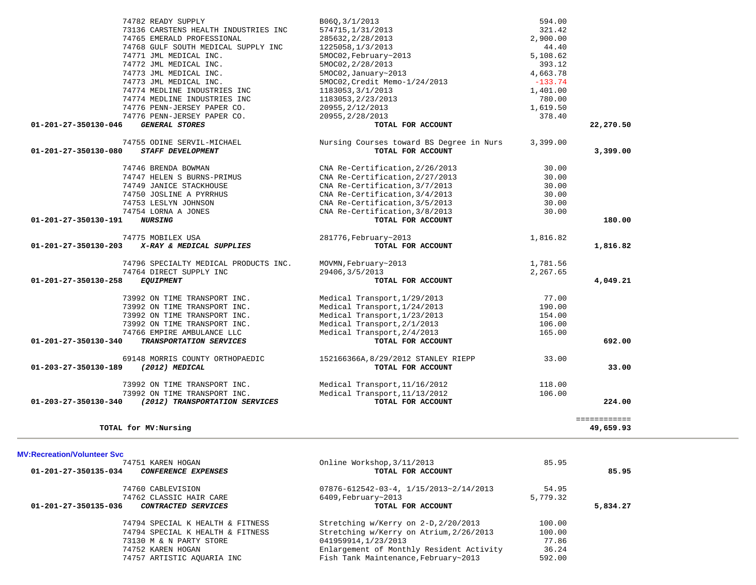| TOTAL for MV: Nursing                                                           |                                                                   |                      | ============<br>49,659.93 |
|---------------------------------------------------------------------------------|-------------------------------------------------------------------|----------------------|---------------------------|
| 01-203-27-350130-340<br>(2012) TRANSPORTATION SERVICES                          | TOTAL FOR ACCOUNT                                                 |                      | 224.00                    |
| 73992 ON TIME TRANSPORT INC.                                                    | Medical Transport, 11/13/2012                                     | 106.00               |                           |
| 73992 ON TIME TRANSPORT INC.                                                    | Medical Transport, 11/16/2012                                     | 118.00               |                           |
| 01-203-27-350130-189<br>(2012) MEDICAL                                          | TOTAL FOR ACCOUNT                                                 |                      | 33.00                     |
| 69148 MORRIS COUNTY ORTHOPAEDIC                                                 | 152166366A, 8/29/2012 STANLEY RIEPP                               | 33.00                |                           |
| 01-201-27-350130-340<br>TRANSPORTATION SERVICES                                 | TOTAL FOR ACCOUNT                                                 |                      | 692.00                    |
| 74766 EMPIRE AMBULANCE LLC                                                      | Medical Transport, 2/4/2013                                       | 165.00               |                           |
| 73992 ON TIME TRANSPORT INC.                                                    | Medical Transport, 2/1/2013                                       | 106.00               |                           |
| 73992 ON TIME TRANSPORT INC.                                                    | Medical Transport, 1/23/2013                                      | 154.00               |                           |
| 73992 ON TIME TRANSPORT INC.<br>73992 ON TIME TRANSPORT INC.                    | Medical Transport, 1/29/2013<br>Medical Transport, 1/24/2013      | 77.00<br>190.00      |                           |
|                                                                                 |                                                                   |                      |                           |
| 01-201-27-350130-258<br><b>EQUIPMENT</b>                                        | TOTAL FOR ACCOUNT                                                 |                      | 4,049.21                  |
| 74796 SPECIALTY MEDICAL PRODUCTS INC.<br>74764 DIRECT SUPPLY INC                | MOVMN, February~2013<br>29406, 3/5/2013                           | 1,781.56<br>2,267.65 |                           |
|                                                                                 |                                                                   |                      |                           |
| 74775 MOBILEX USA<br>X-RAY & MEDICAL SUPPLIES<br>$01 - 201 - 27 - 350130 - 203$ | 281776, February~2013<br>TOTAL FOR ACCOUNT                        | 1,816.82             | 1,816.82                  |
|                                                                                 |                                                                   |                      |                           |
| 01-201-27-350130-191<br><b>NURSING</b>                                          | TOTAL FOR ACCOUNT                                                 |                      | 180.00                    |
| 74754 LORNA A JONES                                                             | CNA Re-Certification, 3/8/2013                                    | 30.00                |                           |
| 74753 LESLYN JOHNSON                                                            | CNA Re-Certification, 3/5/2013                                    | 30.00                |                           |
| 74750 JOSLINE A PYRRHUS                                                         | CNA Re-Certification, 3/4/2013                                    | 30.00                |                           |
| 74747 HELEN S BURNS-PRIMUS<br>74749 JANICE STACKHOUSE                           | CNA Re-Certification, 2/27/2013<br>CNA Re-Certification, 3/7/2013 | 30.00<br>30.00       |                           |
| 74746 BRENDA BOWMAN                                                             | CNA Re-Certification, 2/26/2013                                   | 30.00                |                           |
|                                                                                 |                                                                   |                      |                           |
| 01-201-27-350130-080<br><b>STAFF DEVELOPMENT</b>                                | TOTAL FOR ACCOUNT                                                 |                      | 3,399.00                  |
| 74755 ODINE SERVIL-MICHAEL                                                      | Nursing Courses toward BS Degree in Nurs                          | 3,399.00             |                           |
| 01-201-27-350130-046<br><b>GENERAL STORES</b>                                   | TOTAL FOR ACCOUNT                                                 |                      | 22,270.50                 |
| 74776 PENN-JERSEY PAPER CO.                                                     | 20955, 2/28/2013                                                  | 378.40               |                           |
| 74776 PENN-JERSEY PAPER CO.                                                     | 20955, 2/12/2013                                                  | 1,619.50             |                           |
| 74774 MEDLINE INDUSTRIES INC                                                    | 1183053, 2/23/2013                                                | 780.00               |                           |
| 74774 MEDLINE INDUSTRIES INC                                                    | 1183053, 3/1/2013                                                 | 1,401.00             |                           |
| 74773 JML MEDICAL INC.                                                          | 5MOC02, Credit Memo-1/24/2013                                     | $-133.74$            |                           |
| 74773 JML MEDICAL INC.                                                          | 5MOC02, 2/28/2013<br>5MOC02, January~2013                         | 393.12<br>4,663.78   |                           |
| 74771 JML MEDICAL INC.<br>74772 JML MEDICAL INC.                                | 5MOC02, February~2013                                             | 5,108.62             |                           |
| 74768 GULF SOUTH MEDICAL SUPPLY INC                                             | 1225058, 1/3/2013                                                 | 44.40                |                           |
| 74765 EMERALD PROFESSIONAL                                                      | 285632, 2/28/2013                                                 | 2,900.00             |                           |
| 73136 CARSTENS HEALTH INDUSTRIES INC                                            | 574715, 1/31/2013                                                 | 321.42               |                           |
| 74782 READY SUPPLY                                                              | B06Q,3/1/2013                                                     | 594.00               |                           |

#### **MV:Recreation/Volunteer Svc**

| 74751 KAREN HOGAN<br>01-201-27-350135-034<br>CONFERENCE EXPENSES | Online Workshop, 3/11/2013<br>TOTAL FOR ACCOUNT        | 85.95    | 85.95    |
|------------------------------------------------------------------|--------------------------------------------------------|----------|----------|
| 74760 CABLEVISION                                                | $07876 - 612542 - 03 - 4$ , $1/15/2013 \sim 2/14/2013$ | 54.95    |          |
| 74762 CLASSIC HAIR CARE                                          | $6409$ , February~2013                                 | 5,779.32 |          |
| 01-201-27-350135-036<br>CONTRACTED SERVICES                      | TOTAL FOR ACCOUNT                                      |          | 5,834.27 |
| 74794 SPECIAL K HEALTH & FITNESS                                 | Stretching w/Kerry on 2-D, 2/20/2013                   | 100.00   |          |
| 74794 SPECIAL K HEALTH & FITNESS                                 | Stretching w/Kerry on Atrium, 2/26/2013                | 100.00   |          |
| 73130 M & N PARTY STORE                                          | 041959914,1/23/2013                                    | 77.86    |          |
| 74752 KAREN HOGAN                                                | Enlargement of Monthly Resident Activity               | 36.24    |          |
| 74757 ARTISTIC AQUARIA INC                                       | Fish Tank Maintenance, February~2013                   | 592.00   |          |
|                                                                  |                                                        |          |          |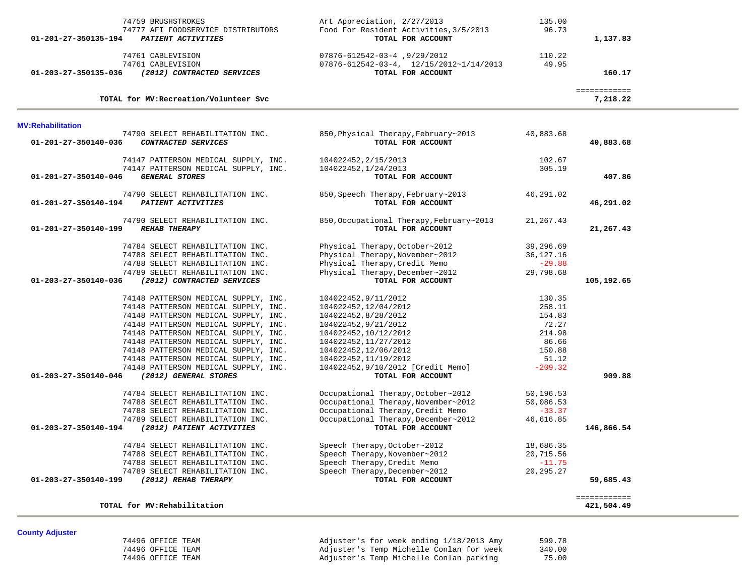| 74759 BRUSHSTROKES                                                             | Art Appreciation, 2/27/2013                                                         | 135.00                 |                            |  |
|--------------------------------------------------------------------------------|-------------------------------------------------------------------------------------|------------------------|----------------------------|--|
| 74777 AFI FOODSERVICE DISTRIBUTORS                                             | Food For Resident Activities, 3/5/2013                                              | 96.73                  |                            |  |
| 01-201-27-350135-194<br>PATIENT ACTIVITIES                                     | TOTAL FOR ACCOUNT                                                                   |                        | 1,137.83                   |  |
|                                                                                |                                                                                     |                        |                            |  |
| 74761 CABLEVISION<br>74761 CABLEVISION                                         | 07876-612542-03-4,9/29/2012<br>$07876 - 612542 - 03 - 4$ , $12/15/2012 - 1/14/2013$ | 110.22<br>49.95        |                            |  |
| 01-203-27-350135-036<br>(2012) CONTRACTED SERVICES                             | TOTAL FOR ACCOUNT                                                                   |                        | 160.17                     |  |
|                                                                                |                                                                                     |                        |                            |  |
|                                                                                |                                                                                     |                        | ============               |  |
| TOTAL for MV: Recreation/Volunteer Svc                                         |                                                                                     |                        | 7,218.22                   |  |
| <b>MV:Rehabilitation</b>                                                       |                                                                                     |                        |                            |  |
| 74790 SELECT REHABILITATION INC.                                               | 850, Physical Therapy, February~2013                                                | 40,883.68              |                            |  |
| 01-201-27-350140-036<br>CONTRACTED SERVICES                                    | TOTAL FOR ACCOUNT                                                                   |                        | 40,883.68                  |  |
|                                                                                |                                                                                     |                        |                            |  |
| 74147 PATTERSON MEDICAL SUPPLY, INC.                                           | 104022452,2/15/2013                                                                 | 102.67                 |                            |  |
| 74147 PATTERSON MEDICAL SUPPLY, INC.                                           | 104022452, 1/24/2013                                                                | 305.19                 |                            |  |
| <b>GENERAL STORES</b><br>01-201-27-350140-046                                  | TOTAL FOR ACCOUNT                                                                   |                        | 407.86                     |  |
|                                                                                |                                                                                     |                        |                            |  |
| 74790 SELECT REHABILITATION INC.<br>01-201-27-350140-194<br>PATIENT ACTIVITIES | 850, Speech Therapy, February~2013<br>TOTAL FOR ACCOUNT                             | 46,291.02              | 46,291.02                  |  |
|                                                                                |                                                                                     |                        |                            |  |
| 74790 SELECT REHABILITATION INC.                                               | 850, Occupational Therapy, February~2013                                            | 21, 267.43             |                            |  |
| 01-201-27-350140-199<br><b>REHAB THERAPY</b>                                   | TOTAL FOR ACCOUNT                                                                   |                        | 21,267.43                  |  |
|                                                                                |                                                                                     |                        |                            |  |
| 74784 SELECT REHABILITATION INC.                                               | Physical Therapy, October~2012                                                      | 39,296.69              |                            |  |
| 74788 SELECT REHABILITATION INC.                                               | Physical Therapy, November~2012                                                     | 36,127.16              |                            |  |
| 74788 SELECT REHABILITATION INC.                                               | Physical Therapy, Credit Memo                                                       | $-29.88$               |                            |  |
| 74789 SELECT REHABILITATION INC.                                               | Physical Therapy, December~2012                                                     | 29,798.68              |                            |  |
| 01-203-27-350140-036<br>(2012) CONTRACTED SERVICES                             | TOTAL FOR ACCOUNT                                                                   |                        | 105,192.65                 |  |
| 74148 PATTERSON MEDICAL SUPPLY, INC.                                           | 104022452,9/11/2012                                                                 | 130.35                 |                            |  |
| 74148 PATTERSON MEDICAL SUPPLY, INC.                                           | 104022452,12/04/2012                                                                | 258.11                 |                            |  |
| 74148 PATTERSON MEDICAL SUPPLY, INC.                                           | 104022452,8/28/2012                                                                 | 154.83                 |                            |  |
| 74148 PATTERSON MEDICAL SUPPLY, INC.                                           | 104022452,9/21/2012                                                                 | 72.27                  |                            |  |
| 74148 PATTERSON MEDICAL SUPPLY, INC.                                           | 104022452,10/12/2012                                                                | 214.98                 |                            |  |
| 74148 PATTERSON MEDICAL SUPPLY, INC.                                           | 104022452, 11/27/2012                                                               | 86.66                  |                            |  |
| 74148 PATTERSON MEDICAL SUPPLY, INC.                                           | 104022452,12/06/2012                                                                | 150.88                 |                            |  |
| 74148 PATTERSON MEDICAL SUPPLY, INC.                                           | 104022452,11/19/2012                                                                | 51.12                  |                            |  |
| 74148 PATTERSON MEDICAL SUPPLY, INC.                                           | 104022452,9/10/2012 [Credit Memo]                                                   | $-209.32$              |                            |  |
| 01-203-27-350140-046<br>(2012) GENERAL STORES                                  | TOTAL FOR ACCOUNT                                                                   |                        | 909.88                     |  |
|                                                                                | Occupational Therapy, October~2012                                                  |                        |                            |  |
| 74784 SELECT REHABILITATION INC.<br>74788 SELECT REHABILITATION INC.           | Occupational Therapy, November~2012                                                 | 50,196.53<br>50,086.53 |                            |  |
| 74788 SELECT REHABILITATION INC.                                               | Occupational Therapy, Credit Memo                                                   | $-33.37$               |                            |  |
| 74789 SELECT REHABILITATION INC.                                               | Occupational Therapy, December~2012                                                 | 46,616.85              |                            |  |
| 01-203-27-350140-194<br>(2012) PATIENT ACTIVITIES                              | TOTAL FOR ACCOUNT                                                                   |                        | 146,866.54                 |  |
|                                                                                |                                                                                     |                        |                            |  |
| 74784 SELECT REHABILITATION INC.                                               | Speech Therapy, October~2012                                                        | 18,686.35              |                            |  |
| 74788 SELECT REHABILITATION INC.                                               | Speech Therapy, November~2012                                                       | 20,715.56              |                            |  |
| 74788 SELECT REHABILITATION INC.                                               | Speech Therapy, Credit Memo                                                         | $-11.75$               |                            |  |
| 74789 SELECT REHABILITATION INC.                                               | Speech Therapy, December~2012                                                       | 20, 295. 27            |                            |  |
| (2012) REHAB THERAPY<br>01-203-27-350140-199                                   | TOTAL FOR ACCOUNT                                                                   |                        | 59,685.43                  |  |
|                                                                                |                                                                                     |                        |                            |  |
| TOTAL for MV: Rehabilitation                                                   |                                                                                     |                        | ============<br>421,504.49 |  |
|                                                                                |                                                                                     |                        |                            |  |

**County Adjuster** 

 74496 OFFICE TEAM Adjuster's for week ending 1/18/2013 Amy 599.78 74496 OFFICE TEAM Adjuster's Temp Michelle Conlan for week 340.00 74496 OFFICE TEAM Adjuster's Temp Michelle Conlan parking 75.00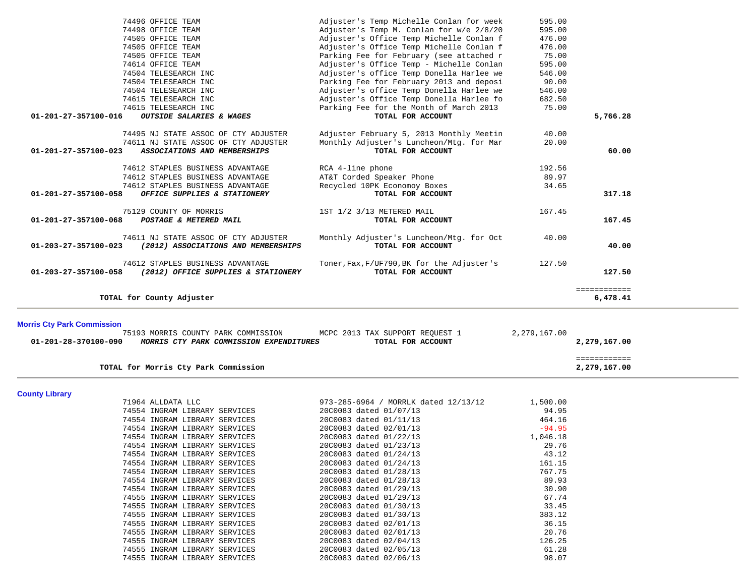|                                   | 74496 OFFICE TEAM                                              | Adjuster's Temp Michelle Conlan for week         | 595.00         |                              |
|-----------------------------------|----------------------------------------------------------------|--------------------------------------------------|----------------|------------------------------|
|                                   | 74498 OFFICE TEAM                                              | Adjuster's Temp M. Conlan for w/e 2/8/20         | 595.00         |                              |
|                                   | 74505 OFFICE TEAM                                              | Adjuster's Office Temp Michelle Conlan f         | 476.00         |                              |
|                                   | 74505 OFFICE TEAM                                              | Adjuster's Office Temp Michelle Conlan f         | 476.00         |                              |
|                                   | 74505 OFFICE TEAM                                              | Parking Fee for February (see attached r         | 75.00          |                              |
|                                   | 74614 OFFICE TEAM                                              | Adjuster's Office Temp - Michelle Conlan         | 595.00         |                              |
|                                   | 74504 TELESEARCH INC                                           | Adjuster's office Temp Donella Harlee we         | 546.00         |                              |
|                                   | 74504 TELESEARCH INC                                           | Parking Fee for February 2013 and deposi         | 90.00          |                              |
|                                   | 74504 TELESEARCH INC                                           | Adjuster's office Temp Donella Harlee we         | 546.00         |                              |
|                                   | 74615 TELESEARCH INC                                           | Adjuster's Office Temp Donella Harlee fo         | 682.50         |                              |
|                                   | 74615 TELESEARCH INC                                           | Parking Fee for the Month of March 2013          | 75.00          |                              |
| 01-201-27-357100-016              | OUTSIDE SALARIES & WAGES                                       | TOTAL FOR ACCOUNT                                |                | 5,766.28                     |
|                                   | 74495 NJ STATE ASSOC OF CTY ADJUSTER                           | Adjuster February 5, 2013 Monthly Meetin         | 40.00          |                              |
|                                   | 74611 NJ STATE ASSOC OF CTY ADJUSTER                           | Monthly Adjuster's Luncheon/Mtg. for Mar         | 20.00          |                              |
| 01-201-27-357100-023              | ASSOCIATIONS AND MEMBERSHIPS                                   | TOTAL FOR ACCOUNT                                |                | 60.00                        |
|                                   |                                                                |                                                  |                |                              |
|                                   | 74612 STAPLES BUSINESS ADVANTAGE                               | RCA 4-line phone                                 | 192.56         |                              |
|                                   | 74612 STAPLES BUSINESS ADVANTAGE                               | AT&T Corded Speaker Phone                        | 89.97          |                              |
|                                   | 74612 STAPLES BUSINESS ADVANTAGE                               | Recycled 10PK Economoy Boxes                     | 34.65          |                              |
| 01-201-27-357100-058              | OFFICE SUPPLIES & STATIONERY                                   | TOTAL FOR ACCOUNT                                |                | 317.18                       |
|                                   |                                                                |                                                  |                |                              |
|                                   | 75129 COUNTY OF MORRIS                                         | 1ST 1/2 3/13 METERED MAIL                        | 167.45         |                              |
| 01-201-27-357100-068              | POSTAGE & METERED MAIL                                         | TOTAL FOR ACCOUNT                                |                | 167.45                       |
|                                   | 74611 NJ STATE ASSOC OF CTY ADJUSTER                           | Monthly Adjuster's Luncheon/Mtg. for Oct         | 40.00          |                              |
| 01-203-27-357100-023              | (2012) ASSOCIATIONS AND MEMBERSHIPS                            | TOTAL FOR ACCOUNT                                |                | 40.00                        |
|                                   |                                                                |                                                  |                |                              |
|                                   | 74612 STAPLES BUSINESS ADVANTAGE                               | Toner, Fax, F/UF790, BK for the Adjuster's       | 127.50         |                              |
| 01-203-27-357100-058              | (2012) OFFICE SUPPLIES & STATIONERY                            | TOTAL FOR ACCOUNT                                |                | 127.50                       |
|                                   |                                                                |                                                  |                |                              |
|                                   | TOTAL for County Adjuster                                      |                                                  |                | ============<br>6,478.41     |
|                                   |                                                                |                                                  |                |                              |
|                                   |                                                                |                                                  |                |                              |
| <b>Morris Cty Park Commission</b> | 75193 MORRIS COUNTY PARK COMMISSION                            | MCPC 2013 TAX SUPPORT REQUEST 1                  | 2,279,167.00   |                              |
| 01-201-28-370100-090              | MORRIS CTY PARK COMMISSION EXPENDITURES                        | TOTAL FOR ACCOUNT                                |                | 2,279,167.00                 |
|                                   |                                                                |                                                  |                |                              |
|                                   | TOTAL for Morris Cty Park Commission                           |                                                  |                | ============<br>2,279,167.00 |
|                                   |                                                                |                                                  |                |                              |
| <b>County Library</b>             |                                                                |                                                  |                |                              |
|                                   | 71964 ALLDATA LLC                                              | 973-285-6964 / MORRLK dated 12/13/12             | 1,500.00       |                              |
|                                   | 74554 INGRAM LIBRARY SERVICES                                  | 20C0083 dated 01/07/13                           | 94.95          |                              |
|                                   | 74554 INGRAM LIBRARY SERVICES                                  | 20C0083 dated 01/11/13                           | 464.16         |                              |
|                                   | 74554 INGRAM LIBRARY SERVICES                                  | 20C0083 dated 02/01/13                           | $-94.95$       |                              |
|                                   | 74554 INGRAM LIBRARY SERVICES                                  | 20C0083 dated 01/22/13                           | 1,046.18       |                              |
|                                   | 74554 INGRAM LIBRARY SERVICES                                  | 20C0083 dated 01/23/13                           | 29.76          |                              |
|                                   | 74554 INGRAM LIBRARY SERVICES                                  | 20C0083 dated 01/24/13                           | 43.12          |                              |
|                                   | 74554 INGRAM LIBRARY SERVICES                                  | 20C0083 dated 01/24/13                           | 161.15         |                              |
|                                   | 74554 INGRAM LIBRARY SERVICES                                  | 20C0083 dated 01/28/13                           | 767.75         |                              |
|                                   | 74554 INGRAM LIBRARY SERVICES                                  | 20C0083 dated 01/28/13                           | 89.93          |                              |
|                                   | 74554 INGRAM LIBRARY SERVICES                                  | 20C0083 dated 01/29/13                           | 30.90          |                              |
|                                   |                                                                |                                                  |                |                              |
|                                   |                                                                |                                                  |                |                              |
|                                   | 74555 INGRAM LIBRARY SERVICES                                  | 20C0083 dated 01/29/13                           | 67.74          |                              |
|                                   | 74555 INGRAM LIBRARY SERVICES                                  | 20C0083 dated 01/30/13                           | 33.45          |                              |
|                                   | 74555 INGRAM LIBRARY SERVICES                                  | 20C0083 dated 01/30/13                           | 383.12         |                              |
|                                   | 74555 INGRAM LIBRARY SERVICES<br>74555 INGRAM LIBRARY SERVICES | 20C0083 dated 02/01/13<br>20C0083 dated 02/01/13 | 36.15<br>20.76 |                              |

 74555 INGRAM LIBRARY SERVICES 20C0083 dated 02/05/13 61.28 74555 INGRAM LIBRARY SERVICES 20C0083 dated 02/06/13 98.07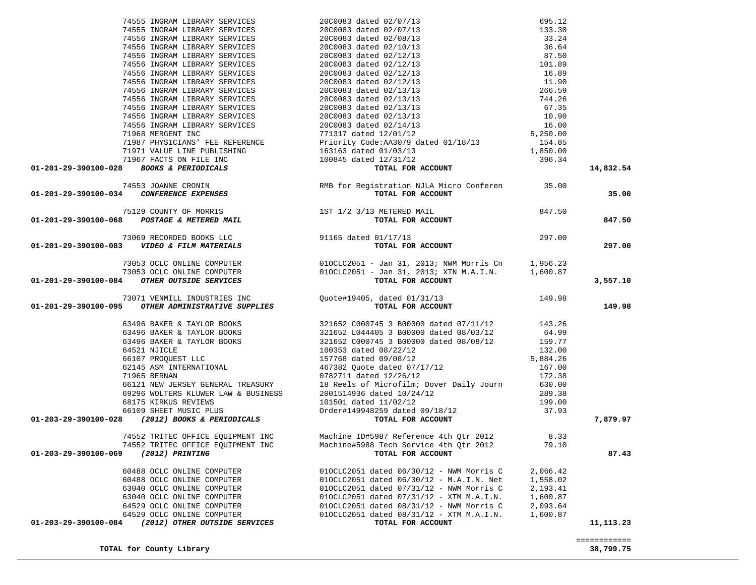| 74555 INGRAM LIBRARY SERVICES 2000083 dated 02/07/13 695.12<br>74555 INGRAM LIBRARY SERVICES 2000083 dated 02/07/13 133.30<br>74556 INGRAM LIBRARY SERVICES 2000083 dated 02/10/13 35.24<br>74556 INGRAM LIBRARY SERVICES 2000083 d                                                                                                                                                                                                         |                                                                               |          | 14,832.54    |
|---------------------------------------------------------------------------------------------------------------------------------------------------------------------------------------------------------------------------------------------------------------------------------------------------------------------------------------------------------------------------------------------------------------------------------------------|-------------------------------------------------------------------------------|----------|--------------|
| 74553 JOANNE CRONIN<br>15.00 RMB for Registration NJLA Micro Conferen<br>TOTAL FOR ACCOUNT                                                                                                                                                                                                                                                                                                                                                  |                                                                               |          |              |
|                                                                                                                                                                                                                                                                                                                                                                                                                                             |                                                                               |          | 35.00        |
|                                                                                                                                                                                                                                                                                                                                                                                                                                             |                                                                               |          |              |
| $\begin{array}{cccc} \text{75129 COUNTY OF MORRIS} \text{91165 dated } 01-201-29-390100-068 & \text{POSTAGE & \text{METERED MAL} \\\text{91165 dated } 01/17/13 & \text{73069 RECORDED BOOKS LLC} \end{array} \qquad \begin{array}{cccc} \text{75129 COUNTY OF MORRIS} \text{1ST 1/2 3/13 METERED MALI} \\\text{73069 RECORDED BOOKS LLC} \\\text{13069 RECORDED BOOKS LLC} \end{array} \qquad \begin{array}{cccc} \text{91165 dated } 01/$ |                                                                               |          |              |
|                                                                                                                                                                                                                                                                                                                                                                                                                                             |                                                                               |          | 847.50       |
|                                                                                                                                                                                                                                                                                                                                                                                                                                             |                                                                               |          |              |
|                                                                                                                                                                                                                                                                                                                                                                                                                                             |                                                                               |          |              |
|                                                                                                                                                                                                                                                                                                                                                                                                                                             |                                                                               |          | 297.00       |
|                                                                                                                                                                                                                                                                                                                                                                                                                                             |                                                                               |          |              |
|                                                                                                                                                                                                                                                                                                                                                                                                                                             |                                                                               |          |              |
|                                                                                                                                                                                                                                                                                                                                                                                                                                             |                                                                               |          |              |
|                                                                                                                                                                                                                                                                                                                                                                                                                                             |                                                                               |          |              |
| 73053 OCLC ONLINE COMPUTER 0010CLC2051 - Jan 31, 2013; NWM Morris Cn 1,956.23<br>73053 OCLC ONLINE COMPUTER 0010CLC2051 - Jan 31, 2013; XTN M.A.I.N. 1,600.87<br>01-201-29-390100-084 OTHER OUTSIDE SERVICES 600000 0010CLC2051 - Ja                                                                                                                                                                                                        |                                                                               |          | 3,557.10     |
|                                                                                                                                                                                                                                                                                                                                                                                                                                             |                                                                               |          |              |
|                                                                                                                                                                                                                                                                                                                                                                                                                                             |                                                                               |          | 149.98       |
|                                                                                                                                                                                                                                                                                                                                                                                                                                             |                                                                               |          |              |
|                                                                                                                                                                                                                                                                                                                                                                                                                                             |                                                                               |          |              |
|                                                                                                                                                                                                                                                                                                                                                                                                                                             |                                                                               |          |              |
|                                                                                                                                                                                                                                                                                                                                                                                                                                             |                                                                               |          |              |
|                                                                                                                                                                                                                                                                                                                                                                                                                                             |                                                                               |          |              |
|                                                                                                                                                                                                                                                                                                                                                                                                                                             |                                                                               |          |              |
|                                                                                                                                                                                                                                                                                                                                                                                                                                             |                                                                               |          |              |
|                                                                                                                                                                                                                                                                                                                                                                                                                                             |                                                                               |          |              |
|                                                                                                                                                                                                                                                                                                                                                                                                                                             |                                                                               |          |              |
|                                                                                                                                                                                                                                                                                                                                                                                                                                             |                                                                               |          |              |
|                                                                                                                                                                                                                                                                                                                                                                                                                                             |                                                                               |          |              |
|                                                                                                                                                                                                                                                                                                                                                                                                                                             |                                                                               |          |              |
|                                                                                                                                                                                                                                                                                                                                                                                                                                             |                                                                               |          |              |
|                                                                                                                                                                                                                                                                                                                                                                                                                                             |                                                                               |          |              |
|                                                                                                                                                                                                                                                                                                                                                                                                                                             |                                                                               |          | 7,879.97     |
|                                                                                                                                                                                                                                                                                                                                                                                                                                             |                                                                               |          |              |
|                                                                                                                                                                                                                                                                                                                                                                                                                                             | 74552 TRITEC OFFICE EQUIPMENT INC Machine ID#5987 Reference 4th Qtr 2012 8.33 |          |              |
| 74552 TRITEC OFFICE EQUIPMENT INC                                                                                                                                                                                                                                                                                                                                                                                                           | Machine#5988 Tech Service 4th Qtr 2012                                        | 79.10    |              |
| 01-203-29-390100-069<br>(2012) PRINTING                                                                                                                                                                                                                                                                                                                                                                                                     | TOTAL FOR ACCOUNT                                                             |          | 87.43        |
|                                                                                                                                                                                                                                                                                                                                                                                                                                             |                                                                               |          |              |
| 60488 OCLC ONLINE COMPUTER                                                                                                                                                                                                                                                                                                                                                                                                                  | 010CLC2051 dated 06/30/12 - NWM Morris C                                      | 2,066.42 |              |
| 60488 OCLC ONLINE COMPUTER                                                                                                                                                                                                                                                                                                                                                                                                                  | 010CLC2051 dated 06/30/12 - M.A.I.N. Net                                      | 1,558.02 |              |
| 63040 OCLC ONLINE COMPUTER                                                                                                                                                                                                                                                                                                                                                                                                                  | 010CLC2051 dated 07/31/12 - NWM Morris C                                      | 2,193.41 |              |
| 63040 OCLC ONLINE COMPUTER                                                                                                                                                                                                                                                                                                                                                                                                                  | 010CLC2051 dated 07/31/12 - XTM M.A.I.N.                                      | 1,600.87 |              |
| 64529 OCLC ONLINE COMPUTER                                                                                                                                                                                                                                                                                                                                                                                                                  | 010CLC2051 dated 08/31/12 - NWM Morris C                                      | 2,093.64 |              |
|                                                                                                                                                                                                                                                                                                                                                                                                                                             | 010CLC2051 dated 08/31/12 - XTM M.A.I.N.                                      |          |              |
| 64529 OCLC ONLINE COMPUTER                                                                                                                                                                                                                                                                                                                                                                                                                  |                                                                               | 1,600.87 |              |
| (2012) OTHER OUTSIDE SERVICES<br>01-203-29-390100-084                                                                                                                                                                                                                                                                                                                                                                                       | TOTAL FOR ACCOUNT                                                             |          | 11,113.23    |
|                                                                                                                                                                                                                                                                                                                                                                                                                                             |                                                                               |          |              |
|                                                                                                                                                                                                                                                                                                                                                                                                                                             |                                                                               |          | ============ |
| TOTAL for County Library                                                                                                                                                                                                                                                                                                                                                                                                                    |                                                                               |          | 38,799.75    |

**TOTAL for County Library 38,799.75**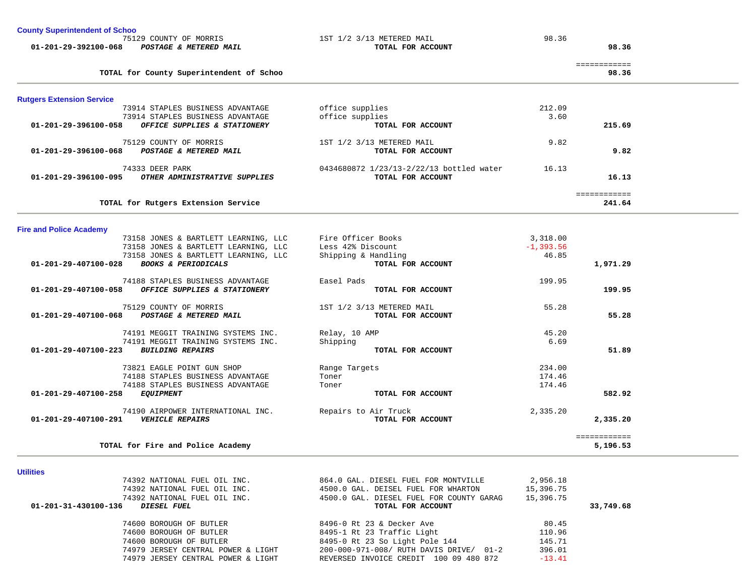| <b>County Superintendent of Schoo</b> |  |  |                        |  |
|---------------------------------------|--|--|------------------------|--|
|                                       |  |  | 75129 COUNTY OF MORRIS |  |

 **01-201-29-392100-068** *POSTAGE & METERED MAIL* **TOTAL FOR ACCOUNT 98.36**

1ST 1/2 3/13 METERED MAIL 98.36

 $35,196.53$ 

|                                             |                                                                                                                   |                                          |                                                            | ============ |
|---------------------------------------------|-------------------------------------------------------------------------------------------------------------------|------------------------------------------|------------------------------------------------------------|--------------|
|                                             | TOTAL for County Superintendent of Schoo                                                                          |                                          |                                                            | 98.36        |
| <b>Rutgers Extension Service</b>            |                                                                                                                   |                                          |                                                            |              |
|                                             | 73914 STAPLES BUSINESS ADVANTAGE                                                                                  | office supplies                          | 212.09                                                     |              |
|                                             | 73914 STAPLES BUSINESS ADVANTAGE                                                                                  | office supplies                          | 3.60                                                       |              |
| $01 - 201 - 29 - 396100 - 058$              | OFFICE SUPPLIES & STATIONERY                                                                                      | TOTAL FOR ACCOUNT                        |                                                            | 215.69       |
|                                             | 75129 COUNTY OF MORRIS                                                                                            | 1ST 1/2 3/13 METERED MAIL                | 9.82                                                       |              |
| 01-201-29-396100-068 POSTAGE & METERED MAIL |                                                                                                                   | TOTAL FOR ACCOUNT                        |                                                            | 9.82         |
|                                             | 74333 DEER PARK                                                                                                   | 0434680872 1/23/13-2/22/13 bottled water | 16.13                                                      |              |
| 01-201-29-396100-095                        | OTHER ADMINISTRATIVE SUPPLIES                                                                                     | TOTAL FOR ACCOUNT                        |                                                            | 16.13        |
|                                             |                                                                                                                   |                                          |                                                            | ============ |
|                                             | TOTAL for Rutgers Extension Service                                                                               |                                          |                                                            | 241.64       |
|                                             |                                                                                                                   |                                          |                                                            |              |
| <b>Fire and Police Academy</b>              |                                                                                                                   |                                          | 3,318.00                                                   |              |
|                                             | 73158 JONES & BARTLETT LEARNING, LLC Fire Officer Books<br>73158 JONES & BARTLETT LEARNING, LLC Less 42% Discount |                                          | $-1, 393.56$                                               |              |
|                                             | 73158 JONES & BARTLETT LEARNING, LLC                                                                              | Shipping & Handling                      | 46.85                                                      |              |
| 01-201-29-407100-028                        | <b>BOOKS &amp; PERIODICALS</b>                                                                                    | TOTAL FOR ACCOUNT                        |                                                            | 1,971.29     |
|                                             | 74188 STAPLES BUSINESS ADVANTAGE                                                                                  | Easel Pads                               | 199.95                                                     |              |
| 01-201-29-407100-058                        | OFFICE SUPPLIES & STATIONERY                                                                                      | TOTAL FOR ACCOUNT                        |                                                            | 199.95       |
|                                             | 75129 COUNTY OF MORRIS                                                                                            | 1ST 1/2 3/13 METERED MAIL                | 55.28                                                      |              |
| 01-201-29-407100-068                        | POSTAGE & METERED MAIL                                                                                            | TOTAL FOR ACCOUNT                        |                                                            | 55.28        |
|                                             | 74191 MEGGIT TRAINING SYSTEMS INC.                                                                                | Relay, 10 AMP                            | 45.20                                                      |              |
|                                             | 74191 MEGGIT TRAINING SYSTEMS INC.                                                                                | Shipping                                 | 6.69                                                       |              |
| $01 - 201 - 29 - 407100 - 223$              | <b>BUILDING REPAIRS</b>                                                                                           | TOTAL FOR ACCOUNT                        |                                                            | 51.89        |
|                                             | 73821 EAGLE POINT GUN SHOP                                                                                        | Range Targets                            | 234.00                                                     |              |
|                                             | $74100$ $272772$ $77377722$ $773777777$                                                                           |                                          | $\begin{array}{ccccccccc}\n1 & 0 & 1 & 1 & 1\n\end{array}$ |              |

| 01-201-29-407100-291<br><b>VEHICLE REPAIRS</b> | TOTAL FOR ACCOUNT    |          | 2,335.20 |
|------------------------------------------------|----------------------|----------|----------|
| 74190 AIRPOWER INTERNATIONAL INC.              | Repairs to Air Truck | 2,335.20 |          |
| 01-201-29-407100-258<br><i>EOUIPMENT</i>       | TOTAL FOR ACCOUNT    |          | 582.92   |
| 74188 STAPLES BUSINESS ADVANTAGE               | Toner                | 174.46   |          |
| 74188 STAPLES BUSINESS ADVANTAGE               | Toner                | 174.46   |          |
| IDAL LAGUL PUINI GUN SHUP                      | Kaliye Idlyets       | 254.UU   |          |

| TOTAL for Fire and Police Academy | 5,196.53 |
|-----------------------------------|----------|
|                                   |          |

|                                   | _____________<br>_____________ |
|-----------------------------------|--------------------------------|
| TOTAL for Fire and Police Academy | 5,196.53                       |

**Utilities** 

|                      | 74392 NATIONAL FUEL OIL INC.       | 864.0 GAL. DIESEL FUEL FOR MONTVILLE     | 2,956.18  |           |
|----------------------|------------------------------------|------------------------------------------|-----------|-----------|
|                      | 74392 NATIONAL FUEL OIL INC.       | 4500.0 GAL. DEISEL FUEL FOR WHARTON      | 15,396.75 |           |
|                      | 74392 NATIONAL FUEL OIL INC.       | 4500.0 GAL. DIESEL FUEL FOR COUNTY GARAG | 15,396.75 |           |
| 01-201-31-430100-136 | DIESEL FUEL                        | TOTAL FOR ACCOUNT                        |           | 33,749.68 |
|                      | 74600 BOROUGH OF BUTLER            | 8496-0 Rt 23 & Decker Ave                | 80.45     |           |
|                      | 74600 BOROUGH OF BUTLER            | 8495-1 Rt 23 Traffic Light               | 110.96    |           |
|                      | 74600 BOROUGH OF BUTLER            | 8495-0 Rt 23 So Light Pole 144           | 145.71    |           |
|                      | 74979 JERSEY CENTRAL POWER & LIGHT | 200-000-971-008/ RUTH DAVIS DRIVE/ 01-2  | 396.01    |           |
|                      | 74979 JERSEY CENTRAL POWER & LIGHT | REVERSED INVOICE CREDIT 100 09 480 872   | $-13.41$  |           |
|                      |                                    |                                          |           |           |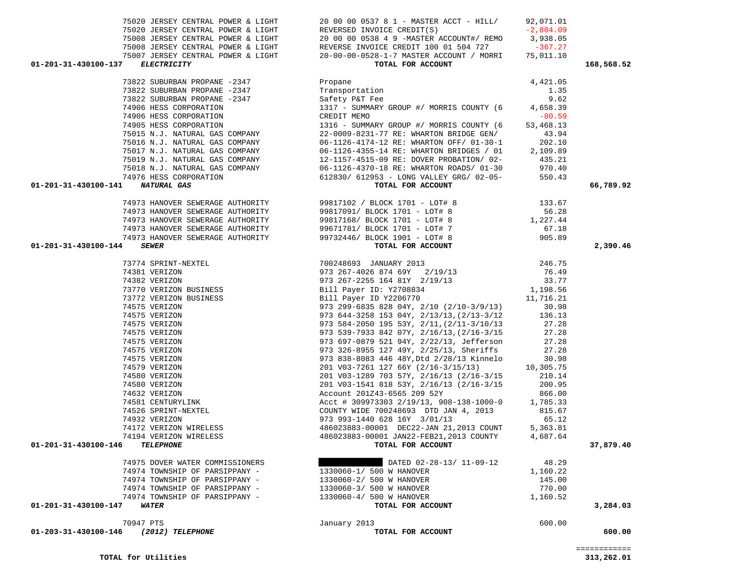| 01-203-31-430100-146<br>(2012) TELEPHONE                          | TOTAL FOR ACCOUNT                                                                                                                                                                                                   |          | 600.00    |
|-------------------------------------------------------------------|---------------------------------------------------------------------------------------------------------------------------------------------------------------------------------------------------------------------|----------|-----------|
| 70947 PTS                                                         | January 2013                                                                                                                                                                                                        | 600.00   |           |
|                                                                   |                                                                                                                                                                                                                     |          |           |
| 01-201-31-430100-147<br><b>WATER</b>                              | TOTAL FOR ACCOUNT                                                                                                                                                                                                   |          | 3,284.03  |
|                                                                   |                                                                                                                                                                                                                     |          |           |
|                                                                   | 74974 TOWNSHIP OF PARSIPPANY -<br>74974 TOWNSHIP OF PARSIPPANY -<br>74974 TOWNSHIP OF PARSIPPANY -<br>770.00<br>74974 TOWNSHIP OF PARSIPPANY -<br>2330060-4/ 500 W HANOVER<br>2133060-4/ 500 W HANOVER<br>21,160.52 |          |           |
|                                                                   |                                                                                                                                                                                                                     | 1,160.22 |           |
| 74975 DOVER WATER COMMISSIONERS<br>74974 TOWNSHIP OF PARSIPPANY - | DATED UZ-ZO I.,<br>1330060-1/ 500 W HANOVER<br>DATED 02-28-13/ 11-09-12 48.29                                                                                                                                       |          |           |
|                                                                   |                                                                                                                                                                                                                     |          |           |
| 01-201-31-430100-146<br><b>TELEPHONE</b>                          | TOTAL FOR ACCOUNT                                                                                                                                                                                                   |          | 37,879.40 |
|                                                                   |                                                                                                                                                                                                                     |          |           |
|                                                                   |                                                                                                                                                                                                                     |          |           |
|                                                                   |                                                                                                                                                                                                                     |          |           |
|                                                                   |                                                                                                                                                                                                                     |          |           |
|                                                                   |                                                                                                                                                                                                                     |          |           |
|                                                                   |                                                                                                                                                                                                                     |          |           |
|                                                                   |                                                                                                                                                                                                                     |          |           |
|                                                                   |                                                                                                                                                                                                                     |          |           |
|                                                                   |                                                                                                                                                                                                                     |          |           |
|                                                                   |                                                                                                                                                                                                                     |          |           |
|                                                                   |                                                                                                                                                                                                                     |          |           |
|                                                                   |                                                                                                                                                                                                                     |          |           |
|                                                                   |                                                                                                                                                                                                                     |          |           |
|                                                                   |                                                                                                                                                                                                                     |          |           |
|                                                                   |                                                                                                                                                                                                                     |          |           |
|                                                                   |                                                                                                                                                                                                                     |          |           |
|                                                                   |                                                                                                                                                                                                                     |          |           |
| 74382 VERIZON<br>73770 VERIZON BUSINESS                           |                                                                                                                                                                                                                     |          |           |
|                                                                   |                                                                                                                                                                                                                     | 33.77    |           |
|                                                                   |                                                                                                                                                                                                                     | 76.49    |           |
|                                                                   |                                                                                                                                                                                                                     | 246.75   |           |
| 01-201-31-430100-144                                              |                                                                                                                                                                                                                     |          | 2,390.46  |
|                                                                   |                                                                                                                                                                                                                     |          |           |
|                                                                   | 74973 HANOVER SEWERAGE AUTHORITY 99671781/BLOCK 1701 - LOT# 7 67.18<br>74973 HANOVER SEWERAGE AUTHORITY 99732446/BLOCK 1901 - LOT# 8 905.89<br><b>4</b> SEWER SEWER                                                 |          |           |
|                                                                   | 74973 HANOVER SEWERAGE AUTHORITY 99817168/BLOCK 1701 - LOT# 8 1,227.44                                                                                                                                              |          |           |
| 74973 HANOVER SEWERAGE AUTHORITY                                  | 99817091/ BLOCK 1701 - LOT# 8                                                                                                                                                                                       | 56.28    |           |
|                                                                   |                                                                                                                                                                                                                     |          |           |

| 74906 HESS CORPORATION                      | CREDIT MEMO                              | $-80.59$  |           |
|---------------------------------------------|------------------------------------------|-----------|-----------|
| 74905 HESS CORPORATION                      | 1316 - SUMMARY GROUP #/ MORRIS COUNTY (6 | 53,468.13 |           |
| 75015 N.J. NATURAL GAS COMPANY              | 22-0009-8231-77 RE: WHARTON BRIDGE GEN/  | 43.94     |           |
| 75016 N.J. NATURAL GAS COMPANY              | 06-1126-4174-12 RE: WHARTON OFF/ 01-30-1 | 202.10    |           |
| 75017 N.J. NATURAL GAS COMPANY              | 06-1126-4355-14 RE: WHARTON BRIDGES / 01 | 2,109.89  |           |
| 75019 N.J. NATURAL GAS COMPANY              | 12-1157-4515-09 RE: DOVER PROBATION/ 02- | 435.21    |           |
| 75018 N.J. NATURAL GAS COMPANY              | 06-1126-4370-18 RE: WHARTON ROADS/ 01-30 | 970.40    |           |
| 74976 HESS CORPORATION                      | 612830/ 612953 - LONG VALLEY GRG/ 02-05- | 550.43    |           |
| 01-201-31-430100-141<br>NATURAL GAS         | TOTAL FOR ACCOUNT                        |           | 66,789.92 |
|                                             |                                          |           |           |
| 74973 HANOVER SEWERAGE AUTHORITY            | 99817102 / BLOCK 1701 - LOT# 8           | 133.67    |           |
| 74973 HANOVER SEWERAGE AUTHORITY            | 99817091/ BLOCK 1701 - LOT# 8            | 56.28     |           |
| 74973 HANOVER SEWERAGE AUTHORITY            | 99817168/ BLOCK 1701 - LOT# 8            | 1,227.44  |           |
| 74973 HANOVER SEWERAGE AUTHORITY            | 99671781/ BLOCK 1701 - LOT# 7            | 67.18     |           |
| 74973 HANOVER SEWERAGE AUTHORITY            | 99732446/ BLOCK 1901 - LOT# 8            | 905.89    |           |
| 01-201-31-430100-144<br><i><b>SEWER</b></i> | TOTAL FOR ACCOUNT                        |           | 2,390.46  |
| 73774 SPRINT-NEXTEL                         | 700248693<br>JANUARY 2013                | 246.75    |           |
| 74381 VERIZON                               | 973 267-4026 874 69Y<br>2/19/13          | 76.49     |           |
| $71202$ $7777701$                           | 0.72 267 2255 164 0.17 2/10/12           | דד ככ     |           |

| 01-201-31-430100-137 | <i>ELECTRICITY</i> |                                    |  |  |
|----------------------|--------------------|------------------------------------|--|--|
|                      |                    | 75007 JERSEY CENTRAL POWER & LIGHT |  |  |
|                      |                    | 75008 JERSEY CENTRAL POWER & LIGHT |  |  |

|                                  | 75020 JERSEY CENTRAL POWER & LIGHT 20 00 00 0537 8 1 - MASTER ACCT - HILL/ 92,071.01                                                                                                                                                                                                                                                                                       |            |
|----------------------------------|----------------------------------------------------------------------------------------------------------------------------------------------------------------------------------------------------------------------------------------------------------------------------------------------------------------------------------------------------------------------------|------------|
|                                  |                                                                                                                                                                                                                                                                                                                                                                            |            |
|                                  |                                                                                                                                                                                                                                                                                                                                                                            |            |
|                                  |                                                                                                                                                                                                                                                                                                                                                                            |            |
|                                  |                                                                                                                                                                                                                                                                                                                                                                            |            |
| 01-201-31-430100-137 ELECTRICITY | TOTAL FOR ACCOUNT                                                                                                                                                                                                                                                                                                                                                          | 168,568.52 |
|                                  |                                                                                                                                                                                                                                                                                                                                                                            |            |
|                                  |                                                                                                                                                                                                                                                                                                                                                                            |            |
|                                  |                                                                                                                                                                                                                                                                                                                                                                            |            |
|                                  |                                                                                                                                                                                                                                                                                                                                                                            |            |
|                                  |                                                                                                                                                                                                                                                                                                                                                                            |            |
|                                  |                                                                                                                                                                                                                                                                                                                                                                            |            |
|                                  |                                                                                                                                                                                                                                                                                                                                                                            |            |
|                                  |                                                                                                                                                                                                                                                                                                                                                                            |            |
|                                  |                                                                                                                                                                                                                                                                                                                                                                            |            |
|                                  |                                                                                                                                                                                                                                                                                                                                                                            |            |
|                                  |                                                                                                                                                                                                                                                                                                                                                                            |            |
|                                  |                                                                                                                                                                                                                                                                                                                                                                            |            |
| 01-201-31-430100-141 NATURAL GAS | TOTAL FOR ACCOUNT                                                                                                                                                                                                                                                                                                                                                          | 66,789.92  |
|                                  |                                                                                                                                                                                                                                                                                                                                                                            |            |
|                                  |                                                                                                                                                                                                                                                                                                                                                                            |            |
|                                  |                                                                                                                                                                                                                                                                                                                                                                            |            |
|                                  |                                                                                                                                                                                                                                                                                                                                                                            |            |
|                                  |                                                                                                                                                                                                                                                                                                                                                                            |            |
| 01-201-31-430100-144             |                                                                                                                                                                                                                                                                                                                                                                            | 2,390.46   |
|                                  | $\begin{array}{cccc} 73774 \text{ SPRINT}-NEXTEL & 700248693 \text{ JANUARY } 2013 & 246.75 \\ 74381 \text{ VERIZON} & 973 \text{ } 267-4026 \text{ } 874 \text{ } 69Y & 2/19/13 & 76.49 \\ 74382 \text{ VERIZON } \text{BUSINESS} & \text{Bill Payer ID Y2708834} & 1,198.56 \\ 73770 \text{ VERIZON } \text{BUSINESS} & \text{Bill Payer ID Y2708834} & 1,198.56 \\ 737$ |            |
|                                  |                                                                                                                                                                                                                                                                                                                                                                            |            |
|                                  |                                                                                                                                                                                                                                                                                                                                                                            |            |
|                                  |                                                                                                                                                                                                                                                                                                                                                                            |            |
|                                  |                                                                                                                                                                                                                                                                                                                                                                            |            |
|                                  |                                                                                                                                                                                                                                                                                                                                                                            |            |
|                                  |                                                                                                                                                                                                                                                                                                                                                                            |            |
|                                  |                                                                                                                                                                                                                                                                                                                                                                            |            |
|                                  |                                                                                                                                                                                                                                                                                                                                                                            |            |
|                                  |                                                                                                                                                                                                                                                                                                                                                                            |            |
|                                  |                                                                                                                                                                                                                                                                                                                                                                            |            |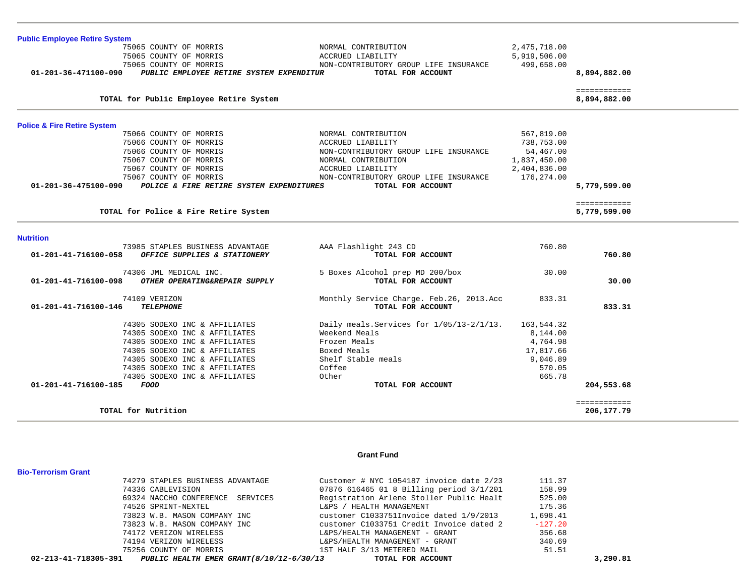| <b>Public Employee Retire System</b>                             |                                           |              |                              |  |
|------------------------------------------------------------------|-------------------------------------------|--------------|------------------------------|--|
| 75065 COUNTY OF MORRIS                                           | NORMAL CONTRIBUTION                       | 2,475,718.00 |                              |  |
| 75065 COUNTY OF MORRIS                                           | ACCRUED LIABILITY                         | 5,919,506.00 |                              |  |
| 75065 COUNTY OF MORRIS                                           | NON-CONTRIBUTORY GROUP LIFE INSURANCE     | 499,658.00   |                              |  |
| PUBLIC EMPLOYEE RETIRE SYSTEM EXPENDITUR<br>01-201-36-471100-090 | TOTAL FOR ACCOUNT                         |              | 8,894,882.00                 |  |
| TOTAL for Public Employee Retire System                          |                                           |              | ============<br>8,894,882.00 |  |
| <b>Police &amp; Fire Retire System</b>                           |                                           |              |                              |  |
| 75066 COUNTY OF MORRIS                                           | NORMAL CONTRIBUTION                       | 567,819.00   |                              |  |
| 75066 COUNTY OF MORRIS                                           | ACCRUED LIABILITY                         | 738,753.00   |                              |  |
| 75066 COUNTY OF MORRIS                                           | NON-CONTRIBUTORY GROUP LIFE INSURANCE     | 54,467.00    |                              |  |
| 75067 COUNTY OF MORRIS                                           | NORMAL CONTRIBUTION                       | 1,837,450.00 |                              |  |
| 75067 COUNTY OF MORRIS                                           | ACCRUED LIABILITY                         | 2,404,836.00 |                              |  |
| 75067 COUNTY OF MORRIS                                           | NON-CONTRIBUTORY GROUP LIFE INSURANCE     | 176,274.00   |                              |  |
| POLICE & FIRE RETIRE SYSTEM EXPENDITURES<br>01-201-36-475100-090 | TOTAL FOR ACCOUNT                         |              | 5,779,599.00                 |  |
|                                                                  |                                           |              | ============                 |  |
| TOTAL for Police & Fire Retire System                            |                                           |              | 5,779,599.00                 |  |
| <b>Nutrition</b>                                                 |                                           |              |                              |  |
| 73985 STAPLES BUSINESS ADVANTAGE                                 | AAA Flashlight 243 CD                     | 760.80       |                              |  |
| 01-201-41-716100-058<br>OFFICE SUPPLIES & STATIONERY             | TOTAL FOR ACCOUNT                         |              | 760.80                       |  |
| 74306 JML MEDICAL INC.                                           | 5 Boxes Alcohol prep MD 200/box           | 30.00        |                              |  |
| 01-201-41-716100-098<br>OTHER OPERATING&REPAIR SUPPLY            | TOTAL FOR ACCOUNT                         |              | 30.00                        |  |
| 74109 VERIZON                                                    | Monthly Service Charge. Feb.26, 2013.Acc  | 833.31       |                              |  |
| 01-201-41-716100-146<br><b>TELEPHONE</b>                         | TOTAL FOR ACCOUNT                         |              | 833.31                       |  |
| 74305 SODEXO INC & AFFILIATES                                    | Daily meals. Services for 1/05/13-2/1/13. | 163,544.32   |                              |  |
| 74305 SODEXO INC & AFFILIATES                                    | Weekend Meals                             | 8,144.00     |                              |  |
| 74305 SODEXO INC & AFFILIATES                                    | Frozen Meals                              | 4,764.98     |                              |  |
| 74305 SODEXO INC & AFFILIATES                                    | Boxed Meals                               | 17,817.66    |                              |  |
| 74305 SODEXO INC & AFFILIATES                                    | Shelf Stable meals                        | 9,046.89     |                              |  |
| 74305 SODEXO INC & AFFILIATES                                    | Coffee                                    | 570.05       |                              |  |
| 74305 SODEXO INC & AFFILIATES                                    | Other                                     | 665.78       |                              |  |
| 01-201-41-716100-185<br><b>FOOD</b>                              | TOTAL FOR ACCOUNT                         |              | 204,553.68                   |  |
| TOTAL for Nutrition                                              |                                           |              | ============<br>206,177.79   |  |
|                                                                  |                                           |              |                              |  |

#### **Grant Fund**

|                                                               | 74279 STAPLES BUSINESS ADVANTAGE | Customer # NYC 1054187 invoice date 2/23 | 111.37    |          |
|---------------------------------------------------------------|----------------------------------|------------------------------------------|-----------|----------|
| 74336 CABLEVISION                                             |                                  | 07876 616465 01 8 Billing period 3/1/201 | 158.99    |          |
|                                                               | 69324 NACCHO CONFERENCE SERVICES | Registration Arlene Stoller Public Healt | 525.00    |          |
| 74526 SPRINT-NEXTEL                                           |                                  | L&PS / HEALTH MANAGEMENT                 | 175.36    |          |
|                                                               | 73823 W.B. MASON COMPANY INC     | customer C1033751Invoice dated 1/9/2013  | 1,698.41  |          |
|                                                               | 73823 W.B. MASON COMPANY INC     | customer C1033751 Credit Invoice dated 2 | $-127.20$ |          |
|                                                               | 74172 VERIZON WIRELESS           | L&PS/HEALTH MANAGEMENT - GRANT           | 356.68    |          |
|                                                               | 74194 VERIZON WIRELESS           | L&PS/HEALTH MANAGEMENT - GRANT           | 340.69    |          |
|                                                               | 75256 COUNTY OF MORRIS           | 1ST HALF 3/13 METERED MAIL               | 51.51     |          |
| 02-213-41-718305-391 PUBLIC HEALTH EMER GRANT(8/10/12-6/30/13 |                                  | TOTAL FOR ACCOUNT                        |           | 3,290.81 |

**Bio-Terrorism Grant**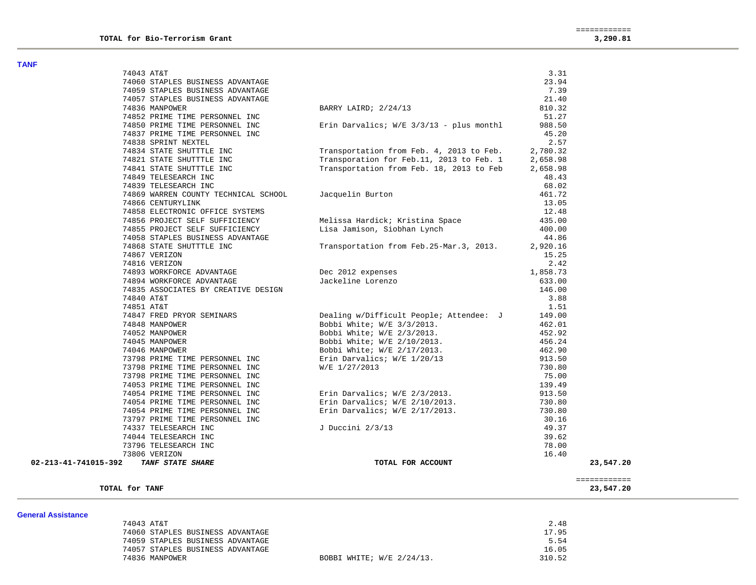| .                    |                                      |                                                                 |          |              |
|----------------------|--------------------------------------|-----------------------------------------------------------------|----------|--------------|
|                      | 74043 AT&T                           |                                                                 | 3.31     |              |
|                      | 74060 STAPLES BUSINESS ADVANTAGE     |                                                                 | 23.94    |              |
|                      | 74059 STAPLES BUSINESS ADVANTAGE     |                                                                 | 7.39     |              |
|                      | 74057 STAPLES BUSINESS ADVANTAGE     |                                                                 | 21.40    |              |
|                      | 74836 MANPOWER                       | BARRY LAIRD; 2/24/13                                            | 810.32   |              |
|                      | 74852 PRIME TIME PERSONNEL INC       |                                                                 | 51.27    |              |
|                      | 74850 PRIME TIME PERSONNEL INC       | Erin Darvalics; $W/E = 3/3/13$ - plus monthl                    | 988.50   |              |
|                      | 74837 PRIME TIME PERSONNEL INC       |                                                                 | 45.20    |              |
|                      | 74838 SPRINT NEXTEL                  |                                                                 | 2.57     |              |
|                      | 74834 STATE SHUTTTLE INC             | Transportation from Feb. 4, 2013 to Feb.                        | 2,780.32 |              |
|                      | 74821 STATE SHUTTTLE INC             | Transporation for Feb.11, 2013 to Feb. 1                        | 2,658.98 |              |
|                      | 74841 STATE SHUTTTLE INC             | Transportation from Feb. 18, 2013 to Feb                        | 2,658.98 |              |
|                      | 74849 TELESEARCH INC                 |                                                                 | 48.43    |              |
|                      | 74839 TELESEARCH INC                 |                                                                 | 68.02    |              |
|                      | 74869 WARREN COUNTY TECHNICAL SCHOOL | Jacquelin Burton                                                | 461.72   |              |
|                      | 74866 CENTURYLINK                    |                                                                 | 13.05    |              |
|                      | 74858 ELECTRONIC OFFICE SYSTEMS      |                                                                 | 12.48    |              |
|                      | 74856 PROJECT SELF SUFFICIENCY       | Melissa Hardick; Kristina Space                                 | 435.00   |              |
|                      | 74855 PROJECT SELF SUFFICIENCY       | Lisa Jamison, Siobhan Lynch                                     | 400.00   |              |
|                      | 74058 STAPLES BUSINESS ADVANTAGE     |                                                                 | 44.86    |              |
|                      | 74868 STATE SHUTTTLE INC             | Transportation from Feb. 25-Mar. 3, 2013.                       | 2,920.16 |              |
|                      | 74867 VERIZON                        |                                                                 | 15.25    |              |
|                      | 74816 VERIZON                        |                                                                 | 2.42     |              |
|                      | 74893 WORKFORCE ADVANTAGE            | Dec 2012 expenses                                               | 1,858.73 |              |
|                      | 74894 WORKFORCE ADVANTAGE            | Jackeline Lorenzo                                               | 633.00   |              |
|                      | 74835 ASSOCIATES BY CREATIVE DESIGN  |                                                                 | 146.00   |              |
|                      | 74840 AT&T                           |                                                                 | 3.88     |              |
|                      | 74851 AT&T                           |                                                                 | 1.51     |              |
|                      | 74847 FRED PRYOR SEMINARS            | Dealing w/Difficult People; Attendee: J                         | 149.00   |              |
|                      | 74848 MANPOWER                       |                                                                 | 462.01   |              |
|                      | 74052 MANPOWER                       | Bobbi White; W/E 3/3/2013.<br>Bobbi White; W/E 2/3/2013.        | 452.92   |              |
|                      | 74045 MANPOWER                       |                                                                 | 456.24   |              |
|                      | 74046 MANPOWER                       | Bobbi White; W/E 2/10/2013.<br>Bobbi White; W/E 2/17/2013.      | 462.90   |              |
|                      | 73798 PRIME TIME PERSONNEL INC       |                                                                 | 913.50   |              |
|                      | 73798 PRIME TIME PERSONNEL INC       | Erin Darvalics; W/E 1/20/13<br>W/E 1/27/2013<br>W/E 1/27/2013   | 730.80   |              |
|                      | 73798 PRIME TIME PERSONNEL INC       |                                                                 | 75.00    |              |
|                      | 74053 PRIME TIME PERSONNEL INC       |                                                                 | 139.49   |              |
|                      | 74054 PRIME TIME PERSONNEL INC       |                                                                 | 913.50   |              |
|                      | 74054 PRIME TIME PERSONNEL INC       | Erin Darvalics; W/E 2/3/2013.<br>Erin Darvalics; W/E 2/10/2013. | 730.80   |              |
|                      | 74054 PRIME TIME PERSONNEL INC       | Erin Darvalics; W/E 2/17/2013.                                  | 730.80   |              |
|                      | 73797 PRIME TIME PERSONNEL INC       |                                                                 | 30.16    |              |
|                      | 74337 TELESEARCH INC                 | J Duccini 2/3/13                                                | 49.37    |              |
|                      | 74044 TELESEARCH INC                 |                                                                 | 39.62    |              |
|                      | 73796 TELESEARCH INC                 |                                                                 | 78.00    |              |
|                      | 73806 VERIZON                        |                                                                 | 16.40    |              |
| 02-213-41-741015-392 | TANF STATE SHARE                     | TOTAL FOR ACCOUNT                                               |          | 23,547.20    |
|                      |                                      |                                                                 |          |              |
|                      |                                      |                                                                 |          | ============ |
|                      | TOTAL for TANF                       |                                                                 |          | 23,547.20    |
|                      |                                      |                                                                 |          |              |

| 74043 AT&T                       |                           | 2.48   |
|----------------------------------|---------------------------|--------|
| 74060 STAPLES BUSINESS ADVANTAGE |                           | 17.95  |
| 74059 STAPLES BUSINESS ADVANTAGE |                           | 5.54   |
| 74057 STAPLES BUSINESS ADVANTAGE |                           | 16.05  |
| 74836 MANPOWER                   | BOBBI WHITE; W/E 2/24/13. | 310.52 |
|                                  |                           |        |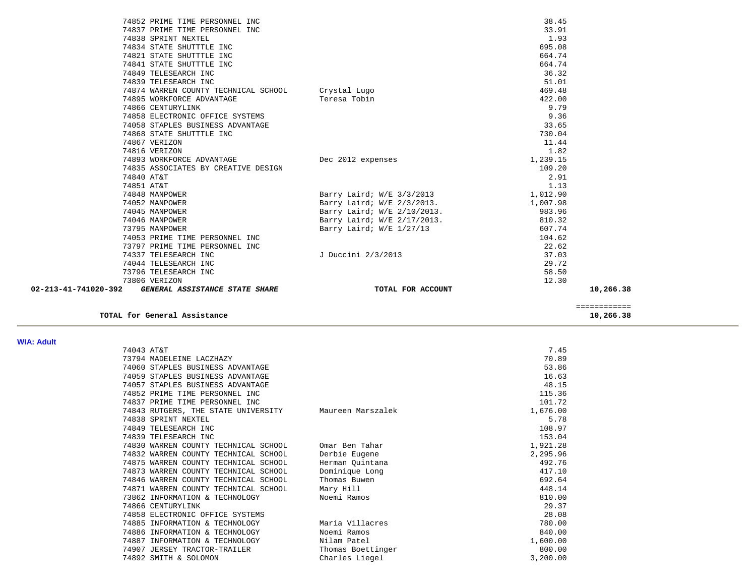|                      | 74852 PRIME TIME PERSONNEL INC                        |                                                           | 38.45    |           |
|----------------------|-------------------------------------------------------|-----------------------------------------------------------|----------|-----------|
|                      | 74837 PRIME TIME PERSONNEL INC                        |                                                           | 33.91    |           |
|                      | 74838 SPRINT NEXTEL                                   |                                                           | 1.93     |           |
|                      | 74834 STATE SHUTTTLE INC                              |                                                           | 695.08   |           |
|                      | 74821 STATE SHUTTTLE INC                              |                                                           | 664.74   |           |
|                      | 74841 STATE SHUTTTLE INC                              |                                                           | 664.74   |           |
|                      | 74849 TELESEARCH INC                                  |                                                           | 36.32    |           |
|                      | 74839 TELESEARCH INC                                  |                                                           | 51.01    |           |
|                      | 74874 WARREN COUNTY TECHNICAL SCHOOL Crystal Lugo     |                                                           | 469.48   |           |
|                      | 74895 WORKFORCE ADVANTAGE                             | Teresa Tobin                                              | 422.00   |           |
|                      | 74866 CENTURYLINK                                     |                                                           | 9.79     |           |
|                      | 74858 ELECTRONIC OFFICE SYSTEMS                       |                                                           | 9.36     |           |
|                      | 74058 STAPLES BUSINESS ADVANTAGE                      |                                                           | 33.65    |           |
|                      | 74868 STATE SHUTTTLE INC                              |                                                           | 730.04   |           |
|                      | 74867 VERIZON                                         |                                                           | 11.44    |           |
|                      | 74816 VERIZON                                         |                                                           | 1.82     |           |
|                      | 74893 WORKFORCE ADVANTAGE 1999 1999 Dec 2012 expenses |                                                           | 1,239.15 |           |
|                      | 74835 ASSOCIATES BY CREATIVE DESIGN                   |                                                           | 109.20   |           |
|                      | 74840 AT&T                                            |                                                           | 2.91     |           |
|                      | 74851 AT&T                                            |                                                           | 1.13     |           |
|                      | 74848 MANPOWER                                        | Barry Laird; $W/E = 3/3/2013$                             | 1,012.90 |           |
|                      | 74052 MANPOWER                                        | Barry Laird; W/E 2/3/2013.<br>Barry Laird; W/E 2/10/2013. | 1,007.98 |           |
|                      | 74045 MANPOWER                                        |                                                           | 983.96   |           |
|                      | 74046 MANPOWER                                        | Barry Laird; W/E 2/17/2013.                               | 810.32   |           |
|                      | 73795 MANPOWER                                        | Barry Laird; W/E 1/27/13                                  | 607.74   |           |
|                      | 74053 PRIME TIME PERSONNEL INC                        |                                                           | 104.62   |           |
|                      | 73797 PRIME TIME PERSONNEL INC                        |                                                           | 22.62    |           |
|                      | 74337 TELESEARCH INC                                  | J Duccini 2/3/2013                                        | 37.03    |           |
|                      | 74044 TELESEARCH INC                                  |                                                           | 29.72    |           |
|                      | 73796 TELESEARCH INC                                  |                                                           | 58.50    |           |
|                      | 73806 VERIZON                                         |                                                           | 12.30    |           |
| 02-213-41-741020-392 | GENERAL ASSISTANCE STATE SHARE                        | TOTAL FOR ACCOUNT                                         |          | 10,266.38 |
|                      |                                                       |                                                           |          |           |

**TOTAL for General Assistance 10,266.38**

#### **WIA: Adult**

| . |                                      |                   |          |
|---|--------------------------------------|-------------------|----------|
|   | 74043 AT&T                           |                   | 7.45     |
|   | 73794 MADELEINE LACZHAZY             |                   | 70.89    |
|   | 74060 STAPLES BUSINESS ADVANTAGE     |                   | 53.86    |
|   | 74059 STAPLES BUSINESS ADVANTAGE     |                   | 16.63    |
|   | 74057 STAPLES BUSINESS ADVANTAGE     |                   | 48.15    |
|   | 74852 PRIME TIME PERSONNEL INC       |                   | 115.36   |
|   | 74837 PRIME TIME PERSONNEL INC       |                   | 101.72   |
|   | 74843 RUTGERS, THE STATE UNIVERSITY  | Maureen Marszalek | 1,676.00 |
|   | 74838 SPRINT NEXTEL                  |                   | 5.78     |
|   | 74849 TELESEARCH INC                 |                   | 108.97   |
|   | 74839 TELESEARCH INC                 |                   | 153.04   |
|   | 74830 WARREN COUNTY TECHNICAL SCHOOL | Omar Ben Tahar    | 1,921.28 |
|   | 74832 WARREN COUNTY TECHNICAL SCHOOL | Derbie Eugene     | 2,295.96 |
|   | 74875 WARREN COUNTY TECHNICAL SCHOOL | Herman Quintana   | 492.76   |
|   | 74873 WARREN COUNTY TECHNICAL SCHOOL | Dominique Long    | 417.10   |
|   | 74846 WARREN COUNTY TECHNICAL SCHOOL | Thomas Buwen      | 692.64   |
|   | 74871 WARREN COUNTY TECHNICAL SCHOOL | Mary Hill         | 448.14   |
|   | 73862 INFORMATION & TECHNOLOGY       | Noemi Ramos       | 810.00   |
|   | 74866 CENTURYLINK                    |                   | 29.37    |
|   | 74858 ELECTRONIC OFFICE SYSTEMS      |                   | 28.08    |
|   | 74885 INFORMATION & TECHNOLOGY       | Maria Villacres   | 780.00   |
|   | 74886 INFORMATION & TECHNOLOGY       | Noemi Ramos       | 840.00   |
|   | 74887 INFORMATION & TECHNOLOGY       | Nilam Patel       | 1,600.00 |
|   | 74907 JERSEY TRACTOR-TRAILER         | Thomas Boettinger | 800.00   |
|   | 74892 SMITH & SOLOMON                | Charles Liegel    | 3,200.00 |

============

 $\begin{array}{r} \texttt{-----} \texttt{-----} \texttt{-----} \\ \texttt{10,266.38} \end{array}$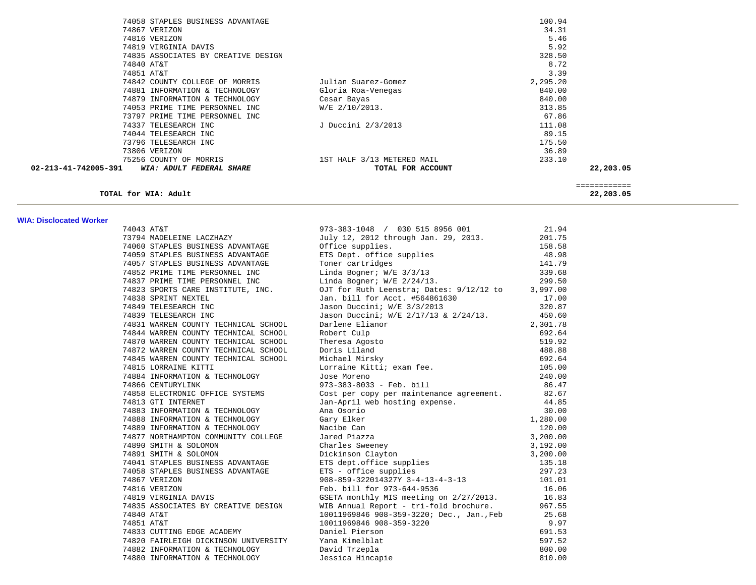| 74058 STAPLES BUSINESS ADVANTAGE                 |                            | 100.94   |              |
|--------------------------------------------------|----------------------------|----------|--------------|
| 74867 VERIZON                                    |                            | 34.31    |              |
| 74816 VERIZON                                    |                            | 5.46     |              |
| 74819 VIRGINIA DAVIS                             |                            | 5.92     |              |
| 74835 ASSOCIATES BY CREATIVE DESIGN              |                            | 328.50   |              |
| 74840 AT&T                                       |                            | 8.72     |              |
| 74851 AT&T                                       |                            | 3.39     |              |
| 74842 COUNTY COLLEGE OF MORRIS                   | Julian Suarez-Gomez        | 2,295.20 |              |
| 74881 INFORMATION & TECHNOLOGY                   | Gloria Roa-Venegas         | 840.00   |              |
| 74879 INFORMATION & TECHNOLOGY                   | Cesar Bayas                | 840.00   |              |
| 74053 PRIME TIME PERSONNEL INC                   | $W/E$ 2/10/2013.           | 313.85   |              |
| 73797 PRIME TIME PERSONNEL INC                   |                            | 67.86    |              |
| 74337 TELESEARCH INC                             | J Duccini 2/3/2013         | 111.08   |              |
| 74044 TELESEARCH INC                             |                            | 89.15    |              |
| 73796 TELESEARCH INC                             |                            | 175.50   |              |
| 73806 VERIZON                                    |                            | 36.89    |              |
| 75256 COUNTY OF MORRIS                           | 1ST HALF 3/13 METERED MAIL | 233.10   |              |
| 02-213-41-742005-391<br>WIA: ADULT FEDERAL SHARE | TOTAL FOR ACCOUNT          |          | 22,203.05    |
|                                                  |                            |          | ============ |
| TOTAL for WIA: Adult                             |                            |          | 22,203.05    |

#### **WIA: Disclocated Worker**

| 74043 AT&T                                          | 973-383-1048 / 030 515 8956 001                                                                                                                                                                                                                     | 21.94    |
|-----------------------------------------------------|-----------------------------------------------------------------------------------------------------------------------------------------------------------------------------------------------------------------------------------------------------|----------|
|                                                     |                                                                                                                                                                                                                                                     |          |
|                                                     |                                                                                                                                                                                                                                                     |          |
|                                                     |                                                                                                                                                                                                                                                     |          |
|                                                     |                                                                                                                                                                                                                                                     |          |
|                                                     | 74043 AT&T<br>7794 MADELEINE LACZHAZY<br>74060 STAPLES BUSINESS ADVANTAGE<br>74060 STAPLES BUSINESS ADVANTAGE<br>74059 STAPLES BUSINESS ADVANTAGE<br>74059 STAPLES BUSINESS ADVANTAGE<br>74659 STAPLES BUSINESS ADVANTAGE<br>74675 TAPLES B         |          |
|                                                     |                                                                                                                                                                                                                                                     |          |
|                                                     |                                                                                                                                                                                                                                                     |          |
|                                                     |                                                                                                                                                                                                                                                     |          |
|                                                     |                                                                                                                                                                                                                                                     |          |
|                                                     |                                                                                                                                                                                                                                                     |          |
|                                                     |                                                                                                                                                                                                                                                     |          |
|                                                     |                                                                                                                                                                                                                                                     |          |
|                                                     |                                                                                                                                                                                                                                                     |          |
|                                                     |                                                                                                                                                                                                                                                     |          |
|                                                     |                                                                                                                                                                                                                                                     |          |
|                                                     |                                                                                                                                                                                                                                                     | $0.21$ . |
|                                                     |                                                                                                                                                                                                                                                     |          |
|                                                     |                                                                                                                                                                                                                                                     | 86.47    |
|                                                     |                                                                                                                                                                                                                                                     |          |
|                                                     |                                                                                                                                                                                                                                                     |          |
|                                                     |                                                                                                                                                                                                                                                     |          |
|                                                     |                                                                                                                                                                                                                                                     |          |
|                                                     |                                                                                                                                                                                                                                                     |          |
|                                                     |                                                                                                                                                                                                                                                     |          |
|                                                     |                                                                                                                                                                                                                                                     |          |
|                                                     |                                                                                                                                                                                                                                                     |          |
|                                                     |                                                                                                                                                                                                                                                     |          |
|                                                     |                                                                                                                                                                                                                                                     |          |
|                                                     |                                                                                                                                                                                                                                                     |          |
|                                                     |                                                                                                                                                                                                                                                     |          |
|                                                     |                                                                                                                                                                                                                                                     |          |
|                                                     |                                                                                                                                                                                                                                                     |          |
| 74840 AT&T                                          |                                                                                                                                                                                                                                                     |          |
| 74851 AT&T                                          |                                                                                                                                                                                                                                                     |          |
| 74833 CUTTING EDGE ACADEMY Daniel Pierson           | 10011969846 908-359-3220; Dec., Jan., Feb 25.68<br>10011969846 908-359-3220; Dec., Jan., Feb 25.68<br>10011969846 908-359-3220; Dec., Jan., Feb 25.68<br>10011969846 908-359-3220<br>19.97<br>201.53<br>201.53<br>200.00<br>Jessica Hincapie 810.00 |          |
| 74820 FAIRLEIGH DICKINSON UNIVERSITY Yana Kimelblat |                                                                                                                                                                                                                                                     |          |
| 74882 INFORMATION & TECHNOLOGY David Trzepla        |                                                                                                                                                                                                                                                     |          |
| 74880 INFORMATION & TECHNOLOGY                      |                                                                                                                                                                                                                                                     |          |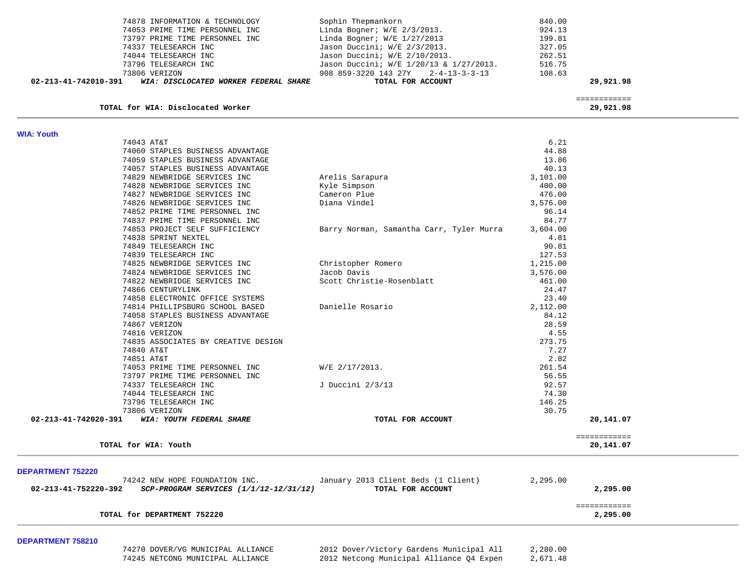| 02-213-41-742010-391<br>WIA: DISCLOCATED WORKER FEDERAL SHARE | TOTAL FOR ACCOUNT                       | 29,921,98 |
|---------------------------------------------------------------|-----------------------------------------|-----------|
| 73806 VERIZON                                                 | 908 859-3220 143 27Y 2-4-13-3-3-13      | 108.63    |
| 73796 TELESEARCH INC                                          | Jason Duccini; W/E 1/20/13 & 1/27/2013. | 516.75    |
| 74044 TELESEARCH INC                                          | Jason Duccini; W/E 2/10/2013.           | 262.51    |
| 74337 TELESEARCH INC                                          | Jason Duccini; W/E 2/3/2013.            | 327.05    |
| 73797 PRIME TIME PERSONNEL INC                                | Linda Bogner; $W/E$ 1/27/2013           | 199.81    |
| 74053 PRIME TIME PERSONNEL INC                                | Linda Bogner; $W/E$ 2/3/2013.           | 924.13    |
| 74878 INFORMATION & TECHNOLOGY                                | Sophin Thepmankorn                      | 840.00    |

**TOTAL for WIA: Disclocated Worker 29,921.98**

============

| <b>WIA: Youth</b>                                |                                                      |              |
|--------------------------------------------------|------------------------------------------------------|--------------|
| 74043 AT&T                                       | 6.21                                                 |              |
| 74060 STAPLES BUSINESS ADVANTAGE                 | 44.88                                                |              |
| 74059 STAPLES BUSINESS ADVANTAGE                 | 13.86                                                |              |
| 74057 STAPLES BUSINESS ADVANTAGE                 | 40.13                                                |              |
| 74829 NEWBRIDGE SERVICES INC                     | 3,101.00<br>Arelis Sarapura                          |              |
| 74828 NEWBRIDGE SERVICES INC                     | 400.00<br>Kyle Simpson                               |              |
| 74827 NEWBRIDGE SERVICES INC                     | 476.00<br>Cameron Plue                               |              |
| 74826 NEWBRIDGE SERVICES INC                     | Diana Vindel<br>3,576.00                             |              |
| 74852 PRIME TIME PERSONNEL INC                   | 96.14                                                |              |
| 74837 PRIME TIME PERSONNEL INC                   | 84.77                                                |              |
| 74853 PROJECT SELF SUFFICIENCY                   | 3,604.00<br>Barry Norman, Samantha Carr, Tyler Murra |              |
| 74838 SPRINT NEXTEL                              | 4.81                                                 |              |
| 74849 TELESEARCH INC                             | 90.81                                                |              |
| 74839 TELESEARCH INC                             | 127.53                                               |              |
| 74825 NEWBRIDGE SERVICES INC                     | Christopher Romero<br>1,215.00                       |              |
| 74824 NEWBRIDGE SERVICES INC                     | Jacob Davis<br>3,576.00                              |              |
| 74822 NEWBRIDGE SERVICES INC                     | Scott Christie-Rosenblatt<br>461.00                  |              |
| 74866 CENTURYLINK                                | 24.47                                                |              |
| 74858 ELECTRONIC OFFICE SYSTEMS                  | 23.40                                                |              |
| 74814 PHILLIPSBURG SCHOOL BASED                  | Danielle Rosario<br>2,112.00                         |              |
| 74058 STAPLES BUSINESS ADVANTAGE                 | 84.12                                                |              |
| 74867 VERIZON                                    | 28.59                                                |              |
| 74816 VERIZON                                    | 4.55                                                 |              |
| 74835 ASSOCIATES BY CREATIVE DESIGN              | 273.75                                               |              |
| 74840 AT&T                                       | 7.27                                                 |              |
| 74851 AT&T                                       | 2.82                                                 |              |
| 74053 PRIME TIME PERSONNEL INC                   | W/E 2/17/2013.<br>261.54                             |              |
| 73797 PRIME TIME PERSONNEL INC                   | 56.55                                                |              |
| 74337 TELESEARCH INC                             | 92.57<br>J Duccini 2/3/13                            |              |
| 74044 TELESEARCH INC                             | 74.30                                                |              |
| 73796 TELESEARCH INC                             | 146.25                                               |              |
| 73806 VERIZON                                    | 30.75                                                |              |
| 02-213-41-742020-391<br>WIA: YOUTH FEDERAL SHARE | TOTAL FOR ACCOUNT                                    | 20,141.07    |
|                                                  |                                                      | ============ |
| TOTAL for WIA: Youth                             |                                                      | 20,141.07    |

#### **DEPARTMENT 752220**

| 74242 NEW HOPE FOUNDATION INC.                                 | January 2013 Client Beds (1 Client) | 2,295.00 |  |
|----------------------------------------------------------------|-------------------------------------|----------|--|
| 02-213-41-752220-392<br>SCP-PROGRAM SERVICES (1/1/12-12/31/12) | TOTAL FOR ACCOUNT                   | 2,295.00 |  |
|                                                                |                                     |          |  |
|                                                                |                                     |          |  |
| TOTAL for DEPARTMENT 752220                                    |                                     | 2,295.00 |  |
|                                                                |                                     |          |  |

#### **DEPARTMENT 758210**

 74270 DOVER/VG MUNICIPAL ALLIANCE 2012 Dover/Victory Gardens Municipal All 2,280.00 2012 Netcong Municipal Alliance Q4 Expen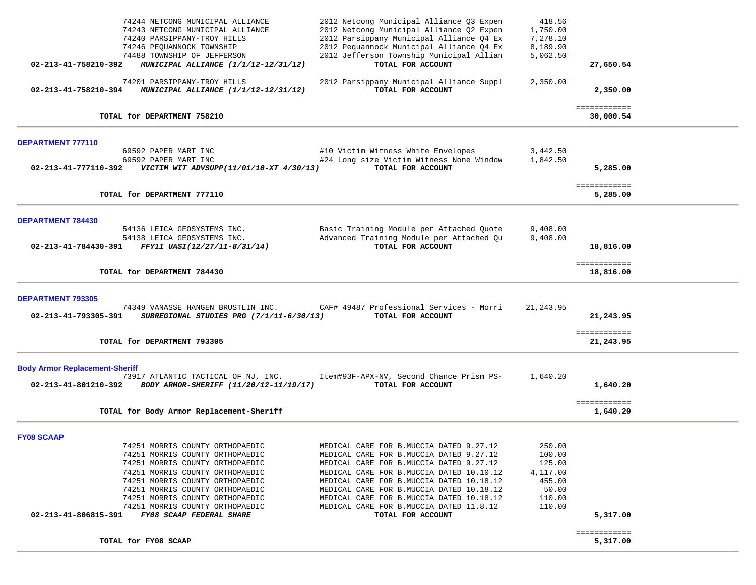|                                                               | 74244 NETCONG MUNICIPAL ALLIANCE                                               | 2012 Netcong Municipal Alliance Q3 Expen                      | 418.56     |                           |  |
|---------------------------------------------------------------|--------------------------------------------------------------------------------|---------------------------------------------------------------|------------|---------------------------|--|
|                                                               | 74243 NETCONG MUNICIPAL ALLIANCE                                               | 2012 Netcong Municipal Alliance Q2 Expen                      | 1,750.00   |                           |  |
|                                                               | 74240 PARSIPPANY-TROY HILLS                                                    | 2012 Parsippany Municipal Alliance Q4 Ex                      | 7,278.10   |                           |  |
|                                                               | 74246 PEQUANNOCK TOWNSHIP                                                      | 2012 Pequannock Municipal Alliance Q4 Ex                      | 8,189.90   |                           |  |
|                                                               | 74488 TOWNSHIP OF JEFFERSON                                                    | 2012 Jefferson Township Municipal Allian                      | 5,062.50   |                           |  |
| 02-213-41-758210-392                                          | MUNICIPAL ALLIANCE (1/1/12-12/31/12)                                           | TOTAL FOR ACCOUNT                                             |            | 27,650.54                 |  |
|                                                               | 74201 PARSIPPANY-TROY HILLS                                                    |                                                               |            |                           |  |
| 02-213-41-758210-394                                          | MUNICIPAL ALLIANCE (1/1/12-12/31/12)                                           | 2012 Parsippany Municipal Alliance Suppl<br>TOTAL FOR ACCOUNT | 2,350.00   | 2,350.00                  |  |
|                                                               |                                                                                |                                                               |            |                           |  |
|                                                               |                                                                                |                                                               |            | ============              |  |
|                                                               | TOTAL for DEPARTMENT 758210                                                    |                                                               |            | 30,000.54                 |  |
| <b>DEPARTMENT 777110</b>                                      |                                                                                |                                                               |            |                           |  |
|                                                               | 69592 PAPER MART INC                                                           | #10 Victim Witness White Envelopes                            | 3,442.50   |                           |  |
|                                                               | 69592 PAPER MART INC                                                           | #24 Long size Victim Witness None Window                      | 1,842.50   |                           |  |
| 02-213-41-777110-392                                          | VICTIM WIT ADVSUPP(11/01/10-XT 4/30/13)                                        | TOTAL FOR ACCOUNT                                             |            | 5,285.00                  |  |
|                                                               |                                                                                |                                                               |            | ============              |  |
|                                                               | TOTAL for DEPARTMENT 777110                                                    |                                                               |            | 5,285.00                  |  |
|                                                               |                                                                                |                                                               |            |                           |  |
| <b>DEPARTMENT 784430</b>                                      | 54136 LEICA GEOSYSTEMS INC.                                                    | Basic Training Module per Attached Quote                      | 9,408.00   |                           |  |
|                                                               | 54138 LEICA GEOSYSTEMS INC.                                                    | Advanced Training Module per Attached Qu                      | 9,408.00   |                           |  |
|                                                               | FFY11 UASI(12/27/11-8/31/14)                                                   | TOTAL FOR ACCOUNT                                             |            | 18,816.00                 |  |
|                                                               |                                                                                |                                                               |            |                           |  |
| 02-213-41-784430-391                                          |                                                                                |                                                               |            |                           |  |
|                                                               |                                                                                |                                                               |            | ============              |  |
|                                                               | TOTAL for DEPARTMENT 784430                                                    |                                                               |            | 18,816.00                 |  |
|                                                               |                                                                                |                                                               |            |                           |  |
| <b>DEPARTMENT 793305</b>                                      |                                                                                |                                                               |            |                           |  |
| 02-213-41-793305-391                                          | 74349 VANASSE HANGEN BRUSTLIN INC.<br>SUBREGIONAL STUDIES PRG (7/1/11-6/30/13) | CAF# 49487 Professional Services - Morri<br>TOTAL FOR ACCOUNT | 21, 243.95 | 21,243.95                 |  |
|                                                               |                                                                                |                                                               |            |                           |  |
|                                                               | TOTAL for DEPARTMENT 793305                                                    |                                                               |            | ============<br>21,243.95 |  |
|                                                               |                                                                                |                                                               |            |                           |  |
|                                                               |                                                                                |                                                               |            |                           |  |
|                                                               | 73917 ATLANTIC TACTICAL OF NJ, INC.                                            | Item#93F-APX-NV, Second Chance Prism PS-                      | 1,640.20   |                           |  |
| 02-213-41-801210-392                                          | BODY ARMOR-SHERIFF (11/20/12-11/19/17)                                         | TOTAL FOR ACCOUNT                                             |            | 1,640.20                  |  |
|                                                               |                                                                                |                                                               |            | ============              |  |
|                                                               | TOTAL for Body Armor Replacement-Sheriff                                       |                                                               |            | 1,640.20                  |  |
|                                                               |                                                                                |                                                               |            |                           |  |
| <b>FY08 SCAAP</b>                                             |                                                                                |                                                               |            |                           |  |
|                                                               | 74251 MORRIS COUNTY ORTHOPAEDIC                                                | MEDICAL CARE FOR B.MUCCIA DATED 9.27.12                       | 250.00     |                           |  |
|                                                               | 74251 MORRIS COUNTY ORTHOPAEDIC                                                | MEDICAL CARE FOR B. MUCCIA DATED 9.27.12                      | 100.00     |                           |  |
|                                                               | 74251 MORRIS COUNTY ORTHOPAEDIC                                                | MEDICAL CARE FOR B.MUCCIA DATED 9.27.12                       | 125.00     |                           |  |
|                                                               | 74251 MORRIS COUNTY ORTHOPAEDIC                                                | MEDICAL CARE FOR B. MUCCIA DATED 10.10.12                     | 4,117.00   |                           |  |
|                                                               | 74251 MORRIS COUNTY ORTHOPAEDIC                                                | MEDICAL CARE FOR B. MUCCIA DATED 10.18.12                     | 455.00     |                           |  |
|                                                               | 74251 MORRIS COUNTY ORTHOPAEDIC                                                | MEDICAL CARE FOR B. MUCCIA DATED 10.18.12                     | 50.00      |                           |  |
|                                                               | 74251 MORRIS COUNTY ORTHOPAEDIC                                                | MEDICAL CARE FOR B. MUCCIA DATED 10.18.12                     | 110.00     |                           |  |
|                                                               | 74251 MORRIS COUNTY ORTHOPAEDIC                                                | MEDICAL CARE FOR B. MUCCIA DATED 11.8.12                      | 110.00     |                           |  |
| <b>Body Armor Replacement-Sheriff</b><br>02-213-41-806815-391 | FY08 SCAAP FEDERAL SHARE                                                       | TOTAL FOR ACCOUNT                                             |            | 5,317.00                  |  |
|                                                               | TOTAL for FY08 SCAAP                                                           |                                                               |            | ============<br>5,317.00  |  |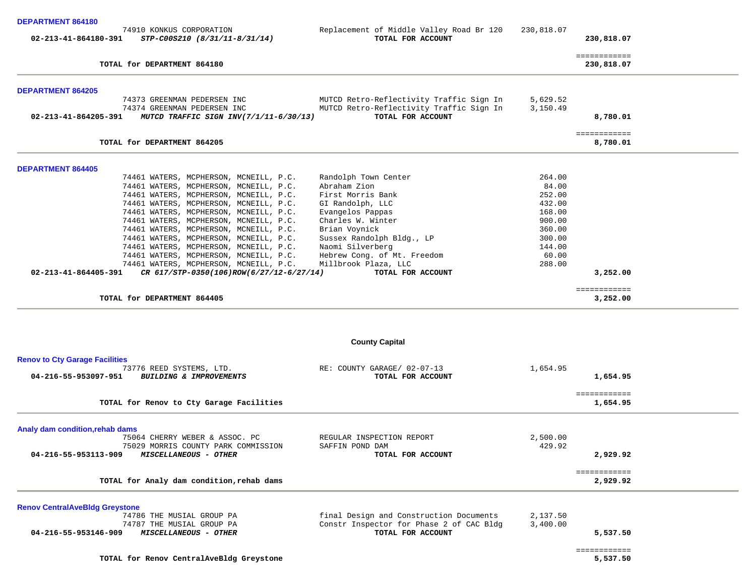| <b>DEPARTMENT 864180</b><br>02-213-41-864180-391 | 74910 KONKUS CORPORATION<br>STP-C00S210 (8/31/11-8/31/14)                                            | Replacement of Middle Valley Road Br 120<br>TOTAL FOR ACCOUNT                                             | 230,818.07           | 230,818.07                      |
|--------------------------------------------------|------------------------------------------------------------------------------------------------------|-----------------------------------------------------------------------------------------------------------|----------------------|---------------------------------|
|                                                  | TOTAL for DEPARTMENT 864180                                                                          |                                                                                                           |                      | ============<br>230,818.07      |
| <b>DEPARTMENT 864205</b>                         |                                                                                                      |                                                                                                           |                      |                                 |
| 02-213-41-864205-391                             | 74373 GREENMAN PEDERSEN INC<br>74374 GREENMAN PEDERSEN INC<br>MUTCD TRAFFIC SIGN INV(7/1/11-6/30/13) | MUTCD Retro-Reflectivity Traffic Sign In<br>MUTCD Retro-Reflectivity Traffic Sign In<br>TOTAL FOR ACCOUNT | 5,629.52<br>3,150.49 | 8,780.01                        |
|                                                  | TOTAL for DEPARTMENT 864205                                                                          |                                                                                                           |                      | <b>BEBBBBBBBBBB</b><br>8,780.01 |
| <b>DEPARTMENT 864405</b>                         |                                                                                                      |                                                                                                           |                      |                                 |
|                                                  | 74461 WATERS, MCPHERSON, MCNEILL, P.C.                                                               | Randolph Town Center                                                                                      | 264.00               |                                 |
|                                                  | 74461 WATERS, MCPHERSON, MCNEILL, P.C.                                                               | Abraham Zion                                                                                              | 84.00                |                                 |
|                                                  | 74461 WATERS, MCPHERSON, MCNEILL, P.C.<br>74461 WATERS, MCPHERSON, MCNEILL, P.C.                     | First Morris Bank<br>GI Randolph, LLC                                                                     | 252.00<br>432.00     |                                 |
|                                                  | 74461 WATERS, MCPHERSON, MCNEILL, P.C.                                                               | Evangelos Pappas                                                                                          | 168.00               |                                 |
|                                                  | 74461 WATERS, MCPHERSON, MCNEILL, P.C.                                                               | Charles W. Winter                                                                                         | 900.00               |                                 |
|                                                  | 74461 WATERS, MCPHERSON, MCNEILL, P.C.                                                               | Brian Voynick                                                                                             | 360.00               |                                 |
|                                                  | 74461 WATERS, MCPHERSON, MCNEILL, P.C.                                                               | Sussex Randolph Bldg., LP                                                                                 | 300.00               |                                 |
|                                                  | 74461 WATERS, MCPHERSON, MCNEILL, P.C.                                                               | Naomi Silverberg                                                                                          | 144.00               |                                 |
|                                                  | 74461 WATERS, MCPHERSON, MCNEILL, P.C.                                                               | Hebrew Cong. of Mt. Freedom                                                                               | 60.00                |                                 |
| $02 - 213 - 41 - 864405 - 391$                   | 74461 WATERS, MCPHERSON, MCNEILL, P.C.<br>CR 617/STP-0350(106)ROW(6/27/12-6/27/14)                   | Millbrook Plaza, LLC<br>TOTAL FOR ACCOUNT                                                                 | 288.00               | 3,252.00                        |
|                                                  | TOTAL for DEPARTMENT 864405                                                                          |                                                                                                           |                      | ============<br>3,252.00        |
|                                                  |                                                                                                      |                                                                                                           |                      |                                 |
|                                                  |                                                                                                      | <b>County Capital</b>                                                                                     |                      |                                 |
| <b>Renov to Cty Garage Facilities</b>            | 73776 REED SYSTEMS, LTD.                                                                             | RE: COUNTY GARAGE/ 02-07-13                                                                               | 1,654.95             |                                 |
| 04-216-55-953097-951                             | <b>BUILDING &amp; IMPROVEMENTS</b>                                                                   | TOTAL FOR ACCOUNT                                                                                         |                      | 1,654.95                        |
|                                                  | TOTAL for Renov to Cty Garage Facilities                                                             |                                                                                                           |                      | ============<br>1,654.95        |
| Analy dam condition, rehab dams                  |                                                                                                      |                                                                                                           |                      |                                 |
|                                                  |                                                                                                      |                                                                                                           |                      |                                 |

| <b>Renov CentralAveBldg Greystone</b>                |                           |          |  |
|------------------------------------------------------|---------------------------|----------|--|
| TOTAL for Analy dam condition, rehab dams            |                           | 2,929.92 |  |
| 04-216-55-953113-909<br><i>MISCELLANEOUS - OTHER</i> | TOTAL FOR ACCOUNT         | 2,929.92 |  |
| 75029 MORRIS COUNTY PARK COMMISSION                  | SAFFIN POND DAM           | 429.92   |  |
| 75064 CHERRY WEBER & ASSOC. PC                       | REGULAR INSPECTION REPORT | 2,500.00 |  |

 74786 THE MUSIAL GROUP PA final Design and Construction Documents 2,137.50 74787 THE MUSIAL GROUP PA **Constri**nspector for Phase 2 of CAC Bldg 3,400.00<br>**MISCELLANEOUS - OTHER TOTAL FOR ACCOUNT 04-216-55-953146-909** *MISCELLANEOUS - OTHER* **TOTAL FOR ACCOUNT 5,537.50**

============

 $\begin{array}{cccccccccc} \multicolumn{2}{c}{} & \multicolumn{2}{c}{} & \multicolumn{2}{c}{} & \multicolumn{2}{c}{} & \multicolumn{2}{c}{} & \multicolumn{2}{c}{} & \multicolumn{2}{c}{} & \multicolumn{2}{c}{} & \multicolumn{2}{c}{} & \multicolumn{2}{c}{} & \multicolumn{2}{c}{} & \multicolumn{2}{c}{} & \multicolumn{2}{c}{} & \multicolumn{2}{c}{} & \multicolumn{2}{c}{} & \multicolumn{2}{c}{} & \multicolumn{2}{c}{} & \multicolumn{2}{c}{} & \multicolumn{2}{c}{} & \mult$ 

**TOTAL for Renov CentralAveBldg Greystone 5,537.50**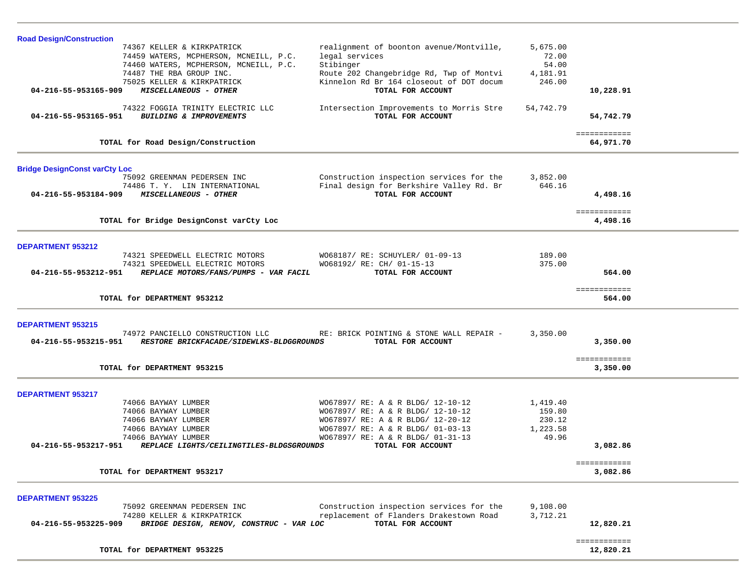| <b>Road Design/Construction</b>                                  |                                          |           |                        |  |
|------------------------------------------------------------------|------------------------------------------|-----------|------------------------|--|
| 74367 KELLER & KIRKPATRICK                                       | realignment of boonton avenue/Montville, | 5,675.00  |                        |  |
| 74459 WATERS, MCPHERSON, MCNEILL, P.C.                           | legal services                           | 72.00     |                        |  |
| 74460 WATERS, MCPHERSON, MCNEILL, P.C.                           | Stibinger                                | 54.00     |                        |  |
| 74487 THE RBA GROUP INC.                                         | Route 202 Changebridge Rd, Twp of Montvi | 4,181.91  |                        |  |
| 75025 KELLER & KIRKPATRICK                                       | Kinnelon Rd Br 164 closeout of DOT docum | 246.00    |                        |  |
| 04-216-55-953165-909<br>MISCELLANEOUS - OTHER                    | TOTAL FOR ACCOUNT                        |           | 10,228.91              |  |
| 74322 FOGGIA TRINITY ELECTRIC LLC                                | Intersection Improvements to Morris Stre | 54,742.79 |                        |  |
| <b>BUILDING &amp; IMPROVEMENTS</b><br>04-216-55-953165-951       | TOTAL FOR ACCOUNT                        |           | 54,742.79              |  |
|                                                                  |                                          |           |                        |  |
|                                                                  |                                          |           | ============           |  |
| TOTAL for Road Design/Construction                               |                                          |           | 64,971.70              |  |
| <b>Bridge DesignConst varCty Loc</b>                             |                                          |           |                        |  |
| 75092 GREENMAN PEDERSEN INC                                      | Construction inspection services for the | 3,852.00  |                        |  |
| 74486 T.Y. LIN INTERNATIONAL                                     | Final design for Berkshire Valley Rd. Br | 646.16    |                        |  |
| 04-216-55-953184-909<br>MISCELLANEOUS - OTHER                    | TOTAL FOR ACCOUNT                        |           | 4,498.16               |  |
|                                                                  |                                          |           |                        |  |
|                                                                  |                                          |           | ============           |  |
| TOTAL for Bridge DesignConst varCty Loc                          |                                          |           | 4,498.16               |  |
| <b>DEPARTMENT 953212</b>                                         |                                          |           |                        |  |
| 74321 SPEEDWELL ELECTRIC MOTORS                                  | WO68187/ RE: SCHUYLER/ 01-09-13          | 189.00    |                        |  |
| 74321 SPEEDWELL ELECTRIC MOTORS                                  | WO68192/ RE: CH/ 01-15-13                | 375.00    |                        |  |
| 04-216-55-953212-951<br>REPLACE MOTORS/FANS/PUMPS - VAR FACIL    | TOTAL FOR ACCOUNT                        |           | 564.00                 |  |
|                                                                  |                                          |           |                        |  |
| TOTAL for DEPARTMENT 953212                                      |                                          |           | ============<br>564.00 |  |
|                                                                  |                                          |           |                        |  |
| <b>DEPARTMENT 953215</b>                                         |                                          |           |                        |  |
| 74972 PANCIELLO CONSTRUCTION LLC                                 | RE: BRICK POINTING & STONE WALL REPAIR - | 3,350.00  |                        |  |
| 04-216-55-953215-951<br>RESTORE BRICKFACADE/SIDEWLKS-BLDGGROUNDS | TOTAL FOR ACCOUNT                        |           | 3,350.00               |  |
|                                                                  |                                          |           |                        |  |
| TOTAL for DEPARTMENT 953215                                      |                                          |           | ============           |  |
|                                                                  |                                          |           | 3,350.00               |  |
| <b>DEPARTMENT 953217</b>                                         |                                          |           |                        |  |
| 74066 BAYWAY LUMBER                                              | WO67897/ RE: A & R BLDG/ 12-10-12        | 1,419.40  |                        |  |
| 74066 BAYWAY LUMBER                                              | WO67897/ RE: A & R BLDG/ 12-10-12        | 159.80    |                        |  |
| 74066 BAYWAY LUMBER                                              | WO67897/ RE: A & R BLDG/ 12-20-12        | 230.12    |                        |  |
| 74066 BAYWAY LUMBER                                              | WO67897/ RE: A & R BLDG/ 01-03-13        | 1,223.58  |                        |  |
| 74066 BAYWAY LUMBER                                              | WO67897/ RE: A & R BLDG/ 01-31-13        | 49.96     |                        |  |
| 04-216-55-953217-951<br>REPLACE LIGHTS/CEILINGTILES-BLDGSGROUNDS | TOTAL FOR ACCOUNT                        |           | 3,082.86               |  |
|                                                                  |                                          |           | ============           |  |
| TOTAL for DEPARTMENT 953217                                      |                                          |           | 3,082.86               |  |
| <b>DEPARTMENT 953225</b>                                         |                                          |           |                        |  |
| 75092 GREENMAN PEDERSEN INC                                      | Construction inspection services for the | 9,108.00  |                        |  |
| 74280 KELLER & KIRKPATRICK                                       | replacement of Flanders Drakestown Road  | 3,712.21  |                        |  |
| 04-216-55-953225-909<br>BRIDGE DESIGN, RENOV, CONSTRUC - VAR LOC | TOTAL FOR ACCOUNT                        |           | 12,820.21              |  |
|                                                                  |                                          |           |                        |  |
|                                                                  |                                          |           | ============           |  |
| TOTAL for DEPARTMENT 953225                                      |                                          |           | 12,820.21              |  |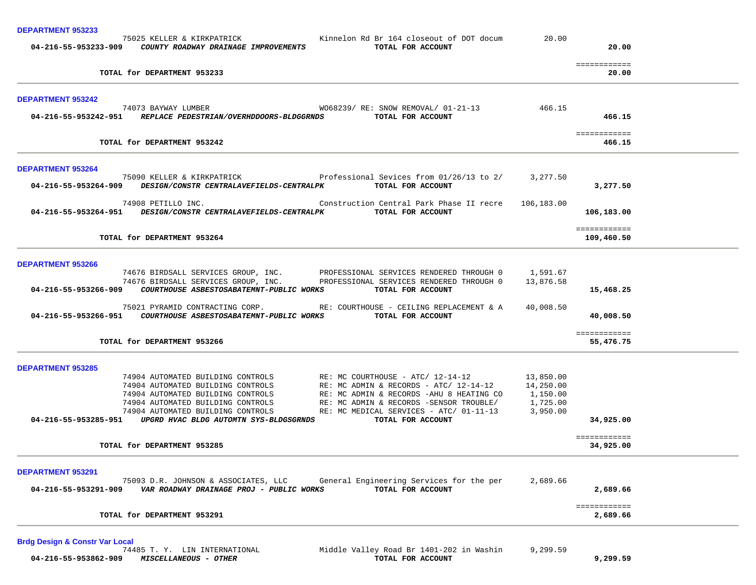| <b>DEPARTMENT 953233</b>                                                                                                                                                                                                                                                                                                                                                                                                            |                       |                            |  |
|-------------------------------------------------------------------------------------------------------------------------------------------------------------------------------------------------------------------------------------------------------------------------------------------------------------------------------------------------------------------------------------------------------------------------------------|-----------------------|----------------------------|--|
| 75025 KELLER & KIRKPATRICK<br>Kinnelon Rd Br 164 closeout of DOT docum<br>04-216-55-953233-909 COUNTY ROADWAY DRAINAGE IMPROVEMENTS<br>TOTAL FOR ACCOUNT                                                                                                                                                                                                                                                                            | 20.00                 | 20.00                      |  |
| TOTAL for DEPARTMENT 953233                                                                                                                                                                                                                                                                                                                                                                                                         |                       | ============<br>20.00      |  |
| <b>DEPARTMENT 953242</b>                                                                                                                                                                                                                                                                                                                                                                                                            |                       |                            |  |
| 74073 BAYWAY LUMBER WO68239/ RE: SNOW REMOVAL/ 01-21-13<br>04-216-55-953242-951 REPLACE PEDESTRIAN/OVERHDDOORS-BLDGGRNDS TOTAL FOR ACCOUNT                                                                                                                                                                                                                                                                                          | 466.15                | 466.15                     |  |
| TOTAL for DEPARTMENT 953242                                                                                                                                                                                                                                                                                                                                                                                                         |                       | ============<br>466.15     |  |
| <b>DEPARTMENT 953264</b>                                                                                                                                                                                                                                                                                                                                                                                                            |                       |                            |  |
| 75090 KELLER & KIRKPATRICK Professional Sevices from 01/26/13 to 2/ 3,277.50<br>04-216-55-953264-909 DESIGN/CONSTR CENTRALAVEFIELDS-CENTRALPK<br>TOTAL FOR ACCOUNT                                                                                                                                                                                                                                                                  |                       | 3,277.50                   |  |
| 74908 PETILLO INC.<br>Construction Central Park Phase II recre 106,183.00<br>04-216-55-953264-951 DESIGN/CONSTR CENTRALAVEFIELDS-CENTRALPK TOTAL FOR ACCOUNT                                                                                                                                                                                                                                                                        |                       | 106,183.00                 |  |
| TOTAL for DEPARTMENT 953264                                                                                                                                                                                                                                                                                                                                                                                                         |                       | ============<br>109,460.50 |  |
| <b>DEPARTMENT 953266</b>                                                                                                                                                                                                                                                                                                                                                                                                            |                       |                            |  |
| 74676 BIRDSALL SERVICES GROUP, INC. PROFESSIONAL SERVICES RENDERED THROUGH 0<br>74676 BIRDSALL SERVICES GROUP, INC. PROFESSIONAL SERVICES RENDERED THROUGH 0<br>04-216-55-953266-909    COURTHOUSE ASBESTOSABATEMNT-PUBLIC WORKS<br>TOTAL FOR ACCOUNT                                                                                                                                                                               | 1,591.67<br>13,876.58 | 15,468.25                  |  |
| 75021 PYRAMID CONTRACTING CORP. RE: COURTHOUSE - CEILING REPLACEMENT & A<br>TOTAL FOR ACCOUNT                                                                                                                                                                                                                                                                                                                                       | 40,008.50             | 40,008.50                  |  |
| TOTAL for DEPARTMENT 953266                                                                                                                                                                                                                                                                                                                                                                                                         |                       | ============<br>55,476.75  |  |
| <b>DEPARTMENT 953285</b>                                                                                                                                                                                                                                                                                                                                                                                                            |                       |                            |  |
| 74904 AUTOMATED BUILDING CONTROLS RE: MC COURTHOUSE - ATC/ $12-14-12$ 13,850.00<br>74904 AUTOMATED BUILDING CONTROLS<br>74904 AUTOMATED BUILDING CONTROLS<br>74904 AUTOMATED BUILDING CONTROLS<br>74904 AUTOMATED BUILDING CONTROLS<br>RE: MC ADMIN & RECORDS - ATC/ 12-14-12 14,250.00<br>RE: MC ADMIN & RECORDS - AHU 8 HEATING CO 1,150.00<br>RE: MC ADMIN & RECORDS -SENSOR TROUBLE/<br>RE: MC MEDICAL SERVICES - ATC/ 01-11-13 | 1,725.00<br>3,950.00  |                            |  |
| 04-216-55-953285-951 UPGRD HVAC BLDG AUTOMTN SYS-BLDGSGRNDS<br>TOTAL FOR ACCOUNT                                                                                                                                                                                                                                                                                                                                                    |                       | 34,925.00                  |  |
| TOTAL for DEPARTMENT 953285                                                                                                                                                                                                                                                                                                                                                                                                         |                       | ============<br>34,925.00  |  |
| DEPARTMENT 953291                                                                                                                                                                                                                                                                                                                                                                                                                   |                       |                            |  |
| General Engineering Services for the per<br>75093 D.R. JOHNSON & ASSOCIATES, LLC<br>TOTAL FOR ACCOUNT<br>04-216-55-953291-909<br>VAR ROADWAY DRAINAGE PROJ - PUBLIC WORKS                                                                                                                                                                                                                                                           | 2,689.66              | 2,689.66                   |  |
| TOTAL for DEPARTMENT 953291                                                                                                                                                                                                                                                                                                                                                                                                         |                       | ============<br>2,689.66   |  |

**Brdg Design & Constr Var Local 04-216-55-953862-909** *MISCELLANEOUS - OTHER* **TOTAL FOR ACCOUNT 9,299.59**

Middle Valley Road Br  $1401-202$  in Washin 9,299.59<br>TOTAL FOR ACCOUNT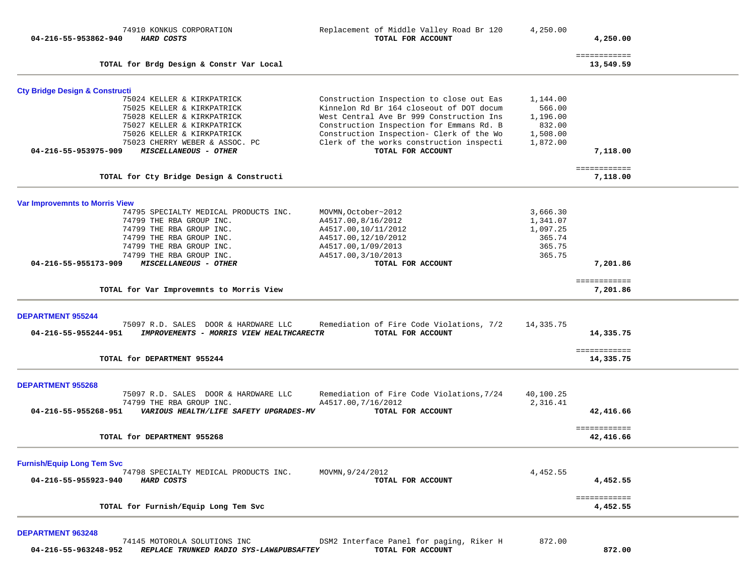| 04-216-55-953862-940                      | 74910 KONKUS CORPORATION<br>HARD COSTS                           | Replacement of Middle Valley Road Br 120<br>TOTAL FOR ACCOUNT    | 4,250.00              | 4,250.00                  |  |
|-------------------------------------------|------------------------------------------------------------------|------------------------------------------------------------------|-----------------------|---------------------------|--|
|                                           | TOTAL for Brdg Design & Constr Var Local                         |                                                                  |                       | ============<br>13,549.59 |  |
| <b>Cty Bridge Design &amp; Constructi</b> |                                                                  |                                                                  |                       |                           |  |
|                                           | 75024 KELLER & KIRKPATRICK                                       | Construction Inspection to close out Eas                         | 1,144.00              |                           |  |
|                                           | 75025 KELLER & KIRKPATRICK                                       | Kinnelon Rd Br 164 closeout of DOT docum                         | 566.00                |                           |  |
|                                           | 75028 KELLER & KIRKPATRICK                                       | West Central Ave Br 999 Construction Ins                         | 1,196.00              |                           |  |
|                                           | 75027 KELLER & KIRKPATRICK                                       | Construction Inspection for Emmans Rd. B                         | 832.00                |                           |  |
|                                           | 75026 KELLER & KIRKPATRICK                                       | Construction Inspection- Clerk of the Wo                         | 1,508.00              |                           |  |
| 04-216-55-953975-909                      | 75023 CHERRY WEBER & ASSOC. PC<br>MISCELLANEOUS - OTHER          | Clerk of the works construction inspecti<br>TOTAL FOR ACCOUNT    | 1,872.00              | 7,118.00                  |  |
|                                           |                                                                  |                                                                  |                       | ============              |  |
|                                           | TOTAL for Cty Bridge Design & Constructi                         |                                                                  |                       | 7,118.00                  |  |
| <b>Var Improvemnts to Morris View</b>     |                                                                  |                                                                  |                       |                           |  |
|                                           | 74795 SPECIALTY MEDICAL PRODUCTS INC.                            | MOVMN, October~2012                                              | 3,666.30              |                           |  |
|                                           | 74799 THE RBA GROUP INC.                                         | A4517.00,8/16/2012                                               | 1,341.07              |                           |  |
|                                           | 74799 THE RBA GROUP INC.                                         | A4517.00,10/11/2012                                              | 1,097.25              |                           |  |
|                                           | 74799 THE RBA GROUP INC.                                         | A4517.00, 12/10/2012                                             | 365.74                |                           |  |
|                                           | 74799 THE RBA GROUP INC.                                         | A4517.00,1/09/2013                                               | 365.75                |                           |  |
|                                           | 74799 THE RBA GROUP INC.                                         | A4517.00, 3/10/2013                                              | 365.75                |                           |  |
| 04-216-55-955173-909                      | MISCELLANEOUS - OTHER                                            | TOTAL FOR ACCOUNT                                                |                       | 7,201.86                  |  |
|                                           | TOTAL for Var Improvemnts to Morris View                         |                                                                  |                       | ============<br>7,201.86  |  |
|                                           |                                                                  |                                                                  |                       |                           |  |
| <b>DEPARTMENT 955244</b>                  | 75097 R.D. SALES DOOR & HARDWARE LLC                             | Remediation of Fire Code Violations, 7/2                         | 14,335.75             |                           |  |
| 04-216-55-955244-951                      | IMPROVEMENTS - MORRIS VIEW HEALTHCARECTR                         | TOTAL FOR ACCOUNT                                                |                       | 14,335.75                 |  |
|                                           | TOTAL for DEPARTMENT 955244                                      |                                                                  |                       | ============<br>14,335.75 |  |
|                                           |                                                                  |                                                                  |                       |                           |  |
| <b>DEPARTMENT 955268</b>                  |                                                                  |                                                                  |                       |                           |  |
|                                           | 75097 R.D. SALES DOOR & HARDWARE LLC<br>74799 THE RBA GROUP INC. | Remediation of Fire Code Violations, 7/24<br>A4517.00, 7/16/2012 | 40,100.25<br>2,316.41 |                           |  |
| 04-216-55-955268-951                      | VARIOUS HEALTH/LIFE SAFETY UPGRADES-MV                           | TOTAL FOR ACCOUNT                                                |                       | 42,416.66                 |  |
|                                           |                                                                  |                                                                  |                       | ============              |  |
|                                           | TOTAL for DEPARTMENT 955268                                      |                                                                  |                       | 42,416.66                 |  |
| <b>Furnish/Equip Long Tem Svc</b>         |                                                                  |                                                                  |                       |                           |  |
|                                           | 74798 SPECIALTY MEDICAL PRODUCTS INC.                            | MOVMN, 9/24/2012                                                 | 4,452.55              |                           |  |
| 04-216-55-955923-940                      | HARD COSTS                                                       | TOTAL FOR ACCOUNT                                                |                       | 4,452.55                  |  |
|                                           | TOTAL for Furnish/Equip Long Tem Svc                             |                                                                  |                       | ============<br>4,452.55  |  |
|                                           |                                                                  |                                                                  |                       |                           |  |
| <b>DEPARTMENT 963248</b>                  |                                                                  |                                                                  |                       |                           |  |

|                      | 74145 MOTOROLA SOLUTIONS INC            | DSM2 Interface Panel for paging, Riker H | 872.00 |
|----------------------|-----------------------------------------|------------------------------------------|--------|
| 04-216-55-963248-952 | REPLACE TRUNKED RADIO SYS-LAW&PUBSAFTEY | TOTAL FOR ACCOUNT                        | 872.00 |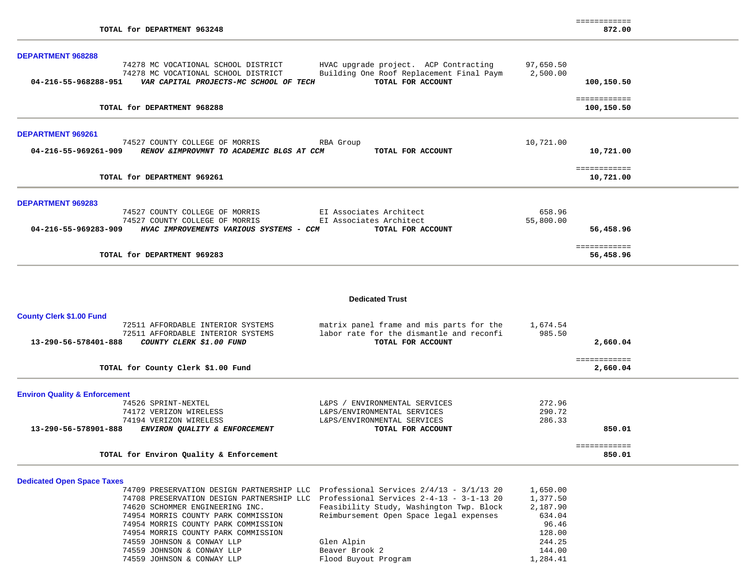|                          |                                                                |                         |                                          |           | ============              |  |
|--------------------------|----------------------------------------------------------------|-------------------------|------------------------------------------|-----------|---------------------------|--|
|                          | TOTAL for DEPARTMENT 963248                                    |                         |                                          |           | 872.00                    |  |
| <b>DEPARTMENT 968288</b> |                                                                |                         |                                          |           |                           |  |
|                          | 74278 MC VOCATIONAL SCHOOL DISTRICT                            |                         | HVAC upgrade project. ACP Contracting    | 97,650.50 |                           |  |
|                          | 74278 MC VOCATIONAL SCHOOL DISTRICT                            |                         | Building One Roof Replacement Final Paym | 2,500.00  |                           |  |
|                          | 04-216-55-968288-951    VAR CAPITAL PROJECTS-MC SCHOOL OF TECH |                         | TOTAL FOR ACCOUNT                        |           | 100,150.50                |  |
|                          |                                                                |                         |                                          |           | ============              |  |
|                          | TOTAL for DEPARTMENT 968288                                    |                         |                                          |           | 100,150.50                |  |
| <b>DEPARTMENT 969261</b> |                                                                |                         |                                          |           |                           |  |
|                          | 74527 COUNTY COLLEGE OF MORRIS                                 | RBA Group               |                                          | 10,721.00 |                           |  |
| 04-216-55-969261-909     | RENOV & IMPROVMNT TO ACADEMIC BLGS AT CCM                      |                         | TOTAL FOR ACCOUNT                        |           | 10,721.00                 |  |
|                          |                                                                |                         |                                          |           | ============              |  |
|                          | TOTAL for DEPARTMENT 969261                                    |                         |                                          |           | 10,721.00                 |  |
| <b>DEPARTMENT 969283</b> |                                                                |                         |                                          |           |                           |  |
|                          | 74527 COUNTY COLLEGE OF MORRIS                                 |                         | EI Associates Architect                  | 658.96    |                           |  |
|                          |                                                                |                         |                                          | 55,800.00 |                           |  |
|                          | 74527 COUNTY COLLEGE OF MORRIS                                 | EI Associates Architect |                                          |           |                           |  |
|                          | 04-216-55-969283-909 HVAC IMPROVEMENTS VARIOUS SYSTEMS - CCM   |                         | TOTAL FOR ACCOUNT                        |           | 56,458.96                 |  |
|                          | TOTAL for DEPARTMENT 969283                                    |                         |                                          |           | ============<br>56,458.96 |  |

#### **Dedicated Trust**

| <b>County Clerk \$1.00 Fund</b>                         |                                          |              |  |
|---------------------------------------------------------|------------------------------------------|--------------|--|
| 72511 AFFORDABLE INTERIOR SYSTEMS                       | matrix panel frame and mis parts for the | 1,674.54     |  |
| 72511 AFFORDABLE INTERIOR SYSTEMS                       | labor rate for the dismantle and reconfi | 985.50       |  |
| 13-290-56-578401-888<br><i>COUNTY CLERK \$1.00 FUND</i> | TOTAL FOR ACCOUNT                        | 2,660.04     |  |
|                                                         |                                          | ============ |  |
| TOTAL for County Clerk \$1.00 Fund                      |                                          | 2,660.04     |  |
| <b>Environ Quality &amp; Enforcement</b>                |                                          |              |  |
| 74526 SPRINT-NEXTEL                                     | ENVIRONMENTAL SERVICES<br>$L&PS$ /       | 272.96       |  |
| 74172 VERIZON WIRELESS                                  | L&PS/ENVIRONMENTAL SERVICES              | 290.72       |  |
| 74194 VERIZON WIRELESS                                  | L&PS/ENVIRONMENTAL SERVICES              | 286.33       |  |
| 13-290-56-578901-888<br>ENVIRON QUALITY & ENFORCEMENT   | TOTAL FOR ACCOUNT                        | 850.01       |  |
|                                                         |                                          | ============ |  |
| TOTAL for Environ Quality & Enforcement                 |                                          | 850.01       |  |

## **Dedicated Open Space Taxes**

| 74709 PRESERVATION DESIGN PARTNERSHIP LLC Professional Services 2/4/13 - 3/1/13 20 |                                          | 1,650.00 |
|------------------------------------------------------------------------------------|------------------------------------------|----------|
| 74708 PRESERVATION DESIGN PARTNERSHIP LLC Professional Services 2-4-13 - 3-1-13 20 |                                          | 1,377.50 |
| 74620 SCHOMMER ENGINEERING INC.                                                    | Feasibility Study, Washington Twp. Block | 2,187.90 |
| 74954 MORRIS COUNTY PARK COMMISSION                                                | Reimbursement Open Space legal expenses  | 634.04   |
| 74954 MORRIS COUNTY PARK COMMISSION                                                |                                          | 96.46    |
| 74954 MORRIS COUNTY PARK COMMISSION                                                |                                          | 128.00   |
| 74559 JOHNSON & CONWAY LLP                                                         | Glen Alpin                               | 244.25   |
| 74559 JOHNSON & CONWAY LLP                                                         | Beaver Brook 2                           | 144.00   |
| 74559 JOHNSON & CONWAY LLP                                                         | Flood Buyout Program                     | 1,284.41 |